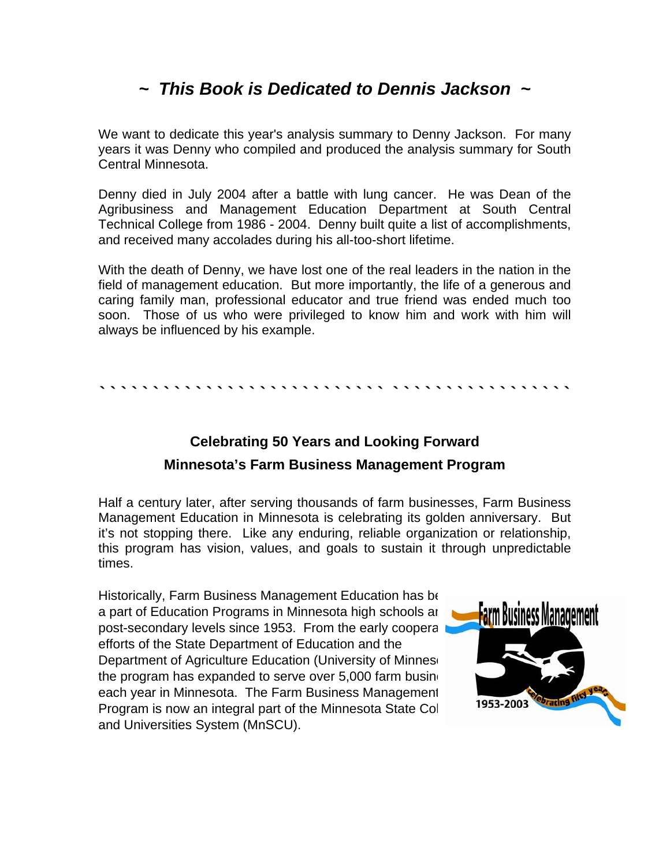# *~ This Book is Dedicated to Dennis Jackson ~*

We want to dedicate this year's analysis summary to Denny Jackson. For many years it was Denny who compiled and produced the analysis summary for South Central Minnesota.

Denny died in July 2004 after a battle with lung cancer. He was Dean of the Agribusiness and Management Education Department at South Central Technical College from 1986 - 2004. Denny built quite a list of accomplishments, and received many accolades during his all-too-short lifetime.

With the death of Denny, we have lost one of the real leaders in the nation in the field of management education. But more importantly, the life of a generous and caring family man, professional educator and true friend was ended much too soon. Those of us who were privileged to know him and work with him will always be influenced by his example.

**` ` ` ` ` ` ` ` ` ` ` ` ` ` ` ` ` ` ` ` ` ` ` ` ` ` ` ` ` ` ` ` ` ` ` ` ` ` ` ` ` ` ` `** 

# **Celebrating 50 Years and Looking Forward Minnesota's Farm Business Management Program**

Half a century later, after serving thousands of farm businesses, Farm Business Management Education in Minnesota is celebrating its golden anniversary. But it's not stopping there. Like any enduring, reliable organization or relationship, this program has vision, values, and goals to sustain it through unpredictable times.

Historically, Farm Business Management Education has be a part of Education Programs in Minnesota high schools and post-secondary levels since 1953. From the early cooperative efforts of the State Department of Education and the Department of Agriculture Education (University of Minnes the program has expanded to serve over  $5,000$  farm busing each year in Minnesota. The Farm Business Management Program is now an integral part of the Minnesota State Colleges and Universities System (MnSCU).

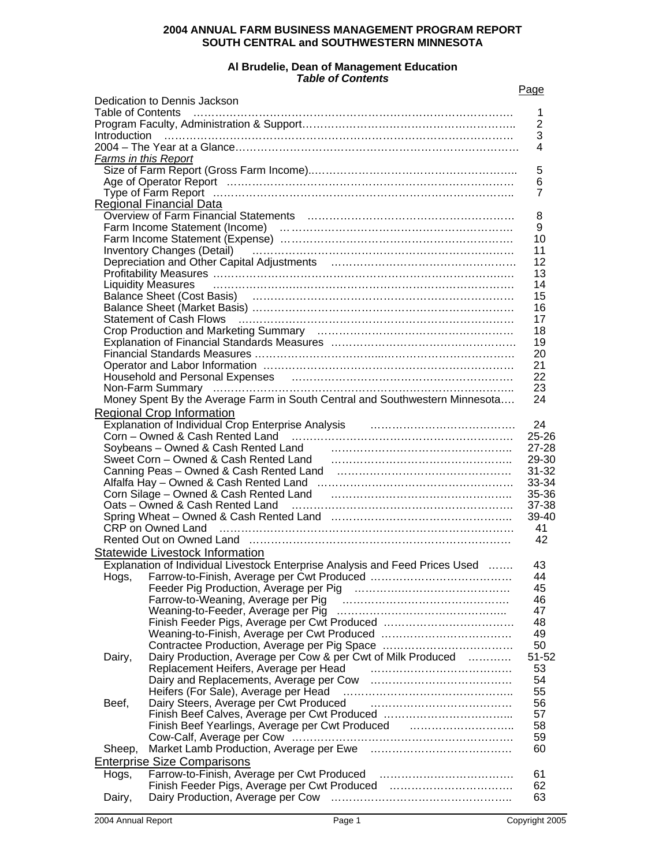### **2004 ANNUAL FARM BUSINESS MANAGEMENT PROGRAM REPORT SOUTH CENTRAL and SOUTHWESTERN MINNESOTA**

#### **Al Brudelie, Dean of Management Education**  *Table of Contents*

| Page |
|------|
|      |

|                          | Dedication to Dennis Jackson                                                                                                                                                                                                                                                                                                                                                                                                                                                                                                                    |                |
|--------------------------|-------------------------------------------------------------------------------------------------------------------------------------------------------------------------------------------------------------------------------------------------------------------------------------------------------------------------------------------------------------------------------------------------------------------------------------------------------------------------------------------------------------------------------------------------|----------------|
| <b>Table of Contents</b> |                                                                                                                                                                                                                                                                                                                                                                                                                                                                                                                                                 | 1              |
|                          |                                                                                                                                                                                                                                                                                                                                                                                                                                                                                                                                                 | $\overline{2}$ |
|                          | $\begin{minipage}{0.9\linewidth} \begin{minipage}{0.9\linewidth} \begin{minipage}{0.9\linewidth} \begin{minipage}{0.9\linewidth} \begin{minipage}{0.9\linewidth} \end{minipage} \end{minipage} \begin{minipage}{0.9\linewidth} \begin{minipage}{0.9\linewidth} \begin{minipage}{0.9\linewidth} \end{minipage} \end{minipage} \begin{minipage}{0.9\linewidth} \begin{minipage}{0.9\linewidth} \begin{minipage}{0.9\linewidth} \end{minipage} \end{minipage} \begin{minipage}{0.9\linewidth} \begin{minipage}{0.9\linewidth} \begin{minipage}{0.$ | 3              |
|                          |                                                                                                                                                                                                                                                                                                                                                                                                                                                                                                                                                 | 4              |
| Farms in this Report     |                                                                                                                                                                                                                                                                                                                                                                                                                                                                                                                                                 |                |
|                          |                                                                                                                                                                                                                                                                                                                                                                                                                                                                                                                                                 | 5              |
|                          |                                                                                                                                                                                                                                                                                                                                                                                                                                                                                                                                                 | 6              |
|                          |                                                                                                                                                                                                                                                                                                                                                                                                                                                                                                                                                 | $\overline{7}$ |
|                          | <b>Regional Financial Data</b>                                                                                                                                                                                                                                                                                                                                                                                                                                                                                                                  |                |
|                          |                                                                                                                                                                                                                                                                                                                                                                                                                                                                                                                                                 | 8              |
|                          | Farm Income Statement (Income)<br>Farm Income Statement (Expense)<br>All Allen Content (Expense)                                                                                                                                                                                                                                                                                                                                                                                                                                                | 9              |
|                          |                                                                                                                                                                                                                                                                                                                                                                                                                                                                                                                                                 | 10             |
|                          | Inventory Changes (Detail) (Changer Changes Contains) (Detail) (Changes (Detail)                                                                                                                                                                                                                                                                                                                                                                                                                                                                | 11             |
|                          |                                                                                                                                                                                                                                                                                                                                                                                                                                                                                                                                                 | 12             |
|                          |                                                                                                                                                                                                                                                                                                                                                                                                                                                                                                                                                 | 13             |
|                          |                                                                                                                                                                                                                                                                                                                                                                                                                                                                                                                                                 | 14             |
|                          | Balance Sheet (Cost Basis) (and according continuum control of the Sheet (Cost Basis)                                                                                                                                                                                                                                                                                                                                                                                                                                                           | 15             |
|                          |                                                                                                                                                                                                                                                                                                                                                                                                                                                                                                                                                 | 16             |
|                          |                                                                                                                                                                                                                                                                                                                                                                                                                                                                                                                                                 | 17             |
|                          |                                                                                                                                                                                                                                                                                                                                                                                                                                                                                                                                                 | 18             |
|                          |                                                                                                                                                                                                                                                                                                                                                                                                                                                                                                                                                 | 19             |
|                          |                                                                                                                                                                                                                                                                                                                                                                                                                                                                                                                                                 | 20             |
|                          |                                                                                                                                                                                                                                                                                                                                                                                                                                                                                                                                                 | 21             |
|                          | Household and Personal Expenses (and the material control of the Household and Personal Expenses (and the material control of the Household and Personal Expenses                                                                                                                                                                                                                                                                                                                                                                               | 22             |
|                          |                                                                                                                                                                                                                                                                                                                                                                                                                                                                                                                                                 | 23             |
|                          | Money Spent By the Average Farm in South Central and Southwestern Minnesota                                                                                                                                                                                                                                                                                                                                                                                                                                                                     | 24             |
|                          | <b>Regional Crop Information</b>                                                                                                                                                                                                                                                                                                                                                                                                                                                                                                                |                |
|                          |                                                                                                                                                                                                                                                                                                                                                                                                                                                                                                                                                 | 24             |
|                          |                                                                                                                                                                                                                                                                                                                                                                                                                                                                                                                                                 | $25 - 26$      |
|                          | Soybeans - Owned & Cash Rented Land Fig. 2014. The Soybeans - Owned & Cash Rented Land                                                                                                                                                                                                                                                                                                                                                                                                                                                          | $27 - 28$      |
|                          |                                                                                                                                                                                                                                                                                                                                                                                                                                                                                                                                                 | 29-30          |
|                          |                                                                                                                                                                                                                                                                                                                                                                                                                                                                                                                                                 | $31 - 32$      |
|                          |                                                                                                                                                                                                                                                                                                                                                                                                                                                                                                                                                 | 33-34          |
|                          | Corn Silage – Owned & Cash Rented Land (and manufacture continuum manufacture Corn Silage – Owned & Cash Rented Land                                                                                                                                                                                                                                                                                                                                                                                                                            | 35-36          |
|                          |                                                                                                                                                                                                                                                                                                                                                                                                                                                                                                                                                 | 37-38          |
|                          |                                                                                                                                                                                                                                                                                                                                                                                                                                                                                                                                                 | 39-40          |
|                          |                                                                                                                                                                                                                                                                                                                                                                                                                                                                                                                                                 | 41             |
|                          |                                                                                                                                                                                                                                                                                                                                                                                                                                                                                                                                                 | 42             |
|                          |                                                                                                                                                                                                                                                                                                                                                                                                                                                                                                                                                 |                |
|                          | Statewide Livestock Information                                                                                                                                                                                                                                                                                                                                                                                                                                                                                                                 |                |
|                          | Explanation of Individual Livestock Enterprise Analysis and Feed Prices Used                                                                                                                                                                                                                                                                                                                                                                                                                                                                    | 43             |
|                          |                                                                                                                                                                                                                                                                                                                                                                                                                                                                                                                                                 | 44             |
|                          |                                                                                                                                                                                                                                                                                                                                                                                                                                                                                                                                                 | 45             |
|                          |                                                                                                                                                                                                                                                                                                                                                                                                                                                                                                                                                 | 46             |
|                          |                                                                                                                                                                                                                                                                                                                                                                                                                                                                                                                                                 | 47             |
|                          |                                                                                                                                                                                                                                                                                                                                                                                                                                                                                                                                                 | 48             |
|                          |                                                                                                                                                                                                                                                                                                                                                                                                                                                                                                                                                 | 49             |
|                          | Contractee Production, Average per Pig Space                                                                                                                                                                                                                                                                                                                                                                                                                                                                                                    | 50             |
| Dairy,                   | Dairy Production, Average per Cow & per Cwt of Milk Produced                                                                                                                                                                                                                                                                                                                                                                                                                                                                                    | 51-52          |
|                          | Replacement Heifers, Average per Head                                                                                                                                                                                                                                                                                                                                                                                                                                                                                                           | 53             |
|                          |                                                                                                                                                                                                                                                                                                                                                                                                                                                                                                                                                 | 54             |
|                          | Heifers (For Sale), Average per Head                                                                                                                                                                                                                                                                                                                                                                                                                                                                                                            | 55             |
| Beef,                    | Dairy Steers, Average per Cwt Produced                                                                                                                                                                                                                                                                                                                                                                                                                                                                                                          | 56             |
|                          |                                                                                                                                                                                                                                                                                                                                                                                                                                                                                                                                                 | 57             |
|                          | Finish Beef Yearlings, Average per Cwt Produced                                                                                                                                                                                                                                                                                                                                                                                                                                                                                                 | 58             |
|                          |                                                                                                                                                                                                                                                                                                                                                                                                                                                                                                                                                 | 59             |
| Sheep,                   |                                                                                                                                                                                                                                                                                                                                                                                                                                                                                                                                                 | 60             |
|                          | <b>Enterprise Size Comparisons</b>                                                                                                                                                                                                                                                                                                                                                                                                                                                                                                              |                |
| Hogs,                    |                                                                                                                                                                                                                                                                                                                                                                                                                                                                                                                                                 | 61             |
|                          | Finish Feeder Pigs, Average per Cwt Produced                                                                                                                                                                                                                                                                                                                                                                                                                                                                                                    | 62             |
| Dairy,                   |                                                                                                                                                                                                                                                                                                                                                                                                                                                                                                                                                 | 63             |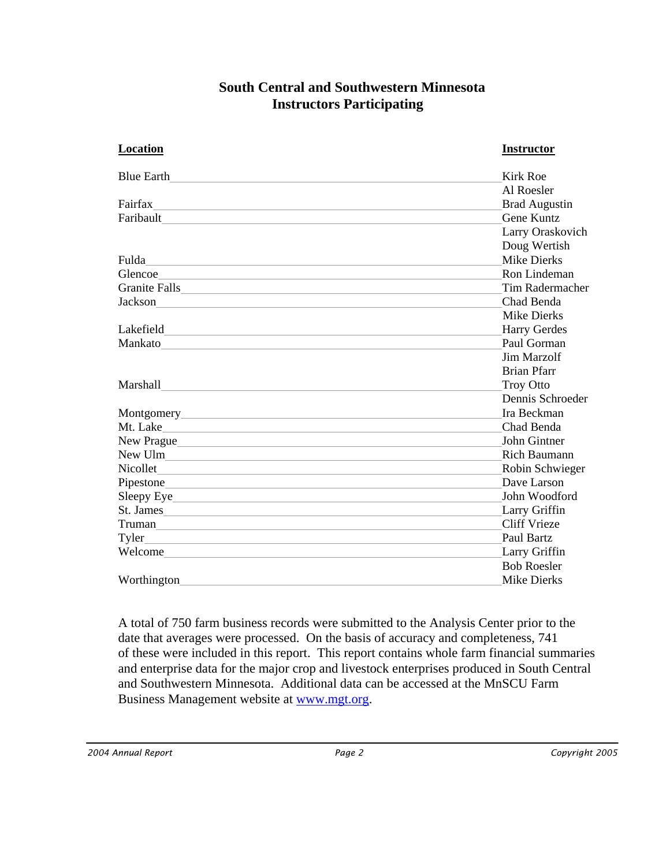## **South Central and Southwestern Minnesota Instructors Participating**

| Location                                                                                                                                                                                                                             | <b>Instructor</b>    |
|--------------------------------------------------------------------------------------------------------------------------------------------------------------------------------------------------------------------------------------|----------------------|
|                                                                                                                                                                                                                                      | <b>Kirk Roe</b>      |
|                                                                                                                                                                                                                                      | Al Roesler           |
| Fairfax and the contract of the contract of the contract of the contract of the contract of the contract of the contract of the contract of the contract of the contract of the contract of the contract of the contract of th       | <b>Brad Augustin</b> |
| Faribault <u>Designed and the contract of the contract of the contract of the contract of the contract of the contract of the contract of the contract of the contract of the contract of the contract of the contract of the co</u> | Gene Kuntz           |
|                                                                                                                                                                                                                                      | Larry Oraskovich     |
|                                                                                                                                                                                                                                      | Doug Wertish         |
| Fulda<br><u> 1989 - Johann Stein, mars an de Britannich (b. 1989)</u>                                                                                                                                                                | <b>Mike Dierks</b>   |
| Glencoe <u>experimental</u>                                                                                                                                                                                                          | Ron Lindeman         |
|                                                                                                                                                                                                                                      | Tim Radermacher      |
|                                                                                                                                                                                                                                      | Chad Benda           |
|                                                                                                                                                                                                                                      | <b>Mike Dierks</b>   |
| Lakefield and the contract of the contract of the contract of the contract of the contract of the contract of the contract of the contract of the contract of the contract of the contract of the contract of the contract of        | <b>Harry Gerdes</b>  |
|                                                                                                                                                                                                                                      | Paul Gorman          |
|                                                                                                                                                                                                                                      | Jim Marzolf          |
|                                                                                                                                                                                                                                      | <b>Brian Pfarr</b>   |
|                                                                                                                                                                                                                                      | <b>Troy Otto</b>     |
|                                                                                                                                                                                                                                      | Dennis Schroeder     |
|                                                                                                                                                                                                                                      | Ira Beckman          |
| Mt. Lake                                                                                                                                                                                                                             | Chad Benda           |
| New Prague                                                                                                                                                                                                                           | John Gintner         |
| New Ulm                                                                                                                                                                                                                              | <b>Rich Baumann</b>  |
| Nicollet <u>and the same of the same of the same of the same of the same of the same of the same of the same of the same of the same of the same of the same of the same of the same of the same of the same of the same of the </u> | Robin Schwieger      |
|                                                                                                                                                                                                                                      | Dave Larson          |
|                                                                                                                                                                                                                                      | John Woodford        |
| St. James                                                                                                                                                                                                                            | Larry Griffin        |
| Truman and the contract of the contract of the contract of the contract of the contract of the contract of the contract of the contract of the contract of the contract of the contract of the contract of the contract of the       | <b>Cliff Vrieze</b>  |
|                                                                                                                                                                                                                                      | Paul Bartz           |
| Welcome                                                                                                                                                                                                                              | <b>Larry Griffin</b> |
|                                                                                                                                                                                                                                      | <b>Bob Roesler</b>   |
| Worthington                                                                                                                                                                                                                          | <b>Mike Dierks</b>   |

A total of 750 farm business records were submitted to the Analysis Center prior to the date that averages were processed. On the basis of accuracy and completeness, 741 of these were included in this report. This report contains whole farm financial summaries and enterprise data for the major crop and livestock enterprises produced in South Central and Southwestern Minnesota. Additional data can be accessed at the MnSCU Farm Business Management website at [www.mgt.org](http://www.mgt.org/).

 *2004 Annual Report Page 2 Copyright 2005*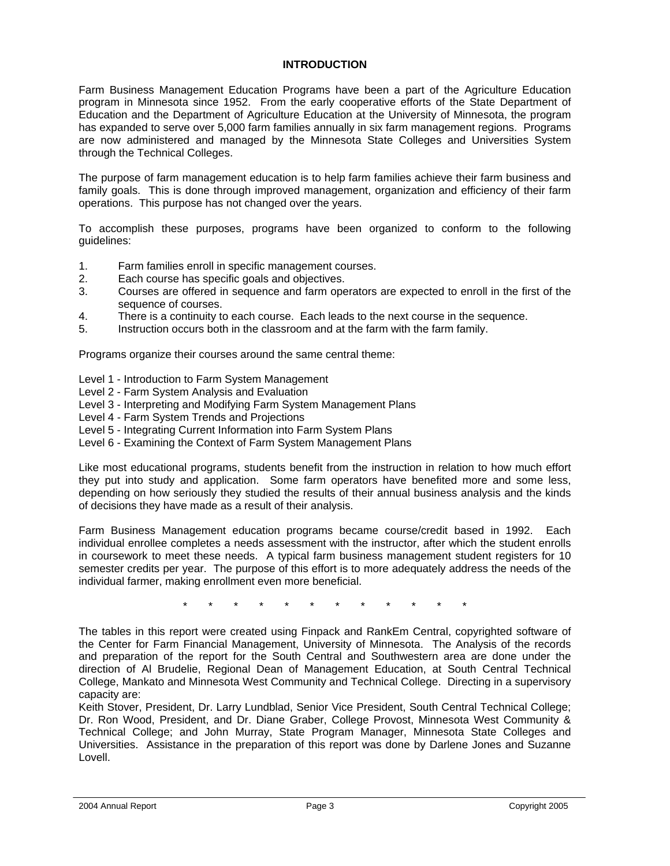#### **INTRODUCTION**

Farm Business Management Education Programs have been a part of the Agriculture Education program in Minnesota since 1952. From the early cooperative efforts of the State Department of Education and the Department of Agriculture Education at the University of Minnesota, the program has expanded to serve over 5,000 farm families annually in six farm management regions. Programs are now administered and managed by the Minnesota State Colleges and Universities System through the Technical Colleges.

The purpose of farm management education is to help farm families achieve their farm business and family goals. This is done through improved management, organization and efficiency of their farm operations. This purpose has not changed over the years.

To accomplish these purposes, programs have been organized to conform to the following guidelines:

- 1. Farm families enroll in specific management courses.
- 2. Each course has specific goals and objectives.
- 3. Courses are offered in sequence and farm operators are expected to enroll in the first of the sequence of courses.
- 4. There is a continuity to each course. Each leads to the next course in the sequence.
- 5. Instruction occurs both in the classroom and at the farm with the farm family.

Programs organize their courses around the same central theme:

- Level 1 Introduction to Farm System Management
- Level 2 Farm System Analysis and Evaluation
- Level 3 Interpreting and Modifying Farm System Management Plans
- Level 4 Farm System Trends and Projections
- Level 5 Integrating Current Information into Farm System Plans
- Level 6 Examining the Context of Farm System Management Plans

Like most educational programs, students benefit from the instruction in relation to how much effort they put into study and application. Some farm operators have benefited more and some less, depending on how seriously they studied the results of their annual business analysis and the kinds of decisions they have made as a result of their analysis.

Farm Business Management education programs became course/credit based in 1992. Each individual enrollee completes a needs assessment with the instructor, after which the student enrolls in coursework to meet these needs. A typical farm business management student registers for 10 semester credits per year. The purpose of this effort is to more adequately address the needs of the individual farmer, making enrollment even more beneficial.

\* \* \* \* \* \* \* \* \* \* \* \*

The tables in this report were created using Finpack and RankEm Central, copyrighted software of the Center for Farm Financial Management, University of Minnesota. The Analysis of the records and preparation of the report for the South Central and Southwestern area are done under the direction of Al Brudelie, Regional Dean of Management Education, at South Central Technical College, Mankato and Minnesota West Community and Technical College. Directing in a supervisory capacity are:

Keith Stover, President, Dr. Larry Lundblad, Senior Vice President, South Central Technical College; Dr. Ron Wood, President, and Dr. Diane Graber, College Provost, Minnesota West Community & Technical College; and John Murray, State Program Manager, Minnesota State Colleges and Universities. Assistance in the preparation of this report was done by Darlene Jones and Suzanne Lovell.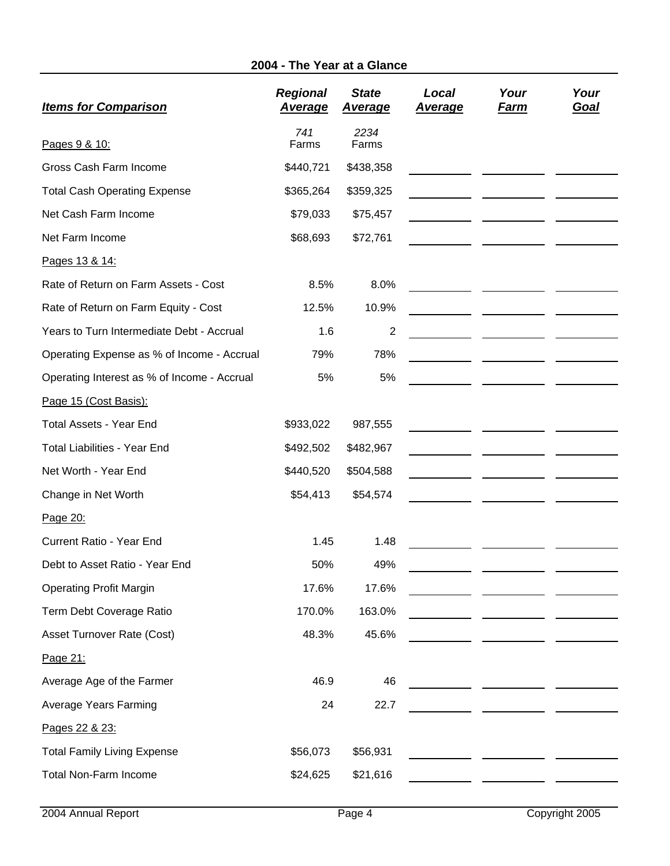## **2004 - The Year at a Glance**

| <b>Items for Comparison</b>                 | <b>Regional</b><br><u>Average</u> | <b>State</b><br><u>Average</u> | Local<br><u>Average</u> | Your<br><u>Farm</u>                                                                                                  | Your<br><u>Goal</u> |
|---------------------------------------------|-----------------------------------|--------------------------------|-------------------------|----------------------------------------------------------------------------------------------------------------------|---------------------|
| Pages 9 & 10:                               | 741<br>Farms                      | 2234<br>Farms                  |                         |                                                                                                                      |                     |
| Gross Cash Farm Income                      | \$440,721                         | \$438,358                      |                         |                                                                                                                      |                     |
| <b>Total Cash Operating Expense</b>         | \$365,264                         | \$359,325                      |                         |                                                                                                                      |                     |
| Net Cash Farm Income                        | \$79,033                          | \$75,457                       |                         |                                                                                                                      |                     |
| Net Farm Income                             | \$68,693                          | \$72,761                       |                         |                                                                                                                      |                     |
| Pages 13 & 14:                              |                                   |                                |                         |                                                                                                                      |                     |
| Rate of Return on Farm Assets - Cost        | 8.5%                              | 8.0%                           |                         |                                                                                                                      |                     |
| Rate of Return on Farm Equity - Cost        | 12.5%                             | 10.9%                          |                         |                                                                                                                      |                     |
| Years to Turn Intermediate Debt - Accrual   | 1.6                               | $\boldsymbol{2}$               |                         |                                                                                                                      |                     |
| Operating Expense as % of Income - Accrual  | 79%                               | 78%                            |                         |                                                                                                                      |                     |
| Operating Interest as % of Income - Accrual | 5%                                | 5%                             |                         |                                                                                                                      |                     |
| Page 15 (Cost Basis):                       |                                   |                                |                         |                                                                                                                      |                     |
| <b>Total Assets - Year End</b>              | \$933,022                         | 987,555                        |                         |                                                                                                                      |                     |
| <b>Total Liabilities - Year End</b>         | \$492,502                         | \$482,967                      |                         |                                                                                                                      |                     |
| Net Worth - Year End                        | \$440,520                         | \$504,588                      |                         |                                                                                                                      |                     |
| Change in Net Worth                         | \$54,413                          | \$54,574                       |                         |                                                                                                                      |                     |
| Page 20:                                    |                                   |                                |                         |                                                                                                                      |                     |
| Current Ratio - Year End                    | 1.45                              | 1.48                           |                         |                                                                                                                      |                     |
| Debt to Asset Ratio - Year End              | 50%                               | 49%                            |                         |                                                                                                                      |                     |
| <b>Operating Profit Margin</b>              | 17.6%                             | 17.6%                          |                         |                                                                                                                      |                     |
| Term Debt Coverage Ratio                    | 170.0%                            | 163.0%                         |                         |                                                                                                                      |                     |
| Asset Turnover Rate (Cost)                  | 48.3%                             | 45.6%                          |                         |                                                                                                                      |                     |
| Page 21:                                    |                                   |                                |                         |                                                                                                                      |                     |
| Average Age of the Farmer                   | 46.9                              | 46                             |                         |                                                                                                                      |                     |
| <b>Average Years Farming</b>                | 24                                | 22.7                           |                         | <u> 1999 - John Harry Barn, mars and de la partie de la partie de la partie de la partie de la partie de la part</u> |                     |
| Pages 22 & 23:                              |                                   |                                |                         |                                                                                                                      |                     |
| <b>Total Family Living Expense</b>          | \$56,073                          | \$56,931                       |                         |                                                                                                                      |                     |
| <b>Total Non-Farm Income</b>                | \$24,625                          | \$21,616                       |                         |                                                                                                                      |                     |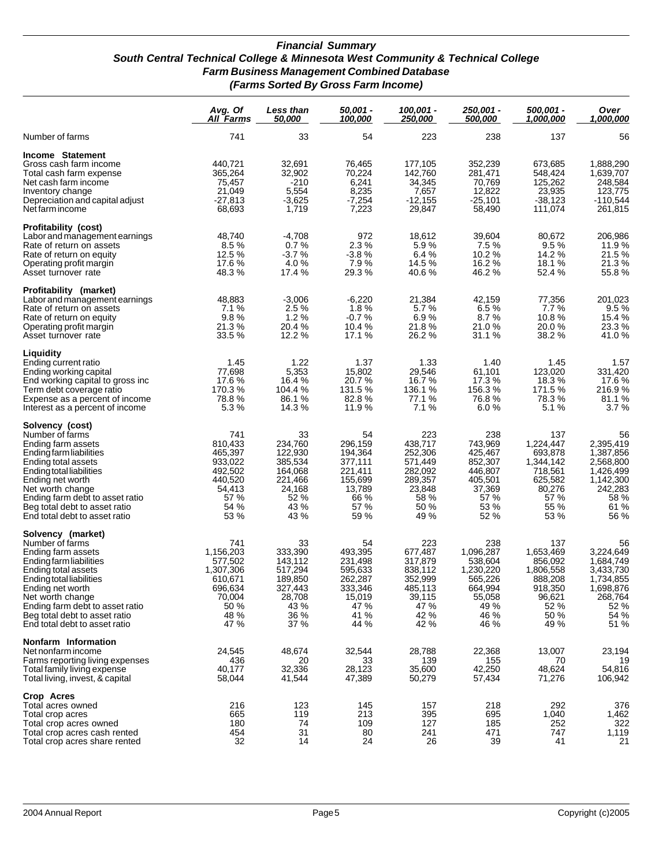#### *Financial Summary South Central Technical College & Minnesota West Community & Technical College Farm Business Management Combined Database (Farms Sorted By Gross Farm Income)*

|                                                                                                                                                                                                                                                                                       | Avg. Of<br>All Farms                                                                             | Less than<br><i><b>50,000</b></i>                                                           | 50,001 -<br><u>100,000</u>                                                                  | 100,001 -<br><u> 250,000 </u>                                                                | 250,001 -<br>500,000                                                                             | 500,001 -<br>1,000,000                                                                           | Over<br><u>1,000,000</u>                                                                               |
|---------------------------------------------------------------------------------------------------------------------------------------------------------------------------------------------------------------------------------------------------------------------------------------|--------------------------------------------------------------------------------------------------|---------------------------------------------------------------------------------------------|---------------------------------------------------------------------------------------------|----------------------------------------------------------------------------------------------|--------------------------------------------------------------------------------------------------|--------------------------------------------------------------------------------------------------|--------------------------------------------------------------------------------------------------------|
| Number of farms                                                                                                                                                                                                                                                                       | 741                                                                                              | 33                                                                                          | 54                                                                                          | 223                                                                                          | 238                                                                                              | 137                                                                                              | 56                                                                                                     |
| Income Statement<br>Gross cash farm income<br>Total cash farm expense<br>Net cash farm income<br>Inventory change<br>Depreciation and capital adjust<br>Net farm income                                                                                                               | 440,721<br>365,264<br>75,457<br>21,049<br>$-27,813$<br>68,693                                    | 32,691<br>32,902<br>$-210$<br>5,554<br>$-3,625$<br>1,719                                    | 76,465<br>70,224<br>6,241<br>8,235<br>$-7,254$<br>7,223                                     | 177,105<br>142,760<br>34,345<br>7,657<br>$-12,155$<br>29,847                                 | 352,239<br>281,471<br>70,769<br>12,822<br>$-25,101$<br>58,490                                    | 673,685<br>548,424<br>125,262<br>23,935<br>$-38,123$<br>111,074                                  | 1,888,290<br>1,639,707<br>248,584<br>123,775<br>$-110,544$<br>261,815                                  |
| Profitability (cost)<br>Labor and management earnings<br>Rate of return on assets<br>Rate of return on equity<br>Operating profit margin<br>Asset turnover rate                                                                                                                       | 48,740<br>8.5%<br>12.5 %<br>17.6 %<br>48.3%                                                      | $-4,708$<br>0.7%<br>$-3.7%$<br>4.0%<br>17.4 %                                               | 972<br>2.3%<br>$-3.8%$<br>7.9%<br>29.3%                                                     | 18,612<br>5.9%<br>6.4%<br>14.5 %<br>40.6%                                                    | 39,604<br>7.5%<br>10.2 %<br>16.2%<br>46.2%                                                       | 80,672<br>9.5%<br>14.2%<br>18.1%<br>52.4 %                                                       | 206,986<br>11.9%<br>21.5%<br>21.3%<br>55.8%                                                            |
| Profitability (market)<br>Labor and management earnings<br>Rate of return on assets<br>Rate of return on equity<br>Operating profit margin<br>Asset turnover rate                                                                                                                     | 48,883<br>7.1%<br>9.8%<br>21.3%<br>33.5 %                                                        | $-3,006$<br>2.5 %<br>1.2%<br>20.4 %<br>12.2 %                                               | $-6,220$<br>1.8%<br>$-0.7%$<br>10.4%<br>17.1 %                                              | 21,384<br>5.7%<br>6.9%<br>21.8%<br>26.2%                                                     | 42,159<br>6.5%<br>8.7%<br>21.0%<br>31.1 %                                                        | 77,356<br>7.7%<br>10.8%<br>20.0%<br>38.2 %                                                       | 201,023<br>9.5%<br>15.4 %<br>23.3 %<br>41.0%                                                           |
| Liquidity<br>Ending current ratio<br>Ending working capital<br>End working capital to gross inc<br>Term debt coverage ratio<br>Expense as a percent of income<br>Interest as a percent of income                                                                                      | 1.45<br>77,698<br>17.6 %<br>170.3%<br>78.8%<br>5.3%                                              | 1.22<br>5,353<br>16.4 %<br>104.4 %<br>86.1%<br>14.3 %                                       | 1.37<br>15,802<br>20.7 %<br>131.5%<br>82.8%<br>11.9%                                        | 1.33<br>29,546<br>16.7 %<br>136.1 %<br>77.1 %<br>7.1%                                        | 1.40<br>61,101<br>17.3 %<br>156.3%<br>76.8%<br>6.0%                                              | 1.45<br>123,020<br>18.3%<br>171.5 %<br>78.3%<br>5.1%                                             | 1.57<br>331,420<br>17.6 %<br>216.9%<br>81.1 %<br>3.7%                                                  |
| Solvency (cost)<br>Number of farms<br>Ending farm assets<br>Ending farm liabilities<br>Ending total assets<br>Ending total liabilities<br>Ending net worth<br>Net worth change<br>Ending farm debt to asset ratio<br>Beg total debt to asset ratio<br>End total debt to asset ratio   | 741<br>810,433<br>465,397<br>933,022<br>492,502<br>440,520<br>54,413<br>57 %<br>54 %<br>53 %     | 33<br>234,760<br>122,930<br>385,534<br>164,068<br>221,466<br>24,168<br>52 %<br>43 %<br>43 % | 54<br>296,159<br>194,364<br>377,111<br>221,411<br>155,699<br>13,789<br>66 %<br>57 %<br>59 % | 223<br>438,717<br>252,306<br>571,449<br>282,092<br>289,357<br>23,848<br>58 %<br>50 %<br>49 % | 238<br>743,969<br>425,467<br>852,307<br>446,807<br>405,501<br>37,369<br>57 %<br>53 %<br>52 %     | 137<br>1,224,447<br>693,878<br>1,344,142<br>718,561<br>625,582<br>80,276<br>57 %<br>55 %<br>53 % | 56<br>2,395,419<br>1,387,856<br>2,568,800<br>1,426,499<br>1,142,300<br>242,283<br>58 %<br>61 %<br>56 % |
| Solvency (market)<br>Number of farms<br>Ending farm assets<br>Ending farm liabilities<br>Ending total assets<br>Ending total liabilities<br>Ending net worth<br>Net worth change<br>Ending farm debt to asset ratio<br>Beg total debt to asset ratio<br>End total debt to asset ratio | 741<br>1,156,203<br>577,502<br>1,307,306<br>610,671<br>696,634<br>70,004<br>50 %<br>48 %<br>47 % | 33<br>333,390<br>143,112<br>517,294<br>189,850<br>327,443<br>28,708<br>43 %<br>36 %<br>37 % | 54<br>493,395<br>231,498<br>595,633<br>262,287<br>333,346<br>15,019<br>47 %<br>41 %<br>44 % | 223<br>677,487<br>317,879<br>838,112<br>352,999<br>485,113<br>39,115<br>47 %<br>42 %<br>42 % | 238<br>1,096,287<br>538,604<br>1,230,220<br>565,226<br>664,994<br>55,058<br>49 %<br>46 %<br>46 % | 137<br>1,653,469<br>856,092<br>1,806,558<br>888,208<br>918,350<br>96,621<br>52 %<br>50 %<br>49 % | 56<br>3,224,649<br>1,684,749<br>3,433,730<br>1,734,855<br>1,698,876<br>268,764<br>52%<br>54 %<br>51 %  |
| Nonfarm Information<br>Net nonfarm income<br>Farms reporting living expenses<br>Total family living expense<br>Total living, invest, & capital                                                                                                                                        | 24,545<br>436<br>40,177<br>58,044                                                                | 48,674<br>20<br>32,336<br>41,544                                                            | 32,544<br>33<br>28,123<br>47,389                                                            | 28,788<br>139<br>35,600<br>50,279                                                            | 22,368<br>155<br>42,250<br>57,434                                                                | 13,007<br>70<br>48,624<br>71,276                                                                 | 23,194<br>19<br>54,816<br>106,942                                                                      |
| Crop Acres<br>Total acres owned<br>Total crop acres<br>Total crop acres owned<br>Total crop acres cash rented<br>Total crop acres share rented                                                                                                                                        | 216<br>665<br>180<br>454<br>32                                                                   | 123<br>119<br>74<br>31<br>14                                                                | 145<br>213<br>109<br>80<br>24                                                               | 157<br>395<br>127<br>241<br>26                                                               | 218<br>695<br>185<br>471<br>39                                                                   | 292<br>1,040<br>252<br>747<br>41                                                                 | 376<br>1,462<br>322<br>1,119<br>21                                                                     |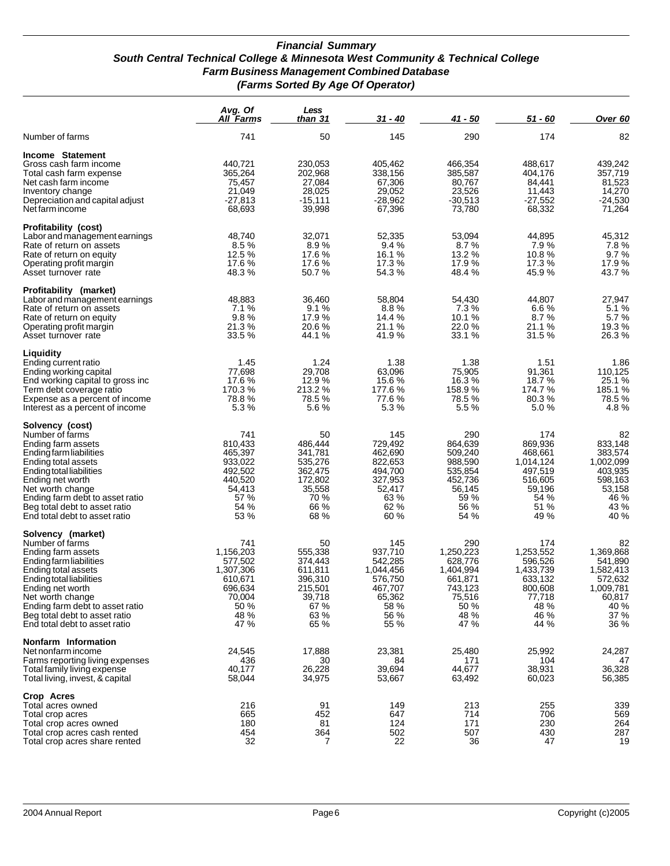#### *Financial Summary South Central Technical College & Minnesota West Community & Technical College Farm Business Management Combined Database (Farms Sorted By Age Of Operator)*

|                                                                                                                                                                                                                                                                                       | Avg. Of<br><b>All Farms</b>                                                                      | Less<br>than 31                                                                             | 31 - 40                                                                                        | $41 - 50$                                                                                        | 51 - 60                                                                                          | Over <sub>60</sub>                                                                                |
|---------------------------------------------------------------------------------------------------------------------------------------------------------------------------------------------------------------------------------------------------------------------------------------|--------------------------------------------------------------------------------------------------|---------------------------------------------------------------------------------------------|------------------------------------------------------------------------------------------------|--------------------------------------------------------------------------------------------------|--------------------------------------------------------------------------------------------------|---------------------------------------------------------------------------------------------------|
| Number of farms                                                                                                                                                                                                                                                                       | 741                                                                                              | 50                                                                                          | 145                                                                                            | 290                                                                                              | 174                                                                                              | 82                                                                                                |
| Income Statement<br>Gross cash farm income<br>Total cash farm expense<br>Net cash farm income<br>Inventory change<br>Depreciation and capital adjust<br>Net farm income                                                                                                               | 440,721<br>365,264<br>75,457<br>21,049<br>$-27,813$<br>68,693                                    | 230,053<br>202,968<br>27,084<br>28,025<br>$-15,111$<br>39,998                               | 405,462<br>338,156<br>67,306<br>29,052<br>$-28,962$<br>67,396                                  | 466,354<br>385,587<br>80,767<br>23,526<br>$-30,513$<br>73,780                                    | 488,617<br>404,176<br>84,441<br>11,443<br>$-27,552$<br>68,332                                    | 439,242<br>357,719<br>81,523<br>14,270<br>$-24,530$<br>71,264                                     |
| Profitability (cost)<br>Labor and management earnings<br>Rate of return on assets<br>Rate of return on equity<br>Operating profit margin<br>Asset turnover rate                                                                                                                       | 48,740<br>8.5%<br>12.5 %<br>17.6%<br>48.3%                                                       | 32.071<br>8.9%<br>17.6 %<br>17.6%<br>50.7%                                                  | 52,335<br>9.4%<br>16.1 %<br>17.3 %<br>54.3 %                                                   | 53,094<br>8.7%<br>13.2 %<br>17.9%<br>48.4 %                                                      | 44,895<br>7.9%<br>10.8%<br>17.3%<br>45.9%                                                        | 45,312<br>7.8%<br>9.7%<br>17.9%<br>43.7 %                                                         |
| Profitability (market)<br>Labor and management earnings<br>Rate of return on assets<br>Rate of return on equity<br>Operating profit margin<br>Asset turnover rate                                                                                                                     | 48,883<br>7.1%<br>9.8%<br>21.3 %<br>33.5 %                                                       | 36,460<br>9.1%<br>17.9%<br>20.6 %<br>44.1 %                                                 | 58,804<br>8.8%<br>14.4 %<br>21.1 %<br>41.9%                                                    | 54,430<br>7.3%<br>10.1%<br>22.0 %<br>33.1 %                                                      | 44,807<br>6.6%<br>8.7%<br>21.1 %<br>31.5 %                                                       | 27,947<br>5.1%<br>5.7%<br>19.3 %<br>26.3%                                                         |
| Liquidity<br>Ending current ratio<br>Ending working capital<br>End working capital to gross inc<br>Term debt coverage ratio<br>Expense as a percent of income<br>Interest as a percent of income                                                                                      | 1.45<br>77,698<br>17.6%<br>170.3%<br>78.8%<br>5.3%                                               | 1.24<br>29,708<br>12.9%<br>213.2%<br>78.5 %<br>5.6%                                         | 1.38<br>63,096<br>15.6%<br>177.6%<br>77.6 %<br>5.3%                                            | 1.38<br>75,905<br>16.3%<br>158.9%<br>78.5 %<br>5.5 %                                             | 1.51<br>91,361<br>18.7 %<br>174.7 %<br>80.3%<br>5.0%                                             | 1.86<br>110,125<br>25.1 %<br>185.1%<br>78.5 %<br>4.8%                                             |
| Solvency (cost)<br>Number of farms<br>Ending farm assets<br>Ending farm liabilities<br>Ending total assets<br>Ending total liabilities<br>Ending net worth<br>Net worth change<br>Ending farm debt to asset ratio<br>Beg total debt to asset ratio<br>End total debt to asset ratio   | 741<br>810,433<br>465,397<br>933,022<br>492,502<br>440,520<br>54,413<br>57 %<br>54 %<br>53 %     | 50<br>486,444<br>341,781<br>535,276<br>362,475<br>172,802<br>35,558<br>70 %<br>66 %<br>68 % | 145<br>729,492<br>462,690<br>822,653<br>494,700<br>327,953<br>52,417<br>63 %<br>62 %<br>60 %   | 290<br>864,639<br>509,240<br>988,590<br>535,854<br>452,736<br>56,145<br>59 %<br>56 %<br>54 %     | 174<br>869,936<br>468,661<br>1,014,124<br>497,519<br>516,605<br>59,196<br>54 %<br>51 %<br>49 %   | 82<br>833,148<br>383,574<br>1,002,099<br>403,935<br>598,163<br>53,158<br>46 %<br>43 %<br>40 %     |
| Solvency (market)<br>Number of farms<br>Ending farm assets<br>Ending farm liabilities<br>Ending total assets<br>Ending total liabilities<br>Ending net worth<br>Net worth change<br>Ending farm debt to asset ratio<br>Beg total debt to asset ratio<br>End total debt to asset ratio | 741<br>1,156,203<br>577,502<br>1,307,306<br>610.671<br>696,634<br>70,004<br>50 %<br>48 %<br>47 % | 50<br>555,338<br>374,443<br>611,811<br>396.310<br>215,501<br>39,718<br>67 %<br>63 %<br>65 % | 145<br>937,710<br>542,285<br>1,044,456<br>576,750<br>467,707<br>65,362<br>58 %<br>56 %<br>55 % | 290<br>1,250,223<br>628.776<br>1,404,994<br>661,871<br>743,123<br>75,516<br>50 %<br>48 %<br>47 % | 174<br>1,253,552<br>596,526<br>1,433,739<br>633,132<br>800,608<br>77,718<br>48 %<br>46 %<br>44 % | 82<br>1,369,868<br>541,890<br>1,582,413<br>572,632<br>1,009,781<br>60,817<br>40 %<br>37 %<br>36 % |
| Nonfarm Information<br>Net nonfarm income<br>Farms reporting living expenses<br>Total family living expense<br>Total living, invest, & capital                                                                                                                                        | 24,545<br>436<br>40,177<br>58,044                                                                | 17,888<br>30<br>26,228<br>34,975                                                            | 23,381<br>84<br>39,694<br>53,667                                                               | 25,480<br>171<br>44.677<br>63,492                                                                | 25,992<br>104<br>38,931<br>60,023                                                                | 24,287<br>47<br>36,328<br>56,385                                                                  |
| Crop Acres<br>Total acres owned<br>Total crop acres<br>Total crop acres owned<br>Total crop acres cash rented<br>Total crop acres share rented                                                                                                                                        | 216<br>665<br>180<br>454<br>32                                                                   | 91<br>452<br>81<br>364<br>7                                                                 | 149<br>647<br>124<br>502<br>22                                                                 | 213<br>714<br>171<br>507<br>36                                                                   | 255<br>706<br>230<br>430<br>47                                                                   | 339<br>569<br>264<br>287<br>19                                                                    |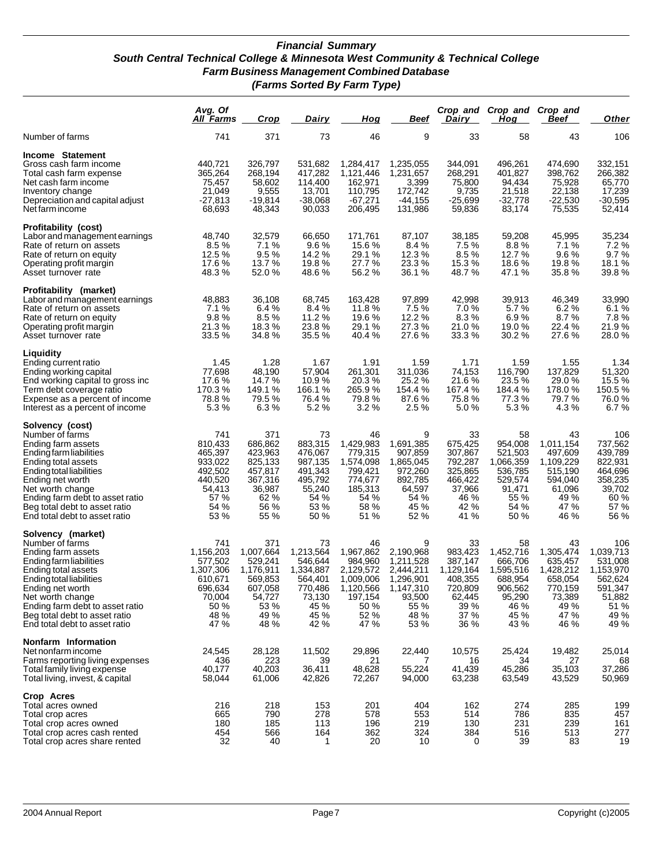#### *Financial Summary South Central Technical College & Minnesota West Community & Technical College Farm Business Management Combined Database (Farms Sorted By Farm Type)*

|                                                                                                                                                                                                                                                                                       | Avg. Of<br><u>All Farms</u>                                                                      | <b>Crop</b>                                                                                      | Dairy                                                                                             | <u>Hog</u>                                                                                           | <u>Beef</u>                                                                                          | <b>Dairy</b>                                                                                  | Crop and Crop and<br><u>Hog</u>                                                                 | Crop and<br><u>Beef</u>                                                                         | <b>Other</b>                                                                                     |
|---------------------------------------------------------------------------------------------------------------------------------------------------------------------------------------------------------------------------------------------------------------------------------------|--------------------------------------------------------------------------------------------------|--------------------------------------------------------------------------------------------------|---------------------------------------------------------------------------------------------------|------------------------------------------------------------------------------------------------------|------------------------------------------------------------------------------------------------------|-----------------------------------------------------------------------------------------------|-------------------------------------------------------------------------------------------------|-------------------------------------------------------------------------------------------------|--------------------------------------------------------------------------------------------------|
| Number of farms                                                                                                                                                                                                                                                                       | 741                                                                                              | 371                                                                                              | 73                                                                                                | 46                                                                                                   | 9                                                                                                    | 33                                                                                            | 58                                                                                              | 43                                                                                              | 106                                                                                              |
| Income Statement<br>Gross cash farm income<br>Total cash farm expense<br>Net cash farm income<br>Inventory change<br>Depreciation and capital adjust<br>Net farm income                                                                                                               | 440.721<br>365,264<br>75,457<br>21,049<br>$-27,813$<br>68,693                                    | 326.797<br>268,194<br>58,602<br>9,555<br>$-19,814$<br>48,343                                     | 531,682<br>417,282<br>114,400<br>13,701<br>-38,068<br>90,033                                      | 1.284.417<br>1,121,446<br>162,971<br>110,795<br>$-67,271$<br>206,495                                 | 1,235,055<br>1,231,657<br>3,399<br>172,742<br>-44,155<br>131,986                                     | 344.091<br>268,291<br>75,800<br>9,735<br>-25,699<br>59,836                                    | 496,261<br>401,827<br>94,434<br>21,518<br>-32,778<br>83,174                                     | 474.690<br>398,762<br>75,928<br>22,138<br>$-22,530$<br>75,535                                   | 332,151<br>266,382<br>65,770<br>17,239<br>-30,595<br>52,414                                      |
| Profitability (cost)<br>Labor and management earnings<br>Rate of return on assets<br>Rate of return on equity<br>Operating profit margin<br>Asset turnover rate                                                                                                                       | 48,740<br>8.5%<br>12.5 %<br>17.6%<br>48.3 %                                                      | 32,579<br>7.1%<br>9.5%<br>13.7 %<br>52.0 %                                                       | 66,650<br>9.6%<br>14.2 %<br>19.8 %<br>48.6%                                                       | 171,761<br>15.6%<br>29.1 %<br>27.7%<br>56.2 %                                                        | 87.107<br>8.4 %<br>12.3 %<br>23.3%<br>36.1 %                                                         | 38,185<br>7.5 %<br>8.5%<br>15.3 %<br>48.7%                                                    | 59,208<br>8.8%<br>12.7 %<br>18.6 %<br>47.1 %                                                    | 45,995<br>7.1%<br>9.6%<br>19.8 %<br>35.8%                                                       | 35,234<br>7.2%<br>9.7%<br>18.1 %<br>39.8 %                                                       |
| Profitability (market)<br>Labor and management earnings<br>Rate of return on assets<br>Rate of return on equity<br>Operating profit margin<br>Asset turnover rate                                                                                                                     | 48,883<br>7.1%<br>9.8%<br>21.3 %<br>33.5 %                                                       | 36,108<br>6.4%<br>8.5%<br>18.3%<br>34.8%                                                         | 68,745<br>8.4%<br>11.2 %<br>23.8%<br>35.5 %                                                       | 163,428<br>11.8%<br>19.6 %<br>29.1 %<br>40.4 %                                                       | 97.899<br>7.5%<br>12.2 %<br>27.3%<br>27.6 %                                                          | 42,998<br>7.0%<br>8.3%<br>21.0%<br>33.3 %                                                     | 39,913<br>5.7%<br>6.9%<br>19.0 %<br>30.2%                                                       | 46,349<br>6.2%<br>8.7%<br>22.4 %<br>27.6 %                                                      | 33,990<br>6.1%<br>7.8%<br>21.9 %<br>28.0%                                                        |
| Liquidity<br>Ending current ratio<br>Ending working capital<br>End working capital to gross inc<br>Term debt coverage ratio<br>Expense as a percent of income<br>Interest as a percent of income                                                                                      | 1.45<br>77,698<br>17.6 %<br>170.3%<br>78.8%<br>5.3%                                              | 1.28<br>48,190<br>14.7 %<br>149.1 %<br>79.5 %<br>6.3%                                            | 1.67<br>57,904<br>10.9%<br>166.1 %<br>76.4 %<br>5.2%                                              | 1.91<br>261.301<br>20.3%<br>265.9%<br>79.8%<br>3.2%                                                  | 1.59<br>311,036<br>25.2%<br>154.4 %<br>87.6%<br>$2.5\%$                                              | 1.71<br>74,153<br>21.6%<br>167.4 %<br>75.8%<br>5.0%                                           | 1.59<br>116,790<br>23.5 %<br>184.4 %<br>77.3 %<br>5.3%                                          | 1.55<br>137,829<br>29.0 %<br>178.0%<br>79.7 %<br>4.3%                                           | 1.34<br>51,320<br>15.5 %<br>150.5 %<br>76.0%<br>6.7%                                             |
| Solvency (cost)<br>Number of farms<br>Ending farm assets<br>Ending farm liabilities<br>Ending total assets<br>Ending total liabilities<br>Ending net worth<br>Net worth change<br>Ending farm debt to asset ratio<br>Beg total debt to asset ratio<br>End total debt to asset ratio   | 741<br>810,433<br>465,397<br>933,022<br>492,502<br>440,520<br>54,413<br>57 %<br>54 %<br>53 %     | 371<br>686,862<br>423,963<br>825,133<br>457,817<br>367,316<br>36,987<br>62 %<br>56 %<br>55 %     | 73<br>883,315<br>476,067<br>987,135<br>491,343<br>495,792<br>55,240<br>54 %<br>53 %<br>50 %       | 46<br>1,429,983<br>779,315<br>1,574,098<br>799,421<br>774,677<br>185,313<br>54 %<br>58 %<br>51 %     | 9<br>1,691,385<br>907,859<br>1,865,045<br>972,260<br>892,785<br>64,597<br>54 %<br>45 %<br>52 %       | 33<br>675,425<br>307,867<br>792,287<br>325,865<br>466,422<br>37,966<br>46 %<br>42 %<br>41 %   | 58<br>954,008<br>521,503<br>1,066,359<br>536,785<br>529,574<br>91,471<br>55 %<br>54 %<br>50 %   | 43<br>1,011,154<br>497,609<br>1,109,229<br>515,190<br>594,040<br>61,096<br>49 %<br>47 %<br>46 % | 106<br>737,562<br>439,789<br>822,931<br>464,696<br>358,235<br>39,702<br>60 %<br>57 %<br>56 %     |
| Solvency (market)<br>Number of farms<br>Ending farm assets<br>Ending farm liabilities<br>Ending total assets<br>Ending total liabilities<br>Ending net worth<br>Net worth change<br>Ending farm debt to asset ratio<br>Beg total debt to asset ratio<br>End total debt to asset ratio | 741<br>1,156,203<br>577,502<br>1,307,306<br>610,671<br>696,634<br>70,004<br>50 %<br>48 %<br>47 % | 371<br>1,007,664<br>529.241<br>1,176,911<br>569.853<br>607,058<br>54,727<br>53 %<br>49 %<br>48 % | 73<br>1,213,564<br>546,644<br>1,334,887<br>564,401<br>(10, 486)<br>73,130<br>45 %<br>45 %<br>42 % | 46<br>1,967,862<br>984,960<br>2,129,572<br>1,009,006<br>1,120,566<br>197,154<br>50 %<br>52 %<br>47 % | 9<br>2,190,968<br>1,211,528<br>2,444,211<br>1,296,901<br>1,147,310<br>93,500<br>55 %<br>48 %<br>53 % | 33<br>983,423<br>387,147<br>1,129,164<br>408.355<br>720,809<br>62,445<br>39 %<br>37 %<br>36 % | 58<br>1,452,716<br>666,706<br>1,595,516<br>688.954<br>906,562<br>95,290<br>46 %<br>45 %<br>43 % | 43<br>1,305,474<br>635,457<br>1,428,212<br>658,054<br>110,159<br>73,389<br>49 %<br>47 %<br>46 % | 106<br>1,039,713<br>531.008<br>1,153,970<br>562,624<br>591,347<br>51,882<br>51 %<br>49 %<br>49 % |
| Nonfarm Information<br>Net nonfarm income<br>Farms reporting living expenses<br>Total family living expense<br>Total living, invest, & capital                                                                                                                                        | 24,545<br>436<br>40,177<br>58,044                                                                | 28,128<br>223<br>40,203<br>61,006                                                                | 11,502<br>39<br>36,411<br>42,826                                                                  | 29,896<br>21<br>48,628<br>72,267                                                                     | 22.440<br>7<br>55,224<br>94,000                                                                      | 10,575<br>16<br>41,439<br>63,238                                                              | 25,424<br>34<br>45,286<br>63,549                                                                | 19,482<br>27<br>35,103<br>43,529                                                                | 25,014<br>68<br>37,286<br>50,969                                                                 |
| Crop Acres<br>Total acres owned<br>Total crop acres<br>Total crop acres owned<br>Total crop acres cash rented<br>Total crop acres share rented                                                                                                                                        | 216<br>665<br>180<br>454<br>32                                                                   | 218<br>790<br>185<br>566<br>40                                                                   | 153<br>278<br>113<br>164<br>1                                                                     | 201<br>578<br>196<br>362<br>20                                                                       | 404<br>553<br>219<br>324<br>10                                                                       | 162<br>514<br>130<br>384<br>0                                                                 | 274<br>786<br>231<br>516<br>39                                                                  | 285<br>835<br>239<br>513<br>83                                                                  | 199<br>457<br>161<br>277<br>19                                                                   |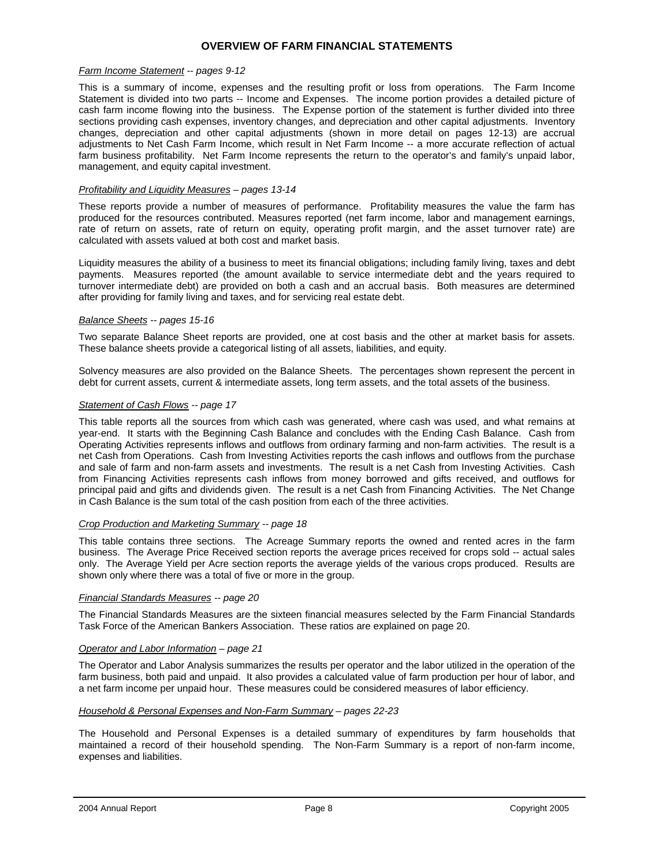#### **OVERVIEW OF FARM FINANCIAL STATEMENTS**

#### *Farm Income Statement -- pages 9-12*

This is a summary of income, expenses and the resulting profit or loss from operations. The Farm Income Statement is divided into two parts -- Income and Expenses. The income portion provides a detailed picture of cash farm income flowing into the business. The Expense portion of the statement is further divided into three sections providing cash expenses, inventory changes, and depreciation and other capital adjustments. Inventory changes, depreciation and other capital adjustments (shown in more detail on pages 12-13) are accrual adjustments to Net Cash Farm Income, which result in Net Farm Income -- a more accurate reflection of actual farm business profitability. Net Farm Income represents the return to the operator's and family's unpaid labor, management, and equity capital investment.

#### *Profitability and Liquidity Measures – pages 13-14*

These reports provide a number of measures of performance. Profitability measures the value the farm has produced for the resources contributed. Measures reported (net farm income, labor and management earnings, rate of return on assets, rate of return on equity, operating profit margin, and the asset turnover rate) are calculated with assets valued at both cost and market basis.

Liquidity measures the ability of a business to meet its financial obligations; including family living, taxes and debt payments. Measures reported (the amount available to service intermediate debt and the years required to turnover intermediate debt) are provided on both a cash and an accrual basis. Both measures are determined after providing for family living and taxes, and for servicing real estate debt.

#### *Balance Sheets -- pages 15-16*

Two separate Balance Sheet reports are provided, one at cost basis and the other at market basis for assets. These balance sheets provide a categorical listing of all assets, liabilities, and equity.

Solvency measures are also provided on the Balance Sheets. The percentages shown represent the percent in debt for current assets, current & intermediate assets, long term assets, and the total assets of the business.

#### *Statement of Cash Flows -- page 17*

This table reports all the sources from which cash was generated, where cash was used, and what remains at year-end. It starts with the Beginning Cash Balance and concludes with the Ending Cash Balance. Cash from Operating Activities represents inflows and outflows from ordinary farming and non-farm activities. The result is a net Cash from Operations. Cash from Investing Activities reports the cash inflows and outflows from the purchase and sale of farm and non-farm assets and investments. The result is a net Cash from Investing Activities. Cash from Financing Activities represents cash inflows from money borrowed and gifts received, and outflows for principal paid and gifts and dividends given. The result is a net Cash from Financing Activities. The Net Change in Cash Balance is the sum total of the cash position from each of the three activities.

#### *Crop Production and Marketing Summary -- page 18*

This table contains three sections. The Acreage Summary reports the owned and rented acres in the farm business. The Average Price Received section reports the average prices received for crops sold -- actual sales only. The Average Yield per Acre section reports the average yields of the various crops produced. Results are shown only where there was a total of five or more in the group.

#### *Financial Standards Measures -- page 20*

The Financial Standards Measures are the sixteen financial measures selected by the Farm Financial Standards Task Force of the American Bankers Association. These ratios are explained on page 20.

#### *Operator and Labor Information – page 21*

The Operator and Labor Analysis summarizes the results per operator and the labor utilized in the operation of the farm business, both paid and unpaid. It also provides a calculated value of farm production per hour of labor, and a net farm income per unpaid hour. These measures could be considered measures of labor efficiency.

#### *Household & Personal Expenses and Non-Farm Summary – pages 22-23*

The Household and Personal Expenses is a detailed summary of expenditures by farm households that maintained a record of their household spending. The Non-Farm Summary is a report of non-farm income, expenses and liabilities.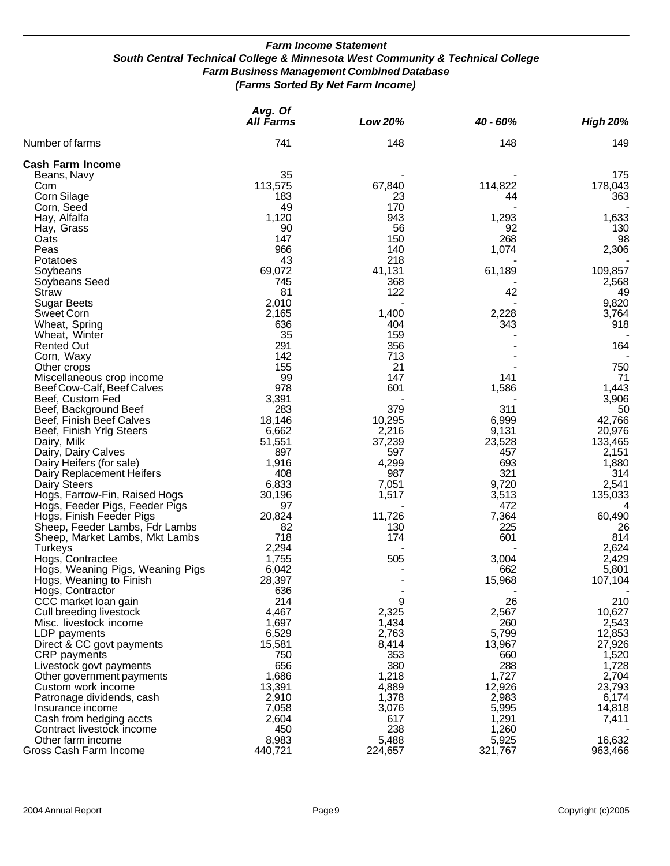#### *Farm Income Statement South Central Technical College & Minnesota West Community & Technical College Farm Business Management Combined Database (Farms Sorted By Net Farm Income)*

|                                             | Avg. Of<br>All Farms | Low 20%          | $40 - 60%$       | <b>High 20%</b>   |
|---------------------------------------------|----------------------|------------------|------------------|-------------------|
| Number of farms                             | 741                  | 148              | 148              | 149               |
| <b>Cash Farm Income</b>                     |                      |                  |                  |                   |
| Beans, Navy                                 | 35                   |                  |                  | 175               |
| Corn                                        | 113,575              | 67,840           | 114,822          | 178,043           |
| Corn Silage                                 | 183                  | 23               | 44               | 363               |
| Corn, Seed                                  | 49                   | 170              |                  |                   |
| Hay, Alfalfa                                | 1,120                | 943              | 1,293            | 1,633             |
| Hay, Grass                                  | 90                   | 56               | 92               | 130               |
| Oats                                        | 147                  | 150              | 268              | 98                |
| Peas                                        | 966                  | 140              | 1,074            | 2,306             |
| Potatoes                                    | 43                   | 218              |                  |                   |
| Soybeans                                    | 69,072<br>745        | 41,131           | 61,189           | 109,857<br>2,568  |
| Soybeans Seed<br><b>Straw</b>               | 81                   | 368<br>122       | 42               | 49                |
| <b>Sugar Beets</b>                          | 2,010                |                  |                  | 9,820             |
| Sweet Corn                                  | 2,165                | 1,400            | 2,228            | 3,764             |
| Wheat, Spring                               | 636                  | 404              | 343              | 918               |
| Wheat, Winter                               | 35                   | 159              |                  |                   |
| <b>Rented Out</b>                           | 291                  | 356              |                  | 164               |
| Corn, Waxy                                  | 142                  | 713              |                  |                   |
| Other crops                                 | 155                  | 21               |                  | 750               |
| Miscellaneous crop income                   | 99                   | 147              | 141              | 71                |
| Beef Cow-Calf, Beef Calves                  | 978                  | 601              | 1,586            | 1,443             |
| Beef, Custom Fed                            | 3,391                |                  |                  | 3,906             |
| Beef, Background Beef                       | 283                  | 379              | 311              | 50                |
| Beef, Finish Beef Calves                    | 18,146               | 10,295           | 6,999            | 42,766            |
| Beef, Finish Yrlg Steers                    | 6,662                | 2,216            | 9,131            | 20,976            |
| Dairy, Milk                                 | 51,551               | 37,239           | 23,528           | 133,465           |
| Dairy, Dairy Calves                         | 897                  | 597              | 457              | 2,151             |
| Dairy Heifers (for sale)                    | 1,916                | 4,299            | 693              | 1,880             |
| Dairy Replacement Heifers                   | 408                  | 987              | 321              | 314               |
| Dairy Steers                                | 6,833                | 7,051            | 9,720            | 2,541             |
| Hogs, Farrow-Fin, Raised Hogs               | 30,196               | 1,517            | 3,513            | 135,033           |
| Hogs, Feeder Pigs, Feeder Pigs              | 97                   |                  | 472              | 4                 |
| Hogs, Finish Feeder Pigs                    | 20,824               | 11,726           | 7,364<br>225     | 60,490            |
| Sheep, Feeder Lambs, Fdr Lambs              | 82<br>718            | 130<br>174       | 601              | 26<br>814         |
| Sheep, Market Lambs, Mkt Lambs<br>Turkeys   | 2,294                |                  |                  | 2,624             |
| Hogs, Contractee                            | 1,755                | 505              | 3,004            | 2,429             |
| Hogs, Weaning Pigs, Weaning Pigs            | 6,042                |                  | 662              | 5,801             |
| Hogs, Weaning to Finish                     | 28,397               |                  | 15,968           | 107,104           |
| Hogs, Contractor                            | 636                  |                  |                  |                   |
| CCC market loan gain                        | 214                  | 9                | 26               | 210               |
| Cull breeding livestock                     | 4,467                | 2,325            | 2,567            | 10,627            |
| Misc. livestock income                      | 1,697                | 1,434            | 260              | 2,543             |
| LDP payments                                | 6,529                | 2,763            | 5,799            | 12,853            |
| Direct & CC govt payments                   | 15,581               | 8,414            | 13,967           | 27,926            |
| CRP payments                                | 750                  | 353              | 660              | 1,520             |
| Livestock govt payments                     | 656                  | 380              | 288              | 1,728             |
| Other government payments                   | 1,686                | 1,218            | 1,727            | 2,704             |
| Custom work income                          | 13,391               | 4,889            | 12,926           | 23,793            |
| Patronage dividends, cash                   | 2,910                | 1,378            | 2,983            | 6,174             |
| Insurance income                            | 7,058                | 3,076            | 5,995            | 14,818            |
| Cash from hedging accts                     | 2,604                | 617              | 1,291            | 7,411             |
| Contract livestock income                   | 450                  | 238              | 1,260            |                   |
| Other farm income<br>Gross Cash Farm Income | 8,983<br>440,721     | 5,488<br>224,657 | 5,925<br>321,767 | 16,632<br>963,466 |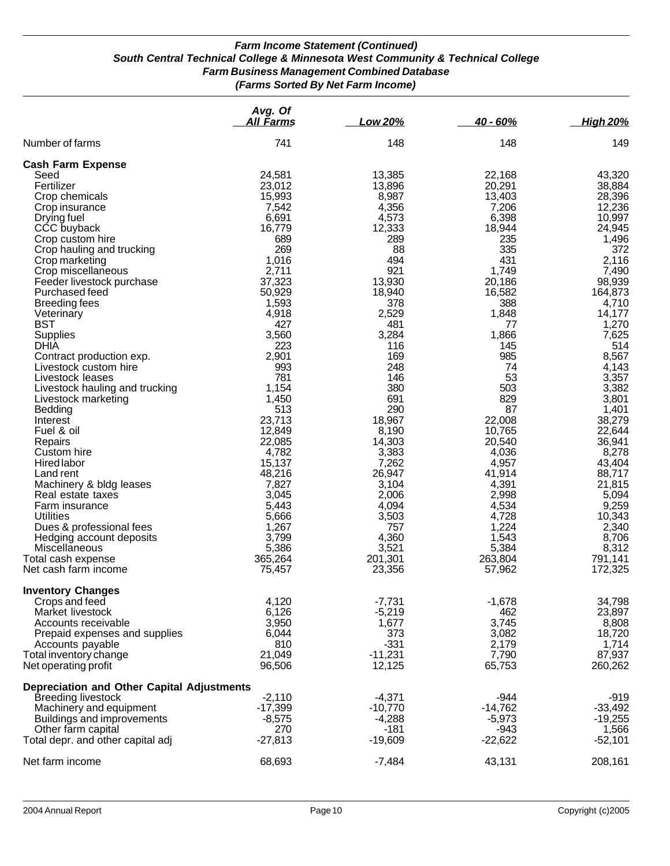### *Farm Income Statement (Continued) South Central Technical College & Minnesota West Community & Technical College Farm Business Management Combined Database (Farms Sorted By Net Farm Income)*

|                                                   | Avg. Of<br><u>All Farms</u> | Low 20%   | 40 - 60%  | <b>High 20%</b> |
|---------------------------------------------------|-----------------------------|-----------|-----------|-----------------|
| Number of farms                                   | 741                         | 148       | 148       | 149             |
| <b>Cash Farm Expense</b>                          |                             |           |           |                 |
| Seed                                              | 24,581                      | 13,385    | 22,168    | 43,320          |
| Fertilizer                                        | 23,012                      | 13,896    | 20,291    | 38,884          |
| Crop chemicals                                    | 15,993                      | 8,987     | 13,403    | 28,396          |
| Crop insurance                                    | 7,542                       | 4,356     | 7,206     | 12,236          |
| Drying fuel                                       | 6,691                       | 4,573     | 6,398     | 10,997          |
| CCC buyback                                       | 16,779                      | 12,333    | 18,944    | 24,945          |
| Crop custom hire                                  | 689                         | 289       | 235       | 1,496           |
| Crop hauling and trucking                         | 269                         | 88        | 335       | 372             |
| Crop marketing                                    | 1,016                       | 494       | 431       | 2,116           |
| Crop miscellaneous                                | 2,711                       | 921       | 1,749     | 7,490           |
| Feeder livestock purchase                         | 37,323                      | 13,930    | 20,186    | 98,939          |
| Purchased feed                                    | 50,929                      | 18,940    | 16,582    | 164,873         |
| <b>Breeding fees</b>                              | 1,593                       | 378       | 388       | 4,710           |
|                                                   |                             |           | 1,848     | 14,177          |
| Veterinary<br><b>BST</b>                          | 4,918                       | 2,529     |           |                 |
|                                                   | 427                         | 481       | 77        | 1,270           |
| <b>Supplies</b>                                   | 3,560                       | 3,284     | 1,866     | 7,625           |
| <b>DHIA</b>                                       | 223                         | 116       | 145       | 514             |
| Contract production exp.                          | 2,901                       | 169       | 985       | 8,567           |
| Livestock custom hire                             | 993                         | 248       | 74        | 4,143           |
| Livestock leases                                  | 781                         | 146       | 53        | 3,357           |
| Livestock hauling and trucking                    | 1,154                       | 380       | 503       | 3,382           |
| Livestock marketing                               | 1,450                       | 691       | 829       | 3,801           |
| Bedding                                           | 513                         | 290       | 87        | 1,401           |
| Interest                                          | 23,713                      | 18,967    | 22,008    | 38,279          |
| Fuel & oil                                        | 12,849                      | 8,190     | 10,765    | 22,644          |
| Repairs                                           | 22,085                      | 14,303    | 20,540    | 36,941          |
| Custom hire                                       | 4,782                       | 3,383     | 4,036     | 8,278           |
| <b>Hired labor</b>                                | 15,137                      | 7,262     | 4,957     | 43,404          |
| Land rent                                         | 48,216                      | 26,947    | 41,914    | 88,717          |
| Machinery & bldg leases                           | 7,827                       | 3,104     | 4,391     | 21,815          |
| Real estate taxes                                 | 3,045                       | 2,006     | 2,998     | 5,094           |
| Farm insurance                                    | 5,443                       | 4,094     | 4,534     | 9,259           |
| <b>Utilities</b>                                  | 5,666                       | 3,503     | 4,728     | 10,343          |
| Dues & professional fees                          | 1,267                       | 757       | 1,224     | 2,340           |
| Hedging account deposits                          | 3,799                       | 4,360     | 1,543     | 8,706           |
| Miscellaneous                                     | 5,386                       | 3,521     | 5,384     | 8,312           |
| Total cash expense                                | 365,264                     | 201,301   | 263,804   | 791,141         |
| Net cash farm income                              |                             | 23,356    | 57,962    | 172,325         |
|                                                   | 75,457                      |           |           |                 |
| <b>Inventory Changes</b>                          |                             |           |           |                 |
| Crops and feed                                    | 4,120                       | $-7,731$  | $-1,678$  | 34,798          |
| Market livestock                                  | 6,126                       | $-5,219$  | 462       | 23,897          |
| Accounts receivable                               | 3,950                       | 1,677     | 3,745     | 8,808           |
| Prepaid expenses and supplies                     | 6,044                       | 373       | 3,082     | 18,720          |
| Accounts payable                                  | 810                         | $-331$    | 2,179     | 1,714           |
| Total inventory change                            | 21,049                      | $-11,231$ | 7,790     | 87,937          |
| Net operating profit                              | 96,506                      | 12,125    | 65,753    | 260,262         |
| <b>Depreciation and Other Capital Adjustments</b> |                             |           |           |                 |
| <b>Breeding livestock</b>                         | $-2,110$                    | -4,371    | -944      | -919            |
| Machinery and equipment                           | -17,399                     | $-10,770$ | $-14,762$ | $-33,492$       |
| Buildings and improvements                        | $-8,575$                    | $-4,288$  | $-5,973$  | $-19,255$       |
| Other farm capital                                | 270                         | $-181$    | $-943$    | 1,566           |
| Total depr. and other capital adj                 | $-27,813$                   | $-19,609$ | $-22,622$ | $-52,101$       |
|                                                   |                             |           |           |                 |
| Net farm income                                   | 68,693                      | $-7,484$  | 43,131    | 208,161         |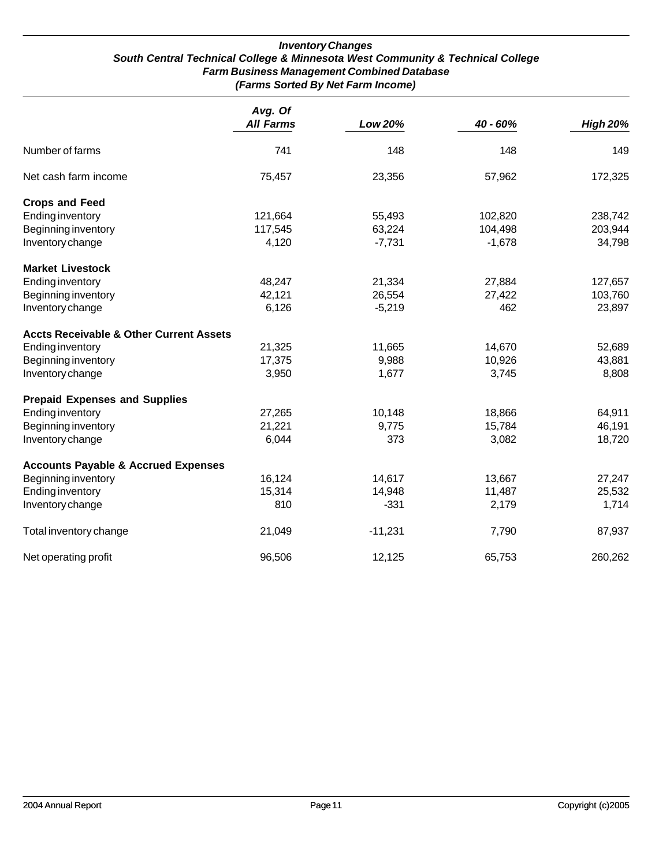#### *Inventory Changes South Central Technical College & Minnesota West Community & Technical College Farm Business Management Combined Database (Farms Sorted By Net Farm Income)*

|                                                    | Avg. Of<br><b>All Farms</b> | Low 20%   | 40 - 60% | <b>High 20%</b> |
|----------------------------------------------------|-----------------------------|-----------|----------|-----------------|
| Number of farms                                    | 741                         | 148       | 148      | 149             |
| Net cash farm income                               | 75,457                      | 23,356    | 57,962   | 172,325         |
| <b>Crops and Feed</b>                              |                             |           |          |                 |
| <b>Ending inventory</b>                            | 121,664                     | 55,493    | 102,820  | 238,742         |
| Beginning inventory                                | 117,545                     | 63,224    | 104,498  | 203,944         |
| Inventory change                                   | 4,120                       | $-7,731$  | $-1,678$ | 34,798          |
| <b>Market Livestock</b>                            |                             |           |          |                 |
| <b>Ending inventory</b>                            | 48,247                      | 21,334    | 27,884   | 127,657         |
| Beginning inventory                                | 42,121                      | 26,554    | 27,422   | 103,760         |
| Inventory change                                   | 6,126                       | $-5,219$  | 462      | 23,897          |
| <b>Accts Receivable &amp; Other Current Assets</b> |                             |           |          |                 |
| <b>Ending inventory</b>                            | 21,325                      | 11,665    | 14,670   | 52,689          |
| Beginning inventory                                | 17,375                      | 9,988     | 10,926   | 43,881          |
| Inventory change                                   | 3,950                       | 1,677     | 3,745    | 8,808           |
| <b>Prepaid Expenses and Supplies</b>               |                             |           |          |                 |
| <b>Ending inventory</b>                            | 27,265                      | 10,148    | 18,866   | 64,911          |
| Beginning inventory                                | 21,221                      | 9,775     | 15,784   | 46,191          |
| Inventory change                                   | 6,044                       | 373       | 3,082    | 18,720          |
| <b>Accounts Payable &amp; Accrued Expenses</b>     |                             |           |          |                 |
| Beginning inventory                                | 16,124                      | 14,617    | 13,667   | 27,247          |
| <b>Ending inventory</b>                            | 15,314                      | 14,948    | 11,487   | 25,532          |
| Inventory change                                   | 810                         | $-331$    | 2,179    | 1,714           |
| Total inventory change                             | 21,049                      | $-11,231$ | 7,790    | 87,937          |
| Net operating profit                               | 96,506                      | 12,125    | 65,753   | 260,262         |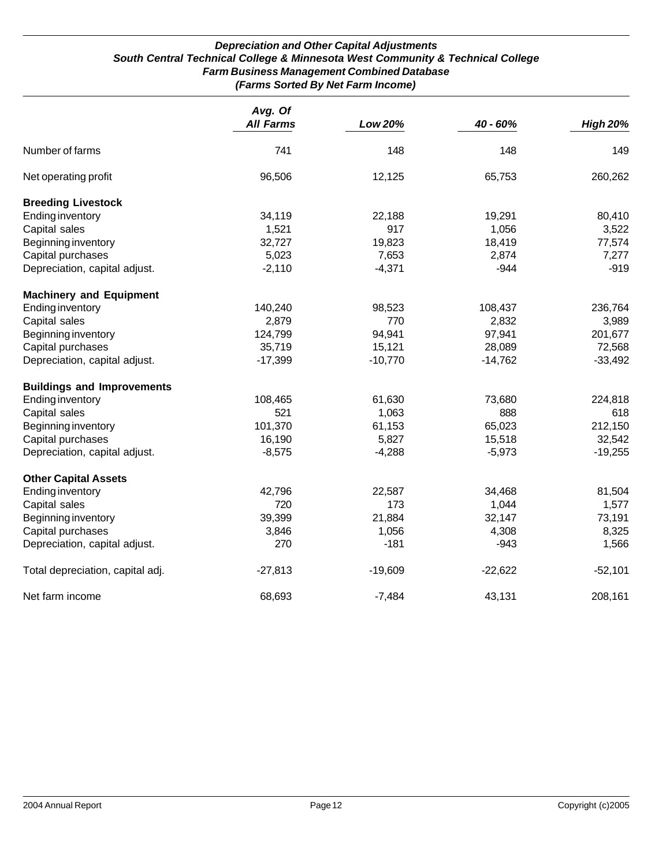#### *Depreciation and Other Capital Adjustments South Central Technical College & Minnesota West Community & Technical College Farm Business Management Combined Database (Farms Sorted By Net Farm Income)*

|                                   | Avg. Of          |                |           |                 |  |
|-----------------------------------|------------------|----------------|-----------|-----------------|--|
|                                   | <b>All Farms</b> | <b>Low 20%</b> | 40 - 60%  | <b>High 20%</b> |  |
| Number of farms                   | 741              | 148            | 148       | 149             |  |
| Net operating profit              | 96,506           | 12,125         | 65,753    | 260,262         |  |
| <b>Breeding Livestock</b>         |                  |                |           |                 |  |
| <b>Ending inventory</b>           | 34,119           | 22,188         | 19,291    | 80,410          |  |
| Capital sales                     | 1,521            | 917            | 1,056     | 3,522           |  |
| Beginning inventory               | 32,727           | 19,823         | 18,419    | 77,574          |  |
| Capital purchases                 | 5,023            | 7,653          | 2,874     | 7,277           |  |
| Depreciation, capital adjust.     | $-2,110$         | $-4,371$       | $-944$    | $-919$          |  |
| <b>Machinery and Equipment</b>    |                  |                |           |                 |  |
| <b>Ending inventory</b>           | 140,240          | 98,523         | 108,437   | 236,764         |  |
| Capital sales                     | 2,879            | 770            | 2,832     | 3,989           |  |
| Beginning inventory               | 124,799          | 94,941         | 97,941    | 201,677         |  |
| Capital purchases                 | 35,719           | 15,121         | 28,089    | 72,568          |  |
| Depreciation, capital adjust.     | $-17,399$        | $-10,770$      | $-14,762$ | $-33,492$       |  |
| <b>Buildings and Improvements</b> |                  |                |           |                 |  |
| <b>Ending inventory</b>           | 108,465          | 61,630         | 73,680    | 224,818         |  |
| Capital sales                     | 521              | 1,063          | 888       | 618             |  |
| Beginning inventory               | 101,370          | 61,153         | 65,023    | 212,150         |  |
| Capital purchases                 | 16,190           | 5,827          | 15,518    | 32,542          |  |
| Depreciation, capital adjust.     | $-8,575$         | $-4,288$       | $-5,973$  | $-19,255$       |  |
| <b>Other Capital Assets</b>       |                  |                |           |                 |  |
| <b>Ending inventory</b>           | 42,796           | 22,587         | 34,468    | 81,504          |  |
| Capital sales                     | 720              | 173            | 1,044     | 1,577           |  |
| Beginning inventory               | 39,399           | 21,884         | 32,147    | 73,191          |  |
| Capital purchases                 | 3,846            | 1,056          | 4,308     | 8,325           |  |
| Depreciation, capital adjust.     | 270              | $-181$         | $-943$    | 1,566           |  |
| Total depreciation, capital adj.  | $-27,813$        | $-19,609$      | $-22,622$ | $-52,101$       |  |
| Net farm income                   | 68,693           | $-7,484$       | 43,131    | 208,161         |  |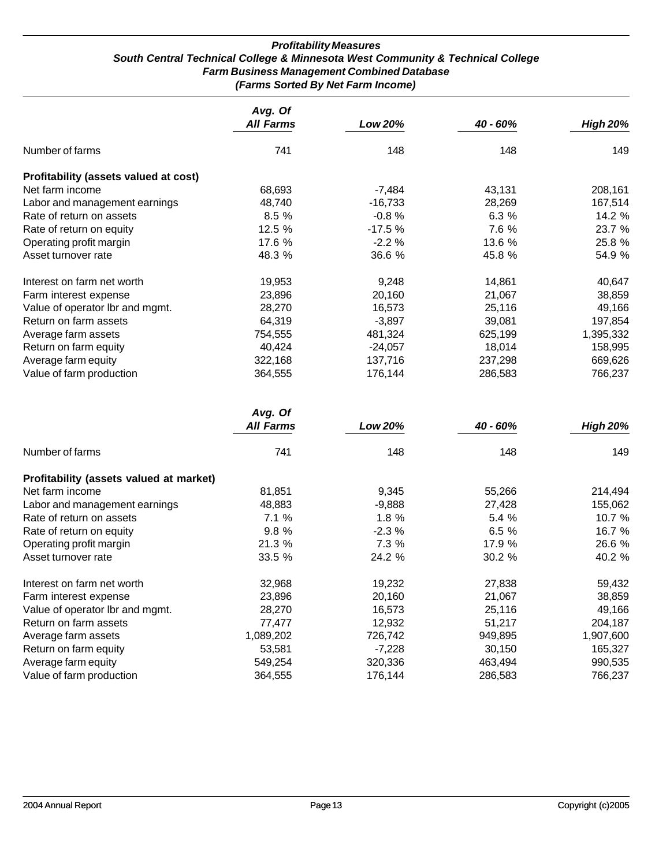#### *Profitability Measures South Central Technical College & Minnesota West Community & Technical College Farm Business Management Combined Database (Farms Sorted By Net Farm Income)*

|                                       | Avg. Of<br><b>All Farms</b> | Low 20%   | 40 - 60% | <b>High 20%</b> |
|---------------------------------------|-----------------------------|-----------|----------|-----------------|
| Number of farms                       | 741                         | 148       | 148      | 149             |
| Profitability (assets valued at cost) |                             |           |          |                 |
| Net farm income                       | 68,693                      | $-7,484$  | 43,131   | 208,161         |
| Labor and management earnings         | 48,740                      | $-16,733$ | 28,269   | 167,514         |
| Rate of return on assets              | 8.5%                        | $-0.8%$   | 6.3%     | 14.2 %          |
| Rate of return on equity              | 12.5%                       | $-17.5%$  | 7.6 %    | 23.7 %          |
| Operating profit margin               | 17.6 %                      | $-2.2%$   | 13.6 %   | 25.8 %          |
| Asset turnover rate                   | 48.3 %                      | 36.6 %    | 45.8 %   | 54.9 %          |
| Interest on farm net worth            | 19,953                      | 9,248     | 14,861   | 40,647          |
| Farm interest expense                 | 23,896                      | 20,160    | 21,067   | 38,859          |
| Value of operator Ibr and mgmt.       | 28,270                      | 16,573    | 25,116   | 49,166          |
| Return on farm assets                 | 64,319                      | $-3,897$  | 39,081   | 197,854         |
| Average farm assets                   | 754,555                     | 481,324   | 625,199  | 1,395,332       |
| Return on farm equity                 | 40,424                      | $-24,057$ | 18,014   | 158,995         |
| Average farm equity                   | 322,168                     | 137,716   | 237,298  | 669,626         |
| Value of farm production              | 364,555                     | 176,144   | 286,583  | 766,237         |

|                                         | Avg. Of<br><b>All Farms</b> | Low 20%  | 40 - 60% | <b>High 20%</b> |
|-----------------------------------------|-----------------------------|----------|----------|-----------------|
| Number of farms                         | 741                         | 148      | 148      | 149             |
| Profitability (assets valued at market) |                             |          |          |                 |
| Net farm income                         | 81,851                      | 9,345    | 55,266   | 214,494         |
| Labor and management earnings           | 48,883                      | $-9,888$ | 27,428   | 155,062         |
| Rate of return on assets                | 7.1%                        | 1.8%     | 5.4%     | 10.7 $%$        |
| Rate of return on equity                | 9.8%                        | $-2.3%$  | 6.5%     | 16.7 %          |
| Operating profit margin                 | 21.3 %                      | 7.3 %    | 17.9 %   | 26.6 %          |
| Asset turnover rate                     | 33.5 %                      | 24.2 %   | 30.2 %   | 40.2 %          |
| Interest on farm net worth              | 32,968                      | 19,232   | 27,838   | 59,432          |
| Farm interest expense                   | 23,896                      | 20,160   | 21,067   | 38,859          |
| Value of operator lbr and mgmt.         | 28,270                      | 16,573   | 25,116   | 49,166          |
| Return on farm assets                   | 77,477                      | 12,932   | 51,217   | 204,187         |
| Average farm assets                     | 1,089,202                   | 726,742  | 949,895  | 1,907,600       |
| Return on farm equity                   | 53,581                      | $-7,228$ | 30,150   | 165,327         |
| Average farm equity                     | 549,254                     | 320,336  | 463,494  | 990,535         |
| Value of farm production                | 364,555                     | 176,144  | 286,583  | 766,237         |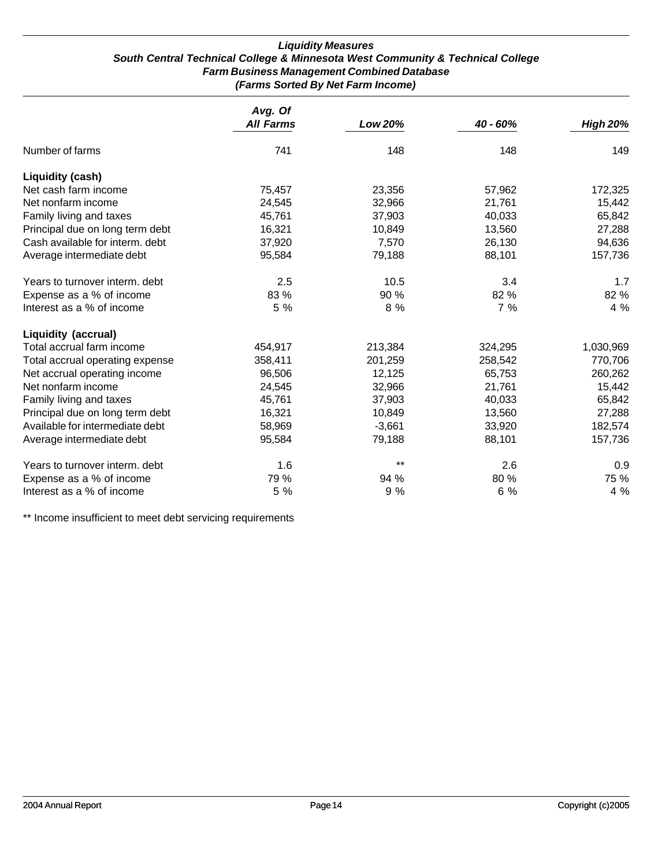#### *Liquidity Measures South Central Technical College & Minnesota West Community & Technical College Farm Business Management Combined Database (Farms Sorted By Net Farm Income)*

|                                 | Avg. Of          |                |          |                 |
|---------------------------------|------------------|----------------|----------|-----------------|
|                                 | <b>All Farms</b> | <b>Low 20%</b> | 40 - 60% | <b>High 20%</b> |
| Number of farms                 | 741              | 148            | 148      | 149             |
| <b>Liquidity (cash)</b>         |                  |                |          |                 |
| Net cash farm income            | 75,457           | 23,356         | 57,962   | 172,325         |
| Net nonfarm income              | 24,545           | 32,966         | 21,761   | 15,442          |
| Family living and taxes         | 45,761           | 37,903         | 40,033   | 65,842          |
| Principal due on long term debt | 16,321           | 10,849         | 13,560   | 27,288          |
| Cash available for interm. debt | 37,920           | 7,570          | 26,130   | 94,636          |
| Average intermediate debt       | 95,584           | 79,188         | 88,101   | 157,736         |
| Years to turnover interm. debt  | 2.5              | 10.5           | 3.4      | 1.7             |
| Expense as a % of income        | 83 %             | 90 %           | 82 %     | 82 %            |
| Interest as a % of income       | 5 %              | 8 %            | 7%       | 4 %             |
| <b>Liquidity (accrual)</b>      |                  |                |          |                 |
| Total accrual farm income       | 454,917          | 213,384        | 324,295  | 1,030,969       |
| Total accrual operating expense | 358,411          | 201,259        | 258,542  | 770,706         |
| Net accrual operating income    | 96,506           | 12,125         | 65,753   | 260,262         |
| Net nonfarm income              | 24,545           | 32,966         | 21,761   | 15,442          |
| Family living and taxes         | 45,761           | 37,903         | 40,033   | 65,842          |
| Principal due on long term debt | 16,321           | 10,849         | 13,560   | 27,288          |
| Available for intermediate debt | 58,969           | $-3,661$       | 33,920   | 182,574         |
| Average intermediate debt       | 95,584           | 79,188         | 88,101   | 157,736         |
| Years to turnover interm. debt  | 1.6              | $***$          | 2.6      | 0.9             |
| Expense as a % of income        | 79 %             | 94 %           | 80%      | 75 %            |
| Interest as a % of income       | 5 %              | 9 %            | 6 %      | 4 %             |

\*\* Income insufficient to meet debt servicing requirements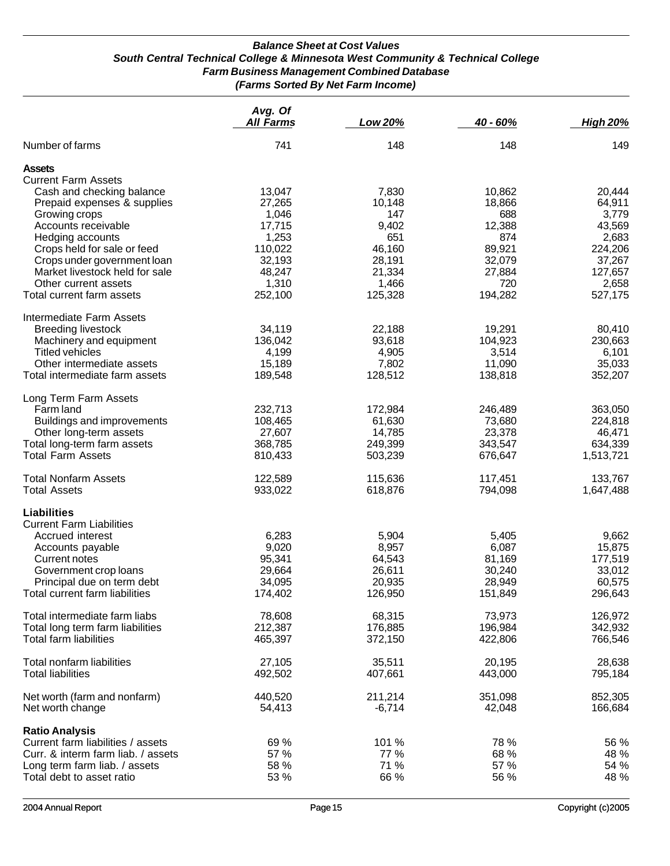#### *Balance Sheet at Cost Values South Central Technical College & Minnesota West Community & Technical College Farm Business Management Combined Database (Farms Sorted By Net Farm Income)*

|                                    | Avg. Of<br><b>All Farms</b> | Low 20%  | 40 - 60% | <b>High 20%</b> |
|------------------------------------|-----------------------------|----------|----------|-----------------|
| Number of farms                    | 741                         | 148      | 148      | 149             |
| <b>Assets</b>                      |                             |          |          |                 |
| <b>Current Farm Assets</b>         |                             |          |          |                 |
| Cash and checking balance          | 13,047                      | 7,830    | 10,862   | 20,444          |
| Prepaid expenses & supplies        | 27,265                      | 10,148   | 18,866   | 64,911          |
| Growing crops                      | 1,046                       | 147      | 688      | 3,779           |
| Accounts receivable                | 17,715                      | 9,402    | 12,388   | 43,569          |
| Hedging accounts                   | 1,253                       | 651      | 874      | 2,683           |
| Crops held for sale or feed        | 110,022                     | 46,160   | 89,921   | 224,206         |
| Crops under government loan        | 32,193                      | 28,191   | 32,079   | 37,267          |
| Market livestock held for sale     | 48,247                      | 21,334   | 27,884   | 127,657         |
| Other current assets               | 1,310                       | 1,466    | 720      | 2,658           |
| Total current farm assets          | 252,100                     | 125,328  | 194,282  | 527,175         |
| Intermediate Farm Assets           |                             |          |          |                 |
| <b>Breeding livestock</b>          | 34,119                      | 22,188   | 19,291   | 80,410          |
| Machinery and equipment            | 136,042                     | 93,618   | 104,923  | 230,663         |
| <b>Titled vehicles</b>             | 4,199                       | 4,905    | 3,514    | 6,101           |
| Other intermediate assets          | 15,189                      | 7,802    | 11,090   | 35,033          |
| Total intermediate farm assets     | 189,548                     | 128,512  | 138,818  | 352,207         |
| Long Term Farm Assets              |                             |          |          |                 |
| Farm land                          | 232,713                     | 172,984  | 246,489  | 363,050         |
| Buildings and improvements         | 108,465                     | 61,630   | 73,680   | 224,818         |
| Other long-term assets             | 27,607                      | 14,785   | 23,378   | 46,471          |
| Total long-term farm assets        | 368,785                     | 249,399  | 343,547  | 634,339         |
| <b>Total Farm Assets</b>           | 810,433                     | 503,239  | 676,647  | 1,513,721       |
| <b>Total Nonfarm Assets</b>        | 122,589                     | 115,636  | 117,451  | 133,767         |
| <b>Total Assets</b>                | 933,022                     | 618,876  | 794,098  | 1,647,488       |
| Liabilities                        |                             |          |          |                 |
| <b>Current Farm Liabilities</b>    |                             |          |          |                 |
| Accrued interest                   | 6,283                       | 5,904    | 5,405    | 9,662           |
| Accounts payable                   | 9,020                       | 8,957    | 6,087    | 15,875          |
| Current notes                      | 95,341                      | 64,543   | 81,169   | 177,519         |
| Government crop loans              | 29,664                      | 26,611   | 30,240   | 33,012          |
| Principal due on term debt         | 34,095                      | 20,935   | 28,949   | 60,575          |
| I otal current farm liabilities    | 174,402                     | 126,950  | 151,849  | 296,643         |
| Total intermediate farm liabs      | 78,608                      | 68,315   | 73,973   | 126,972         |
| Total long term farm liabilities   | 212,387                     | 176,885  | 196,984  | 342,932         |
| Total farm liabilities             | 465,397                     | 372,150  | 422,806  | 766,546         |
| Total nonfarm liabilities          | 27,105                      | 35,511   | 20,195   | 28,638          |
| <b>Total liabilities</b>           | 492,502                     | 407,661  | 443,000  | 795,184         |
| Net worth (farm and nonfarm)       | 440,520                     | 211,214  | 351,098  | 852,305         |
| Net worth change                   | 54,413                      | $-6,714$ | 42,048   | 166,684         |
| <b>Ratio Analysis</b>              |                             |          |          |                 |
| Current farm liabilities / assets  | 69 %                        | 101 %    | 78 %     | 56 %            |
| Curr. & interm farm liab. / assets | 57 %                        | 77 %     | 68 %     | 48 %            |
| Long term farm liab. / assets      | 58 %                        | 71 %     | 57 %     | 54 %            |
| Total debt to asset ratio          | 53 %                        | 66 %     | 56 %     | 48 %            |
|                                    |                             |          |          |                 |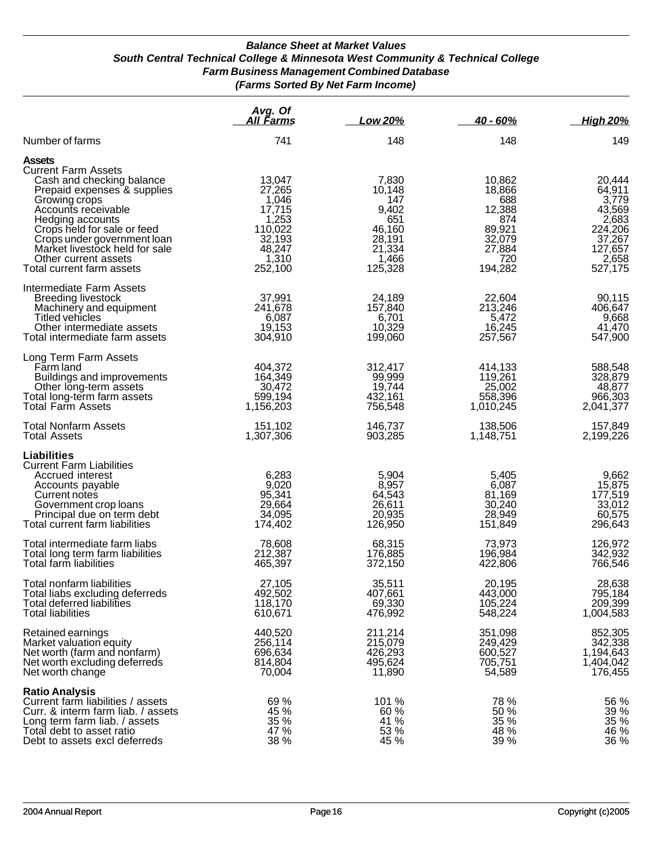#### *Balance Sheet at Market Values South Central Technical College & Minnesota West Community & Technical College Farm Business Management Combined Database (Farms Sorted By Net Farm Income)*

|                                                                                                                                                                                                                                                                                                                          | Avg. Of<br>All Farms                                                                            | Low 20%                                                                                  | 40 - 60%                                                                                 | <b>High 20%</b>                                                                                  |
|--------------------------------------------------------------------------------------------------------------------------------------------------------------------------------------------------------------------------------------------------------------------------------------------------------------------------|-------------------------------------------------------------------------------------------------|------------------------------------------------------------------------------------------|------------------------------------------------------------------------------------------|--------------------------------------------------------------------------------------------------|
| Number of farms                                                                                                                                                                                                                                                                                                          | 741                                                                                             | 148                                                                                      | 148                                                                                      | 149                                                                                              |
| <b>Assets</b><br><b>Current Farm Assets</b><br>Cash and checking balance<br>Prepaid expenses & supplies<br>Growing crops<br>Accounts receivable<br>Hedging accounts<br>Crops held for sale or feed<br>Crops under government loan<br>Market livestock held for sale<br>Other current assets<br>Total current farm assets | 13,047<br>27,265<br>1,046<br>17,715<br>1,253<br>110,022<br>32,193<br>48,247<br>1,310<br>252,100 | 7,830<br>10,148<br>147<br>9,402<br>651<br>46,160<br>28,191<br>21,334<br>1,466<br>125,328 | 10,862<br>18,866<br>688<br>12,388<br>874<br>89,921<br>32,079<br>27,884<br>720<br>194,282 | 20,444<br>64,911<br>3,779<br>43,569<br>2,683<br>224,206<br>37,267<br>127,657<br>2,658<br>527,175 |
| Intermediate Farm Assets<br><b>Breeding livestock</b><br>Machinery and equipment<br>Titled vehicles<br>Other intermediate assets<br>Total intermediate farm assets                                                                                                                                                       | 37,991<br>241,678<br>6,087<br>19,153<br>304,910                                                 | 24,189<br>157,840<br>6,701<br>10,329<br>199,060                                          | 22,604<br>213,246<br>5,472<br>16,245<br>257,567                                          | 90,115<br>406,647<br>9,668<br>41,470<br>547,900                                                  |
| Long Term Farm Assets<br>Farm land<br>Buildings and improvements<br>Other long-term assets<br>Total long-term farm assets<br><b>Total Farm Assets</b>                                                                                                                                                                    | 404,372<br>164,349<br>30,472<br>599,194<br>1,156,203                                            | 312,417<br>99,999<br>19,744<br>432,161<br>756,548                                        | 414,133<br>119,261<br>25,002<br>558,396<br>1,010,245                                     | 588,548<br>328,879<br>48,877<br>966,303<br>2,041,377                                             |
| <b>Total Nonfarm Assets</b><br><b>Total Assets</b>                                                                                                                                                                                                                                                                       | 151,102<br>1,307,306                                                                            | 146,737<br>903,285                                                                       | 138,506<br>1,148,751                                                                     | 157,849<br>2,199,226                                                                             |
| <b>Liabilities</b><br><b>Current Farm Liabilities</b><br>Accrued interest<br>Accounts payable<br>Current notes<br>Government crop loans<br>Principal due on term debt<br>Total current farm liabilities                                                                                                                  | 6,283<br>9,020<br>95,341<br>29,664<br>34,095<br>174,402                                         | 5,904<br>8,957<br>64,543<br>26,611<br>20,935<br>126,950                                  | 5,405<br>6,087<br>81,169<br>30,240<br>28,949<br>151,849                                  | 9,662<br>15,875<br>177,519<br>33,012<br>60,575<br>296,643                                        |
| Total intermediate farm liabs<br>Total long term farm liabilities<br>Total farm liabilities                                                                                                                                                                                                                              | 78,608<br>212,387<br>465,397                                                                    | 68,315<br>176,885<br>372,150                                                             | 73,973<br>196,984<br>422,806                                                             | 126,972<br>342,932<br>766,546                                                                    |
| Total nonfarm liabilities<br>Total liabs excluding deferreds<br>Total deferred liabilities<br><b>Total liabilities</b>                                                                                                                                                                                                   | 27,105<br>492,502<br>118,170<br>610,671                                                         | 35,511<br>407,661<br>69,330<br>476,992                                                   | 20,195<br>443,000<br>105,224<br>548,224                                                  | 28,638<br>795,184<br>209,399<br>1,004,583                                                        |
| Retained earnings<br>Market valuation equity<br>Net worth (farm and nonfarm)<br>Net worth excluding deferreds<br>Net worth change                                                                                                                                                                                        | 440,520<br>256,114<br>696,634<br>814,804<br>70,004                                              | 211,214<br>215,079<br>426,293<br>495,624<br>11,890                                       | 351,098<br>249,429<br>600,527<br>705,751<br>54,589                                       | 852,305<br>342,338<br>1,194,643<br>1,404,042<br>176,455                                          |
| <b>Ratio Analysis</b><br>Current farm liabilities / assets<br>Curr. & interm farm liab. / assets<br>Long term farm liab. / assets<br>Total debt to asset ratio<br>Debt to assets excl deferreds                                                                                                                          | 69 %<br>45 %<br>35 %<br>47 %<br>38 %                                                            | 101 %<br>60 %<br>41 %<br>53 %<br>45 %                                                    | 78 %<br>50 %<br>35 %<br>48 %<br>39 %                                                     | 56 %<br>39 %<br>35 %<br>46 %<br>$36\%$                                                           |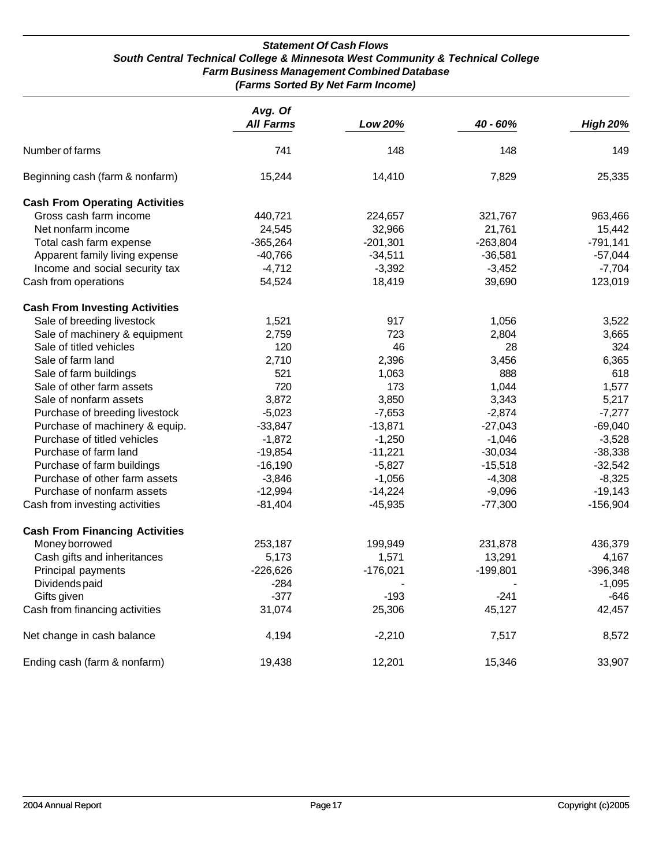#### *Statement Of Cash Flows South Central Technical College & Minnesota West Community & Technical College Farm Business Management Combined Database (Farms Sorted By Net Farm Income)*

|                                       | Avg. Of<br><b>All Farms</b> | Low 20%    | 40 - 60%   | <b>High 20%</b> |
|---------------------------------------|-----------------------------|------------|------------|-----------------|
| Number of farms                       | 741                         | 148        | 148        | 149             |
| Beginning cash (farm & nonfarm)       | 15,244                      | 14,410     | 7,829      | 25,335          |
| <b>Cash From Operating Activities</b> |                             |            |            |                 |
| Gross cash farm income                | 440,721                     | 224,657    | 321,767    | 963,466         |
| Net nonfarm income                    | 24,545                      | 32,966     | 21,761     | 15,442          |
| Total cash farm expense               | $-365,264$                  | $-201,301$ | $-263,804$ | $-791,141$      |
| Apparent family living expense        | $-40,766$                   | $-34,511$  | $-36,581$  | $-57,044$       |
| Income and social security tax        | $-4,712$                    | $-3,392$   | $-3,452$   | $-7,704$        |
| Cash from operations                  | 54,524                      | 18,419     | 39,690     | 123,019         |
| <b>Cash From Investing Activities</b> |                             |            |            |                 |
| Sale of breeding livestock            | 1,521                       | 917        | 1,056      | 3,522           |
| Sale of machinery & equipment         | 2,759                       | 723        | 2,804      | 3,665           |
| Sale of titled vehicles               | 120                         | 46         | 28         | 324             |
| Sale of farm land                     | 2,710                       | 2,396      | 3,456      | 6,365           |
| Sale of farm buildings                | 521                         | 1,063      | 888        | 618             |
| Sale of other farm assets             | 720                         | 173        | 1,044      | 1,577           |
| Sale of nonfarm assets                | 3,872                       | 3,850      | 3,343      | 5,217           |
| Purchase of breeding livestock        | $-5,023$                    | $-7,653$   | $-2,874$   | $-7,277$        |
| Purchase of machinery & equip.        | $-33,847$                   | $-13,871$  | $-27,043$  | $-69,040$       |
| Purchase of titled vehicles           | $-1,872$                    | $-1,250$   | $-1,046$   | $-3,528$        |
| Purchase of farm land                 | $-19,854$                   | $-11,221$  | $-30,034$  | $-38,338$       |
| Purchase of farm buildings            | $-16,190$                   | $-5,827$   | $-15,518$  | $-32,542$       |
| Purchase of other farm assets         | $-3,846$                    | $-1,056$   | $-4,308$   | $-8,325$        |
| Purchase of nonfarm assets            | $-12,994$                   | $-14,224$  | $-9,096$   | $-19,143$       |
| Cash from investing activities        | $-81,404$                   | $-45,935$  | $-77,300$  | $-156,904$      |
| <b>Cash From Financing Activities</b> |                             |            |            |                 |
| Money borrowed                        | 253,187                     | 199,949    | 231,878    | 436,379         |
| Cash gifts and inheritances           | 5,173                       | 1,571      | 13,291     | 4,167           |
| Principal payments                    | $-226,626$                  | $-176,021$ | $-199,801$ | $-396,348$      |
| Dividends paid                        | $-284$                      |            |            | $-1,095$        |
| Gifts given                           | $-377$                      | $-193$     | $-241$     | $-646$          |
| Cash from financing activities        | 31,074                      | 25,306     | 45,127     | 42,457          |
| Net change in cash balance            | 4,194                       | $-2,210$   | 7,517      | 8,572           |
| Ending cash (farm & nonfarm)          | 19,438                      | 12,201     | 15,346     | 33,907          |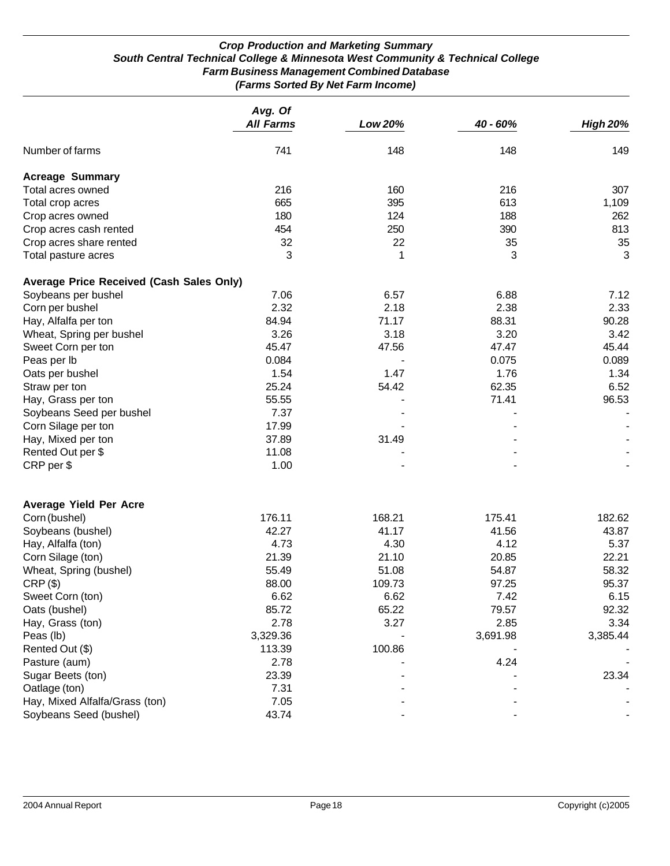#### *Crop Production and Marketing Summary South Central Technical College & Minnesota West Community & Technical College Farm Business Management Combined Database (Farms Sorted By Net Farm Income)*

|                                                 | Avg. Of          |                |          |                 |
|-------------------------------------------------|------------------|----------------|----------|-----------------|
|                                                 | <b>All Farms</b> | <b>Low 20%</b> | 40 - 60% | <b>High 20%</b> |
| Number of farms                                 | 741              | 148            | 148      | 149             |
| <b>Acreage Summary</b>                          |                  |                |          |                 |
| Total acres owned                               | 216              | 160            | 216      | 307             |
| Total crop acres                                | 665              | 395            | 613      | 1,109           |
| Crop acres owned                                | 180              | 124            | 188      | 262             |
| Crop acres cash rented                          | 454              | 250            | 390      | 813             |
| Crop acres share rented                         | 32               | 22             | 35       | 35              |
| Total pasture acres                             | 3                | 1              | 3        | 3               |
| <b>Average Price Received (Cash Sales Only)</b> |                  |                |          |                 |
| Soybeans per bushel                             | 7.06             | 6.57           | 6.88     | 7.12            |
| Corn per bushel                                 | 2.32             | 2.18           | 2.38     | 2.33            |
| Hay, Alfalfa per ton                            | 84.94            | 71.17          | 88.31    | 90.28           |
| Wheat, Spring per bushel                        | 3.26             | 3.18           | 3.20     | 3.42            |
| Sweet Corn per ton                              | 45.47            | 47.56          | 47.47    | 45.44           |
| Peas per lb                                     | 0.084            |                | 0.075    | 0.089           |
| Oats per bushel                                 | 1.54             | 1.47           | 1.76     | 1.34            |
| Straw per ton                                   | 25.24            | 54.42          | 62.35    | 6.52            |
| Hay, Grass per ton                              | 55.55            |                | 71.41    | 96.53           |
| Soybeans Seed per bushel                        | 7.37             |                |          |                 |
| Corn Silage per ton                             | 17.99            |                |          |                 |
| Hay, Mixed per ton                              | 37.89            | 31.49          |          |                 |
| Rented Out per \$                               | 11.08            |                |          |                 |
| CRP per \$                                      | 1.00             |                |          |                 |
| <b>Average Yield Per Acre</b>                   |                  |                |          |                 |
| Corn (bushel)                                   | 176.11           | 168.21         | 175.41   | 182.62          |
| Soybeans (bushel)                               | 42.27            | 41.17          | 41.56    | 43.87           |
| Hay, Alfalfa (ton)                              | 4.73             | 4.30           | 4.12     | 5.37            |
| Corn Silage (ton)                               | 21.39            | 21.10          | 20.85    | 22.21           |
| Wheat, Spring (bushel)                          | 55.49            | 51.08          | 54.87    | 58.32           |
| $CRP$ $(\$)$                                    | 88.00            | 109.73         | 97.25    | 95.37           |
| Sweet Corn (ton)                                | 6.62             | 6.62           | 7.42     | 6.15            |
| Oats (bushel)                                   | 85.72            | 65.22          | 79.57    | 92.32           |
| Hay, Grass (ton)                                | 2.78             | 3.27           | 2.85     | 3.34            |
| Peas (lb)                                       | 3,329.36         |                | 3,691.98 | 3,385.44        |
| Rented Out (\$)                                 | 113.39           | 100.86         |          |                 |
| Pasture (aum)                                   | 2.78             |                | 4.24     |                 |
| Sugar Beets (ton)                               | 23.39            |                |          | 23.34           |
| Oatlage (ton)                                   | 7.31             |                |          |                 |
| Hay, Mixed Alfalfa/Grass (ton)                  | 7.05             |                |          |                 |
| Soybeans Seed (bushel)                          | 43.74            |                |          |                 |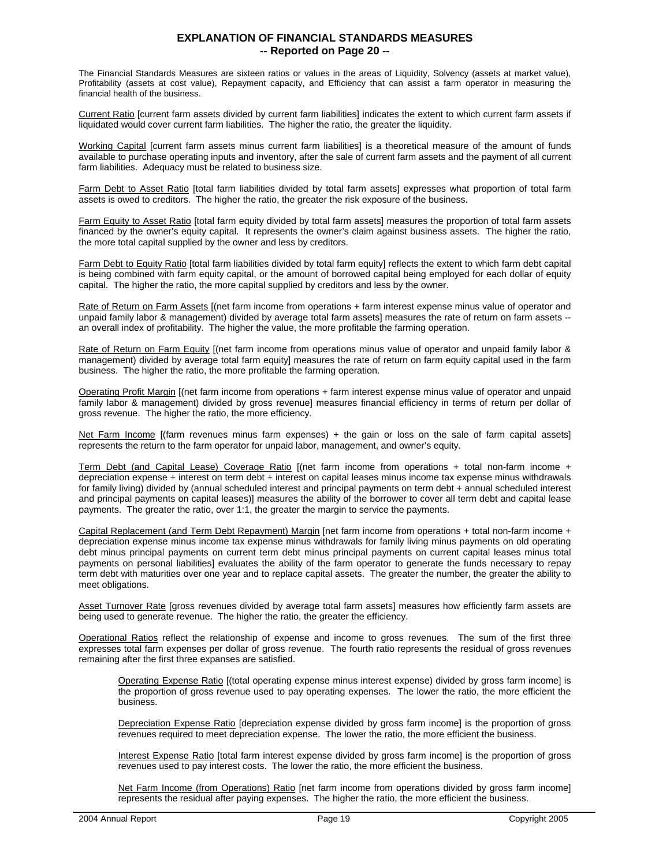#### **EXPLANATION OF FINANCIAL STANDARDS MEASURES -- Reported on Page 20 --**

The Financial Standards Measures are sixteen ratios or values in the areas of Liquidity, Solvency (assets at market value), Profitability (assets at cost value), Repayment capacity, and Efficiency that can assist a farm operator in measuring the financial health of the business.

Current Ratio [current farm assets divided by current farm liabilities] indicates the extent to which current farm assets if liquidated would cover current farm liabilities. The higher the ratio, the greater the liquidity.

Working Capital [current farm assets minus current farm liabilities] is a theoretical measure of the amount of funds available to purchase operating inputs and inventory, after the sale of current farm assets and the payment of all current farm liabilities. Adequacy must be related to business size.

Farm Debt to Asset Ratio [total farm liabilities divided by total farm assets] expresses what proportion of total farm assets is owed to creditors. The higher the ratio, the greater the risk exposure of the business.

Farm Equity to Asset Ratio [total farm equity divided by total farm assets] measures the proportion of total farm assets financed by the owner's equity capital. It represents the owner's claim against business assets. The higher the ratio, the more total capital supplied by the owner and less by creditors.

Farm Debt to Equity Ratio [total farm liabilities divided by total farm equity] reflects the extent to which farm debt capital is being combined with farm equity capital, or the amount of borrowed capital being employed for each dollar of equity capital. The higher the ratio, the more capital supplied by creditors and less by the owner.

Rate of Return on Farm Assets [(net farm income from operations + farm interest expense minus value of operator and unpaid family labor & management) divided by average total farm assets] measures the rate of return on farm assets - an overall index of profitability. The higher the value, the more profitable the farming operation.

Rate of Return on Farm Equity [(net farm income from operations minus value of operator and unpaid family labor & management) divided by average total farm equity] measures the rate of return on farm equity capital used in the farm business. The higher the ratio, the more profitable the farming operation.

Operating Profit Margin [(net farm income from operations + farm interest expense minus value of operator and unpaid family labor & management) divided by gross revenue] measures financial efficiency in terms of return per dollar of gross revenue. The higher the ratio, the more efficiency.

Net Farm Income [(farm revenues minus farm expenses) + the gain or loss on the sale of farm capital assets] represents the return to the farm operator for unpaid labor, management, and owner's equity.

Term Debt (and Capital Lease) Coverage Ratio [(net farm income from operations + total non-farm income + depreciation expense + interest on term debt + interest on capital leases minus income tax expense minus withdrawals for family living) divided by (annual scheduled interest and principal payments on term debt + annual scheduled interest and principal payments on capital leases)] measures the ability of the borrower to cover all term debt and capital lease payments. The greater the ratio, over 1:1, the greater the margin to service the payments.

Capital Replacement (and Term Debt Repayment) Margin [net farm income from operations + total non-farm income + depreciation expense minus income tax expense minus withdrawals for family living minus payments on old operating debt minus principal payments on current term debt minus principal payments on current capital leases minus total payments on personal liabilities] evaluates the ability of the farm operator to generate the funds necessary to repay term debt with maturities over one year and to replace capital assets. The greater the number, the greater the ability to meet obligations.

Asset Turnover Rate [gross revenues divided by average total farm assets] measures how efficiently farm assets are being used to generate revenue. The higher the ratio, the greater the efficiency.

Operational Ratios reflect the relationship of expense and income to gross revenues. The sum of the first three expresses total farm expenses per dollar of gross revenue. The fourth ratio represents the residual of gross revenues remaining after the first three expanses are satisfied.

Operating Expense Ratio [(total operating expense minus interest expense) divided by gross farm income] is the proportion of gross revenue used to pay operating expenses. The lower the ratio, the more efficient the business.

Depreciation Expense Ratio [depreciation expense divided by gross farm income] is the proportion of gross revenues required to meet depreciation expense. The lower the ratio, the more efficient the business.

Interest Expense Ratio [total farm interest expense divided by gross farm income] is the proportion of gross revenues used to pay interest costs. The lower the ratio, the more efficient the business.

Net Farm Income (from Operations) Ratio [net farm income from operations divided by gross farm income] represents the residual after paying expenses. The higher the ratio, the more efficient the business.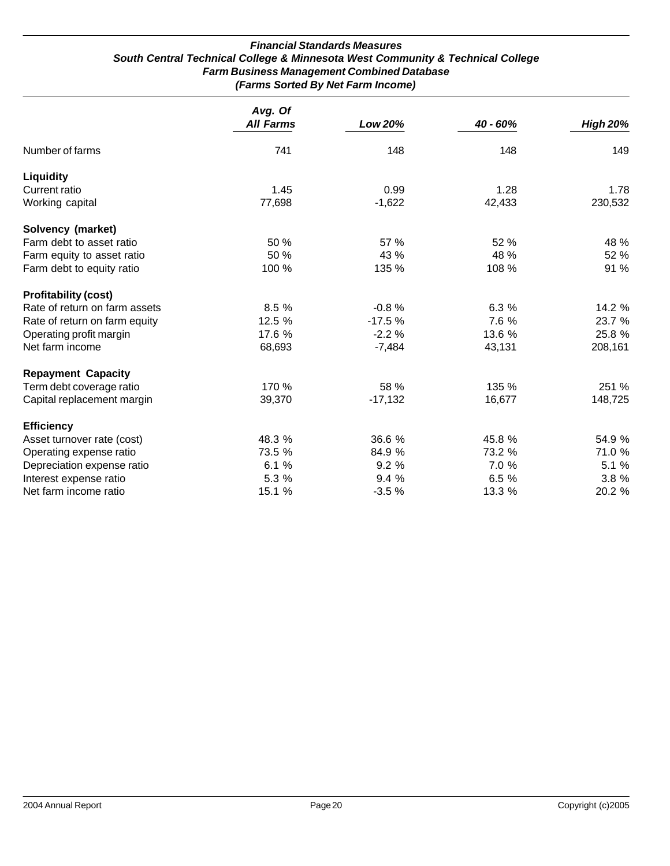#### *Financial Standards Measures South Central Technical College & Minnesota West Community & Technical College Farm Business Management Combined Database (Farms Sorted By Net Farm Income)*

|                               | Avg. Of<br><b>All Farms</b> | <b>Low 20%</b> | 40 - 60% | <b>High 20%</b> |
|-------------------------------|-----------------------------|----------------|----------|-----------------|
| Number of farms               | 741                         | 148            | 148      | 149             |
| Liquidity                     |                             |                |          |                 |
| <b>Current ratio</b>          | 1.45                        | 0.99           | 1.28     | 1.78            |
| Working capital               | 77,698                      | $-1,622$       | 42,433   | 230,532         |
| Solvency (market)             |                             |                |          |                 |
| Farm debt to asset ratio      | 50 %                        | 57 %           | 52 %     | 48 %            |
| Farm equity to asset ratio    | 50 %                        | 43 %           | 48 %     | 52 %            |
| Farm debt to equity ratio     | 100 %                       | 135 %          | 108 %    | 91 %            |
| <b>Profitability (cost)</b>   |                             |                |          |                 |
| Rate of return on farm assets | 8.5 %                       | $-0.8%$        | 6.3 %    | 14.2 %          |
| Rate of return on farm equity | 12.5 %                      | $-17.5%$       | 7.6 %    | 23.7 %          |
| Operating profit margin       | 17.6 %                      | $-2.2%$        | 13.6 %   | 25.8 %          |
| Net farm income               | 68,693                      | $-7,484$       | 43,131   | 208,161         |
| <b>Repayment Capacity</b>     |                             |                |          |                 |
| Term debt coverage ratio      | 170 %                       | 58 %           | 135 %    | 251 %           |
| Capital replacement margin    | 39,370                      | $-17,132$      | 16,677   | 148,725         |
| <b>Efficiency</b>             |                             |                |          |                 |
| Asset turnover rate (cost)    | 48.3 %                      | 36.6 %         | 45.8 %   | 54.9 %          |
| Operating expense ratio       | 73.5 %                      | 84.9 %         | 73.2 %   | 71.0 %          |
| Depreciation expense ratio    | 6.1%                        | 9.2%           | 7.0 %    | 5.1 %           |
| Interest expense ratio        | 5.3 %                       | 9.4 %          | 6.5 %    | 3.8 %           |
| Net farm income ratio         | 15.1 %                      | $-3.5%$        | 13.3 %   | 20.2 %          |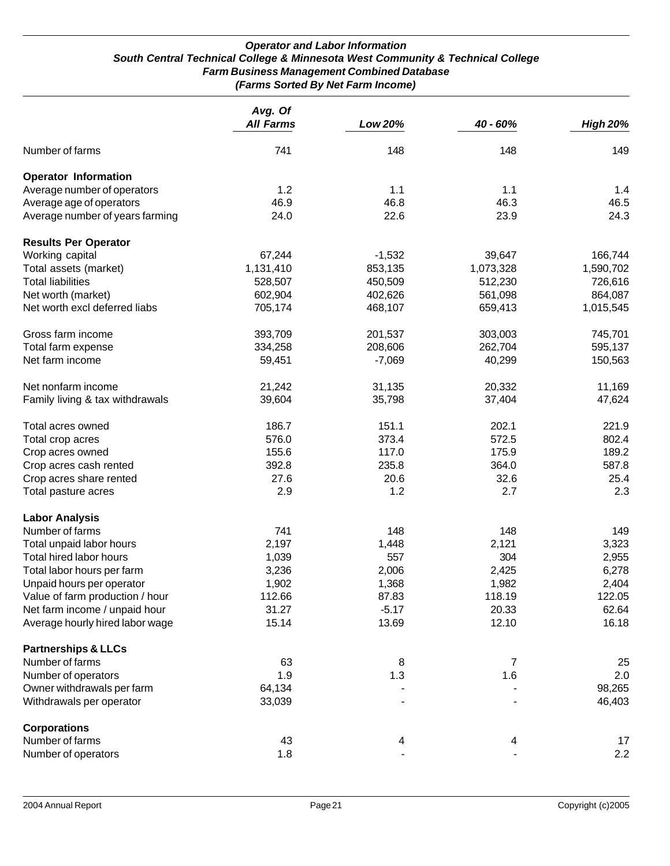#### *Operator and Labor Information South Central Technical College & Minnesota West Community & Technical College Farm Business Management Combined Database (Farms Sorted By Net Farm Income)*

|                                 | Avg. Of          |          |                |                 |
|---------------------------------|------------------|----------|----------------|-----------------|
|                                 | <b>All Farms</b> | Low 20%  | 40 - 60%       | <b>High 20%</b> |
| Number of farms                 | 741              | 148      | 148            | 149             |
| <b>Operator Information</b>     |                  |          |                |                 |
| Average number of operators     | 1.2              | 1.1      | 1.1            | 1.4             |
| Average age of operators        | 46.9             | 46.8     | 46.3           | 46.5            |
| Average number of years farming | 24.0             | 22.6     | 23.9           | 24.3            |
| <b>Results Per Operator</b>     |                  |          |                |                 |
| Working capital                 | 67,244           | $-1,532$ | 39,647         | 166,744         |
| Total assets (market)           | 1,131,410        | 853,135  | 1,073,328      | 1,590,702       |
| <b>Total liabilities</b>        | 528,507          | 450,509  | 512,230        | 726,616         |
| Net worth (market)              | 602,904          | 402,626  | 561,098        | 864,087         |
| Net worth excl deferred liabs   | 705,174          | 468,107  | 659,413        | 1,015,545       |
| Gross farm income               | 393,709          | 201,537  | 303,003        | 745,701         |
| Total farm expense              | 334,258          | 208,606  | 262,704        | 595,137         |
| Net farm income                 | 59,451           | $-7,069$ | 40,299         | 150,563         |
| Net nonfarm income              | 21,242           | 31,135   | 20,332         | 11,169          |
| Family living & tax withdrawals | 39,604           | 35,798   | 37,404         | 47,624          |
| Total acres owned               | 186.7            | 151.1    | 202.1          | 221.9           |
| Total crop acres                | 576.0            | 373.4    | 572.5          | 802.4           |
| Crop acres owned                | 155.6            | 117.0    | 175.9          | 189.2           |
| Crop acres cash rented          | 392.8            | 235.8    | 364.0          | 587.8           |
| Crop acres share rented         | 27.6             | 20.6     | 32.6           | 25.4            |
| Total pasture acres             | 2.9              | 1.2      | 2.7            | 2.3             |
| <b>Labor Analysis</b>           |                  |          |                |                 |
| Number of farms                 | 741              | 148      | 148            | 149             |
| Total unpaid labor hours        | 2,197            | 1,448    | 2,121          | 3,323           |
| Total hired labor hours         | 1,039            | 557      | 304            | 2,955           |
| Total labor hours per farm      | 3,236            | 2,006    | 2,425          | 6,278           |
| Unpaid hours per operator       | 1,902            | 1,368    | 1,982          | 2,404           |
| Value of farm production / hour | 112.66           | 87.83    | 118.19         | 122.05          |
| Net farm income / unpaid hour   | 31.27            | $-5.17$  | 20.33          | 62.64           |
| Average hourly hired labor wage | 15.14            | 13.69    | 12.10          | 16.18           |
| <b>Partnerships &amp; LLCs</b>  |                  |          |                |                 |
| Number of farms                 | 63               | 8        | $\overline{7}$ | 25              |
| Number of operators             | 1.9              | 1.3      | 1.6            | 2.0             |
| Owner withdrawals per farm      | 64,134           |          |                | 98,265          |
| Withdrawals per operator        | 33,039           |          |                | 46,403          |
| <b>Corporations</b>             |                  |          |                |                 |
| Number of farms                 | 43               | 4        | 4              | 17              |
| Number of operators             | 1.8              |          |                | 2.2             |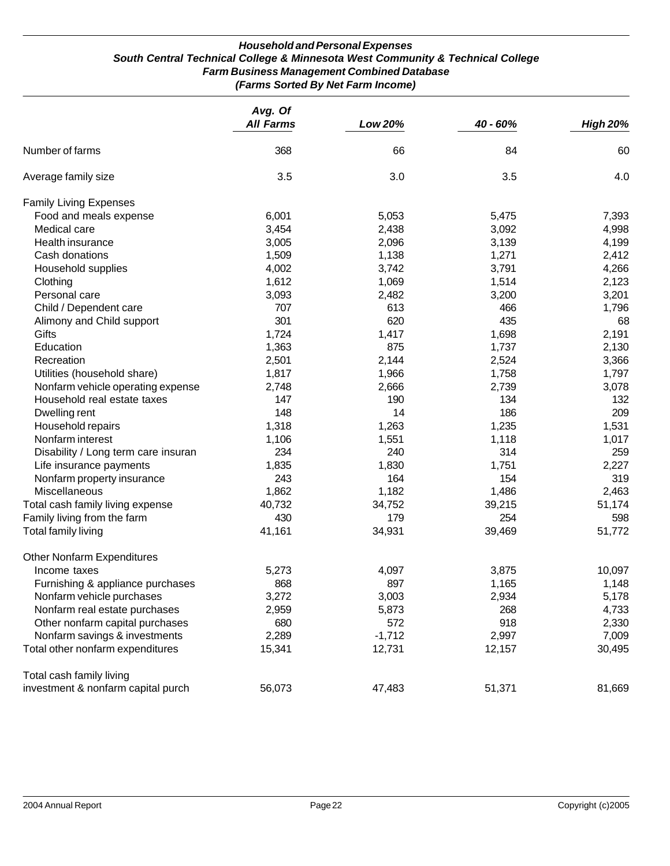#### *Household and Personal Expenses South Central Technical College & Minnesota West Community & Technical College Farm Business Management Combined Database (Farms Sorted By Net Farm Income)*

|                                     | Avg. Of<br><b>All Farms</b> | Low 20%  | 40 - 60% | <b>High 20%</b> |
|-------------------------------------|-----------------------------|----------|----------|-----------------|
| Number of farms                     | 368                         | 66       | 84       | 60              |
| Average family size                 | 3.5                         | 3.0      | 3.5      | 4.0             |
| <b>Family Living Expenses</b>       |                             |          |          |                 |
| Food and meals expense              | 6,001                       | 5,053    | 5,475    | 7,393           |
| Medical care                        | 3,454                       | 2,438    | 3,092    | 4,998           |
| Health insurance                    | 3,005                       | 2,096    | 3,139    | 4,199           |
| Cash donations                      | 1,509                       | 1,138    | 1,271    | 2,412           |
| Household supplies                  | 4,002                       | 3,742    | 3,791    | 4,266           |
| Clothing                            | 1,612                       | 1,069    | 1,514    | 2,123           |
| Personal care                       | 3,093                       | 2,482    | 3,200    | 3,201           |
| Child / Dependent care              | 707                         | 613      | 466      | 1,796           |
| Alimony and Child support           | 301                         | 620      | 435      | 68              |
| Gifts                               | 1,724                       | 1,417    | 1,698    | 2,191           |
| Education                           | 1,363                       | 875      | 1,737    | 2,130           |
| Recreation                          | 2,501                       | 2,144    | 2,524    | 3,366           |
| Utilities (household share)         | 1,817                       | 1,966    | 1,758    | 1,797           |
| Nonfarm vehicle operating expense   | 2,748                       | 2,666    | 2,739    | 3,078           |
| Household real estate taxes         | 147                         | 190      | 134      | 132             |
| Dwelling rent                       | 148                         | 14       | 186      | 209             |
| Household repairs                   | 1,318                       | 1,263    | 1,235    | 1,531           |
| Nonfarm interest                    | 1,106                       | 1,551    | 1,118    | 1,017           |
| Disability / Long term care insuran | 234                         | 240      | 314      | 259             |
| Life insurance payments             | 1,835                       | 1,830    | 1,751    | 2,227           |
| Nonfarm property insurance          | 243                         | 164      | 154      | 319             |
| Miscellaneous                       | 1,862                       | 1,182    | 1,486    | 2,463           |
| Total cash family living expense    | 40,732                      | 34,752   | 39,215   | 51,174          |
| Family living from the farm         | 430                         | 179      | 254      | 598             |
| Total family living                 | 41,161                      | 34,931   | 39,469   | 51,772          |
| <b>Other Nonfarm Expenditures</b>   |                             |          |          |                 |
| Income taxes                        | 5,273                       | 4,097    | 3,875    | 10,097          |
| Furnishing & appliance purchases    | 868                         | 897      | 1,165    | 1,148           |
| Nonfarm vehicle purchases           | 3,272                       | 3,003    | 2,934    | 5,178           |
| Nonfarm real estate purchases       | 2,959                       | 5,873    | 268      | 4,733           |
| Other nonfarm capital purchases     | 680                         | 572      | 918      | 2,330           |
| Nonfarm savings & investments       | 2,289                       | $-1,712$ | 2,997    | 7,009           |
| Total other nonfarm expenditures    | 15,341                      | 12,731   | 12,157   | 30,495          |
| Total cash family living            |                             |          |          |                 |
| investment & nonfarm capital purch  | 56,073                      | 47,483   | 51,371   | 81,669          |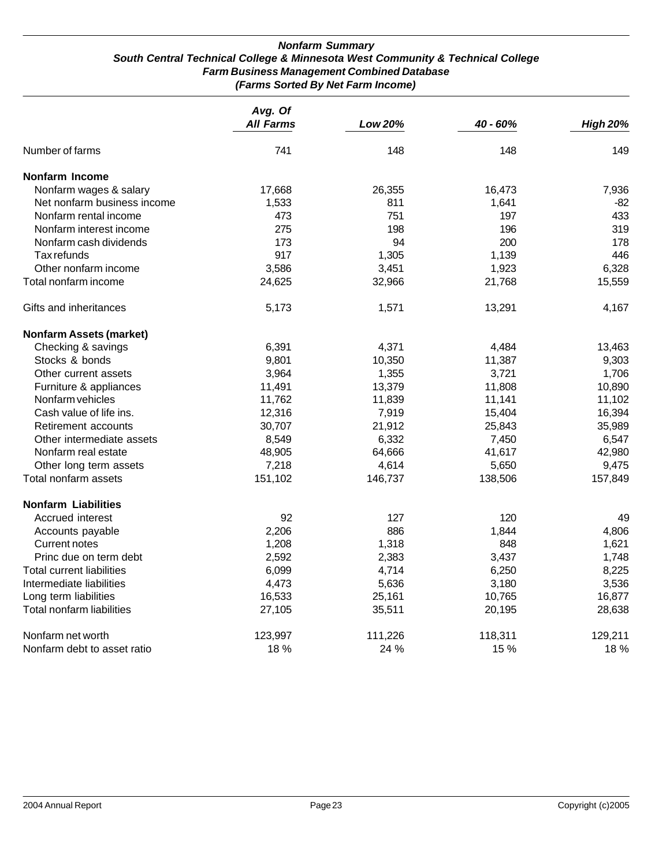#### *Nonfarm Summary South Central Technical College & Minnesota West Community & Technical College Farm Business Management Combined Database (Farms Sorted By Net Farm Income)*

|                                  | Avg. Of          |                |          |                 |
|----------------------------------|------------------|----------------|----------|-----------------|
|                                  | <b>All Farms</b> | <b>Low 20%</b> | 40 - 60% | <b>High 20%</b> |
| Number of farms                  | 741              | 148            | 148      | 149             |
| Nonfarm Income                   |                  |                |          |                 |
| Nonfarm wages & salary           | 17,668           | 26,355         | 16,473   | 7,936           |
| Net nonfarm business income      | 1,533            | 811            | 1,641    | $-82$           |
| Nonfarm rental income            | 473              | 751            | 197      | 433             |
| Nonfarm interest income          | 275              | 198            | 196      | 319             |
| Nonfarm cash dividends           | 173              | 94             | 200      | 178             |
| Tax refunds                      | 917              | 1,305          | 1,139    | 446             |
| Other nonfarm income             | 3,586            | 3,451          | 1,923    | 6,328           |
| Total nonfarm income             | 24,625           | 32,966         | 21,768   | 15,559          |
| Gifts and inheritances           | 5,173            | 1,571          | 13,291   | 4,167           |
| <b>Nonfarm Assets (market)</b>   |                  |                |          |                 |
| Checking & savings               | 6,391            | 4,371          | 4,484    | 13,463          |
| Stocks & bonds                   | 9,801            | 10,350         | 11,387   | 9,303           |
| Other current assets             | 3,964            | 1,355          | 3,721    | 1,706           |
| Furniture & appliances           | 11,491           | 13,379         | 11,808   | 10,890          |
| Nonfarm vehicles                 | 11,762           | 11,839         | 11,141   | 11,102          |
| Cash value of life ins.          | 12,316           | 7,919          | 15,404   | 16,394          |
| Retirement accounts              | 30,707           | 21,912         | 25,843   | 35,989          |
| Other intermediate assets        | 8,549            | 6,332          | 7,450    | 6,547           |
| Nonfarm real estate              | 48,905           | 64,666         | 41,617   | 42,980          |
| Other long term assets           | 7,218            | 4,614          | 5,650    | 9,475           |
| Total nonfarm assets             | 151,102          | 146,737        | 138,506  | 157,849         |
| <b>Nonfarm Liabilities</b>       |                  |                |          |                 |
| Accrued interest                 | 92               | 127            | 120      | 49              |
| Accounts payable                 | 2,206            | 886            | 1,844    | 4,806           |
| <b>Current notes</b>             | 1,208            | 1,318          | 848      | 1,621           |
| Princ due on term debt           | 2,592            | 2,383          | 3,437    | 1,748           |
| <b>Total current liabilities</b> | 6,099            | 4,714          | 6,250    | 8,225           |
| Intermediate liabilities         | 4,473            | 5,636          | 3,180    | 3,536           |
| Long term liabilities            | 16,533           | 25,161         | 10,765   | 16,877          |
| Total nonfarm liabilities        | 27,105           | 35,511         | 20,195   | 28,638          |
| Nonfarm net worth                | 123,997          | 111,226        | 118,311  | 129,211         |
| Nonfarm debt to asset ratio      | 18 %             | 24 %           | 15 %     | 18 %            |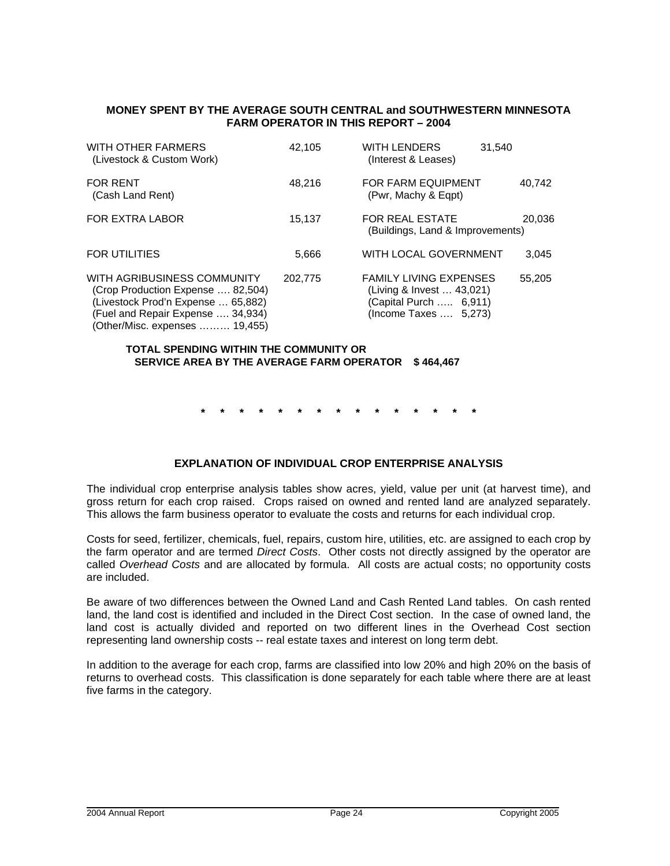#### **MONEY SPENT BY THE AVERAGE SOUTH CENTRAL and SOUTHWESTERN MINNESOTA FARM OPERATOR IN THIS REPORT – 2004**

| WITH OTHER FARMERS<br>(Livestock & Custom Work)                                                                                                                               | 42.105  | <b>WITH LENDERS</b><br>(Interest & Leases)                                                                    | 31.540 |
|-------------------------------------------------------------------------------------------------------------------------------------------------------------------------------|---------|---------------------------------------------------------------------------------------------------------------|--------|
| <b>FOR RENT</b><br>(Cash Land Rent)                                                                                                                                           | 48.216  | FOR FARM EQUIPMENT<br>(Pwr, Machy & Egpt)                                                                     | 40,742 |
| <b>FOR EXTRA LABOR</b>                                                                                                                                                        | 15.137  | <b>FOR REAL ESTATE</b><br>(Buildings, Land & Improvements)                                                    | 20.036 |
| <b>FOR UTILITIES</b>                                                                                                                                                          | 5.666   | WITH LOCAL GOVERNMENT                                                                                         | 3,045  |
| WITH AGRIBUSINESS COMMUNITY<br>(Crop Production Expense  82,504)<br>(Livestock Prod'n Expense  65,882)<br>(Fuel and Repair Expense  34,934)<br>(Other/Misc. expenses  19,455) | 202.775 | <b>FAMILY LIVING EXPENSES</b><br>(Living & Invest  43,021)<br>(Capital Purch  6,911)<br>(Income Taxes  5,273) | 55,205 |

#### **TOTAL SPENDING WITHIN THE COMMUNITY OR SERVICE AREA BY THE AVERAGE FARM OPERATOR \$ 464,467**

**\* \* \* \* \* \* \* \* \* \* \* \* \* \* \*** 

### **EXPLANATION OF INDIVIDUAL CROP ENTERPRISE ANALYSIS**

The individual crop enterprise analysis tables show acres, yield, value per unit (at harvest time), and gross return for each crop raised. Crops raised on owned and rented land are analyzed separately. This allows the farm business operator to evaluate the costs and returns for each individual crop.

Costs for seed, fertilizer, chemicals, fuel, repairs, custom hire, utilities, etc. are assigned to each crop by the farm operator and are termed *Direct Costs*. Other costs not directly assigned by the operator are called *Overhead Costs* and are allocated by formula. All costs are actual costs; no opportunity costs are included.

Be aware of two differences between the Owned Land and Cash Rented Land tables. On cash rented land, the land cost is identified and included in the Direct Cost section. In the case of owned land, the land cost is actually divided and reported on two different lines in the Overhead Cost section representing land ownership costs -- real estate taxes and interest on long term debt.

In addition to the average for each crop, farms are classified into low 20% and high 20% on the basis of returns to overhead costs. This classification is done separately for each table where there are at least five farms in the category.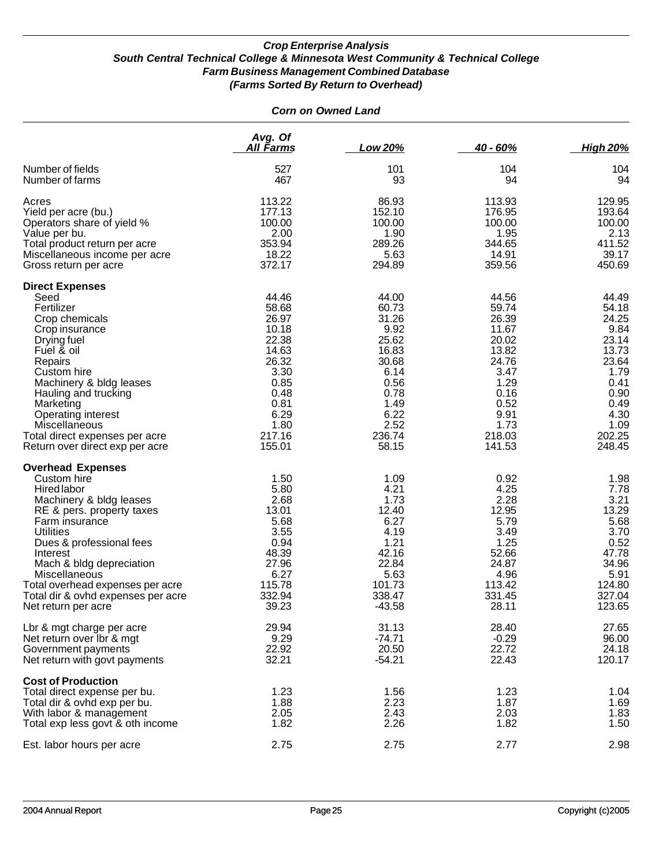|                                                                                                                                                                                                                                                                                                                                                   | <b>Corn on Owned Land</b>                                                                                                       |                                                                                                                               |                                                                                                                                 |                                                                                                                                |
|---------------------------------------------------------------------------------------------------------------------------------------------------------------------------------------------------------------------------------------------------------------------------------------------------------------------------------------------------|---------------------------------------------------------------------------------------------------------------------------------|-------------------------------------------------------------------------------------------------------------------------------|---------------------------------------------------------------------------------------------------------------------------------|--------------------------------------------------------------------------------------------------------------------------------|
|                                                                                                                                                                                                                                                                                                                                                   | Avg. Of<br><u>All Farms</u>                                                                                                     | Low 20%                                                                                                                       | $40 - 60%$                                                                                                                      | <b>High 20%</b>                                                                                                                |
| Number of fields<br>Number of farms                                                                                                                                                                                                                                                                                                               | 527<br>467                                                                                                                      | 101<br>93                                                                                                                     | 104<br>94                                                                                                                       | 104<br>94                                                                                                                      |
| Acres<br>Yield per acre (bu.)<br>Operators share of yield %<br>Value per bu.<br>Total product return per acre<br>Miscellaneous income per acre<br>Gross return per acre                                                                                                                                                                           | 113.22<br>177.13<br>100.00<br>2.00<br>353.94<br>18.22<br>372.17                                                                 | 86.93<br>152.10<br>100.00<br>1.90<br>289.26<br>5.63<br>294.89                                                                 | 113.93<br>176.95<br>100.00<br>1.95<br>344.65<br>14.91<br>359.56                                                                 | 129.95<br>193.64<br>100.00<br>2.13<br>411.52<br>39.17<br>450.69                                                                |
| <b>Direct Expenses</b><br>Seed<br>Fertilizer<br>Crop chemicals<br>Crop insurance<br>Drying fuel<br>Fuel & oil<br>Repairs<br>Custom hire<br>Machinery & bldg leases<br>Hauling and trucking<br>Marketing<br><b>Operating interest</b><br>Miscellaneous<br>Total direct expenses per acre<br>Return over direct exp per acre                        | 44.46<br>58.68<br>26.97<br>10.18<br>22.38<br>14.63<br>26.32<br>3.30<br>0.85<br>0.48<br>0.81<br>6.29<br>1.80<br>217.16<br>155.01 | 44.00<br>60.73<br>31.26<br>9.92<br>25.62<br>16.83<br>30.68<br>6.14<br>0.56<br>0.78<br>1.49<br>6.22<br>2.52<br>236.74<br>58.15 | 44.56<br>59.74<br>26.39<br>11.67<br>20.02<br>13.82<br>24.76<br>3.47<br>1.29<br>0.16<br>0.52<br>9.91<br>1.73<br>218.03<br>141.53 | 44.49<br>54.18<br>24.25<br>9.84<br>23.14<br>13.73<br>23.64<br>1.79<br>0.41<br>0.90<br>0.49<br>4.30<br>1.09<br>202.25<br>248.45 |
| <b>Overhead Expenses</b><br>Custom hire<br><b>Hired labor</b><br>Machinery & bldg leases<br>RE & pers. property taxes<br>Farm insurance<br><b>Utilities</b><br>Dues & professional fees<br>Interest<br>Mach & bldg depreciation<br>Miscellaneous<br>Total overhead expenses per acre<br>Total dir & ovhd expenses per acre<br>Net return per acre | 1.50<br>5.80<br>2.68<br>13.01<br>5.68<br>3.55<br>0.94<br>48.39<br>27.96<br>6.27<br>115.78<br>332.94<br>39.23                    | 1.09<br>4.21<br>1.73<br>12.40<br>6.27<br>4.19<br>1.21<br>42.16<br>22.84<br>5.63<br>101.73<br>338.47<br>$-43.58$               | 0.92<br>4.25<br>2.28<br>12.95<br>5.79<br>3.49<br>1.25<br>52.66<br>24.87<br>4.96<br>113.42<br>331.45<br>28.11                    | 1.98<br>7.78<br>3.21<br>13.29<br>5.68<br>3.70<br>0.52<br>47.78<br>34.96<br>5.91<br>124.80<br>327.04<br>123.65                  |
| Lbr & mgt charge per acre<br>Net return over Ibr & mgt<br>Government payments<br>Net return with govt payments                                                                                                                                                                                                                                    | 29.94<br>9.29<br>22.92<br>32.21                                                                                                 | 31.13<br>$-74.71$<br>20.50<br>$-54.21$                                                                                        | 28.40<br>$-0.29$<br>22.72<br>22.43                                                                                              | 27.65<br>96.00<br>24.18<br>120.17                                                                                              |
| <b>Cost of Production</b><br>Total direct expense per bu.<br>Total dir & ovhd exp per bu.<br>With labor & management<br>Total exp less govt & oth income                                                                                                                                                                                          | 1.23<br>1.88<br>2.05<br>1.82                                                                                                    | 1.56<br>2.23<br>2.43<br>2.26                                                                                                  | 1.23<br>1.87<br>2.03<br>1.82                                                                                                    | 1.04<br>1.69<br>1.83<br>1.50                                                                                                   |
| Est. labor hours per acre                                                                                                                                                                                                                                                                                                                         | 2.75                                                                                                                            | 2.75                                                                                                                          | 2.77                                                                                                                            | 2.98                                                                                                                           |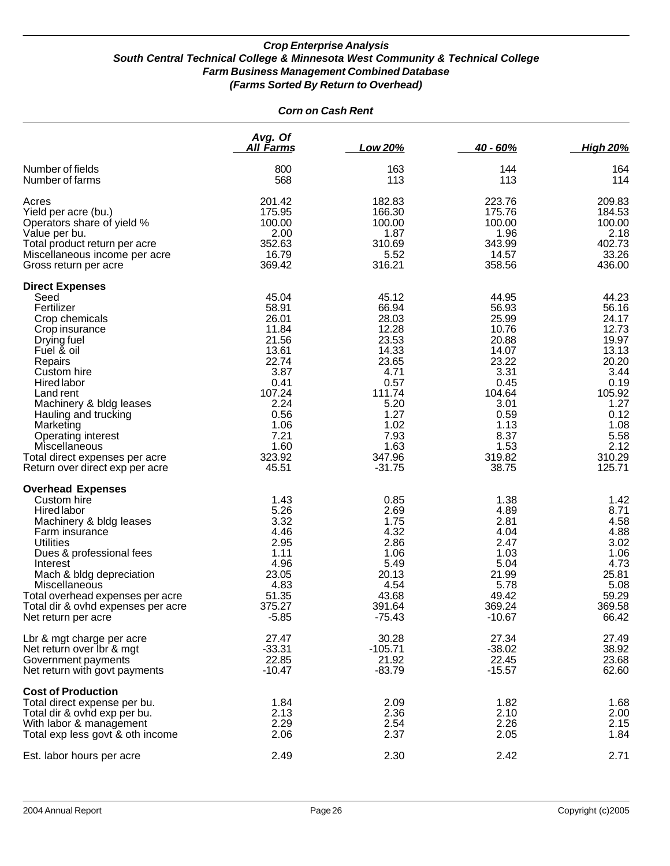|                                                                                                                                                                                                                                                                                                                                                 | Avg. Of<br>All Farms                                                                                                                             | Low 20%                                                                                                                                             | $40 - 60%$                                                                                                                                       | <b>High 20%</b>                                                                                                                                   |
|-------------------------------------------------------------------------------------------------------------------------------------------------------------------------------------------------------------------------------------------------------------------------------------------------------------------------------------------------|--------------------------------------------------------------------------------------------------------------------------------------------------|-----------------------------------------------------------------------------------------------------------------------------------------------------|--------------------------------------------------------------------------------------------------------------------------------------------------|---------------------------------------------------------------------------------------------------------------------------------------------------|
| Number of fields<br>Number of farms                                                                                                                                                                                                                                                                                                             | 800<br>568                                                                                                                                       | 163<br>113                                                                                                                                          | 144<br>113                                                                                                                                       | 164<br>114                                                                                                                                        |
| Acres<br>Yield per acre (bu.)<br>Operators share of yield %<br>Value per bu.<br>Total product return per acre<br>Miscellaneous income per acre<br>Gross return per acre                                                                                                                                                                         | 201.42<br>175.95<br>100.00<br>2.00<br>352.63<br>16.79<br>369.42                                                                                  | 182.83<br>166.30<br>100.00<br>1.87<br>310.69<br>5.52<br>316.21                                                                                      | 223.76<br>175.76<br>100.00<br>1.96<br>343.99<br>14.57<br>358.56                                                                                  | 209.83<br>184.53<br>100.00<br>2.18<br>402.73<br>33.26<br>436.00                                                                                   |
| <b>Direct Expenses</b><br>Seed<br>Fertilizer<br>Crop chemicals<br>Crop insurance<br>Drying fuel<br>Fuel & oil<br>Repairs<br>Custom hire<br>Hired labor<br>Land rent<br>Machinery & bldg leases<br>Hauling and trucking<br>Marketing<br>Operating interest<br>Miscellaneous<br>Total direct expenses per acre<br>Return over direct exp per acre | 45.04<br>58.91<br>26.01<br>11.84<br>21.56<br>13.61<br>22.74<br>3.87<br>0.41<br>107.24<br>2.24<br>0.56<br>1.06<br>7.21<br>1.60<br>323.92<br>45.51 | 45.12<br>66.94<br>28.03<br>12.28<br>23.53<br>14.33<br>23.65<br>4.71<br>0.57<br>111.74<br>5.20<br>1.27<br>1.02<br>7.93<br>1.63<br>347.96<br>$-31.75$ | 44.95<br>56.93<br>25.99<br>10.76<br>20.88<br>14.07<br>23.22<br>3.31<br>0.45<br>104.64<br>3.01<br>0.59<br>1.13<br>8.37<br>1.53<br>319.82<br>38.75 | 44.23<br>56.16<br>24.17<br>12.73<br>19.97<br>13.13<br>20.20<br>3.44<br>0.19<br>105.92<br>1.27<br>0.12<br>1.08<br>5.58<br>2.12<br>310.29<br>125.71 |
| <b>Overhead Expenses</b><br>Custom hire<br><b>Hired labor</b><br>Machinery & bldg leases<br>Farm insurance<br><b>Utilities</b><br>Dues & professional fees<br>Interest<br>Mach & bldg depreciation<br><b>Miscellaneous</b><br>Total overhead expenses per acre<br>Total dir & ovhd expenses per acre<br>Net return per acre                     | 1.43<br>5.26<br>3.32<br>4.46<br>2.95<br>1.11<br>4.96<br>23.05<br>4.83<br>51.35<br>375.27<br>$-5.85$                                              | 0.85<br>2.69<br>1.75<br>4.32<br>2.86<br>1.06<br>5.49<br>20.13<br>4.54<br>43.68<br>391.64<br>$-75.43$                                                | 1.38<br>4.89<br>2.81<br>4.04<br>2.47<br>1.03<br>5.04<br>21.99<br>5.78<br>49.42<br>369.24<br>$-10.67$                                             | 1.42<br>8.71<br>4.58<br>4.88<br>3.02<br>1.06<br>4.73<br>25.81<br>5.08<br>59.29<br>369.58<br>66.42                                                 |
| Lbr & mgt charge per acre<br>Net return over Ibr & mgt<br>Government payments<br>Net return with govt payments                                                                                                                                                                                                                                  | 27.47<br>$-33.31$<br>22.85<br>$-10.47$                                                                                                           | 30.28<br>$-105.71$<br>21.92<br>$-83.79$                                                                                                             | 27.34<br>$-38.02$<br>22.45<br>$-15.57$                                                                                                           | 27.49<br>38.92<br>23.68<br>62.60                                                                                                                  |
| <b>Cost of Production</b><br>Total direct expense per bu.<br>Total dir & ovhd exp per bu.<br>With labor & management<br>Total exp less govt & oth income                                                                                                                                                                                        | 1.84<br>2.13<br>2.29<br>2.06                                                                                                                     | 2.09<br>2.36<br>2.54<br>2.37                                                                                                                        | 1.82<br>2.10<br>2.26<br>2.05                                                                                                                     | 1.68<br>2.00<br>2.15<br>1.84                                                                                                                      |
| Est. labor hours per acre                                                                                                                                                                                                                                                                                                                       | 2.49                                                                                                                                             | 2.30                                                                                                                                                | 2.42                                                                                                                                             | 2.71                                                                                                                                              |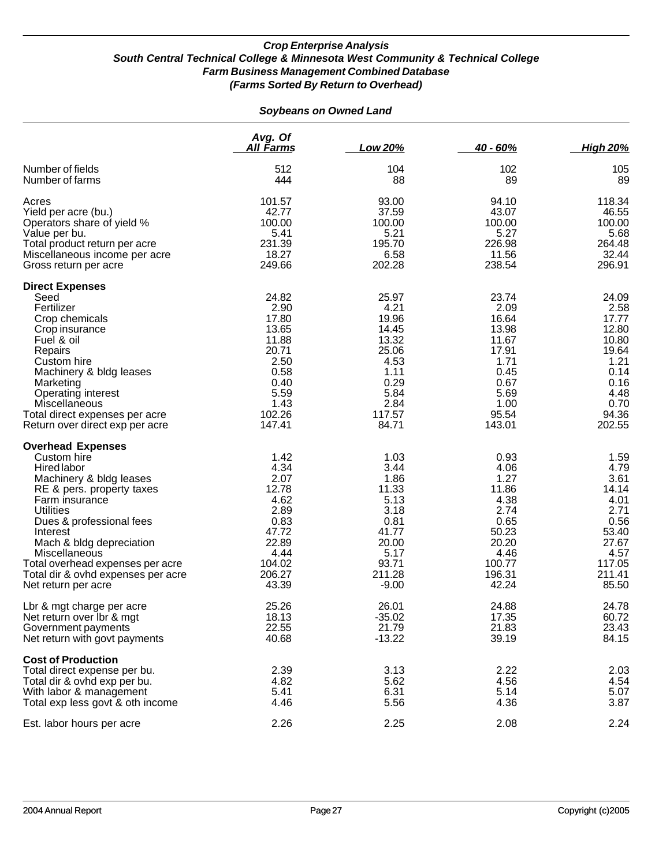#### *Soybeans on Owned Land*

|                                                                                                                                                                                                                                                                                                                                            | Avg. Of<br>All Farms                                                                                          | Low 20%                                                                                                       | $40 - 60%$                                                                                                   | <b>High 20%</b>                                                                                              |
|--------------------------------------------------------------------------------------------------------------------------------------------------------------------------------------------------------------------------------------------------------------------------------------------------------------------------------------------|---------------------------------------------------------------------------------------------------------------|---------------------------------------------------------------------------------------------------------------|--------------------------------------------------------------------------------------------------------------|--------------------------------------------------------------------------------------------------------------|
| Number of fields<br>Number of farms                                                                                                                                                                                                                                                                                                        | 512<br>444                                                                                                    | 104<br>88                                                                                                     | 102<br>89                                                                                                    | 105<br>89                                                                                                    |
| Acres<br>Yield per acre (bu.)<br>Operators share of yield %<br>Value per bu.<br>Total product return per acre<br>Miscellaneous income per acre<br>Gross return per acre                                                                                                                                                                    | 101.57<br>42.77<br>100.00<br>5.41<br>231.39<br>18.27<br>249.66                                                | 93.00<br>37.59<br>100.00<br>5.21<br>195.70<br>6.58<br>202.28                                                  | 94.10<br>43.07<br>100.00<br>5.27<br>226.98<br>11.56<br>238.54                                                | 118.34<br>46.55<br>100.00<br>5.68<br>264.48<br>32.44<br>296.91                                               |
| <b>Direct Expenses</b><br>Seed<br>Fertilizer<br>Crop chemicals<br>Crop insurance<br>Fuel & oil<br>Repairs<br>Custom hire<br>Machinery & bldg leases<br>Marketing<br>Operating interest<br>Miscellaneous<br>Total direct expenses per acre<br>Return over direct exp per acre                                                               | 24.82<br>2.90<br>17.80<br>13.65<br>11.88<br>20.71<br>2.50<br>0.58<br>0.40<br>5.59<br>1.43<br>102.26<br>147.41 | 25.97<br>4.21<br>19.96<br>14.45<br>13.32<br>25.06<br>4.53<br>1.11<br>0.29<br>5.84<br>2.84<br>117.57<br>84.71  | 23.74<br>2.09<br>16.64<br>13.98<br>11.67<br>17.91<br>1.71<br>0.45<br>0.67<br>5.69<br>1.00<br>95.54<br>143.01 | 24.09<br>2.58<br>17.77<br>12.80<br>10.80<br>19.64<br>1.21<br>0.14<br>0.16<br>4.48<br>0.70<br>94.36<br>202.55 |
| <b>Overhead Expenses</b><br>Custom hire<br>Hired labor<br>Machinery & bldg leases<br>RE & pers. property taxes<br>Farm insurance<br><b>Utilities</b><br>Dues & professional fees<br>Interest<br>Mach & bldg depreciation<br>Miscellaneous<br>Total overhead expenses per acre<br>Total dir & ovhd expenses per acre<br>Net return per acre | 1.42<br>4.34<br>2.07<br>12.78<br>4.62<br>2.89<br>0.83<br>47.72<br>22.89<br>4.44<br>104.02<br>206.27<br>43.39  | 1.03<br>3.44<br>1.86<br>11.33<br>5.13<br>3.18<br>0.81<br>41.77<br>20.00<br>5.17<br>93.71<br>211.28<br>$-9.00$ | 0.93<br>4.06<br>1.27<br>11.86<br>4.38<br>2.74<br>0.65<br>50.23<br>20.20<br>4.46<br>100.77<br>196.31<br>42.24 | 1.59<br>4.79<br>3.61<br>14.14<br>4.01<br>2.71<br>0.56<br>53.40<br>27.67<br>4.57<br>117.05<br>211.41<br>85.50 |
| Lbr & mgt charge per acre<br>Net return over Ibr & mgt<br>Government payments<br>Net return with govt payments                                                                                                                                                                                                                             | 25.26<br>18.13<br>22.55<br>40.68                                                                              | 26.01<br>$-35.02$<br>21.79<br>$-13.22$                                                                        | 24.88<br>17.35<br>21.83<br>39.19                                                                             | 24.78<br>60.72<br>23.43<br>84.15                                                                             |
| <b>Cost of Production</b><br>Total direct expense per bu.<br>Total dir & ovhd exp per bu.<br>With labor & management<br>Total exp less govt & oth income                                                                                                                                                                                   | 2.39<br>4.82<br>5.41<br>4.46                                                                                  | 3.13<br>5.62<br>6.31<br>5.56                                                                                  | 2.22<br>4.56<br>5.14<br>4.36                                                                                 | 2.03<br>4.54<br>5.07<br>3.87                                                                                 |
| Est. labor hours per acre                                                                                                                                                                                                                                                                                                                  | 2.26                                                                                                          | 2.25                                                                                                          | 2.08                                                                                                         | 2.24                                                                                                         |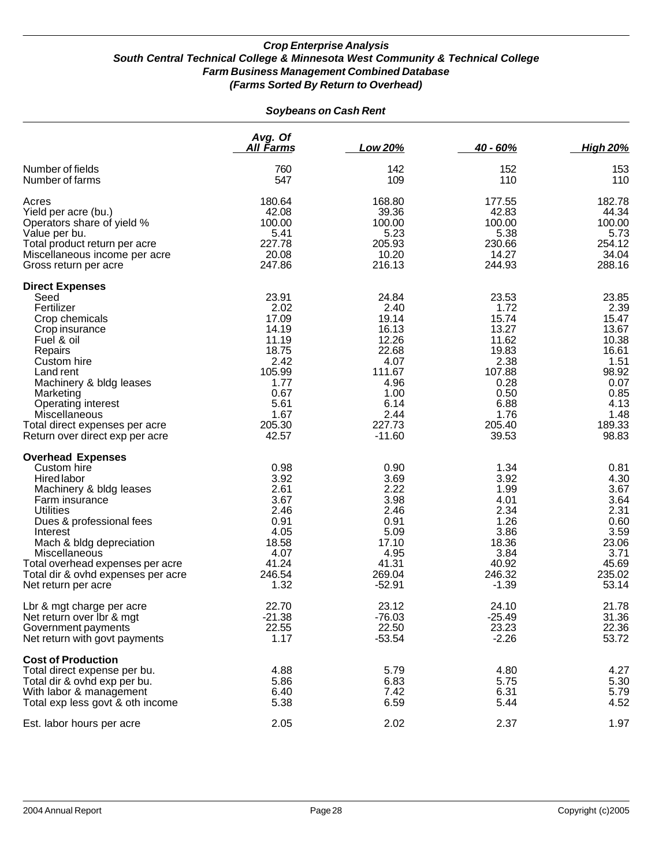#### *Soybeans on Cash Rent*

|                                                                                                                                                                                                                                                                                                                      | Avg. Of<br>All Farms                                                                                                   | Low 20%                                                                                                                   | $40 - 60%$                                                                                                             | <b>High 20%</b>                                                                                                       |
|----------------------------------------------------------------------------------------------------------------------------------------------------------------------------------------------------------------------------------------------------------------------------------------------------------------------|------------------------------------------------------------------------------------------------------------------------|---------------------------------------------------------------------------------------------------------------------------|------------------------------------------------------------------------------------------------------------------------|-----------------------------------------------------------------------------------------------------------------------|
| Number of fields<br>Number of farms                                                                                                                                                                                                                                                                                  | 760<br>547                                                                                                             | 142<br>109                                                                                                                | 152<br>110                                                                                                             | 153<br>110                                                                                                            |
| Acres<br>Yield per acre (bu.)<br>Operators share of yield %<br>Value per bu.<br>Total product return per acre<br>Miscellaneous income per acre<br>Gross return per acre                                                                                                                                              | 180.64<br>42.08<br>100.00<br>5.41<br>227.78<br>20.08<br>247.86                                                         | 168.80<br>39.36<br>100.00<br>5.23<br>205.93<br>10.20<br>216.13                                                            | 177.55<br>42.83<br>100.00<br>5.38<br>230.66<br>14.27<br>244.93                                                         | 182.78<br>44.34<br>100.00<br>5.73<br>254.12<br>34.04<br>288.16                                                        |
| <b>Direct Expenses</b><br>Seed<br>Fertilizer<br>Crop chemicals<br>Crop insurance<br>Fuel & oil<br>Repairs<br>Custom hire<br>Land rent<br>Machinery & bldg leases<br>Marketing<br><b>Operating interest</b><br>Miscellaneous<br>Total direct expenses per acre<br>Return over direct exp per acre                     | 23.91<br>2.02<br>17.09<br>14.19<br>11.19<br>18.75<br>2.42<br>105.99<br>1.77<br>0.67<br>5.61<br>1.67<br>205.30<br>42.57 | 24.84<br>2.40<br>19.14<br>16.13<br>12.26<br>22.68<br>4.07<br>111.67<br>4.96<br>1.00<br>6.14<br>2.44<br>227.73<br>$-11.60$ | 23.53<br>1.72<br>15.74<br>13.27<br>11.62<br>19.83<br>2.38<br>107.88<br>0.28<br>0.50<br>6.88<br>1.76<br>205.40<br>39.53 | 23.85<br>2.39<br>15.47<br>13.67<br>10.38<br>16.61<br>1.51<br>98.92<br>0.07<br>0.85<br>4.13<br>1.48<br>189.33<br>98.83 |
| <b>Overhead Expenses</b><br>Custom hire<br><b>Hired labor</b><br>Machinery & bldg leases<br>Farm insurance<br><b>Utilities</b><br>Dues & professional fees<br>Interest<br>Mach & bldg depreciation<br>Miscellaneous<br>Total overhead expenses per acre<br>Total dir & ovhd expenses per acre<br>Net return per acre | 0.98<br>3.92<br>2.61<br>3.67<br>2.46<br>0.91<br>4.05<br>18.58<br>4.07<br>41.24<br>246.54<br>1.32                       | 0.90<br>3.69<br>2.22<br>3.98<br>2.46<br>0.91<br>5.09<br>17.10<br>4.95<br>41.31<br>269.04<br>$-52.91$                      | 1.34<br>3.92<br>1.99<br>4.01<br>2.34<br>1.26<br>3.86<br>18.36<br>3.84<br>40.92<br>246.32<br>$-1.39$                    | 0.81<br>4.30<br>3.67<br>3.64<br>2.31<br>0.60<br>3.59<br>23.06<br>3.71<br>45.69<br>235.02<br>53.14                     |
| Lbr & mgt charge per acre<br>Net return over lbr & mgt<br>Government payments<br>Net return with govt payments                                                                                                                                                                                                       | 22.70<br>$-21.38$<br>22.55<br>1.17                                                                                     | 23.12<br>$-76.03$<br>22.50<br>$-53.54$                                                                                    | 24.10<br>$-25.49$<br>23.23<br>$-2.26$                                                                                  | 21.78<br>31.36<br>22.36<br>53.72                                                                                      |
| <b>Cost of Production</b><br>Total direct expense per bu.<br>Total dir & ovhd exp per bu.<br>With labor & management<br>Total exp less govt & oth income                                                                                                                                                             | 4.88<br>5.86<br>6.40<br>5.38                                                                                           | 5.79<br>6.83<br>7.42<br>6.59                                                                                              | 4.80<br>5.75<br>6.31<br>5.44                                                                                           | 4.27<br>5.30<br>5.79<br>4.52                                                                                          |
| Est. labor hours per acre                                                                                                                                                                                                                                                                                            | 2.05                                                                                                                   | 2.02                                                                                                                      | 2.37                                                                                                                   | 1.97                                                                                                                  |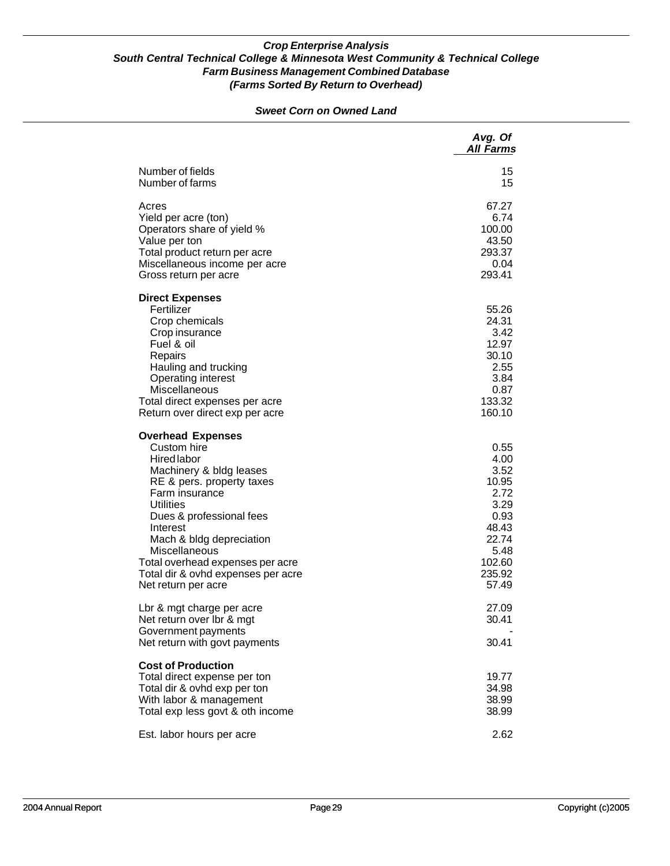#### *Sweet Corn on Owned Land*

|                                                                                                                                                                                                                                                                                                                                                   | Avg. Of<br><b>All Farms</b>                                                                                  |
|---------------------------------------------------------------------------------------------------------------------------------------------------------------------------------------------------------------------------------------------------------------------------------------------------------------------------------------------------|--------------------------------------------------------------------------------------------------------------|
| Number of fields<br>Number of farms                                                                                                                                                                                                                                                                                                               | 15<br>15                                                                                                     |
| Acres<br>Yield per acre (ton)<br>Operators share of yield %<br>Value per ton<br>Total product return per acre<br>Miscellaneous income per acre<br>Gross return per acre                                                                                                                                                                           | 67.27<br>6.74<br>100.00<br>43.50<br>293.37<br>0.04<br>293.41                                                 |
| <b>Direct Expenses</b><br>Fertilizer<br>Crop chemicals<br>Crop insurance<br>Fuel & oil<br>Repairs<br>Hauling and trucking<br>Operating interest<br><b>Miscellaneous</b><br>Total direct expenses per acre<br>Return over direct exp per acre                                                                                                      | 55.26<br>24.31<br>3.42<br>12.97<br>30.10<br>2.55<br>3.84<br>0.87<br>133.32<br>160.10                         |
| <b>Overhead Expenses</b><br>Custom hire<br><b>Hired</b> labor<br>Machinery & bldg leases<br>RE & pers. property taxes<br>Farm insurance<br><b>Utilities</b><br>Dues & professional fees<br>Interest<br>Mach & bldg depreciation<br>Miscellaneous<br>Total overhead expenses per acre<br>Total dir & ovhd expenses per acre<br>Net return per acre | 0.55<br>4.00<br>3.52<br>10.95<br>2.72<br>3.29<br>0.93<br>48.43<br>22.74<br>5.48<br>102.60<br>235.92<br>57.49 |
| Lbr & mgt charge per acre<br>Net return over Ibr & mgt<br>Government payments<br>Net return with govt payments                                                                                                                                                                                                                                    | 27.09<br>30.41<br>30.41                                                                                      |
| <b>Cost of Production</b><br>Total direct expense per ton<br>Total dir & ovhd exp per ton<br>With labor & management<br>Total exp less govt & oth income                                                                                                                                                                                          | 19.77<br>34.98<br>38.99<br>38.99                                                                             |
| Est. labor hours per acre                                                                                                                                                                                                                                                                                                                         | 2.62                                                                                                         |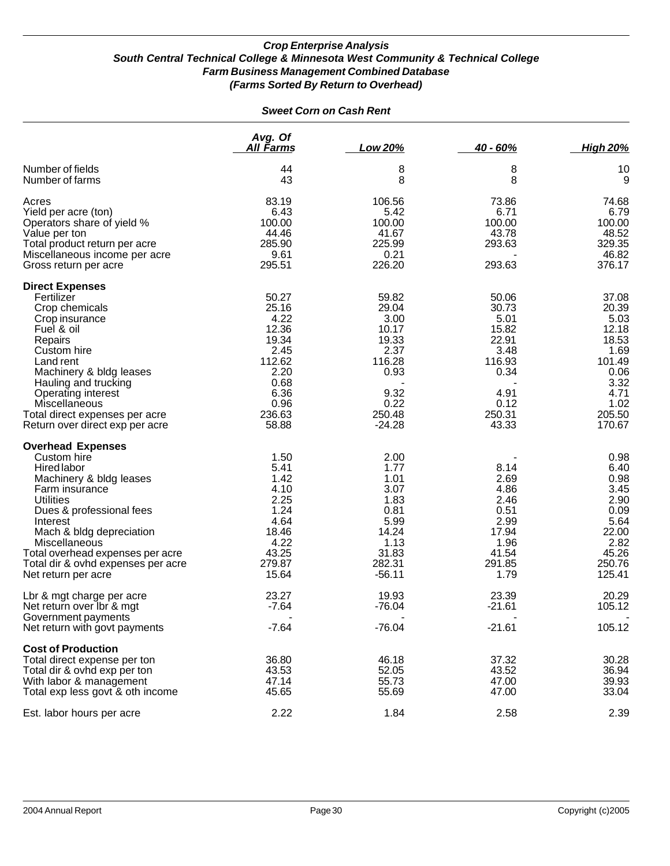| <b>Sweet Corn on Cash Rent</b> |  |  |  |  |
|--------------------------------|--|--|--|--|
|--------------------------------|--|--|--|--|

|                                                                                                                                                                                                                                                                                                                      | Avg. Of<br><u>All Farms</u>                                                                                   | Low 20%                                                                                                  | $40 - 60%$                                                                                            | <b>High 20%</b>                                                                                                |
|----------------------------------------------------------------------------------------------------------------------------------------------------------------------------------------------------------------------------------------------------------------------------------------------------------------------|---------------------------------------------------------------------------------------------------------------|----------------------------------------------------------------------------------------------------------|-------------------------------------------------------------------------------------------------------|----------------------------------------------------------------------------------------------------------------|
| Number of fields<br>Number of farms                                                                                                                                                                                                                                                                                  | 44<br>43                                                                                                      | 8<br>8                                                                                                   | 8<br>8                                                                                                | 10<br>9                                                                                                        |
| Acres<br>Yield per acre (ton)<br>Operators share of yield %<br>Value per ton<br>Total product return per acre<br>Miscellaneous income per acre<br>Gross return per acre                                                                                                                                              | 83.19<br>6.43<br>100.00<br>44.46<br>285.90<br>9.61<br>295.51                                                  | 106.56<br>5.42<br>100.00<br>41.67<br>225.99<br>0.21<br>226.20                                            | 73.86<br>6.71<br>100.00<br>43.78<br>293.63<br>293.63                                                  | 74.68<br>6.79<br>100.00<br>48.52<br>329.35<br>46.82<br>376.17                                                  |
| <b>Direct Expenses</b><br>Fertilizer<br>Crop chemicals<br>Crop insurance<br>Fuel & oil<br>Repairs<br>Custom hire<br>Land rent<br>Machinery & bldg leases<br>Hauling and trucking<br>Operating interest<br>Miscellaneous<br>Total direct expenses per acre<br>Return over direct exp per acre                         | 50.27<br>25.16<br>4.22<br>12.36<br>19.34<br>2.45<br>112.62<br>2.20<br>0.68<br>6.36<br>0.96<br>236.63<br>58.88 | 59.82<br>29.04<br>3.00<br>10.17<br>19.33<br>2.37<br>116.28<br>0.93<br>9.32<br>0.22<br>250.48<br>$-24.28$ | 50.06<br>30.73<br>5.01<br>15.82<br>22.91<br>3.48<br>116.93<br>0.34<br>4.91<br>0.12<br>250.31<br>43.33 | 37.08<br>20.39<br>5.03<br>12.18<br>18.53<br>1.69<br>101.49<br>0.06<br>3.32<br>4.71<br>1.02<br>205.50<br>170.67 |
| <b>Overhead Expenses</b><br>Custom hire<br><b>Hired labor</b><br>Machinery & bldg leases<br>Farm insurance<br><b>Utilities</b><br>Dues & professional fees<br>Interest<br>Mach & bldg depreciation<br>Miscellaneous<br>Total overhead expenses per acre<br>Total dir & ovhd expenses per acre<br>Net return per acre | 1.50<br>5.41<br>1.42<br>4.10<br>2.25<br>1.24<br>4.64<br>18.46<br>4.22<br>43.25<br>279.87<br>15.64             | 2.00<br>1.77<br>1.01<br>3.07<br>1.83<br>0.81<br>5.99<br>14.24<br>1.13<br>31.83<br>282.31<br>$-56.11$     | 8.14<br>2.69<br>4.86<br>2.46<br>0.51<br>2.99<br>17.94<br>1.96<br>41.54<br>291.85<br>1.79              | 0.98<br>6.40<br>0.98<br>3.45<br>2.90<br>0.09<br>5.64<br>22.00<br>2.82<br>45.26<br>250.76<br>125.41             |
| Lbr & mgt charge per acre<br>Net return over Ibr & mgt<br>Government payments<br>Net return with govt payments                                                                                                                                                                                                       | 23.27<br>$-7.64$<br>$-7.64$                                                                                   | 19.93<br>$-76.04$<br>$-76.04$                                                                            | 23.39<br>$-21.61$<br>$-21.61$                                                                         | 20.29<br>105.12<br>105.12                                                                                      |
| <b>Cost of Production</b><br>Total direct expense per ton<br>Total dir & ovhd exp per ton<br>With labor & management<br>Total exp less govt & oth income<br>Est. labor hours per acre                                                                                                                                | 36.80<br>43.53<br>47.14<br>45.65<br>2.22                                                                      | 46.18<br>52.05<br>55.73<br>55.69<br>1.84                                                                 | 37.32<br>43.52<br>47.00<br>47.00<br>2.58                                                              | 30.28<br>36.94<br>39.93<br>33.04<br>2.39                                                                       |
|                                                                                                                                                                                                                                                                                                                      |                                                                                                               |                                                                                                          |                                                                                                       |                                                                                                                |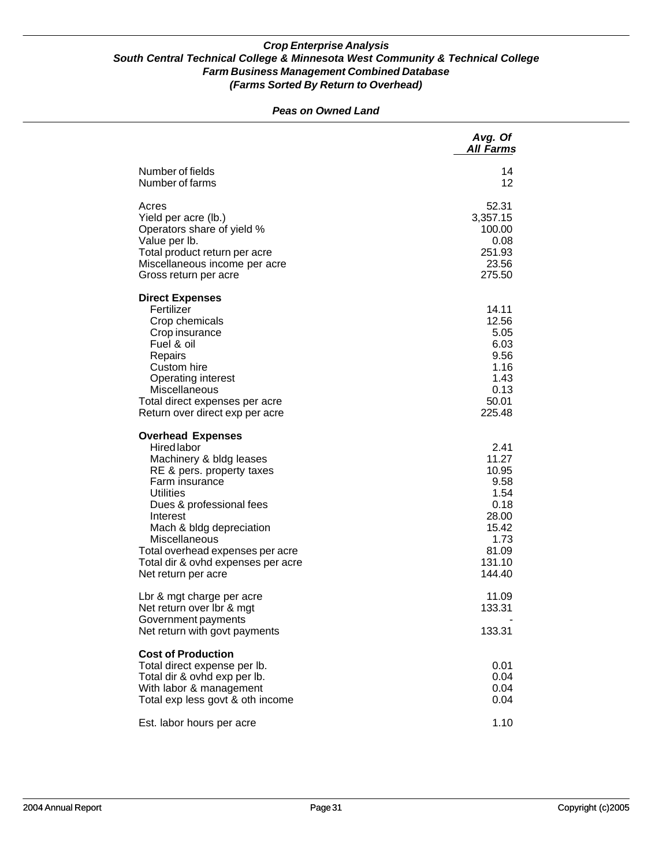#### *Peas on Owned Land*

|                                                                                                                                                                                                                                                                                                                                    | Avg. Of<br><b>All Farms</b>                                                                           |
|------------------------------------------------------------------------------------------------------------------------------------------------------------------------------------------------------------------------------------------------------------------------------------------------------------------------------------|-------------------------------------------------------------------------------------------------------|
| Number of fields<br>Number of farms                                                                                                                                                                                                                                                                                                | 14<br>12                                                                                              |
| Acres<br>Yield per acre (lb.)<br>Operators share of yield %<br>Value per lb.<br>Total product return per acre<br>Miscellaneous income per acre<br>Gross return per acre                                                                                                                                                            | 52.31<br>3,357.15<br>100.00<br>0.08<br>251.93<br>23.56<br>275.50                                      |
| <b>Direct Expenses</b><br>Fertilizer<br>Crop chemicals<br>Crop insurance<br>Fuel & oil<br>Repairs<br>Custom hire<br>Operating interest<br>Miscellaneous<br>Total direct expenses per acre<br>Return over direct exp per acre                                                                                                       | 14.11<br>12.56<br>5.05<br>6.03<br>9.56<br>1.16<br>1.43<br>0.13<br>50.01<br>225.48                     |
| <b>Overhead Expenses</b><br><b>Hired labor</b><br>Machinery & bldg leases<br>RE & pers. property taxes<br>Farm insurance<br><b>Utilities</b><br>Dues & professional fees<br>Interest<br>Mach & bldg depreciation<br>Miscellaneous<br>Total overhead expenses per acre<br>Total dir & ovhd expenses per acre<br>Net return per acre | 2.41<br>11.27<br>10.95<br>9.58<br>1.54<br>0.18<br>28.00<br>15.42<br>1.73<br>81.09<br>131.10<br>144.40 |
| Lbr & mgt charge per acre<br>Net return over Ibr & mgt<br>Government payments<br>Net return with govt payments                                                                                                                                                                                                                     | 11.09<br>133.31<br>133.31                                                                             |
| <b>Cost of Production</b><br>Total direct expense per lb.<br>Total dir & ovhd exp per lb.<br>With labor & management<br>Total exp less govt & oth income                                                                                                                                                                           | 0.01<br>0.04<br>0.04<br>0.04                                                                          |
| Est. labor hours per acre                                                                                                                                                                                                                                                                                                          | 1.10                                                                                                  |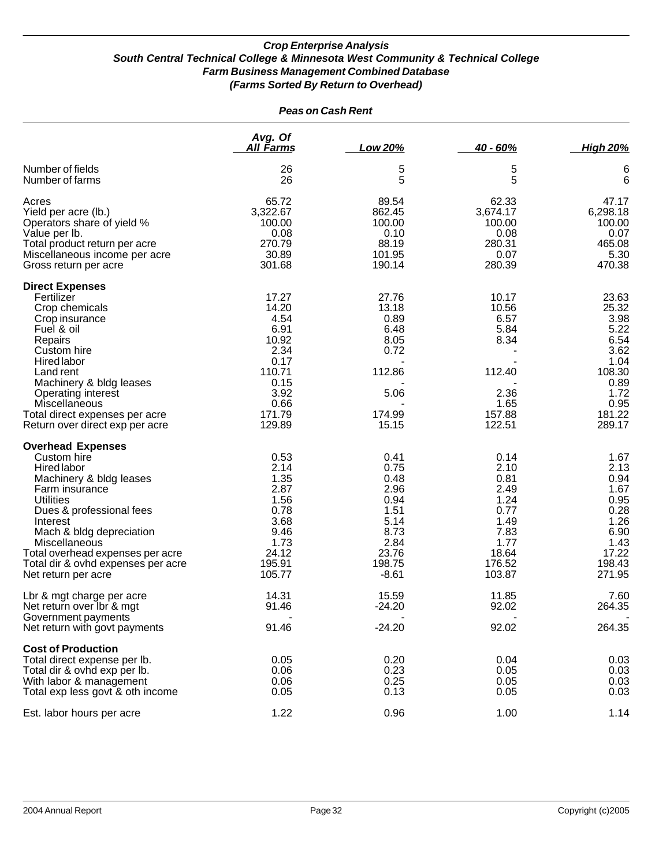| <b>Peas on Cash Rent</b>                                                                                                                                                                                                                                                                                      |                                                                                                               |                                                                                                    |                                                                                                   |                                                                                                              |
|---------------------------------------------------------------------------------------------------------------------------------------------------------------------------------------------------------------------------------------------------------------------------------------------------------------|---------------------------------------------------------------------------------------------------------------|----------------------------------------------------------------------------------------------------|---------------------------------------------------------------------------------------------------|--------------------------------------------------------------------------------------------------------------|
|                                                                                                                                                                                                                                                                                                               | Avg. Of<br>All Farms                                                                                          | <b>Low 20%</b>                                                                                     | $40 - 60%$                                                                                        | <b>High 20%</b>                                                                                              |
| Number of fields<br>Number of farms                                                                                                                                                                                                                                                                           | 26<br>26                                                                                                      | 5<br>5                                                                                             | 5<br>5                                                                                            | 6<br>$6\phantom{1}6$                                                                                         |
| Acres<br>Yield per acre (lb.)<br>Operators share of yield %<br>Value per lb.<br>Total product return per acre<br>Miscellaneous income per acre<br>Gross return per acre                                                                                                                                       | 65.72<br>3,322.67<br>100.00<br>0.08<br>270.79<br>30.89<br>301.68                                              | 89.54<br>862.45<br>100.00<br>0.10<br>88.19<br>101.95<br>190.14                                     | 62.33<br>3,674.17<br>100.00<br>0.08<br>280.31<br>0.07<br>280.39                                   | 47.17<br>6,298.18<br>100.00<br>0.07<br>465.08<br>5.30<br>470.38                                              |
| <b>Direct Expenses</b><br>Fertilizer<br>Crop chemicals<br>Crop insurance<br>Fuel & oil<br>Repairs<br>Custom hire<br><b>Hired labor</b><br>Land rent<br>Machinery & bldg leases<br>Operating interest<br>Miscellaneous<br>Total direct expenses per acre<br>Return over direct exp per acre                    | 17.27<br>14.20<br>4.54<br>6.91<br>10.92<br>2.34<br>0.17<br>110.71<br>0.15<br>3.92<br>0.66<br>171.79<br>129.89 | 27.76<br>13.18<br>0.89<br>6.48<br>8.05<br>0.72<br>112.86<br>5.06<br>174.99<br>15.15                | 10.17<br>10.56<br>6.57<br>5.84<br>8.34<br>112.40<br>2.36<br>1.65<br>157.88<br>122.51              | 23.63<br>25.32<br>3.98<br>5.22<br>6.54<br>3.62<br>1.04<br>108.30<br>0.89<br>1.72<br>0.95<br>181.22<br>289.17 |
| <b>Overhead Expenses</b><br>Custom hire<br>Hired labor<br>Machinery & bldg leases<br>Farm insurance<br><b>Utilities</b><br>Dues & professional fees<br>Interest<br>Mach & bldg depreciation<br>Miscellaneous<br>Total overhead expenses per acre<br>Total dir & ovhd expenses per acre<br>Net return per acre | 0.53<br>2.14<br>1.35<br>2.87<br>1.56<br>0.78<br>3.68<br>9.46<br>1.73<br>24.12<br>195.91<br>105.77             | 0.41<br>0.75<br>0.48<br>2.96<br>0.94<br>1.51<br>5.14<br>8.73<br>2.84<br>23.76<br>198.75<br>$-8.61$ | 0.14<br>2.10<br>0.81<br>2.49<br>1.24<br>0.77<br>1.49<br>7.83<br>1.77<br>18.64<br>176.52<br>103.87 | 1.67<br>2.13<br>0.94<br>1.67<br>0.95<br>0.28<br>1.26<br>6.90<br>1.43<br>17.22<br>198.43<br>271.95            |
| Lbr & mgt charge per acre<br>Net return over Ibr & mgt<br>Government payments                                                                                                                                                                                                                                 | 14.31<br>91.46                                                                                                | 15.59<br>$-24.20$                                                                                  | 11.85<br>92.02                                                                                    | 7.60<br>264.35                                                                                               |
| Net return with govt payments<br><b>Cost of Production</b><br>Total direct expense per lb.<br>Total dir & ovhd exp per lb.<br>With labor & management<br>Total exp less govt & oth income<br>Est. labor hours per acre                                                                                        | 91.46<br>0.05<br>0.06<br>0.06<br>0.05<br>1.22                                                                 | $-24.20$<br>0.20<br>0.23<br>0.25<br>0.13<br>0.96                                                   | 92.02<br>0.04<br>0.05<br>0.05<br>0.05<br>1.00                                                     | 264.35<br>0.03<br>0.03<br>0.03<br>0.03<br>1.14                                                               |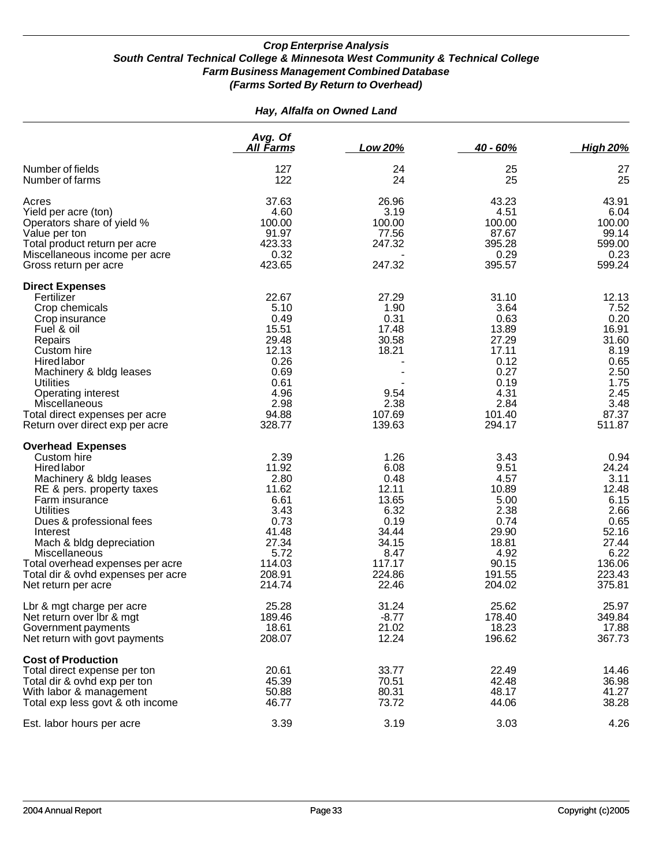#### *Hay, Alfalfa on Owned Land*

|                                                                                                                                                                                                                                                                                                                                            | Avg. Of<br>All Farms                                                                                           | Low 20%                                                                                                       | $40 - 60%$                                                                                                   | <b>High 20%</b>                                                                                                |
|--------------------------------------------------------------------------------------------------------------------------------------------------------------------------------------------------------------------------------------------------------------------------------------------------------------------------------------------|----------------------------------------------------------------------------------------------------------------|---------------------------------------------------------------------------------------------------------------|--------------------------------------------------------------------------------------------------------------|----------------------------------------------------------------------------------------------------------------|
| Number of fields<br>Number of farms                                                                                                                                                                                                                                                                                                        | 127<br>122                                                                                                     | 24<br>24                                                                                                      | 25<br>25                                                                                                     | 27<br>25                                                                                                       |
| Acres<br>Yield per acre (ton)<br>Operators share of yield %<br>Value per ton<br>Total product return per acre<br>Miscellaneous income per acre<br>Gross return per acre                                                                                                                                                                    | 37.63<br>4.60<br>100.00<br>91.97<br>423.33<br>0.32<br>423.65                                                   | 26.96<br>3.19<br>100.00<br>77.56<br>247.32<br>247.32                                                          | 43.23<br>4.51<br>100.00<br>87.67<br>395.28<br>0.29<br>395.57                                                 | 43.91<br>6.04<br>100.00<br>99.14<br>599.00<br>0.23<br>599.24                                                   |
| <b>Direct Expenses</b><br>Fertilizer<br>Crop chemicals<br>Crop insurance<br>Fuel & oil<br>Repairs<br>Custom hire<br>Hired labor<br>Machinery & bldg leases<br><b>Utilities</b><br>Operating interest<br>Miscellaneous<br>Total direct expenses per acre<br>Return over direct exp per acre                                                 | 22.67<br>5.10<br>0.49<br>15.51<br>29.48<br>12.13<br>0.26<br>0.69<br>0.61<br>4.96<br>2.98<br>94.88<br>328.77    | 27.29<br>1.90<br>0.31<br>17.48<br>30.58<br>18.21<br>9.54<br>2.38<br>107.69<br>139.63                          | 31.10<br>3.64<br>0.63<br>13.89<br>27.29<br>17.11<br>0.12<br>0.27<br>0.19<br>4.31<br>2.84<br>101.40<br>294.17 | 12.13<br>7.52<br>0.20<br>16.91<br>31.60<br>8.19<br>0.65<br>2.50<br>1.75<br>2.45<br>3.48<br>87.37<br>511.87     |
| <b>Overhead Expenses</b><br>Custom hire<br>Hired labor<br>Machinery & bldg leases<br>RE & pers. property taxes<br>Farm insurance<br><b>Utilities</b><br>Dues & professional fees<br>Interest<br>Mach & bldg depreciation<br>Miscellaneous<br>Total overhead expenses per acre<br>Total dir & ovhd expenses per acre<br>Net return per acre | 2.39<br>11.92<br>2.80<br>11.62<br>6.61<br>3.43<br>0.73<br>41.48<br>27.34<br>5.72<br>114.03<br>208.91<br>214.74 | 1.26<br>6.08<br>0.48<br>12.11<br>13.65<br>6.32<br>0.19<br>34.44<br>34.15<br>8.47<br>117.17<br>224.86<br>22.46 | 3.43<br>9.51<br>4.57<br>10.89<br>5.00<br>2.38<br>0.74<br>29.90<br>18.81<br>4.92<br>90.15<br>191.55<br>204.02 | 0.94<br>24.24<br>3.11<br>12.48<br>6.15<br>2.66<br>0.65<br>52.16<br>27.44<br>6.22<br>136.06<br>223.43<br>375.81 |
| Lbr & mgt charge per acre<br>Net return over lbr & mgt<br>Government payments<br>Net return with govt payments                                                                                                                                                                                                                             | 25.28<br>189.46<br>18.61<br>208.07                                                                             | 31.24<br>$-8.77$<br>21.02<br>12.24                                                                            | 25.62<br>178.40<br>18.23<br>196.62                                                                           | 25.97<br>349.84<br>17.88<br>367.73                                                                             |
| <b>Cost of Production</b><br>Total direct expense per ton<br>Total dir & ovhd exp per ton<br>With labor & management<br>Total exp less govt & oth income                                                                                                                                                                                   | 20.61<br>45.39<br>50.88<br>46.77                                                                               | 33.77<br>70.51<br>80.31<br>73.72                                                                              | 22.49<br>42.48<br>48.17<br>44.06                                                                             | 14.46<br>36.98<br>41.27<br>38.28                                                                               |
| Est. labor hours per acre                                                                                                                                                                                                                                                                                                                  | 3.39                                                                                                           | 3.19                                                                                                          | 3.03                                                                                                         | 4.26                                                                                                           |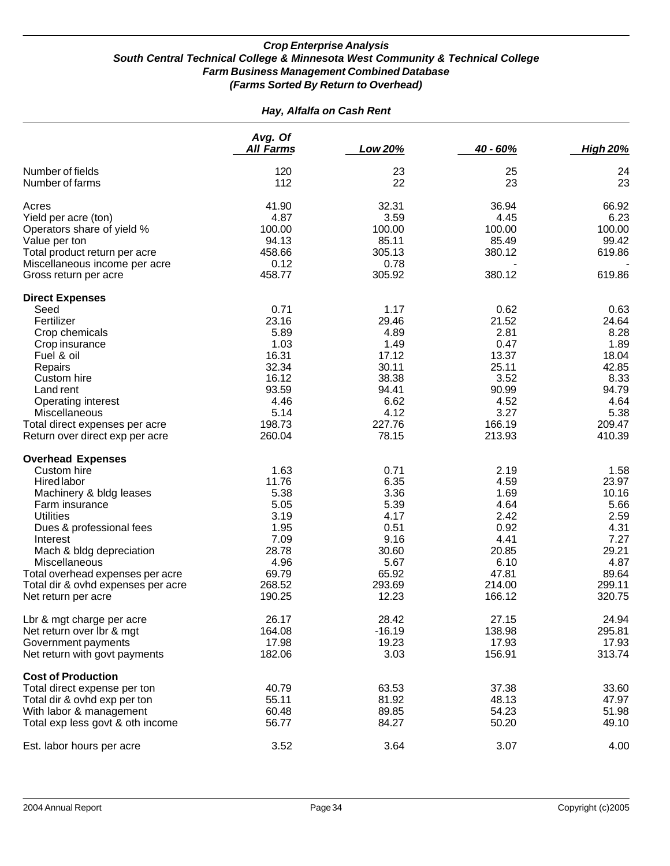| Hay, Alfalfa on Cash Rent          |                             |          |          |                 |
|------------------------------------|-----------------------------|----------|----------|-----------------|
|                                    | Avg. Of<br><b>All Farms</b> | Low 20%  | 40 - 60% | <b>High 20%</b> |
|                                    |                             |          |          |                 |
| Number of fields                   | 120                         | 23       | 25       | 24              |
| Number of farms                    | 112                         | 22       | 23       | 23              |
| Acres                              | 41.90                       | 32.31    | 36.94    | 66.92           |
| Yield per acre (ton)               | 4.87                        | 3.59     | 4.45     | 6.23            |
| Operators share of yield %         | 100.00                      | 100.00   | 100.00   | 100.00          |
| Value per ton                      | 94.13                       | 85.11    | 85.49    | 99.42           |
| Total product return per acre      | 458.66                      | 305.13   | 380.12   | 619.86          |
| Miscellaneous income per acre      | 0.12                        | 0.78     |          |                 |
| Gross return per acre              | 458.77                      | 305.92   | 380.12   | 619.86          |
| <b>Direct Expenses</b>             |                             |          |          |                 |
| Seed                               | 0.71                        | 1.17     | 0.62     | 0.63            |
| Fertilizer                         | 23.16                       | 29.46    | 21.52    | 24.64           |
| Crop chemicals                     | 5.89                        | 4.89     | 2.81     | 8.28            |
| Crop insurance                     | 1.03                        | 1.49     | 0.47     | 1.89            |
| Fuel & oil                         | 16.31                       | 17.12    | 13.37    | 18.04           |
| Repairs                            | 32.34                       | 30.11    | 25.11    | 42.85           |
| Custom hire                        | 16.12                       | 38.38    | 3.52     | 8.33            |
| Land rent                          | 93.59                       | 94.41    | 90.99    | 94.79           |
| <b>Operating interest</b>          | 4.46                        | 6.62     | 4.52     | 4.64            |
| Miscellaneous                      | 5.14                        | 4.12     | 3.27     | 5.38            |
| Total direct expenses per acre     | 198.73                      | 227.76   | 166.19   | 209.47          |
| Return over direct exp per acre    | 260.04                      | 78.15    | 213.93   | 410.39          |
| <b>Overhead Expenses</b>           |                             |          |          |                 |
| Custom hire                        | 1.63                        | 0.71     | 2.19     | 1.58            |
| Hired labor                        | 11.76                       | 6.35     | 4.59     | 23.97           |
| Machinery & bldg leases            | 5.38                        | 3.36     | 1.69     | 10.16           |
| Farm insurance                     | 5.05                        | 5.39     | 4.64     | 5.66            |
| <b>Utilities</b>                   | 3.19                        | 4.17     | 2.42     | 2.59            |
| Dues & professional fees           | 1.95                        | 0.51     | 0.92     | 4.31            |
| Interest                           | 7.09                        | 9.16     | 4.41     | 7.27            |
| Mach & bldg depreciation           | 28.78                       | 30.60    | 20.85    | 29.21           |
| Miscellaneous                      | 4.96                        | 5.67     | 6.10     | 4.87            |
| Total overhead expenses per acre   | 69.79                       | 65.92    | 47.81    | 89.64           |
| Total dir & ovhd expenses per acre | 268.52                      | 293.69   | 214.00   | 299.11          |
| Net return per acre                | 190.25                      | 12.23    | 166.12   | 320.75          |
| Lbr & mgt charge per acre          | 26.17                       | 28.42    | 27.15    | 24.94           |
| Net return over Ibr & mgt          | 164.08                      | $-16.19$ | 138.98   | 295.81          |
| Government payments                | 17.98                       | 19.23    | 17.93    | 17.93           |
| Net return with govt payments      | 182.06                      | 3.03     | 156.91   | 313.74          |
| <b>Cost of Production</b>          |                             |          |          |                 |
| Total direct expense per ton       | 40.79                       | 63.53    | 37.38    | 33.60           |
| Total dir & ovhd exp per ton       | 55.11                       | 81.92    | 48.13    | 47.97           |
| With labor & management            | 60.48                       | 89.85    | 54.23    | 51.98           |
| Total exp less govt & oth income   | 56.77                       | 84.27    | 50.20    | 49.10           |
| Est. labor hours per acre          | 3.52                        | 3.64     | 3.07     | 4.00            |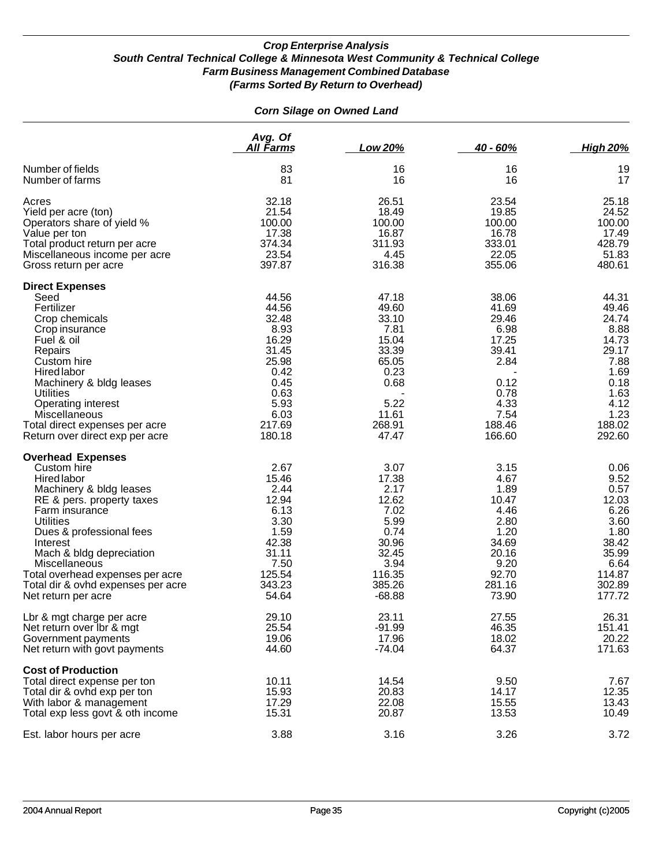#### *Corn Silage on Owned Land*

|                                                                                                                                                                                                                                                                                                                                                   | Avg. Of<br>All Farms                                                                                                   | Low 20%                                                                                                          | $40 - 60%$                                                                                                    | <b>High 20%</b>                                                                                                       |
|---------------------------------------------------------------------------------------------------------------------------------------------------------------------------------------------------------------------------------------------------------------------------------------------------------------------------------------------------|------------------------------------------------------------------------------------------------------------------------|------------------------------------------------------------------------------------------------------------------|---------------------------------------------------------------------------------------------------------------|-----------------------------------------------------------------------------------------------------------------------|
| Number of fields<br>Number of farms                                                                                                                                                                                                                                                                                                               | 83<br>81                                                                                                               | 16<br>16                                                                                                         | 16<br>16                                                                                                      | 19<br>17                                                                                                              |
| Acres<br>Yield per acre (ton)<br>Operators share of yield %<br>Value per ton<br>Total product return per acre<br>Miscellaneous income per acre<br>Gross return per acre                                                                                                                                                                           | 32.18<br>21.54<br>100.00<br>17.38<br>374.34<br>23.54<br>397.87                                                         | 26.51<br>18.49<br>100.00<br>16.87<br>311.93<br>4.45<br>316.38                                                    | 23.54<br>19.85<br>100.00<br>16.78<br>333.01<br>22.05<br>355.06                                                | 25.18<br>24.52<br>100.00<br>17.49<br>428.79<br>51.83<br>480.61                                                        |
| <b>Direct Expenses</b><br>Seed<br>Fertilizer<br>Crop chemicals<br>Crop insurance<br>Fuel & oil<br>Repairs<br>Custom hire<br><b>Hired labor</b><br>Machinery & bldg leases<br><b>Utilities</b><br><b>Operating interest</b><br>Miscellaneous<br>Total direct expenses per acre<br>Return over direct exp per acre                                  | 44.56<br>44.56<br>32.48<br>8.93<br>16.29<br>31.45<br>25.98<br>0.42<br>0.45<br>0.63<br>5.93<br>6.03<br>217.69<br>180.18 | 47.18<br>49.60<br>33.10<br>7.81<br>15.04<br>33.39<br>65.05<br>0.23<br>0.68<br>5.22<br>11.61<br>268.91<br>47.47   | 38.06<br>41.69<br>29.46<br>6.98<br>17.25<br>39.41<br>2.84<br>0.12<br>0.78<br>4.33<br>7.54<br>188.46<br>166.60 | 44.31<br>49.46<br>24.74<br>8.88<br>14.73<br>29.17<br>7.88<br>1.69<br>0.18<br>1.63<br>4.12<br>1.23<br>188.02<br>292.60 |
| <b>Overhead Expenses</b><br>Custom hire<br><b>Hired labor</b><br>Machinery & bldg leases<br>RE & pers. property taxes<br>Farm insurance<br><b>Utilities</b><br>Dues & professional fees<br>Interest<br>Mach & bldg depreciation<br>Miscellaneous<br>Total overhead expenses per acre<br>Total dir & ovhd expenses per acre<br>Net return per acre | 2.67<br>15.46<br>2.44<br>12.94<br>6.13<br>3.30<br>1.59<br>42.38<br>31.11<br>7.50<br>125.54<br>343.23<br>54.64          | 3.07<br>17.38<br>2.17<br>12.62<br>7.02<br>5.99<br>0.74<br>30.96<br>32.45<br>3.94<br>116.35<br>385.26<br>$-68.88$ | 3.15<br>4.67<br>1.89<br>10.47<br>4.46<br>2.80<br>1.20<br>34.69<br>20.16<br>9.20<br>92.70<br>281.16<br>73.90   | 0.06<br>9.52<br>0.57<br>12.03<br>6.26<br>3.60<br>1.80<br>38.42<br>35.99<br>6.64<br>114.87<br>302.89<br>177.72         |
| Lbr & mgt charge per acre<br>Net return over Ibr & mgt<br>Government payments<br>Net return with govt payments                                                                                                                                                                                                                                    | 29.10<br>25.54<br>19.06<br>44.60                                                                                       | 23.11<br>$-91.99$<br>17.96<br>$-74.04$                                                                           | 27.55<br>46.35<br>18.02<br>64.37                                                                              | 26.31<br>151.41<br>20.22<br>171.63                                                                                    |
| <b>Cost of Production</b><br>Total direct expense per ton<br>Total dir & ovhd exp per ton<br>With labor & management<br>Total exp less govt & oth income                                                                                                                                                                                          | 10.11<br>15.93<br>17.29<br>15.31                                                                                       | 14.54<br>20.83<br>22.08<br>20.87                                                                                 | 9.50<br>14.17<br>15.55<br>13.53                                                                               | 7.67<br>12.35<br>13.43<br>10.49                                                                                       |
| Est. labor hours per acre                                                                                                                                                                                                                                                                                                                         | 3.88                                                                                                                   | 3.16                                                                                                             | 3.26                                                                                                          | 3.72                                                                                                                  |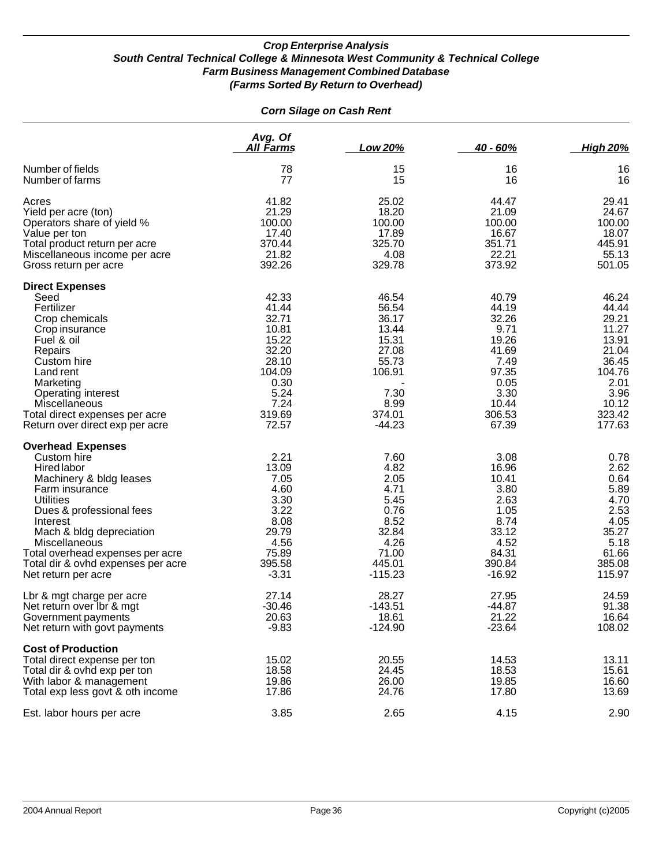| <b>Corn Silage on Cash Rent</b>                                                                                                                                                                                                                                                                               |                                                                                                                  |                                                                                                             |                                                                                                                |                                                                                                                    |  |
|---------------------------------------------------------------------------------------------------------------------------------------------------------------------------------------------------------------------------------------------------------------------------------------------------------------|------------------------------------------------------------------------------------------------------------------|-------------------------------------------------------------------------------------------------------------|----------------------------------------------------------------------------------------------------------------|--------------------------------------------------------------------------------------------------------------------|--|
|                                                                                                                                                                                                                                                                                                               | Avg. Of<br><u>All Farms</u>                                                                                      | Low 20%                                                                                                     | 40 - 60%                                                                                                       | <b>High 20%</b>                                                                                                    |  |
| Number of fields<br>Number of farms                                                                                                                                                                                                                                                                           | 78<br>77                                                                                                         | 15<br>15                                                                                                    | 16<br>16                                                                                                       | 16<br>16                                                                                                           |  |
| Acres<br>Yield per acre (ton)<br>Operators share of yield %<br>Value per ton<br>Total product return per acre<br>Miscellaneous income per acre<br>Gross return per acre                                                                                                                                       | 41.82<br>21.29<br>100.00<br>17.40<br>370.44<br>21.82<br>392.26                                                   | 25.02<br>18.20<br>100.00<br>17.89<br>325.70<br>4.08<br>329.78                                               | 44.47<br>21.09<br>100.00<br>16.67<br>351.71<br>22.21<br>373.92                                                 | 29.41<br>24.67<br>100.00<br>18.07<br>445.91<br>55.13<br>501.05                                                     |  |
| <b>Direct Expenses</b><br>Seed<br>Fertilizer<br>Crop chemicals<br>Crop insurance<br>Fuel & oil<br>Repairs<br>Custom hire<br>Land rent<br>Marketing<br>Operating interest<br><b>Miscellaneous</b><br>Total direct expenses per acre<br>Return over direct exp per acre                                         | 42.33<br>41.44<br>32.71<br>10.81<br>15.22<br>32.20<br>28.10<br>104.09<br>0.30<br>5.24<br>7.24<br>319.69<br>72.57 | 46.54<br>56.54<br>36.17<br>13.44<br>15.31<br>27.08<br>55.73<br>106.91<br>7.30<br>8.99<br>374.01<br>$-44.23$ | 40.79<br>44.19<br>32.26<br>9.71<br>19.26<br>41.69<br>7.49<br>97.35<br>0.05<br>3.30<br>10.44<br>306.53<br>67.39 | 46.24<br>44.44<br>29.21<br>11.27<br>13.91<br>21.04<br>36.45<br>104.76<br>2.01<br>3.96<br>10.12<br>323.42<br>177.63 |  |
| <b>Overhead Expenses</b><br>Custom hire<br>Hired labor<br>Machinery & bldg leases<br>Farm insurance<br><b>Utilities</b><br>Dues & professional fees<br>Interest<br>Mach & bldg depreciation<br>Miscellaneous<br>Total overhead expenses per acre<br>Total dir & ovhd expenses per acre<br>Net return per acre | 2.21<br>13.09<br>7.05<br>4.60<br>3.30<br>3.22<br>8.08<br>29.79<br>4.56<br>75.89<br>395.58<br>$-3.31$             | 7.60<br>4.82<br>2.05<br>4.71<br>5.45<br>0.76<br>8.52<br>32.84<br>4.26<br>71.00<br>445.01<br>$-115.23$       | 3.08<br>16.96<br>10.41<br>3.80<br>2.63<br>1.05<br>8.74<br>33.12<br>4.52<br>84.31<br>390.84<br>$-16.92$         | 0.78<br>2.62<br>0.64<br>5.89<br>4.70<br>2.53<br>4.05<br>35.27<br>5.18<br>61.66<br>385.08<br>115.97                 |  |
| Lbr & mgt charge per acre<br>Net return over lbr & mgt<br>Government payments<br>Net return with govt payments                                                                                                                                                                                                | 27.14<br>$-30.46$<br>20.63<br>$-9.83$                                                                            | 28.27<br>$-143.51$<br>18.61<br>$-124.90$                                                                    | 27.95<br>-44.87<br>21.22<br>$-23.64$                                                                           | 24.59<br>91.38<br>16.64<br>108.02                                                                                  |  |
| <b>Cost of Production</b><br>Total direct expense per ton<br>Total dir & ovhd exp per ton<br>With labor & management<br>Total exp less govt & oth income                                                                                                                                                      | 15.02<br>18.58<br>19.86<br>17.86                                                                                 | 20.55<br>24.45<br>26.00<br>24.76                                                                            | 14.53<br>18.53<br>19.85<br>17.80                                                                               | 13.11<br>15.61<br>16.60<br>13.69                                                                                   |  |
| Est. labor hours per acre                                                                                                                                                                                                                                                                                     | 3.85                                                                                                             | 2.65                                                                                                        | 4.15                                                                                                           | 2.90                                                                                                               |  |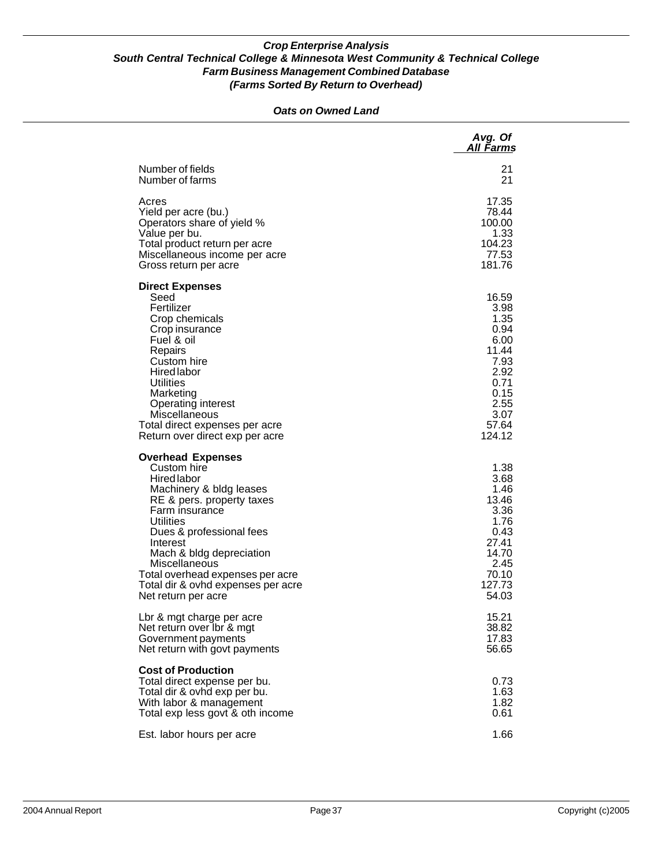#### *Oats on Owned Land*

|                                                                                                                                                                                                                                                                                                                                                   | Avg. Of<br>All Farms                                                                                              |
|---------------------------------------------------------------------------------------------------------------------------------------------------------------------------------------------------------------------------------------------------------------------------------------------------------------------------------------------------|-------------------------------------------------------------------------------------------------------------------|
| Number of fields<br>Number of farms                                                                                                                                                                                                                                                                                                               | 21<br>21                                                                                                          |
| Acres<br>Yield per acre (bu.)<br>Operators share of yield %<br>Value per bu.<br>Total product return per acre<br>Miscellaneous income per acre<br>Gross return per acre                                                                                                                                                                           | 17.35<br>78.44<br>100.00<br>1.33<br>104.23<br>77.53<br>181.76                                                     |
| <b>Direct Expenses</b><br>Seed<br>Fertilizer<br>Crop chemicals<br>Crop insurance<br>Fuel & oil<br>Repairs<br>Custom hire<br><b>Hired labor</b><br><b>Utilities</b><br>Marketing<br>Operating interest<br>Miscellaneous<br>Total direct expenses per acre<br>Return over direct exp per acre                                                       | 16.59<br>3.98<br>1.35<br>0.94<br>6.00<br>11.44<br>7.93<br>2.92<br>0.71<br>0.15<br>2.55<br>3.07<br>57.64<br>124.12 |
| <b>Overhead Expenses</b><br>Custom hire<br><b>Hired labor</b><br>Machinery & bldg leases<br>RE & pers. property taxes<br>Farm insurance<br><b>Utilities</b><br>Dues & professional fees<br>Interest<br>Mach & bldg depreciation<br>Miscellaneous<br>Total overhead expenses per acre<br>Total dir & ovhd expenses per acre<br>Net return per acre | 1.38<br>3.68<br>1.46<br>13.46<br>3.36<br>1.76<br>0.43<br>27.41<br>14.70<br>2.45<br>70.10<br>127.73<br>54.03       |
| Lbr & mgt charge per acre<br>Net return over Ibr & mgt<br>Government payments<br>Net return with govt payments                                                                                                                                                                                                                                    | 15.21<br>38.82<br>17.83<br>56.65                                                                                  |
| <b>Cost of Production</b><br>Total direct expense per bu.<br>Total dir & ovhd exp per bu.<br>With labor & management<br>Total exp less govt & oth income                                                                                                                                                                                          | 0.73<br>1.63<br>1.82<br>0.61                                                                                      |
| Est. labor hours per acre                                                                                                                                                                                                                                                                                                                         | 1.66                                                                                                              |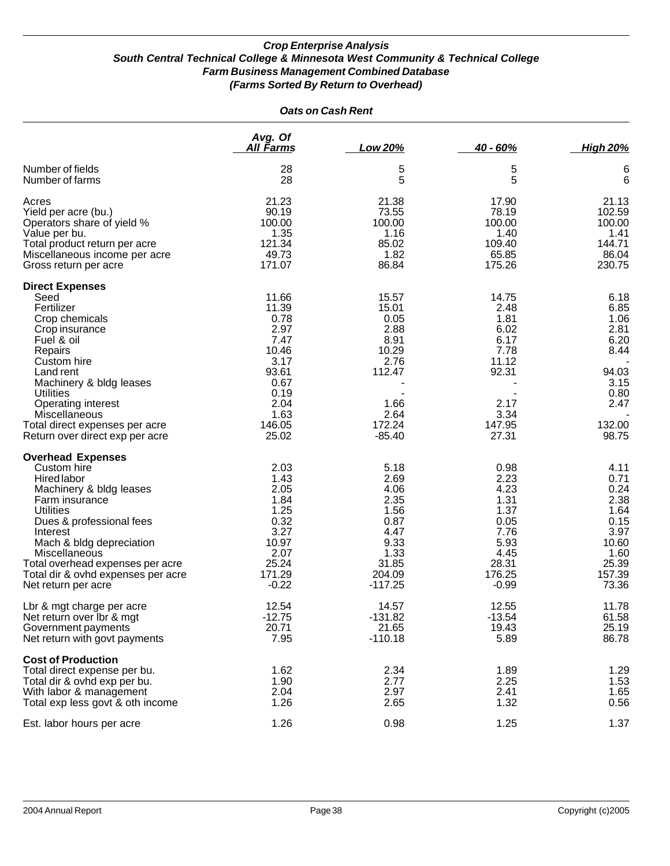| <b>Oats on Cash Rent</b>                                                                                                                                                                                                                                                                               |                                                                                                                     |                                                                                                         |                                                                                                    |                                                                                                   |  |
|--------------------------------------------------------------------------------------------------------------------------------------------------------------------------------------------------------------------------------------------------------------------------------------------------------|---------------------------------------------------------------------------------------------------------------------|---------------------------------------------------------------------------------------------------------|----------------------------------------------------------------------------------------------------|---------------------------------------------------------------------------------------------------|--|
|                                                                                                                                                                                                                                                                                                        | Avg. Of<br><u>All Farms</u>                                                                                         | <b>Low 20%</b>                                                                                          | $40 - 60%$                                                                                         | <b>High 20%</b>                                                                                   |  |
| Number of fields<br>Number of farms                                                                                                                                                                                                                                                                    | 28<br>28                                                                                                            | 5<br>5                                                                                                  | 5<br>5                                                                                             | 6<br>6                                                                                            |  |
| Acres<br>Yield per acre (bu.)<br>Operators share of yield %<br>Value per bu.<br>Total product return per acre<br>Miscellaneous income per acre<br>Gross return per acre                                                                                                                                | 21.23<br>90.19<br>100.00<br>1.35<br>121.34<br>49.73<br>171.07                                                       | 21.38<br>73.55<br>100.00<br>1.16<br>85.02<br>1.82<br>86.84                                              | 17.90<br>78.19<br>100.00<br>1.40<br>109.40<br>65.85<br>175.26                                      | 21.13<br>102.59<br>100.00<br>1.41<br>144.71<br>86.04<br>230.75                                    |  |
| <b>Direct Expenses</b><br>Seed<br>Fertilizer<br>Crop chemicals<br>Crop insurance<br>Fuel & oil<br>Repairs<br>Custom hire<br>Land rent<br>Machinery & bldg leases<br><b>Utilities</b><br>Operating interest<br>Miscellaneous<br>Total direct expenses per acre<br>Return over direct exp per acre       | 11.66<br>11.39<br>0.78<br>2.97<br>7.47<br>10.46<br>3.17<br>93.61<br>0.67<br>0.19<br>2.04<br>1.63<br>146.05<br>25.02 | 15.57<br>15.01<br>0.05<br>2.88<br>8.91<br>10.29<br>2.76<br>112.47<br>1.66<br>2.64<br>172.24<br>$-85.40$ | 14.75<br>2.48<br>1.81<br>6.02<br>6.17<br>7.78<br>11.12<br>92.31<br>2.17<br>3.34<br>147.95<br>27.31 | 6.18<br>6.85<br>1.06<br>2.81<br>6.20<br>8.44<br>94.03<br>3.15<br>0.80<br>2.47<br>132.00<br>98.75  |  |
| <b>Overhead Expenses</b><br>Custom hire<br>Hired labor<br>Machinery & bldg leases<br>Farm insurance<br>Utilities<br>Dues & professional fees<br>Interest<br>Mach & bldg depreciation<br>Miscellaneous<br>Total overhead expenses per acre<br>Total dir & ovhd expenses per acre<br>Net return per acre | 2.03<br>1.43<br>2.05<br>1.84<br>1.25<br>0.32<br>3.27<br>10.97<br>2.07<br>25.24<br>171.29<br>$-0.22$                 | 5.18<br>2.69<br>4.06<br>2.35<br>1.56<br>0.87<br>4.47<br>9.33<br>1.33<br>31.85<br>204.09<br>$-117.25$    | 0.98<br>2.23<br>4.23<br>1.31<br>1.37<br>0.05<br>7.76<br>5.93<br>4.45<br>28.31<br>176.25<br>$-0.99$ | 4.11<br>0.71<br>0.24<br>2.38<br>1.64<br>0.15<br>3.97<br>10.60<br>1.60<br>25.39<br>157.39<br>73.36 |  |
| Lbr & mgt charge per acre<br>Net return over Ibr & mgt<br>Government payments<br>Net return with govt payments                                                                                                                                                                                         | 12.54<br>$-12.75$<br>20.71<br>7.95                                                                                  | 14.57<br>$-131.82$<br>21.65<br>$-110.18$                                                                | 12.55<br>$-13.54$<br>19.43<br>5.89                                                                 | 11.78<br>61.58<br>25.19<br>86.78                                                                  |  |
| <b>Cost of Production</b><br>Total direct expense per bu.<br>Total dir & ovhd exp per bu.<br>With labor & management<br>Total exp less govt & oth income                                                                                                                                               | 1.62<br>1.90<br>2.04<br>1.26                                                                                        | 2.34<br>2.77<br>2.97<br>2.65                                                                            | 1.89<br>2.25<br>2.41<br>1.32                                                                       | 1.29<br>1.53<br>1.65<br>0.56                                                                      |  |
| Est. labor hours per acre                                                                                                                                                                                                                                                                              | 1.26                                                                                                                | 0.98                                                                                                    | 1.25                                                                                               | 1.37                                                                                              |  |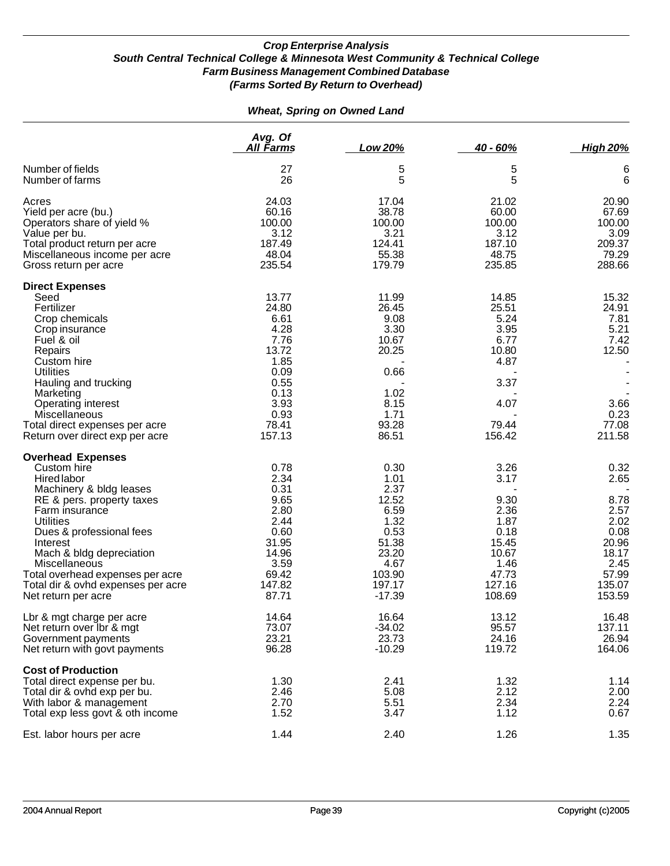### *Wheat, Spring on Owned Land*

|                                                                                                                                                                                                                                                                                                                                                   | Avg. Of<br><u>All Farms</u>                                                                                        | Low 20%                                                                                                         | 40 - 60%                                                                                            | <b>High 20%</b>                                                                                     |
|---------------------------------------------------------------------------------------------------------------------------------------------------------------------------------------------------------------------------------------------------------------------------------------------------------------------------------------------------|--------------------------------------------------------------------------------------------------------------------|-----------------------------------------------------------------------------------------------------------------|-----------------------------------------------------------------------------------------------------|-----------------------------------------------------------------------------------------------------|
| Number of fields<br>Number of farms                                                                                                                                                                                                                                                                                                               | 27<br>26                                                                                                           | 5<br>5                                                                                                          | 5<br>5                                                                                              | 6<br>6                                                                                              |
| Acres<br>Yield per acre (bu.)<br>Operators share of yield %<br>Value per bu.<br>Total product return per acre<br>Miscellaneous income per acre<br>Gross return per acre                                                                                                                                                                           | 24.03<br>60.16<br>100.00<br>3.12<br>187.49<br>48.04<br>235.54                                                      | 17.04<br>38.78<br>100.00<br>3.21<br>124.41<br>55.38<br>179.79                                                   | 21.02<br>60.00<br>100.00<br>3.12<br>187.10<br>48.75<br>235.85                                       | 20.90<br>67.69<br>100.00<br>3.09<br>209.37<br>79.29<br>288.66                                       |
| <b>Direct Expenses</b><br>Seed<br>Fertilizer<br>Crop chemicals<br>Crop insurance<br>Fuel & oil<br>Repairs<br>Custom hire<br><b>Utilities</b><br>Hauling and trucking<br>Marketing<br>Operating interest<br>Miscellaneous<br>Total direct expenses per acre<br>Return over direct exp per acre                                                     | 13.77<br>24.80<br>6.61<br>4.28<br>7.76<br>13.72<br>1.85<br>0.09<br>0.55<br>0.13<br>3.93<br>0.93<br>78.41<br>157.13 | 11.99<br>26.45<br>9.08<br>3.30<br>10.67<br>20.25<br>0.66<br>1.02<br>8.15<br>1.71<br>93.28<br>86.51              | 14.85<br>25.51<br>5.24<br>3.95<br>6.77<br>10.80<br>4.87<br>3.37<br>4.07<br>79.44<br>156.42          | 15.32<br>24.91<br>7.81<br>5.21<br>7.42<br>12.50<br>3.66<br>0.23<br>77.08<br>211.58                  |
| <b>Overhead Expenses</b><br>Custom hire<br><b>Hired labor</b><br>Machinery & bldg leases<br>RE & pers. property taxes<br>Farm insurance<br><b>Utilities</b><br>Dues & professional fees<br>Interest<br>Mach & bldg depreciation<br>Miscellaneous<br>Total overhead expenses per acre<br>Total dir & ovhd expenses per acre<br>Net return per acre | 0.78<br>2.34<br>0.31<br>9.65<br>2.80<br>2.44<br>0.60<br>31.95<br>14.96<br>3.59<br>69.42<br>147.82<br>87.71         | 0.30<br>1.01<br>2.37<br>12.52<br>6.59<br>1.32<br>0.53<br>51.38<br>23.20<br>4.67<br>103.90<br>197.17<br>$-17.39$ | 3.26<br>3.17<br>9.30<br>2.36<br>1.87<br>0.18<br>15.45<br>10.67<br>1.46<br>47.73<br>127.16<br>108.69 | 0.32<br>2.65<br>8.78<br>2.57<br>2.02<br>0.08<br>20.96<br>18.17<br>2.45<br>57.99<br>135.07<br>153.59 |
| Lbr & mgt charge per acre<br>Net return over Ibr & mgt<br>Government payments<br>Net return with govt payments                                                                                                                                                                                                                                    | 14.64<br>73.07<br>23.21<br>96.28                                                                                   | 16.64<br>$-34.02$<br>23.73<br>$-10.29$                                                                          | 13.12<br>95.57<br>24.16<br>119.72                                                                   | 16.48<br>137.11<br>26.94<br>164.06                                                                  |
| <b>Cost of Production</b><br>Total direct expense per bu.<br>Total dir & ovhd exp per bu.<br>With labor & management<br>Total exp less govt & oth income                                                                                                                                                                                          | 1.30<br>2.46<br>2.70<br>1.52                                                                                       | 2.41<br>5.08<br>5.51<br>3.47                                                                                    | 1.32<br>2.12<br>2.34<br>1.12                                                                        | 1.14<br>2.00<br>2.24<br>0.67                                                                        |
| Est. labor hours per acre                                                                                                                                                                                                                                                                                                                         | 1.44                                                                                                               | 2.40                                                                                                            | 1.26                                                                                                | 1.35                                                                                                |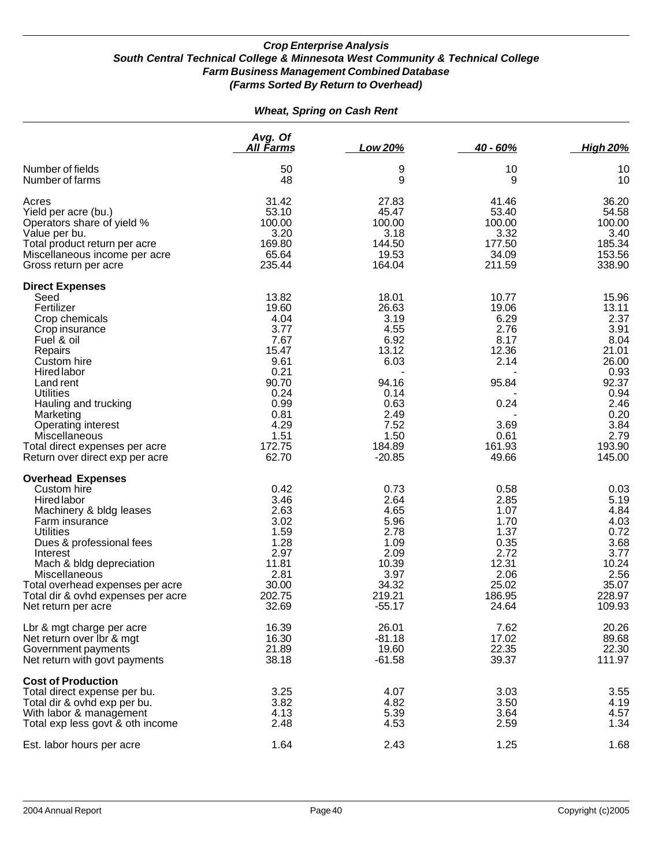|  |  | <b>Wheat, Spring on Cash Rent</b> |  |
|--|--|-----------------------------------|--|
|--|--|-----------------------------------|--|

|                                                                                                                                                                                                                                                                                                                                  | Avg. Of<br>All Farms                                                                                                                | Low 20%                                                                                                                        | $40 - 60%$                                                                                                  | <b>High 20%</b>                                                                                                                       |
|----------------------------------------------------------------------------------------------------------------------------------------------------------------------------------------------------------------------------------------------------------------------------------------------------------------------------------|-------------------------------------------------------------------------------------------------------------------------------------|--------------------------------------------------------------------------------------------------------------------------------|-------------------------------------------------------------------------------------------------------------|---------------------------------------------------------------------------------------------------------------------------------------|
| Number of fields<br>Number of farms                                                                                                                                                                                                                                                                                              | 50<br>48                                                                                                                            | 9<br>9                                                                                                                         | 10<br>9                                                                                                     | 10<br>10                                                                                                                              |
| Acres<br>Yield per acre (bu.)<br>Operators share of yield %<br>Value per bu.<br>Total product return per acre<br>Miscellaneous income per acre<br>Gross return per acre                                                                                                                                                          | 31.42<br>53.10<br>100.00<br>3.20<br>169.80<br>65.64<br>235.44                                                                       | 27.83<br>45.47<br>100.00<br>3.18<br>144.50<br>19.53<br>164.04                                                                  | 41.46<br>53.40<br>100.00<br>3.32<br>177.50<br>34.09<br>211.59                                               | 36.20<br>54.58<br>100.00<br>3.40<br>185.34<br>153.56<br>338.90                                                                        |
| <b>Direct Expenses</b><br>Seed<br>Fertilizer<br>Crop chemicals<br>Crop insurance<br>Fuel & oil<br>Repairs<br>Custom hire<br><b>Hired labor</b><br>Land rent<br><b>Utilities</b><br>Hauling and trucking<br>Marketing<br>Operating interest<br>Miscellaneous<br>Total direct expenses per acre<br>Return over direct exp per acre | 13.82<br>19.60<br>4.04<br>3.77<br>7.67<br>15.47<br>9.61<br>0.21<br>90.70<br>0.24<br>0.99<br>0.81<br>4.29<br>1.51<br>172.75<br>62.70 | 18.01<br>26.63<br>3.19<br>4.55<br>6.92<br>13.12<br>6.03<br>94.16<br>0.14<br>0.63<br>2.49<br>7.52<br>1.50<br>184.89<br>$-20.85$ | 10.77<br>19.06<br>6.29<br>2.76<br>8.17<br>12.36<br>2.14<br>95.84<br>0.24<br>3.69<br>0.61<br>161.93<br>49.66 | 15.96<br>13.11<br>2.37<br>3.91<br>8.04<br>21.01<br>26.00<br>0.93<br>92.37<br>0.94<br>2.46<br>0.20<br>3.84<br>2.79<br>193.90<br>145.00 |
| <b>Overhead Expenses</b><br>Custom hire<br><b>Hired labor</b><br>Machinery & bldg leases<br>Farm insurance<br><b>Utilities</b><br>Dues & professional fees<br>Interest<br>Mach & bldg depreciation<br>Miscellaneous<br>Total overhead expenses per acre<br>Total dir & ovhd expenses per acre<br>Net return per acre             | 0.42<br>3.46<br>2.63<br>3.02<br>1.59<br>1.28<br>2.97<br>11.81<br>2.81<br>30.00<br>202.75<br>32.69                                   | 0.73<br>2.64<br>4.65<br>5.96<br>2.78<br>1.09<br>2.09<br>10.39<br>3.97<br>34.32<br>219.21<br>$-55.17$                           | 0.58<br>2.85<br>1.07<br>1.70<br>1.37<br>0.35<br>2.72<br>12.31<br>2.06<br>25.02<br>186.95<br>24.64           | 0.03<br>5.19<br>4.84<br>4.03<br>0.72<br>3.68<br>3.77<br>10.24<br>2.56<br>35.07<br>228.97<br>109.93                                    |
| Lbr & mgt charge per acre<br>Net return over Ibr & mgt<br>Government payments<br>Net return with govt payments                                                                                                                                                                                                                   | 16.39<br>16.30<br>21.89<br>38.18                                                                                                    | 26.01<br>$-81.18$<br>19.60<br>$-61.58$                                                                                         | 7.62<br>17.02<br>22.35<br>39.37                                                                             | 20.26<br>89.68<br>22.30<br>111.97                                                                                                     |
| <b>Cost of Production</b><br>Total direct expense per bu.<br>Total dir & ovhd exp per bu.<br>With labor & management<br>Total exp less govt & oth income                                                                                                                                                                         | 3.25<br>3.82<br>4.13<br>2.48                                                                                                        | 4.07<br>4.82<br>5.39<br>4.53                                                                                                   | 3.03<br>3.50<br>3.64<br>2.59                                                                                | 3.55<br>4.19<br>4.57<br>1.34                                                                                                          |
| Est. labor hours per acre                                                                                                                                                                                                                                                                                                        | 1.64                                                                                                                                | 2.43                                                                                                                           | 1.25                                                                                                        | 1.68                                                                                                                                  |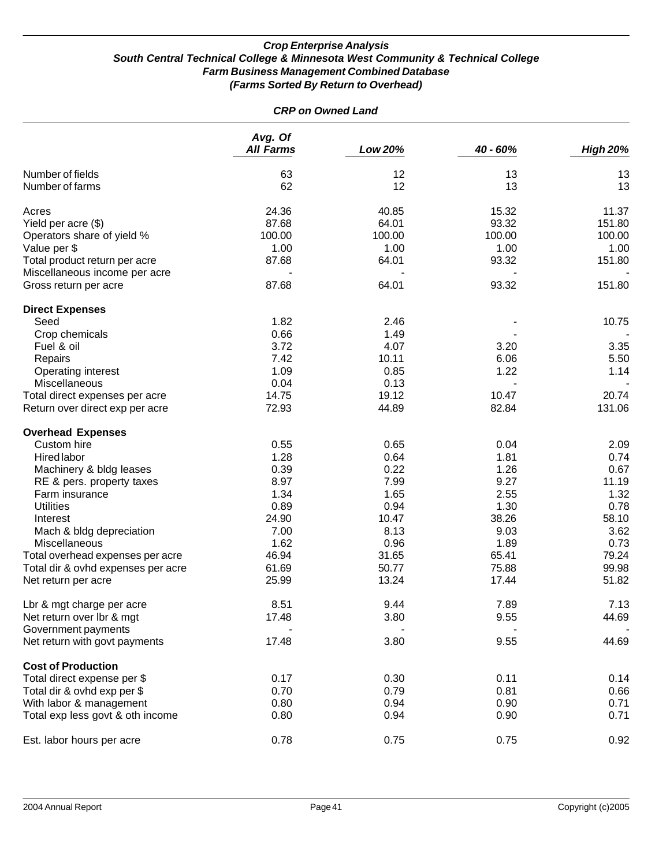| <b>CRP on Owned Land</b>           |                             |         |          |                 |  |
|------------------------------------|-----------------------------|---------|----------|-----------------|--|
|                                    | Avg. Of<br><b>All Farms</b> | Low 20% | 40 - 60% | <b>High 20%</b> |  |
| Number of fields                   | 63                          | 12      | 13       | 13              |  |
| Number of farms                    | 62                          | 12      | 13       | 13              |  |
| Acres                              | 24.36                       | 40.85   | 15.32    | 11.37           |  |
| Yield per acre (\$)                | 87.68                       | 64.01   | 93.32    | 151.80          |  |
| Operators share of yield %         | 100.00                      | 100.00  | 100.00   | 100.00          |  |
| Value per \$                       | 1.00                        | 1.00    | 1.00     | 1.00            |  |
| Total product return per acre      | 87.68                       | 64.01   | 93.32    | 151.80          |  |
| Miscellaneous income per acre      |                             |         |          |                 |  |
| Gross return per acre              | 87.68                       | 64.01   | 93.32    | 151.80          |  |
| <b>Direct Expenses</b>             |                             |         |          |                 |  |
| Seed                               | 1.82                        | 2.46    |          | 10.75           |  |
| Crop chemicals                     | 0.66                        | 1.49    |          |                 |  |
| Fuel & oil                         | 3.72                        | 4.07    | 3.20     | 3.35            |  |
| Repairs                            | 7.42                        | 10.11   | 6.06     | 5.50            |  |
| Operating interest                 | 1.09                        | 0.85    | 1.22     | 1.14            |  |
| Miscellaneous                      | 0.04                        | 0.13    |          |                 |  |
| Total direct expenses per acre     | 14.75                       | 19.12   | 10.47    | 20.74           |  |
| Return over direct exp per acre    | 72.93                       | 44.89   | 82.84    | 131.06          |  |
| <b>Overhead Expenses</b>           |                             |         |          |                 |  |
| Custom hire                        | 0.55                        | 0.65    | 0.04     | 2.09            |  |
| <b>Hired labor</b>                 | 1.28                        | 0.64    | 1.81     | 0.74            |  |
| Machinery & bldg leases            | 0.39                        | 0.22    | 1.26     | 0.67            |  |
| RE & pers. property taxes          | 8.97                        | 7.99    | 9.27     | 11.19           |  |
| Farm insurance                     | 1.34                        | 1.65    | 2.55     | 1.32            |  |
| <b>Utilities</b>                   | 0.89                        | 0.94    | 1.30     | 0.78            |  |
| Interest                           | 24.90                       | 10.47   | 38.26    | 58.10           |  |
| Mach & bldg depreciation           | 7.00                        | 8.13    | 9.03     | 3.62            |  |
| <b>Miscellaneous</b>               | 1.62                        | 0.96    | 1.89     | 0.73            |  |
| Total overhead expenses per acre   | 46.94                       | 31.65   | 65.41    | 79.24           |  |
| Total dir & ovhd expenses per acre | 61.69                       | 50.77   | 75.88    | 99.98           |  |
| Net return per acre                | 25.99                       | 13.24   | 17.44    | 51.82           |  |
| Lbr & mgt charge per acre          | 8.51                        | 9.44    | 7.89     | 7.13            |  |
| Net return over lbr & mgt          | 17.48                       | 3.80    | 9.55     | 44.69           |  |
| Government payments                |                             |         |          |                 |  |
| Net return with govt payments      | 17.48                       | 3.80    | 9.55     | 44.69           |  |
| <b>Cost of Production</b>          |                             |         |          |                 |  |
| Total direct expense per \$        | 0.17                        | 0.30    | 0.11     | 0.14            |  |
| Total dir & ovhd exp per \$        | 0.70                        | 0.79    | 0.81     | 0.66            |  |
| With labor & management            | 0.80                        | 0.94    | 0.90     | 0.71            |  |
| Total exp less govt & oth income   | 0.80                        | 0.94    | 0.90     | 0.71            |  |
| Est. labor hours per acre          | 0.78                        | 0.75    | 0.75     | 0.92            |  |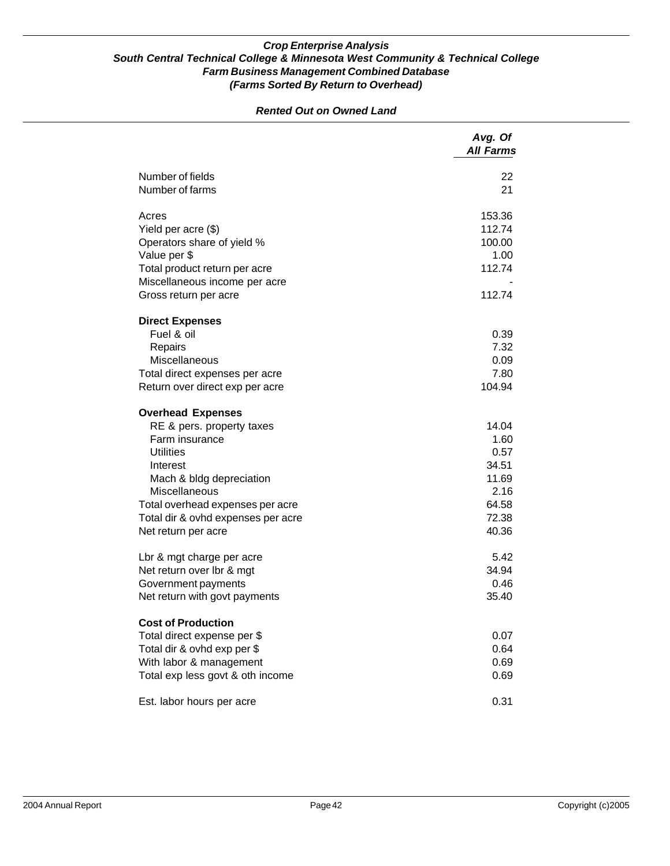|                                    | Avg. Of<br><b>All Farms</b> |
|------------------------------------|-----------------------------|
| Number of fields                   | 22                          |
| Number of farms                    | 21                          |
| Acres                              | 153.36                      |
| Yield per acre (\$)                | 112.74                      |
| Operators share of yield %         | 100.00                      |
| Value per \$                       | 1.00                        |
| Total product return per acre      | 112.74                      |
| Miscellaneous income per acre      |                             |
| Gross return per acre              | 112.74                      |
| <b>Direct Expenses</b>             |                             |
| Fuel & oil                         | 0.39                        |
| Repairs                            | 7.32                        |
| <b>Miscellaneous</b>               | 0.09                        |
| Total direct expenses per acre     | 7.80                        |
| Return over direct exp per acre    | 104.94                      |
| <b>Overhead Expenses</b>           |                             |
| RE & pers. property taxes          | 14.04                       |
| Farm insurance                     | 1.60                        |
| <b>Utilities</b>                   | 0.57                        |
| Interest                           | 34.51                       |
| Mach & bldg depreciation           | 11.69                       |
| <b>Miscellaneous</b>               | 2.16                        |
| Total overhead expenses per acre   | 64.58                       |
| Total dir & ovhd expenses per acre | 72.38                       |
| Net return per acre                | 40.36                       |
| Lbr & mgt charge per acre          | 5.42                        |
| Net return over lbr & mgt          | 34.94                       |
| Government payments                | 0.46                        |
| Net return with govt payments      | 35.40                       |
| <b>Cost of Production</b>          |                             |
| Total direct expense per \$        | 0.07                        |
| Total dir & ovhd exp per \$        | 0.64                        |
| With labor & management            | 0.69                        |
|                                    |                             |
| Total exp less govt & oth income   | 0.69                        |
| Est. labor hours per acre          | 0.31                        |

*Rented Out on Owned Land*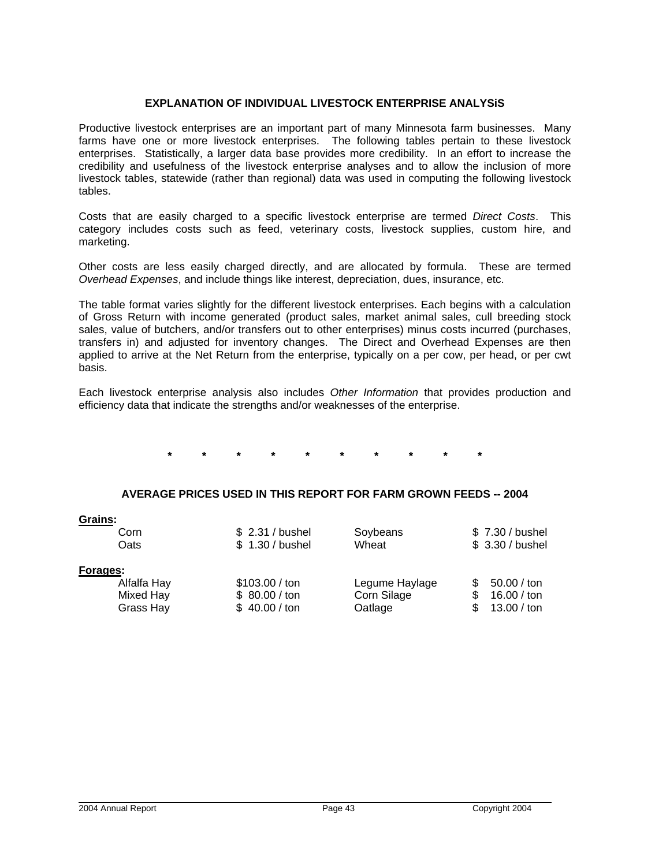#### **EXPLANATION OF INDIVIDUAL LIVESTOCK ENTERPRISE ANALYSiS**

Productive livestock enterprises are an important part of many Minnesota farm businesses. Many farms have one or more livestock enterprises. The following tables pertain to these livestock enterprises. Statistically, a larger data base provides more credibility. In an effort to increase the credibility and usefulness of the livestock enterprise analyses and to allow the inclusion of more livestock tables, statewide (rather than regional) data was used in computing the following livestock tables.

Costs that are easily charged to a specific livestock enterprise are termed *Direct Costs*. This category includes costs such as feed, veterinary costs, livestock supplies, custom hire, and marketing.

Other costs are less easily charged directly, and are allocated by formula. These are termed *Overhead Expenses*, and include things like interest, depreciation, dues, insurance, etc.

The table format varies slightly for the different livestock enterprises. Each begins with a calculation of Gross Return with income generated (product sales, market animal sales, cull breeding stock sales, value of butchers, and/or transfers out to other enterprises) minus costs incurred (purchases, transfers in) and adjusted for inventory changes. The Direct and Overhead Expenses are then applied to arrive at the Net Return from the enterprise, typically on a per cow, per head, or per cwt basis.

Each livestock enterprise analysis also includes *Other Information* that provides production and efficiency data that indicate the strengths and/or weaknesses of the enterprise.

**\* \* \* \* \* \* \* \* \* \*** 

#### **AVERAGE PRICES USED IN THIS REPORT FOR FARM GROWN FEEDS -- 2004**

| \$ 2.31 / bushel | Soybeans       | \$7.30 / bushel  |
|------------------|----------------|------------------|
| \$ 1.30 / bushel | Wheat          | \$ 3.30 / bushel |
|                  |                |                  |
| \$103.00 / ton   | Legume Haylage | 50.00 / ton      |
| \$80.00 / ton    | Corn Silage    | 16.00 / ton      |
| \$40.00 / ton    | Oatlage        | 13.00 / ton      |
|                  |                |                  |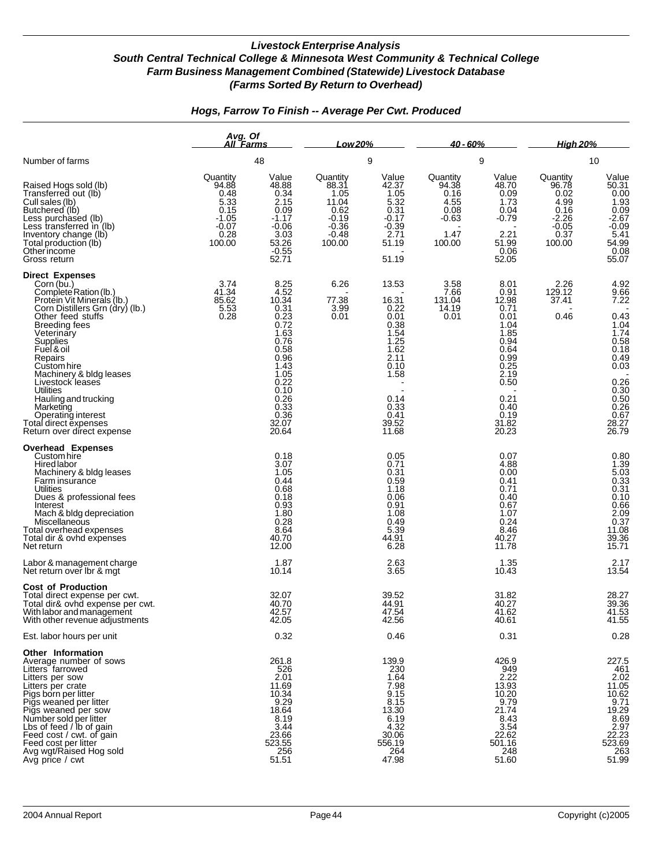|                                                                                                                                                                                                                                                                                                                                                                                                                             | Avg. Of<br>All Farms                                                              |                                                                                                                                                                            | Low 20%                                                                               |                                                                                                                                         | <u>40 - 60% </u>                                                       |                                                                                                                                                              | <u>High 20% </u>                                                                  |                                                                                                                                                       |
|-----------------------------------------------------------------------------------------------------------------------------------------------------------------------------------------------------------------------------------------------------------------------------------------------------------------------------------------------------------------------------------------------------------------------------|-----------------------------------------------------------------------------------|----------------------------------------------------------------------------------------------------------------------------------------------------------------------------|---------------------------------------------------------------------------------------|-----------------------------------------------------------------------------------------------------------------------------------------|------------------------------------------------------------------------|--------------------------------------------------------------------------------------------------------------------------------------------------------------|-----------------------------------------------------------------------------------|-------------------------------------------------------------------------------------------------------------------------------------------------------|
| Number of farms                                                                                                                                                                                                                                                                                                                                                                                                             |                                                                                   | 48                                                                                                                                                                         |                                                                                       | 9                                                                                                                                       |                                                                        | 9                                                                                                                                                            |                                                                                   | 10                                                                                                                                                    |
| Raised Hogs sold (lb)<br>Transferred out (lb)<br>Cull sales (lb)<br>Butchered (lb)<br>Less purchased (lb)<br>Less transferred in (lb)<br>Inventory change (lb)<br>Total production (lb)<br>Otherincome<br>Gross return                                                                                                                                                                                                      | Quantity<br>94.88<br>0.48<br>5.33<br>0.15<br>$-1.05$<br>$-0.07$<br>0.28<br>100.00 | Value<br>48.88<br>0.34<br>2.15<br>0.09<br>$-1.17$<br>$-0.06$<br>3.03<br>53.26<br>$-0.55$<br>52.71                                                                          | Quantity<br>88.31<br>1.05<br>11.04<br>0.62<br>$-0.19$<br>$-0.36$<br>$-0.48$<br>100.00 | Value<br>42.37<br>1.05<br>5.32<br>0.31<br>$-0.17$<br>$-0.39$<br>2.71<br>51.19<br>51.19                                                  | Quantity<br>94.38<br>0.16<br>4.55<br>0.08<br>$-0.63$<br>1.47<br>100.00 | Value<br>48.70<br>0.09<br>1.73<br>0.04<br>$-0.79$<br>2.21<br>51.99<br>0.06<br>52.05                                                                          | Quantity<br>96.78<br>0.02<br>4.99<br>0.16<br>$-2.26$<br>$-0.05$<br>0.37<br>100.00 | Value<br>50.31<br>50.31<br>0.00<br>1.93<br>0.09<br>2.67<br>-0.09<br>5.41<br>54.99<br>0.08<br>55.07                                                    |
| <b>Direct Expenses</b><br>Corn (bu.)<br>Complete Ration (lb.)<br>Protein Vit Minerals (Ib.)<br>Corn Distillers Grn (dry) (Ib.)<br>Other feed stuffs<br><b>Breeding fees</b><br>Veterinary<br>Supplies<br>Fuel & oil<br>Repairs<br>Custom hire<br>Machinery & bldg leases<br>Livestock leases<br>Utilities<br>Hauling and trucking<br>Marketing<br>Operating interest<br>Total direct expenses<br>Return over direct expense | 3.74<br>41.34<br>85.62<br>$\frac{5.53}{0.28}$                                     | 8.25<br>4.52<br>10.34<br>0.31<br>$0.23$<br>$0.72$<br>1.63<br>0.76<br>0.58<br>0.96<br>1.43<br>1.05<br>0.22<br>0.10<br>0.26<br>$0.\overline{33}$<br>$0.36$<br>32.07<br>20.64 | 6.26<br>77.38<br>3.99<br>0.01                                                         | 13.53<br>16.31<br>0.22<br>0.01<br>0.38<br>$\frac{1.54}{1.25}$<br>1.62<br>2.11<br>0.10<br>1.58<br>0.14<br>0.33<br>0.41<br>39.52<br>11.68 | 3.58<br>7.66<br>131.04<br>14.19<br>0.01                                | 8.01<br>0.91<br>12.98<br>0.71<br>0.01<br>1.04<br>1.85<br>0.94<br>0.64<br>0.99<br>0.25<br>$2.\overline{19}$<br>0.50<br>0.21<br>0.40<br>0.19<br>31.82<br>20.23 | 2.26<br>129.12<br>37.41<br>0.46                                                   | 4.92<br>9.66<br>7.22<br>0.43<br>$\frac{1.04}{1.74}$<br>$0.58$<br>$0.18$<br>$0.49$<br>$0.03$<br>0.26<br>0.30<br>0.50<br>0.26<br>0.67<br>28.27<br>26.79 |
| Overhead Expenses<br>Custom hire<br>Hired labor<br>Machinery & bldg leases<br>Farm insurance<br><b>Utilities</b><br>Dues & professional fees<br>Interest<br>Mach & bldg depreciation<br>Miscellaneous<br>Total overhead expenses<br>Total dir & ovhd expenses<br>Net return<br>Labor & management charge                                                                                                                    |                                                                                   | 0.18<br>3.07<br>1.05<br>0.44<br>0.68<br>0.18<br>$0.93$<br>1.80<br>0.28<br>8.64<br>40.70<br>12.00<br>1.87                                                                   |                                                                                       | 0.05<br>0.71<br>0.31<br>0.59<br>1.18<br>0.06<br>0.91<br>1.08<br>0.49<br>5.39<br>44.91<br>6.28<br>2.63                                   |                                                                        | 0.07<br>4.88<br>0.00<br>0.41<br>0.71<br>0.40<br>0.67<br>1.07<br>0.24<br>8.46<br>40.27<br>11.78<br>1.35                                                       |                                                                                   | 0.80<br>1.39<br>5.03<br>5.03<br>0.33<br>0.31<br>0.66<br>2.09<br>0.37<br>11.08<br>39.36<br>15.71<br>2.17                                               |
| Net return over Ibr & mgt<br><b>Cost of Production</b><br>Total direct expense per cwt.<br>Total dir& ovhd expense per cwt.<br>With labor and management<br>With other revenue adjustments                                                                                                                                                                                                                                  |                                                                                   | 10.14<br>32.07<br>40.70<br>42.57<br>42.05                                                                                                                                  |                                                                                       | 3.65<br>39.52<br>44.91<br>47.54<br>42.56                                                                                                |                                                                        | 10.43<br>31.82<br>40.27<br>41.62<br>40.61                                                                                                                    |                                                                                   | 13.54<br>28.27<br>39.36<br>41.53<br>41.55                                                                                                             |
| Est. labor hours per unit                                                                                                                                                                                                                                                                                                                                                                                                   |                                                                                   | 0.32                                                                                                                                                                       |                                                                                       | 0.46                                                                                                                                    |                                                                        | 0.31                                                                                                                                                         |                                                                                   | 0.28                                                                                                                                                  |
| Other Information<br>Average number of sows<br>Litters farrowed<br>Litters per sow<br>Litters per crate<br>Pigs born per litter<br>Pigs weaned per litter<br>Pigs weaned per sow<br>Number sold per litter<br>Lbs of feed / lb of gain<br>Feed cost / cwt. of gain<br>Feed cost / cwi. or gain<br>Feed cost per litter<br>Avg wgt/Raised Hog sold<br>Avg price / cwt                                                        |                                                                                   | 261.8<br>526<br>$2.\overline{01}$<br>11.69<br>10.34<br>9.29<br>18.64<br>8.19<br>3.44<br>23.66<br>523.55<br>256<br>51.51                                                    |                                                                                       | 139.9<br>230<br>1.64<br>7.98<br>9.15<br>8.15<br>13.30<br>6.19<br>4.32<br>30.06<br>556.19<br>264<br>47.98                                |                                                                        | 426.9<br>949<br>2.22<br>13.93<br>10.20<br>9.79<br>21.74<br>8.43<br>3.54<br>22.62<br>501.16<br>248<br>51.60                                                   |                                                                                   | 227.5<br>461<br>401<br>2.02<br>11.05<br>10.62<br>9.71<br>19.29<br>8.69<br>2.97<br>22.23<br>523.69<br>$-263$<br>51.99                                  |

## *Hogs, Farrow To Finish -- Average Per Cwt. Produced*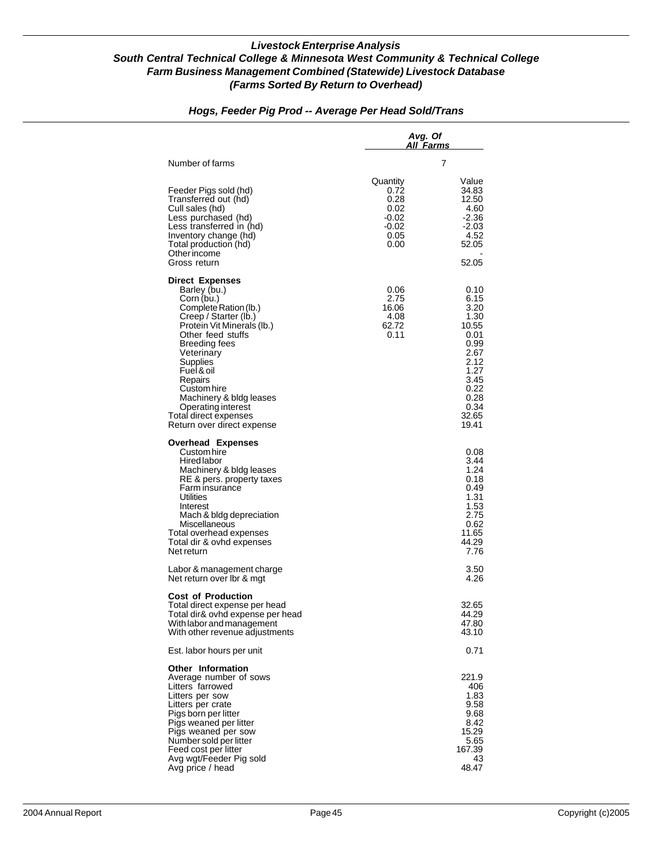|                                                                                                                                                                                                                                                                                          | Avg. Of<br>All Farms                                               |                                                                                                |
|------------------------------------------------------------------------------------------------------------------------------------------------------------------------------------------------------------------------------------------------------------------------------------------|--------------------------------------------------------------------|------------------------------------------------------------------------------------------------|
| Number of farms                                                                                                                                                                                                                                                                          |                                                                    | 7                                                                                              |
| Feeder Pigs sold (hd)<br>Transferred out (hd)<br>Cull sales (hd)<br>Less purchased (hd)<br>Less transferred in (hd)<br>Inventory change (hd)<br>Total production (hd)<br>Other income<br>Gross return                                                                                    | Quantity<br>0.72<br>0.28<br>0.02<br>-0.02<br>-0.02<br>0.05<br>0.00 | Value<br>34.83<br>12.50<br>4.60<br>$-2.36$<br>$-2.03$<br>4.52<br>52.05<br>52.05                |
| <b>Direct Expenses</b><br>Barley (bu.)<br>Corn (bu.)<br>Complete Ration (lb.)<br>Creep / Starter (lb.)<br>Protein Vit Minerals (lb.)<br>Other feed stuffs<br><b>Breeding fees</b><br>Veterinary<br>Supplies<br>Fuel & oil<br>Repairs                                                     | 0.06<br>2.75<br>16.06<br>4.08<br>62.72<br>0.11                     | 0.10<br>6.15<br>3.20<br>1.30<br>10.55<br>0.01<br>0.99<br>2.67<br>2.12<br>1.27<br>3.45          |
| Custom hire<br>Machinery & bldg leases<br>Operating interest<br>Total direct expenses<br>Return over direct expense<br>Overhead Expenses                                                                                                                                                 |                                                                    | 0.22<br>0.28<br>0.34<br>32.65<br>19.41                                                         |
| Custom hire<br>Hired labor<br>Machinery & bldg leases<br>RE & pers. property taxes<br>Farm insurance<br>Utilities<br>Interest<br>Mach & bldg depreciation<br>Miscellaneous<br>Total overhead expenses<br>Total dir & ovhd expenses<br>Net return                                         |                                                                    | 0.08<br>3.44<br>1.24<br>0.18<br>0.49<br>1.31<br>1.53<br>2.75<br>0.62<br>11.65<br>44.29<br>7.76 |
| Labor & management charge<br>Net return over Ibr & mgt                                                                                                                                                                                                                                   |                                                                    | 3.50<br>4.26                                                                                   |
| <b>Cost of Production</b><br>Total direct expense per head<br>Total dir& ovhd expense per head<br>With labor and management<br>With other revenue adjustments                                                                                                                            |                                                                    | 32.65<br>44.29<br>47.80<br>43.10                                                               |
| Est. labor hours per unit                                                                                                                                                                                                                                                                |                                                                    | 0.71                                                                                           |
| <b>Other Information</b><br>Average number of sows<br>Litters farrowed<br>Litters per sow<br>Litters per crate<br>Pigs born per litter<br>Pigs weaned per litter<br>Pigs weaned per sow<br>Number sold per litter<br>Feed cost per litter<br>Avg wgt/Feeder Pig sold<br>Avg price / head |                                                                    | 221.9<br>406<br>1.83<br>9.58<br>9.68<br>8.42<br>15.29<br>5.65<br>167.39<br>43<br>48.47         |

## *Hogs, Feeder Pig Prod -- Average Per Head Sold/Trans*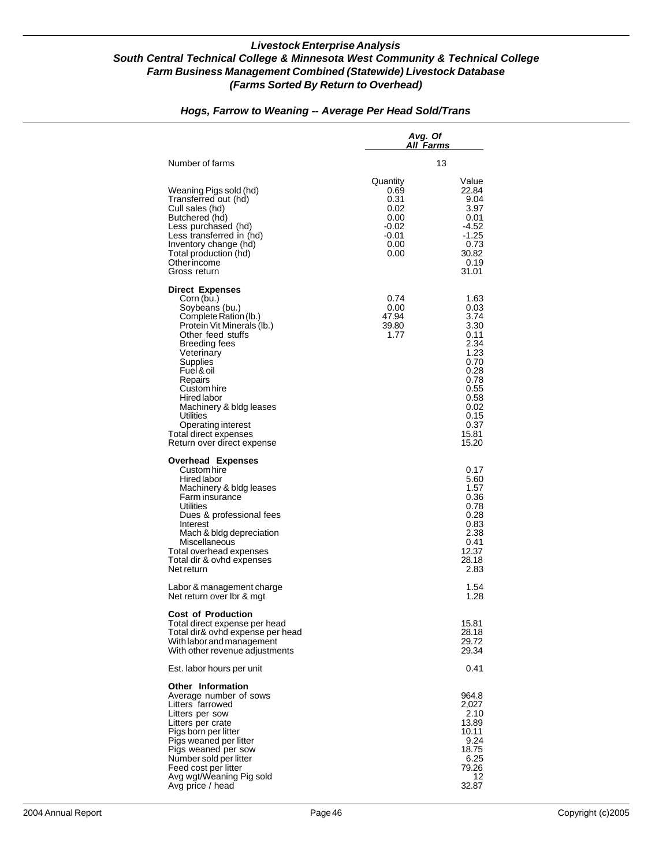|                                                                                                                                                                                                                                                                                                                                                                  | Avg. Of<br>A <u>ll Farms</u>                                                   |                                                                                                                                        |
|------------------------------------------------------------------------------------------------------------------------------------------------------------------------------------------------------------------------------------------------------------------------------------------------------------------------------------------------------------------|--------------------------------------------------------------------------------|----------------------------------------------------------------------------------------------------------------------------------------|
| Number of farms                                                                                                                                                                                                                                                                                                                                                  |                                                                                | 13                                                                                                                                     |
| Weaning Pigs sold (hd)<br>Transferred out (hd)<br>Cull sales (hd)<br>Butchered (hd)<br>Less purchased (hd)<br>Less transferred in (hd)<br>Inventory change (hd)<br>Total production (hd)<br>Other income<br>Gross return                                                                                                                                         | Quantity<br>0.69<br>0.31<br>0.02<br>0.00<br>$-0.02$<br>$-0.01$<br>0.00<br>0.00 | Value<br>22.84<br>9.04<br>3.97<br>0.01<br>$-4.52$<br>$-1.25$<br>0.73<br>30.82<br>0.19<br>31.01                                         |
| <b>Direct Expenses</b><br>Corn (bu.)<br>Soybeans (bu.)<br>Complete Ration (lb.)<br>Protein Vit Minerals (lb.)<br>Other feed stuffs<br><b>Breeding fees</b><br>Veterinary<br>Supplies<br>Fuel & oil<br>Repairs<br>Custom hire<br>Hired labor<br>Machinery & bldg leases<br>Utilities<br>Operating interest<br>Total direct expenses<br>Return over direct expense | 0.74<br>0.00<br>47.94<br>39.80<br>1.77                                         | 1.63<br>0.03<br>3.74<br>3.30<br>0.11<br>2.34<br>1.23<br>0.70<br>0.28<br>0.78<br>0.55<br>0.58<br>0.02<br>0.15<br>0.37<br>15.81<br>15.20 |
| <b>Overhead Expenses</b><br>Custom hire<br>Hired labor<br>Machinery & bldg leases<br>Farm insurance<br><b>Utilities</b><br>Dues & professional fees<br>Interest<br>Mach & bldg depreciation<br>Miscellaneous<br>Total overhead expenses<br>Total dir & ovhd expenses<br>Net return                                                                               |                                                                                | 0.17<br>5.60<br>1.57<br>0.36<br>0.78<br>0.28<br>0.83<br>2.38<br>0.41<br>12.37<br>28.18<br>2.83                                         |
| Labor & management charge<br>Net return over Ibr & mgt                                                                                                                                                                                                                                                                                                           |                                                                                | 1.54<br>1.28                                                                                                                           |
| <b>Cost of Production</b><br>Total direct expense per head<br>Total dir& ovhd expense per head<br>With labor and management<br>With other revenue adjustments                                                                                                                                                                                                    |                                                                                | 15.81<br>28.18<br>29.72<br>29.34                                                                                                       |
| Est. labor hours per unit                                                                                                                                                                                                                                                                                                                                        |                                                                                | 0.41                                                                                                                                   |
| <b>Other Information</b><br>Average number of sows<br>Litters farrowed<br>Litters per sow<br>Litters per crate<br>Pigs born per litter<br>Pigs weaned per litter<br>Pigs weaned per sow<br>Number sold per litter<br>Feed cost per litter<br>Avg wgt/Weaning Pig sold<br>Avg price / head                                                                        |                                                                                | 964.8<br>2,027<br>2.10<br>13.89<br>10.11<br>9.24<br>18.75<br>6.25<br>79.26<br>12<br>32.87                                              |

## *Hogs, Farrow to Weaning -- Average Per Head Sold/Trans*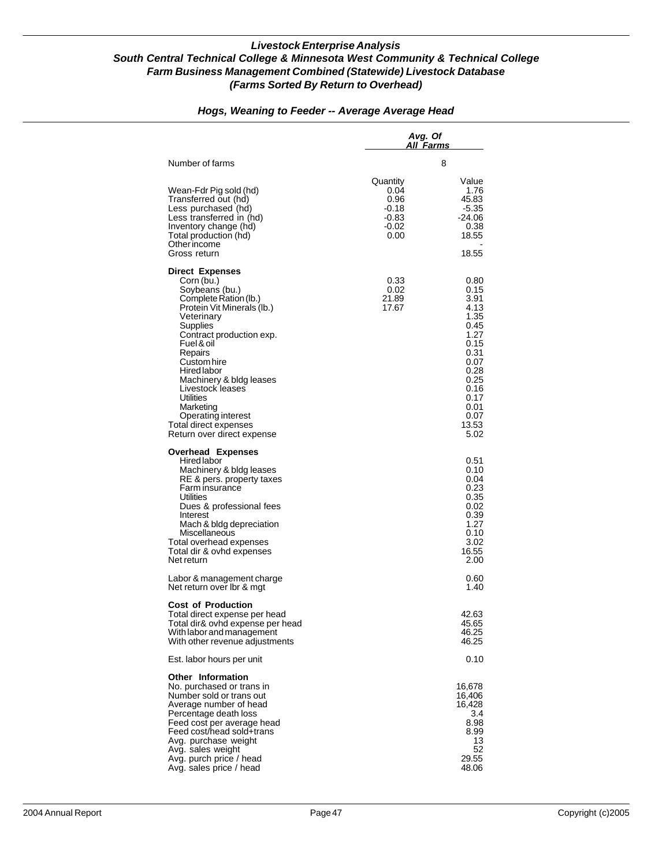|                                                                                                                                                                                                                                                                                                                                                                                         | Avg. Of<br>All Farms                                        |                                                                                                                                               |
|-----------------------------------------------------------------------------------------------------------------------------------------------------------------------------------------------------------------------------------------------------------------------------------------------------------------------------------------------------------------------------------------|-------------------------------------------------------------|-----------------------------------------------------------------------------------------------------------------------------------------------|
| Number of farms                                                                                                                                                                                                                                                                                                                                                                         |                                                             | 8                                                                                                                                             |
| Wean-Fdr Pig sold (hd)<br>Transferred out (hd)<br>Less purchased (hd)<br>Less transferred in (hd)<br>Inventory change (hd)<br>Total production (hd)<br>Other income<br>Gross return                                                                                                                                                                                                     | Quantity<br>0.04<br>0.96<br>-0.18<br>-0.83<br>-0.02<br>0.00 | Value<br>1.76<br>45.83<br>$-5.35$<br>-24.06<br>0.38<br>18.55<br>18.55                                                                         |
| <b>Direct Expenses</b><br>Corn (bu.)<br>Soybeans (bu.)<br>Complete Ration (lb.)<br>Protein Vit Minerals (lb.)<br>Veterinary<br>Supplies<br>Contract production exp.<br>Fuel & oil<br>Repairs<br>Custom hire<br>Hired labor<br>Machinery & bldg leases<br>Livestock leases<br><b>Utilities</b><br>Marketing<br>Operating interest<br>Total direct expenses<br>Return over direct expense | 0.33<br>0.02<br>21.89<br>17.67                              | 0.80<br>0.15<br>3.91<br>4.13<br>1.35<br>0.45<br>1.27<br>0.15<br>0.31<br>0.07<br>0.28<br>0.25<br>0.16<br>0.17<br>0.01<br>0.07<br>13.53<br>5.02 |
| <b>Overhead Expenses</b><br>Hired labor<br>Machinery & bldg leases<br>RE & pers. property taxes<br>Farm insurance<br>Utilities<br>Dues & professional fees<br>Interest<br>Mach & bldg depreciation<br>Miscellaneous<br>Total overhead expenses<br>Total dir & ovhd expenses<br>Net return                                                                                               |                                                             | 0.51<br>0.10<br>0.04<br>0.23<br>0.35<br>0.02<br>0.39<br>1.27<br>0.10<br>3.02<br>16.55<br>2.00                                                 |
| Labor & management charge<br>Net return over Ibr & mgt                                                                                                                                                                                                                                                                                                                                  |                                                             | 0.60<br>1.40                                                                                                                                  |
| <b>Cost of Production</b><br>Total direct expense per head<br>Total dir& ovhd expense per head<br>With labor and management<br>With other revenue adjustments                                                                                                                                                                                                                           |                                                             | 42.63<br>45.65<br>46.25<br>46.25                                                                                                              |
| Est. labor hours per unit                                                                                                                                                                                                                                                                                                                                                               |                                                             | 0.10                                                                                                                                          |
| <b>Other Information</b><br>No. purchased or trans in<br>Number sold or trans out<br>Average number of head<br>Percentage death loss<br>Feed cost per average head<br>Feed cost/head sold+trans<br>Avg. purchase weight<br>Avg. sales weight<br>Avg. purch price / head<br>Avg. sales price / head                                                                                      |                                                             | 16,678<br>16,406<br>16,428<br>3.4<br>8.98<br>8.99<br>13<br>52<br>29.55<br>48.06                                                               |

### *Hogs, Weaning to Feeder -- Average Average Head*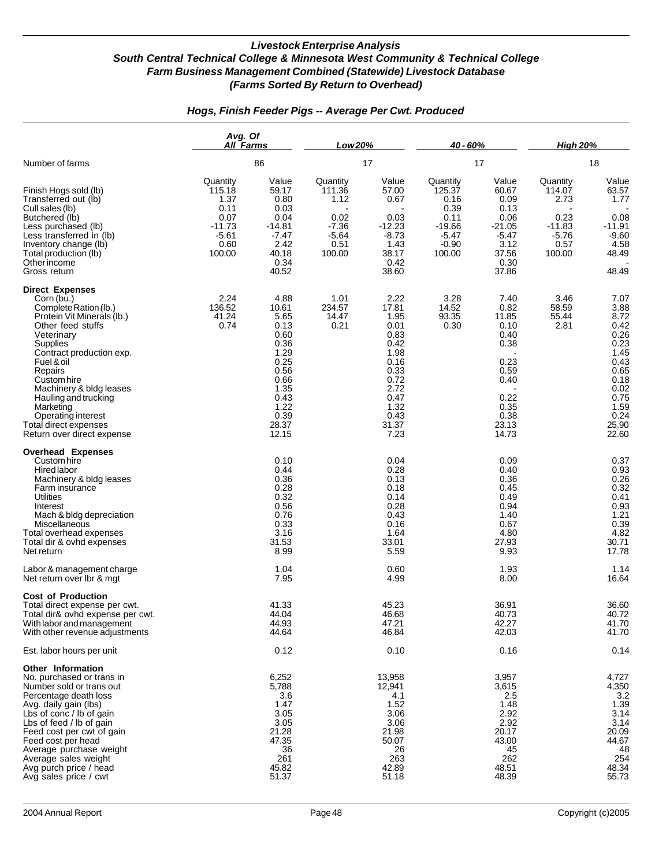|                                                                                                                                                                                                                                                                                                                                                             | Avg. Of<br>All Farms                                                                |                                                                                                                                 | Low 20%                                                                    |                                                                                                                                | $40 - 60%$                                                                             |                                                                                                                 | <b>High 20%</b>                                                             |                                                                                                                                |
|-------------------------------------------------------------------------------------------------------------------------------------------------------------------------------------------------------------------------------------------------------------------------------------------------------------------------------------------------------------|-------------------------------------------------------------------------------------|---------------------------------------------------------------------------------------------------------------------------------|----------------------------------------------------------------------------|--------------------------------------------------------------------------------------------------------------------------------|----------------------------------------------------------------------------------------|-----------------------------------------------------------------------------------------------------------------|-----------------------------------------------------------------------------|--------------------------------------------------------------------------------------------------------------------------------|
| Number of farms                                                                                                                                                                                                                                                                                                                                             |                                                                                     | 86                                                                                                                              |                                                                            | 17                                                                                                                             |                                                                                        | 17                                                                                                              |                                                                             | 18                                                                                                                             |
| Finish Hogs sold (lb)<br>Transferred out (lb)<br>Cull sales (lb)<br>Butchered (lb)<br>Less purchased (lb)<br>Less transferred in (lb)<br>Inventory change (lb)<br>Total production (lb)<br>Other income<br>Gross return                                                                                                                                     | Quantity<br>115.18<br>1.37<br>0.11<br>0.07<br>$-11.73$<br>$-5.61$<br>0.60<br>100.00 | Value<br>59.17<br>0.80<br>0.03<br>0.04<br>$-14.81$<br>$-7.47$<br>2.42<br>40.18<br>0.34<br>40.52                                 | Quantity<br>111.36<br>1.12<br>0.02<br>$-7.36$<br>$-5.64$<br>0.51<br>100.00 | Value<br>57.00<br>0.67<br>0.03<br>$-12.23$<br>$-8.73$<br>1.43<br>38.17<br>0.42<br>38.60                                        | Quantity<br>125.37<br>0.16<br>0.39<br>0.11<br>$-19.66$<br>$-5.47$<br>$-0.90$<br>100.00 | Value<br>60.67<br>0.09<br>0.13<br>0.06<br>$-21.05$<br>$-5.47$<br>3.12<br>37.56<br>0.30<br>37.86                 | Quantity<br>114.07<br>2.73<br>0.23<br>$-11.83$<br>$-5.76$<br>0.57<br>100.00 | Value<br>63.57<br>1.77<br>0.08<br>$-11.91$<br>$-9.60$<br>4.58<br>48.49<br>48.49                                                |
| <b>Direct Expenses</b><br>Corn (bu.)<br>Complete Ration (lb.)<br>Protein Vit Minerals (lb.)<br>Other feed stuffs<br>Veterinary<br>Supplies<br>Contract production exp.<br>Fuel & oil<br>Repairs<br>Custom hire<br>Machinery & bldg leases<br>Hauling and trucking<br>Marketing<br>Operating interest<br>Total direct expenses<br>Return over direct expense | 2.24<br>136.52<br>41.24<br>0.74                                                     | 4.88<br>10.61<br>5.65<br>0.13<br>0.60<br>0.36<br>1.29<br>0.25<br>0.56<br>0.66<br>1.35<br>0.43<br>1.22<br>0.39<br>28.37<br>12.15 | 1.01<br>234.57<br>14.47<br>0.21                                            | 2.22<br>17.81<br>1.95<br>0.01<br>0.83<br>0.42<br>1.98<br>0.16<br>0.33<br>0.72<br>2.72<br>0.47<br>1.32<br>0.43<br>31.37<br>7.23 | 3.28<br>14.52<br>93.35<br>0.30                                                         | 7.40<br>0.82<br>11.85<br>0.10<br>0.40<br>0.38<br>0.23<br>0.59<br>0.40<br>0.22<br>0.35<br>0.38<br>23.13<br>14.73 | 3.46<br>58.59<br>55.44<br>2.81                                              | 7.07<br>3.88<br>8.72<br>0.42<br>0.26<br>0.23<br>1.45<br>0.43<br>0.65<br>0.18<br>0.02<br>0.75<br>1.59<br>0.24<br>25.90<br>22.60 |
| <b>Overhead Expenses</b><br>Custom hire<br><b>Hired labor</b><br>Machinery & bldg leases<br>Farm insurance<br><b>Utilities</b><br>Interest<br>Mach & bldg depreciation<br>Miscellaneous<br>Total overhead expenses<br>Total dir & ovhd expenses<br>Net return                                                                                               |                                                                                     | 0.10<br>0.44<br>0.36<br>0.28<br>0.32<br>0.56<br>0.76<br>0.33<br>3.16<br>31.53<br>8.99                                           |                                                                            | 0.04<br>0.28<br>0.13<br>0.18<br>0.14<br>0.28<br>0.43<br>0.16<br>1.64<br>33.01<br>5.59                                          |                                                                                        | 0.09<br>0.40<br>0.36<br>0.45<br>0.49<br>0.94<br>1.40<br>0.67<br>4.80<br>27.93<br>9.93                           |                                                                             | 0.37<br>0.93<br>0.26<br>0.32<br>0.41<br>0.93<br>1.21<br>0.39<br>4.82<br>30.71<br>17.78                                         |
| Labor & management charge<br>Net return over Ibr & mgt                                                                                                                                                                                                                                                                                                      |                                                                                     | 1.04<br>7.95                                                                                                                    |                                                                            | 0.60<br>4.99                                                                                                                   |                                                                                        | 1.93<br>8.00                                                                                                    |                                                                             | 1.14<br>16.64                                                                                                                  |
| <b>Cost of Production</b><br>Total direct expense per cwt.<br>Total dir& ovhd expense per cwt.<br>With labor and management<br>With other revenue adjustments                                                                                                                                                                                               |                                                                                     | 41.33<br>44.04<br>44.93<br>44.64                                                                                                |                                                                            | 45.23<br>46.68<br>47.21<br>46.84                                                                                               |                                                                                        | 36.91<br>40.73<br>42.27<br>42.03                                                                                |                                                                             | 36.60<br>40.72<br>41.70<br>41.70                                                                                               |
| Est. labor hours per unit                                                                                                                                                                                                                                                                                                                                   |                                                                                     | 0.12                                                                                                                            |                                                                            | 0.10                                                                                                                           |                                                                                        | 0.16                                                                                                            |                                                                             | 0.14                                                                                                                           |
| Other Information<br>No. purchased or trans in<br>Number sold or trans out<br>Percentage death loss<br>Avg. daily gain (lbs)<br>Lbs of conc / lb of gain<br>Lbs of feed / lb of gain<br>Feed cost per cwt of gain<br>Feed cost per head<br>Average purchase weight<br>Average sales weight<br>Avg purch price / head<br>Avg sales price / cwt               |                                                                                     | 6,252<br>5,788<br>3.6<br>1.47<br>3.05<br>3.05<br>21.28<br>47.35<br>36<br>261<br>45.82<br>51.37                                  |                                                                            | 13,958<br>12,941<br>4.1<br>1.52<br>3.06<br>3.06<br>21.98<br>50.07<br>26<br>263<br>42.89<br>51.18                               |                                                                                        | 3,957<br>3,615<br>2.5<br>1.48<br>2.92<br>2.92<br>20.17<br>43.00<br>45<br>262<br>48.51<br>48.39                  |                                                                             | 4,727<br>4,350<br>3.2<br>1.39<br>3.14<br>3.14<br>20.09<br>44.67<br>48<br>254<br>48.34<br>55.73                                 |

## *Hogs, Finish Feeder Pigs -- Average Per Cwt. Produced*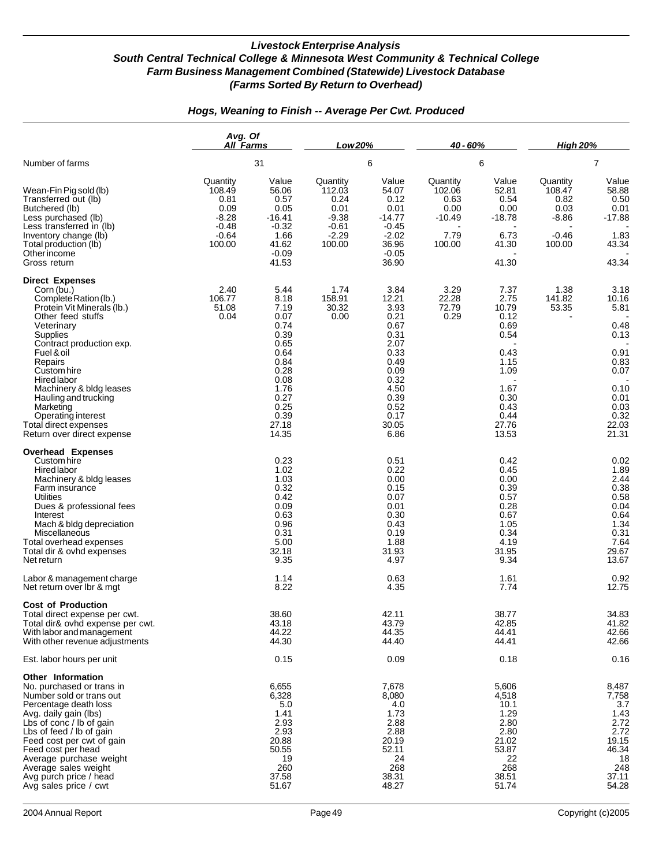|                                                                                                                                                                                                                                                                                                                                                                            | Avg. Of<br>All Farms                                                          |                                                                                                                                        | Low 20%                                                                       |                                                                                                                                        | 40 - 60%                                                       |                                                                                                                         | <b>High 20%</b>                                                    |                                                                                                                 |
|----------------------------------------------------------------------------------------------------------------------------------------------------------------------------------------------------------------------------------------------------------------------------------------------------------------------------------------------------------------------------|-------------------------------------------------------------------------------|----------------------------------------------------------------------------------------------------------------------------------------|-------------------------------------------------------------------------------|----------------------------------------------------------------------------------------------------------------------------------------|----------------------------------------------------------------|-------------------------------------------------------------------------------------------------------------------------|--------------------------------------------------------------------|-----------------------------------------------------------------------------------------------------------------|
| Number of farms                                                                                                                                                                                                                                                                                                                                                            |                                                                               | 31                                                                                                                                     |                                                                               | 6                                                                                                                                      |                                                                | 6                                                                                                                       |                                                                    | $\overline{7}$                                                                                                  |
| Wean-Fin Pig sold (lb)<br>Transferred out (lb)<br>Butchered (lb)<br>Less purchased (lb)<br>Less transferred in (lb)<br>Inventory change (lb)<br>Total production (lb)<br>Other income<br>Gross return                                                                                                                                                                      | Quantity<br>108.49<br>0.81<br>0.09<br>$-8.28$<br>$-0.48$<br>$-0.64$<br>100.00 | Value<br>56.06<br>0.57<br>0.05<br>$-16.41$<br>$-0.32$<br>1.66<br>41.62<br>$-0.09$<br>41.53                                             | Quantity<br>112.03<br>0.24<br>0.01<br>$-9.38$<br>$-0.61$<br>$-2.29$<br>100.00 | Value<br>54.07<br>0.12<br>0.01<br>$-14.77$<br>$-0.45$<br>$-2.02$<br>36.96<br>$-0.05$<br>36.90                                          | Quantity<br>102.06<br>0.63<br>0.00<br>-10.49<br>7.79<br>100.00 | Value<br>52.81<br>0.54<br>0.00<br>$-18.78$<br>6.73<br>41.30<br>41.30                                                    | Quantity<br>108.47<br>0.82<br>0.03<br>$-8.86$<br>$-0.46$<br>100.00 | Value<br>58.88<br>0.50<br>0.01<br>$-17.88$<br>1.83<br>43.34<br>43.34                                            |
| <b>Direct Expenses</b><br>Corn (bu.)<br>Complete Ration (lb.)<br>Protein Vit Minerals (lb.)<br>Other feed stuffs<br>Veterinary<br>Supplies<br>Contract production exp.<br>Fuel & oil<br>Repairs<br>Custom hire<br>Hired labor<br>Machinery & bldg leases<br>Hauling and trucking<br>Marketing<br>Operating interest<br>Total direct expenses<br>Return over direct expense | 2.40<br>106.77<br>51.08<br>0.04                                               | 5.44<br>8.18<br>7.19<br>0.07<br>0.74<br>0.39<br>0.65<br>0.64<br>0.84<br>0.28<br>0.08<br>1.76<br>0.27<br>0.25<br>0.39<br>27.18<br>14.35 | 1.74<br>158.91<br>30.32<br>0.00                                               | 3.84<br>12.21<br>3.93<br>0.21<br>0.67<br>0.31<br>2.07<br>0.33<br>0.49<br>0.09<br>0.32<br>4.50<br>0.39<br>0.52<br>0.17<br>30.05<br>6.86 | 3.29<br>22.28<br>72.79<br>0.29                                 | 7.37<br>2.75<br>10.79<br>0.12<br>0.69<br>0.54<br>0.43<br>1.15<br>1.09<br>1.67<br>0.30<br>0.43<br>0.44<br>27.76<br>13.53 | 1.38<br>141.82<br>53.35                                            | 3.18<br>10.16<br>5.81<br>0.48<br>0.13<br>0.91<br>0.83<br>0.07<br>0.10<br>0.01<br>0.03<br>0.32<br>22.03<br>21.31 |
| <b>Overhead Expenses</b><br>Custom hire<br>Hired labor<br>Machinery & bldg leases<br>Farm insurance<br>Utilities<br>Dues & professional fees<br>Interest<br>Mach & bldg depreciation<br>Miscellaneous<br>Total overhead expenses<br>Total dir & ovhd expenses<br>Net return<br>Labor & management charge                                                                   |                                                                               | 0.23<br>1.02<br>1.03<br>0.32<br>0.42<br>0.09<br>0.63<br>0.96<br>0.31<br>5.00<br>32.18<br>9.35<br>1.14                                  |                                                                               | 0.51<br>0.22<br>0.00<br>0.15<br>0.07<br>0.01<br>0.30<br>0.43<br>0.19<br>1.88<br>31.93<br>4.97<br>0.63                                  |                                                                | 0.42<br>0.45<br>0.00<br>0.39<br>0.57<br>0.28<br>0.67<br>1.05<br>0.34<br>4.19<br>31.95<br>9.34<br>1.61                   |                                                                    | 0.02<br>1.89<br>2.44<br>0.38<br>0.58<br>0.04<br>0.64<br>1.34<br>0.31<br>7.64<br>29.67<br>13.67<br>0.92          |
| Net return over Ibr & mgt<br><b>Cost of Production</b><br>Total direct expense per cwt.<br>Total dir& ovhd expense per cwt.<br>With labor and management<br>With other revenue adjustments                                                                                                                                                                                 |                                                                               | 8.22<br>38.60<br>43.18<br>44.22<br>44.30                                                                                               |                                                                               | 4.35<br>42.11<br>43.79<br>44.35<br>44.40                                                                                               |                                                                | 7.74<br>38.77<br>42.85<br>44.41<br>44.41                                                                                |                                                                    | 12.75<br>34.83<br>41.82<br>42.66<br>42.66                                                                       |
| Est. labor hours per unit<br>Other Information                                                                                                                                                                                                                                                                                                                             |                                                                               | 0.15                                                                                                                                   |                                                                               | 0.09                                                                                                                                   |                                                                | 0.18                                                                                                                    |                                                                    | 0.16                                                                                                            |
| No. purchased or trans in<br>Number sold or trans out<br>Percentage death loss<br>Avg. daily gain (lbs)<br>Lbs of conc / lb of gain<br>Lbs of feed / lb of gain<br>Feed cost per cwt of gain<br>Feed cost per head<br>Average purchase weight<br>Average sales weight<br>Avg purch price / head<br>Avg sales price / cwt                                                   |                                                                               | 6,655<br>6,328<br>5.0<br>1.41<br>2.93<br>2.93<br>20.88<br>50.55<br>19<br>260<br>37.58<br>51.67                                         |                                                                               | 7,678<br>8,080<br>4.0<br>1.73<br>2.88<br>2.88<br>20.19<br>52.11<br>24<br>268<br>38.31<br>48.27                                         |                                                                | 5,606<br>4,518<br>10.1<br>1.29<br>2.80<br>2.80<br>21.02<br>53.87<br>22<br>268<br>38.51<br>51.74                         |                                                                    | 8,487<br>7,758<br>3.7<br>1.43<br>2.72<br>2.72<br>19.15<br>46.34<br>18<br>248<br>37.11<br>54.28                  |

## *Hogs, Weaning to Finish -- Average Per Cwt. Produced*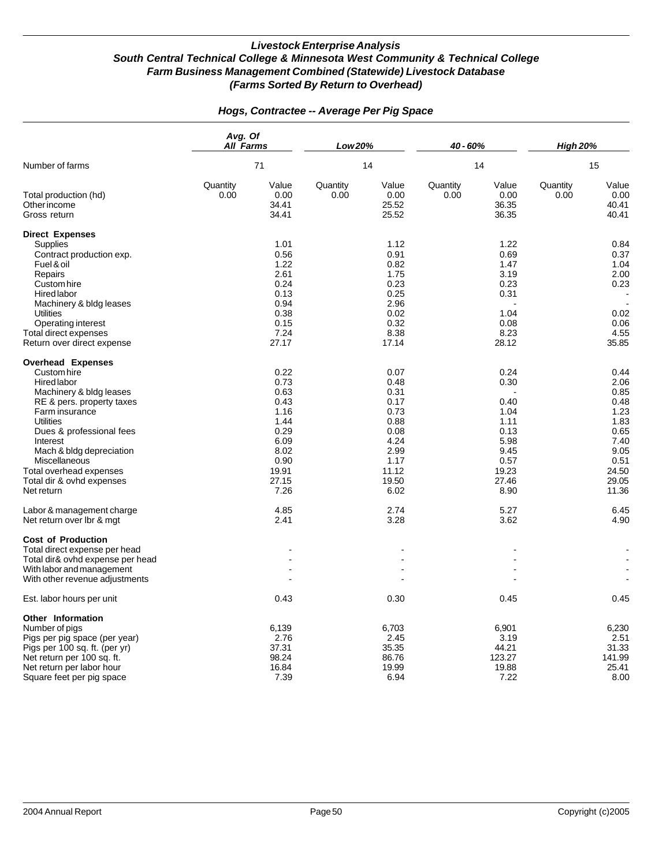|                                                                                                                                                                                                                                                                                                                        | Avg. Of<br><b>All Farms</b><br>71 |                                                                                                        | Low 20%<br>14    |                                                                                                        | 40 - 60%<br>14   |                                                                                                | <b>High 20%</b><br>15 |                                                                                                         |
|------------------------------------------------------------------------------------------------------------------------------------------------------------------------------------------------------------------------------------------------------------------------------------------------------------------------|-----------------------------------|--------------------------------------------------------------------------------------------------------|------------------|--------------------------------------------------------------------------------------------------------|------------------|------------------------------------------------------------------------------------------------|-----------------------|---------------------------------------------------------------------------------------------------------|
| Number of farms                                                                                                                                                                                                                                                                                                        |                                   |                                                                                                        |                  |                                                                                                        |                  |                                                                                                |                       |                                                                                                         |
| Total production (hd)<br>Other income<br>Gross return                                                                                                                                                                                                                                                                  | Quantity<br>0.00                  | Value<br>0.00<br>34.41<br>34.41                                                                        | Quantity<br>0.00 | Value<br>0.00<br>25.52<br>25.52                                                                        | Quantity<br>0.00 | Value<br>0.00<br>36.35<br>36.35                                                                | Quantity<br>0.00      | Value<br>0.00<br>40.41<br>40.41                                                                         |
| <b>Direct Expenses</b><br><b>Supplies</b><br>Contract production exp.<br>Fuel & oil<br>Repairs<br>Custom hire<br>Hired labor<br>Machinery & bldg leases<br><b>Utilities</b><br>Operating interest<br>Total direct expenses<br>Return over direct expense                                                               |                                   | 1.01<br>0.56<br>1.22<br>2.61<br>0.24<br>0.13<br>0.94<br>0.38<br>0.15<br>7.24<br>27.17                  |                  | 1.12<br>0.91<br>0.82<br>1.75<br>0.23<br>0.25<br>2.96<br>0.02<br>0.32<br>8.38<br>17.14                  |                  | 1.22<br>0.69<br>1.47<br>3.19<br>0.23<br>0.31<br>1.04<br>0.08<br>8.23<br>28.12                  |                       | 0.84<br>0.37<br>1.04<br>2.00<br>0.23<br>0.02<br>0.06<br>4.55<br>35.85                                   |
| <b>Overhead Expenses</b><br>Custom hire<br><b>Hired</b> labor<br>Machinery & bldg leases<br>RE & pers. property taxes<br>Farm insurance<br><b>Utilities</b><br>Dues & professional fees<br>Interest<br>Mach & bldg depreciation<br>Miscellaneous<br>Total overhead expenses<br>Total dir & ovhd expenses<br>Net return |                                   | 0.22<br>0.73<br>0.63<br>0.43<br>1.16<br>1.44<br>0.29<br>6.09<br>8.02<br>0.90<br>19.91<br>27.15<br>7.26 |                  | 0.07<br>0.48<br>0.31<br>0.17<br>0.73<br>0.88<br>0.08<br>4.24<br>2.99<br>1.17<br>11.12<br>19.50<br>6.02 |                  | 0.24<br>0.30<br>0.40<br>1.04<br>1.11<br>0.13<br>5.98<br>9.45<br>0.57<br>19.23<br>27.46<br>8.90 |                       | 0.44<br>2.06<br>0.85<br>0.48<br>1.23<br>1.83<br>0.65<br>7.40<br>9.05<br>0.51<br>24.50<br>29.05<br>11.36 |
| Labor & management charge<br>Net return over Ibr & mgt<br><b>Cost of Production</b><br>Total direct expense per head<br>Total dir& ovhd expense per head<br>With labor and management<br>With other revenue adjustments                                                                                                |                                   | 4.85<br>2.41                                                                                           |                  | 2.74<br>3.28                                                                                           |                  | 5.27<br>3.62                                                                                   |                       | 6.45<br>4.90                                                                                            |
| Est. labor hours per unit                                                                                                                                                                                                                                                                                              |                                   | 0.43                                                                                                   |                  | 0.30                                                                                                   |                  | 0.45                                                                                           |                       | 0.45                                                                                                    |
| Other Information<br>Number of pigs<br>Pigs per pig space (per year)<br>Pigs per 100 sq. ft. (per yr)<br>Net return per 100 sq. ft.<br>Net return per labor hour<br>Square feet per pig space                                                                                                                          |                                   | 6,139<br>2.76<br>37.31<br>98.24<br>16.84<br>7.39                                                       |                  | 6,703<br>2.45<br>35.35<br>86.76<br>19.99<br>6.94                                                       |                  | 6,901<br>3.19<br>44.21<br>123.27<br>19.88<br>7.22                                              |                       | 6,230<br>2.51<br>31.33<br>141.99<br>25.41<br>8.00                                                       |

### *Hogs, Contractee -- Average Per Pig Space*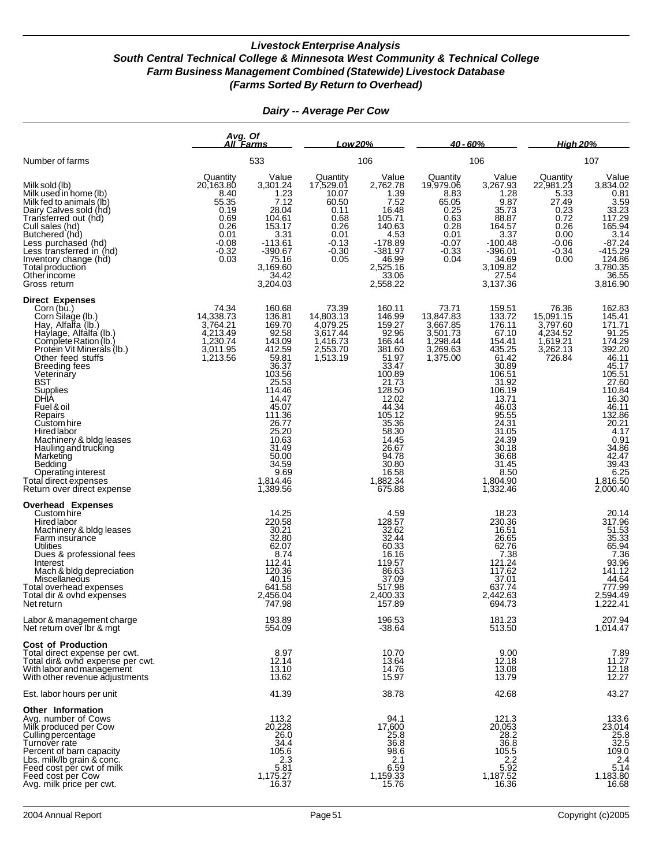*Avg. Of All Farms Low 20% 40 - 60% High 20%* Number of farms 533 106 106 107 Quantity Value Quantity Value Quantity Value Quantity Value Milk sold (lb) 20,163.80 3,301.24 17,529.01 2,762.78 19,979.06 3,267.93 22,981.23 3,834.02 Quantity Value Quantity Value Quantity Value Quantity Value Quantity Value<br>
Milk used in home (lb) 20,163.80 3,301.24 17,529.01 2,762.78 19,979.06 3,267.93 22,981.23 3,834.02<br>
Milk fed to animals (lb) 55.35 7.12 60.50 7.52 Milk fed to animals (Ib) 55.35 7.12 60.50 7.52 65.05 9.87 27.49 3.59<br>Dairy Calves sold (hd) 0.19 28.04 0.11 16.48 0.25 35.73 0.23 33.23 0.19 16.48 0.25 35.73 0.23 33.23<br>
Dairy Calves sold (hd) 0.69 104.61 0.68 105.71 0.63 88.87 0.72 117.29<br>
Cull sales (hd) 0.26 153.17 0.26 140.63 0.28 164.57 0.26 165.94 Transferred out (hd)  $\begin{array}{cccccccc} 0.69 & 104.61 & 0.68 & 105.71 & 0.63 & 88.87 & 0.72 \\ \text{Cull sales (hd)} & & & & & 0.26 & 153.17 & 0.26 & 140.63 & 0.28 & 164.57 & 0.26 \\ \text{Butchered (hd)} & & & & & 0.01 & 3.31 & 0.01 & 4.53 & 0.01 & 3.37 & 0.00 \end{array}$ Cull sales (hd) 0.26 153.17 0.26 140.63 0.28 164.57 0.26 165.94 Butchered (hd) 0.01 3.31 0.01 4.53 0.01 3.37 0.00 3.14 Less purchased (hd) -0.08 -113.61 -0.13 -178.89 -0.07 -100.48 -0.06 -87.24<br>Less transferred in (hd) -0.32 -390.67 -0.30 -381.97 -0.33 -396.01 -0.34 -415.29 Inventory change (hd)  $\begin{array}{cccc} 0.03 & 75.16 & 0.05 & 46.99 & 0.04 & 34.69 & 0.00 & 124.86 \ \hline \end{array}$  Total production 3,169.60  $\begin{array}{cccc} 34.69 & 34.69 & 0.00 & 124.86 \ \hline \end{array}$  3,169.60  $\begin{array}{cccc} 34.69 & 34.69 & 0.00 & 124.86 \ \hline \end{array}$  3 Total production 3,169.60 2,525.16 3,109.82 3,780.35 Other income 34.42 33.06 27.54 36.55 Gross return 3,204.03 2,558.22 3,137.36 3,816.90 **Direct Expenses** Corn (bu.) 74.34 160.68 73.39 160.11 73.71 159.51 76.36 162.83<br>Corn Silage (lb.) 14,338.73 136.81 14,803.13 146.99 13,847.83 133.72 15,091.15 145.41<br>Hay, Alfalfa (lb.) Haylage, Alfalfa (lb.) 4,213.49 92.58 3,617.44 92.96 3,501.73 67.10 4,234.52 91.25<br>Complete Ration (lb.) 1,230.74 143.09 1,416.73 166.44 1,298.44 154.41 1,619.21 174.29 Protein Vit Minerals (lb.)<br>
Protein Vit Minerals (lb.) 3,011.95 412.59 2,553.70 381.60 3,269.63 435.25 3,262.13 392.20<br>
Other feed stuffs 392.20 3,263.7 51.3.19 51.97 1,375.00 61.42 726.84 46.11<br>
Breeding fees 36.37 30.89 Other feed stuffs 11 1.213.56 59.81 1,513.19 51.97 1,375.00 61.42 726.84 46.11<br>Breeding fees 36.37 30.89 Breeding fees 36.37 33.47 30.89 45.17 Veterinary 103.56 100.89 106.51 105.51 BST 25.53 27.60 27.60 27.60 Supplies 114.46 128.50 106.19 110.84 DHIA 14.47 12.02 13.71 16.30 Fuel & oil 45.07 44.34 46.03 46.11 Repairs 111.36 105.12 95.55 132.86 Custom hire 26.77 35.36 24.31 20.21 Hired labor 25.20 58.30 31.05 4.17 Machinery & bldg leases 10.63 14.45 24.39 0.91 Hauling and trucking 31.49 26.67 30.18 34.86 Marketing 50.00 94.78 36.68 42.47 Bedding 34.59 30.80 31.45 39.43 Bedding and the set of the set of the set of the set of the set of the set of the set of the set of the set of<br>
Operating interest 9.69 1,814.46 1,882.34 8.50 8.50 6.25<br>
tal direct expense 1,816.50 1,389.56 1,389.56 1,332. Total direct expenses 1,814.46 1,882.34 1,804.90<br>Return over direct expense 1,389.56 675.88 1,332.46 Return over direct expense **Overhead Expenses** Custom hire 14.25 18.23 20.14 20.14 20.14 20.14 20.14 20.14 Hired labor 220.58 128.57 230.36 317.96 128.57 230.36 317.96<br>
Machinery & bldg leases 317.96 317.96 317.96 317.96 317.96 317.96 32.62 32.62 32.62 51.53<br>
Farm insurance 32.80 32.80 32.44 32.44 26.65 35.33<br>
Utilities 65.94 51.53 Farm insurance 32.80 32.44 26.65 35.33 Utilities 62.07 60.33 62.76 65.94 Dues & professional fees 8.74 16.16 7.38 7.36 Interest 112.41 112.41 119.57 121.24 121.24 93.96 Mach & bldg depreciation 120.36 120.36 120.36 86.63 117.62 120.36 141.12<br>Miscellaneous 120.36 141.12 120.36 10.15 37.09 37.01 37.01 144.64 Miscellaneous 40.15 37.09 37.01 44.64 Total overhead expenses 641.58 517.98 637.74 777.99<br>Total dir & ovhd expenses 2,456.04 2,400.33 2,442.63 2,594.49 Total dir & ovhd expenses 2,594.49<br>
Total dir & ovhd expenses 2,594.49<br>
2,456.04 2,400.33 2,442.63 2,594.49<br>
2,222.41<br>
27.798 157.89 694.73 694.73 Net return 1,222.41 هـ 747.98 157.89 ـ 747.98 بين 157.89 ـ 747.98 ـ 157.89 ـ 694.73 ـ 1,222.41 Labor & management charge 193.89 193.89 196.53 196.53 181.23 181.23 207.94<br>Net return over lbr & mgt 1,014.47 1,014.47 1,014.47 Net return over Ibr & mgt **Cost of Production** Total direct expense per cwt. 8.97 10.70 9.00 7.89 Total dir& ovhd expense per cwt. 12.14 13.64 12.18 11.27 With labor and management 13.10 13.10 14.76 13.08 13.08 12.18<br>With other revenue adjustments 12.27 13.62 15.97 13.59 13.79 13.79 12.27 With other revenue adjustments Est. labor hours per unit 41.39 38.78 42.68 43.27 **Other Information** Avg. number of Cows 113.2 94.1 121.3 133.6<br>Milk produced per Cow 20,228 17,600 20,053 23,014 Culling percentage 26.0 25.8 28.2 25.8 Turnover rate 34.4 36.8 36.8 32.5 Percent of barn capacity 105.6 98.6 105.5 109.0 Lbs. milk/lb grain & conc. 2.3 2.1 2.2 2.4 Feed cost per cwt of milk  $\begin{array}{ccc} 5.81 & 6.59 & 5.92 \\ 5.81 & 6.59 & 5.92 \\ 1,175.27 & 1,159.33 & 1,187.52 \end{array}$  5.14 Feed cost per Cow 1,175.27 1,175.27 1,175.27 1,159.33 1,183.80<br>Avg. milk price per cwt. 16.380 16.68 16.37 15.76 16.36 16.36 16.68

#### *Dairy -- Average Per Cow*

Avg. milk price per cwt.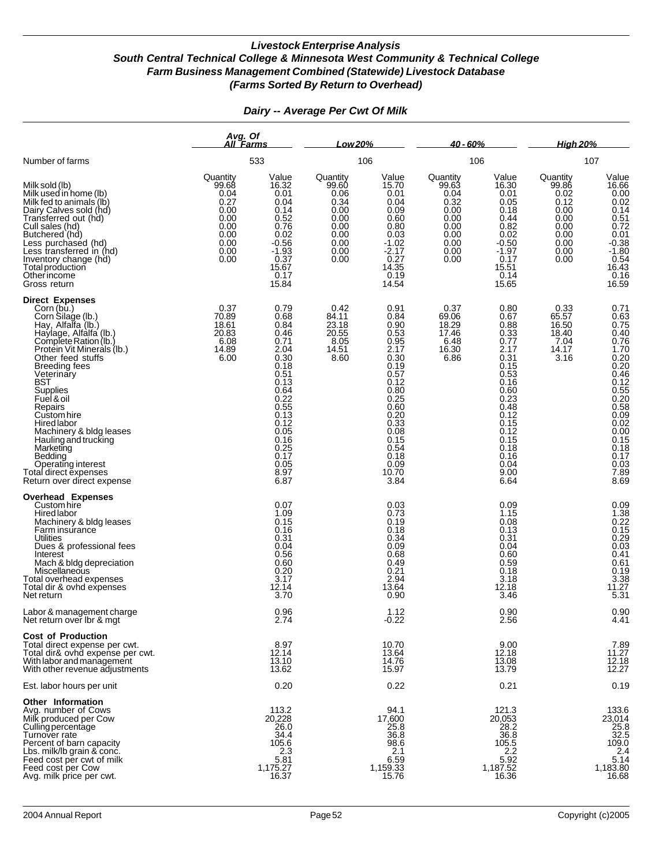|                                                                                                                                                                                                                                                                                                                                                                                                                                                                             | Avg. Of<br>All Farms                                                                      |                                                                                                                                                                              | Low 20%                                                                                   |                                                                                                                                                                               | 40 - 60%                                                                                  |                                                                                                                                                                              | <b>High 20%</b>                                                                           |                                                                                                                                                                                                      |
|-----------------------------------------------------------------------------------------------------------------------------------------------------------------------------------------------------------------------------------------------------------------------------------------------------------------------------------------------------------------------------------------------------------------------------------------------------------------------------|-------------------------------------------------------------------------------------------|------------------------------------------------------------------------------------------------------------------------------------------------------------------------------|-------------------------------------------------------------------------------------------|-------------------------------------------------------------------------------------------------------------------------------------------------------------------------------|-------------------------------------------------------------------------------------------|------------------------------------------------------------------------------------------------------------------------------------------------------------------------------|-------------------------------------------------------------------------------------------|------------------------------------------------------------------------------------------------------------------------------------------------------------------------------------------------------|
| Number of farms                                                                                                                                                                                                                                                                                                                                                                                                                                                             |                                                                                           | 533                                                                                                                                                                          |                                                                                           | 106                                                                                                                                                                           | 106                                                                                       |                                                                                                                                                                              |                                                                                           | 107                                                                                                                                                                                                  |
| Milk sold (lb)<br>Milk used in home (lb)<br>Milk fed to animals (lb)<br>Dairy Calves sold (hd)<br>Transferred out (hd)<br>Cull sales (hd)<br>Butchered (hd)<br>Less purchased (hd)<br>Less transferred in (hd)<br>Inventory change (hd)<br>Total production<br>Otherincome<br>Gross return                                                                                                                                                                                  | Quantity<br>99.68<br>0.04<br>0.27<br>0.00<br>0.00<br>0.00<br>0.00<br>0.00<br>0.00<br>0.00 | Value<br>16.32<br>0.01<br>0.04<br>0.14<br>0.52<br>0.76<br>0.02<br>$-0.56$<br>$-1.93$<br>0.37<br>15.67<br>0.17<br>15.84                                                       | Quantity<br>99.60<br>0.06<br>0.34<br>0.00<br>0.00<br>0.00<br>0.00<br>0.00<br>0.00<br>0.00 | Value<br>15.70<br>0.01<br>0.04<br>0.09<br>0.60<br>0.80<br>0.03<br>$-1.02$<br>$-2.17$<br>14.35<br>0.19<br>14.54                                                                | Quantity<br>99.63<br>0.04<br>0.32<br>0.00<br>0.00<br>0.00<br>0.00<br>0.00<br>0.00<br>0.00 | Value<br>16.30<br>0.01<br>0.05<br>0.18<br>$0.44$<br>$0.82$<br>0.02<br>$-0.50$<br>$-1.97$<br>0.17<br>15.51<br>0.14<br>15.65                                                   | Quantity<br>99.86<br>0.02<br>0.12<br>0.00<br>0.00<br>0.00<br>0.00<br>0.00<br>0.00<br>0.00 | Value<br>16.66<br>0.00<br>0.02<br>0.14<br>$0.51$<br>$0.72$<br>$0.01$<br>$-0.38$<br>$-1.80$<br>$0.54$<br>$16.43$<br>$0.16$<br>16.59                                                                   |
| <b>Direct Expenses</b><br>Corn (bu.)<br>Corn Silage (lb.)<br>Hay, Alfalfa (lb.)<br>Haylage, Alfalfa (lb.)<br>Complete Ration (lb.)<br>Protein Vit Minerals (lb.)<br>Other feed stuffs<br><b>Breeding fees</b><br>Veterinary<br><b>BST</b><br>Supplies<br>Fuel & oil<br>Repairs<br>Custom hire<br><b>Hired labor</b><br>Machinery & bldg leases<br>Hauling and trucking<br>Marketing<br>Bedding<br>Operating interest<br>Total direct expenses<br>Return over direct expense | 0.37<br>70.89<br>18.61<br>20.83<br>6.08<br>14.89<br>6.00                                  | 0.79<br>0.68<br>0.84<br>0.46<br>0.71<br>2.04<br>0.30<br>0.18<br>0.51<br>0.13<br>0.64<br>0.22<br>0.55<br>0.13<br>0.12<br>0.05<br>0.16<br>0.25<br>0.17<br>0.05<br>8.97<br>6.87 | 0.42<br>84.11<br>23.18<br>20.55<br>8.05<br>14.51<br>8.60                                  | 0.91<br>0.84<br>0.90<br>0.53<br>0.95<br>2.17<br>0.30<br>0.19<br>0.57<br>0.12<br>0.80<br>0.25<br>0.60<br>0.20<br>0.33<br>0.08<br>0.15<br>0.54<br>0.18<br>0.09<br>10.70<br>3.84 | 0.37<br>69.06<br>18.29<br>17.46<br>6.48<br>16.30<br>6.86                                  | 0.80<br>0.67<br>0.88<br>0.33<br>0.77<br>2.17<br>0.31<br>0.15<br>0.53<br>0.16<br>0.60<br>0.23<br>0.48<br>0.12<br>0.15<br>0.12<br>0.15<br>0.18<br>0.16<br>0.04<br>9.00<br>6.64 | 0.33<br>65.57<br>16.50<br>18.40<br>7.04<br>14.17<br>3.16                                  | 0.71<br>$0.63$<br>$0.75$<br>$0.40$<br>$0.76$<br>1.70<br>$0.20$<br>$0.20$<br>0.46<br>$0.12$<br>0.55<br>0.58<br>0.58<br>$0.09$<br>$0.02$<br>$0.00$<br>0.15<br>0.18<br>0.17<br>$0.03$<br>$7.89$<br>8.69 |
| <b>Overhead Expenses</b><br>Custom hire<br>Hired labor<br>Machinery & bldg leases<br>Farm insurance<br><b>Utilities</b><br>Dues & professional fees<br>Interest<br>Mach & bldg depreciation<br>Miscellaneous<br>Total overhead expenses<br>Total dir & ovhd expenses<br>Net return                                                                                                                                                                                          |                                                                                           | 0.07<br>1.09<br>0.15<br>0.16<br>0.31<br>0.04<br>0.56<br>0.60<br>0.20<br>3.17<br>12.14<br>3.70                                                                                |                                                                                           | 0.03<br>0.73<br>0.19<br>0.18<br>0.34<br>0.09<br>0.68<br>0.49<br>0.21<br>2.94<br>13.64<br>0.90                                                                                 |                                                                                           | 0.09<br>1.15<br>0.08<br>0.13<br>0.31<br>0.04<br>0.60<br>0.59<br>0.18<br>3.18<br>12.18<br>3.46                                                                                |                                                                                           | $0.09$<br>$1.38$<br>$0.22$<br>$0.15$<br>$0.29$<br>0.03<br>0.41<br>0.61<br>0.19<br>$\frac{3.38}{11.27}$<br>5.31                                                                                       |
| Labor & management charge<br>Net return over lbr & mgt                                                                                                                                                                                                                                                                                                                                                                                                                      |                                                                                           | 0.96<br>2.74                                                                                                                                                                 |                                                                                           | 1.12<br>-0.22                                                                                                                                                                 |                                                                                           | 0.90<br>2.56                                                                                                                                                                 |                                                                                           | 0.90<br>4.41                                                                                                                                                                                         |
| <b>Cost of Production</b><br>Total direct expense per cwt.<br>Total dir& ovhd expense per cwt.<br>With labor and management<br>With other revenue adjustments                                                                                                                                                                                                                                                                                                               |                                                                                           | 8.97<br>12.14<br>13.10<br>13.62                                                                                                                                              |                                                                                           | 10.70<br>13.64<br>14.76<br>15.97                                                                                                                                              |                                                                                           | 9.00<br>12.18<br>13.08<br>13.79                                                                                                                                              |                                                                                           | 7.89<br>11.27<br>12.18<br>12.27                                                                                                                                                                      |
| Est. labor hours per unit                                                                                                                                                                                                                                                                                                                                                                                                                                                   |                                                                                           | 0.20                                                                                                                                                                         |                                                                                           | 0.22                                                                                                                                                                          |                                                                                           | 0.21                                                                                                                                                                         |                                                                                           | 0.19                                                                                                                                                                                                 |
| <b>Other Information</b><br>Avg. number of Cows<br>Milk produced per Cow<br>Culling percentage<br>Turnover rate<br>Percent of barn capacity<br>Lbs. milk/lb grain & conc.<br>Feed cost per cwt of milk<br>Feed cost per Cow<br>Avg. milk price per cwt.                                                                                                                                                                                                                     |                                                                                           | 113.2<br>20,228<br>26.0<br>34.4<br>105.6<br>2.3<br>5.81<br>1,175.27<br>16.37                                                                                                 |                                                                                           | 94.1<br>17,600<br>25.8<br>36.8<br>98.6<br>2.1<br>6.59<br>1,159.33<br>15.76                                                                                                    |                                                                                           | 121.3<br>20,053<br>28.2<br>36.8<br>105.5<br>2.2<br>5.92<br>1,187.52<br>16.36                                                                                                 |                                                                                           | 133.6<br>23,014<br>25.8<br>32.5<br>109.0<br>2.4<br>5.14<br>1,183.80<br>16.68                                                                                                                         |

### *Dairy -- Average Per Cwt Of Milk*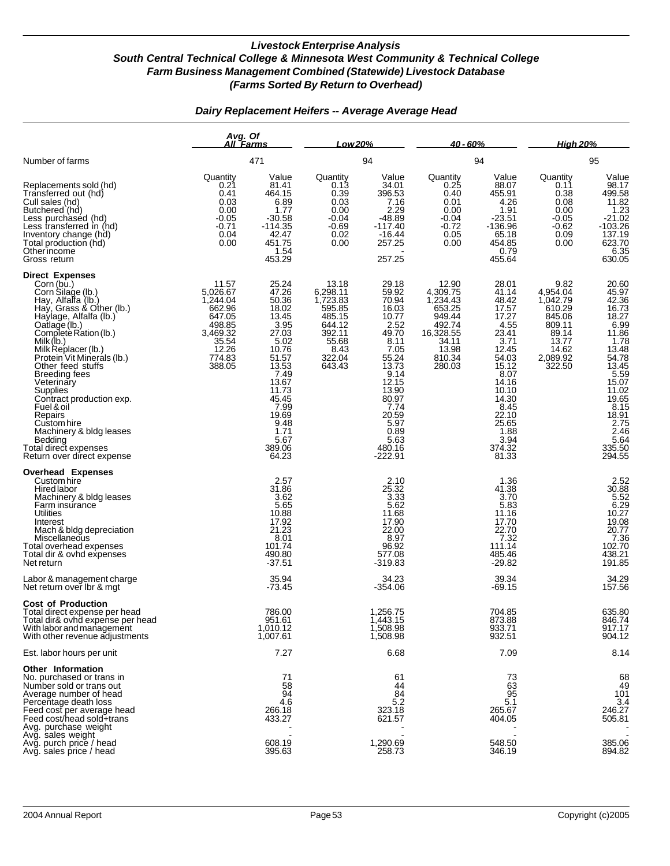#### *Dairy Replacement Heifers -- Average Average Head*

|                                                                                                                                                                                                                                                                                                                                                                                                                                                                                            | Avg. Of<br>All Farms                                                                                          |                                                                                                                                                                                                       | Low 20%                                                                                                    |                                                                                                                                                                                                 | $40 - 60%$                                                                                                     |                                                                                                                                                                                               | <b>High 20%</b>                                                                                             |                                                                                                                                                                                           |  |
|--------------------------------------------------------------------------------------------------------------------------------------------------------------------------------------------------------------------------------------------------------------------------------------------------------------------------------------------------------------------------------------------------------------------------------------------------------------------------------------------|---------------------------------------------------------------------------------------------------------------|-------------------------------------------------------------------------------------------------------------------------------------------------------------------------------------------------------|------------------------------------------------------------------------------------------------------------|-------------------------------------------------------------------------------------------------------------------------------------------------------------------------------------------------|----------------------------------------------------------------------------------------------------------------|-----------------------------------------------------------------------------------------------------------------------------------------------------------------------------------------------|-------------------------------------------------------------------------------------------------------------|-------------------------------------------------------------------------------------------------------------------------------------------------------------------------------------------|--|
| Number of farms                                                                                                                                                                                                                                                                                                                                                                                                                                                                            |                                                                                                               | 471                                                                                                                                                                                                   |                                                                                                            | 94                                                                                                                                                                                              |                                                                                                                | 94                                                                                                                                                                                            |                                                                                                             | 95                                                                                                                                                                                        |  |
| Replacements sold (hd)<br>Transferred out (hd)<br>Cull sales (hd)<br>Butchered (hd)<br>Less purchased (hd)<br>Less transferred in (hd)<br>Inventory change (hd)<br>Total production (hd)<br>Otherincome<br>Gross return                                                                                                                                                                                                                                                                    | Quantity<br>0.21<br>0.41<br>0.03<br>0.00<br>$-0.05$<br>$-0.71$<br>0.04<br>0.00                                | Value<br>81.41<br>464.15<br>6.89<br>1.77<br>-30.58<br>$-114.35$<br>42.47<br>451.75<br>1.54<br>453.29                                                                                                  | Quantity<br>0.13<br>0.39<br>0.03<br>0.00<br>$-0.04$<br>$-0.69$<br>0.02<br>0.00                             | Value<br>34.01<br>396.53<br>7.16<br>2.29<br>$-48.89$<br>$-117.40$<br>$-16.44$<br>257.25<br>257.25                                                                                               | Quantity<br>0.25<br>0.40<br>0.01<br>0.00<br>$-0.04$<br>$-0.72$<br>0.05<br>0.00                                 | Value<br>88.07<br>455.91<br>4.26<br>1.91<br>$-23.51$<br>$-136.96$<br>65.18<br>454.85<br>0.79<br>455.64                                                                                        | Quantity<br>0.11<br>0.38<br>0.08<br>0.00<br>$-0.05$<br>$-0.62$<br>0.09<br>0.00                              | Value<br>98.17<br>499.58<br>11.82<br>1.23<br>21.02<br>$-103.26$<br>137.19<br>623.70<br>6.35<br>630.05                                                                                     |  |
| <b>Direct Expenses</b><br>Corn (bu.)<br>Corn Silage (lb.)<br>Hay, Alfalfa (lb.)<br>Hay, Grass & Other (lb.)<br>Haylage, Alfalfa (lb.)<br>Qatlage (lb.)<br>Complete Ration (lb.)<br>Milk $(h)$<br>Milk Replacer (lb.)<br>Protein Vit Minerals (lb.)<br>Other feed stuffs<br><b>Breeding fees</b><br>Veterinary<br>Supplies<br>Contract production exp.<br>Fuel & oil<br>Repairs<br>Custom hire<br>Machinery & bldg leases<br>Bedding<br>Total direct expenses<br>Return over direct expense | 11.57<br>5,026.67<br>1,244.04<br>662.96<br>647.05<br>498.85<br>3,469.32<br>35.54<br>12.26<br>774.83<br>388.05 | 25.24<br>47.26<br>50.36<br>18.02<br>13.45<br>3.95<br>27.03<br>5.02<br>10.76<br>$\frac{51.57}{13.53}$<br>7.49<br>13.67<br>11.73<br>45.45<br>$7.99$<br>19.69<br>9.48<br>1.71<br>5.67<br>389.06<br>64.23 | 13.18<br>6,298.11<br>1,723.83<br>595.85<br>485.15<br>644.12<br>392.11<br>55.68<br>8.43<br>322.04<br>643.43 | 29.18<br>59.92<br>70.94<br>16.03<br>10.77<br>2.52<br>49.70<br>8.11<br>7.05<br>55.24<br>13.73<br>9.14<br>12.15<br>13.90<br>80.97<br>7.74<br>20.59<br>5.97<br>0.89<br>5.63<br>480.16<br>$-222.91$ | 12.90<br>4,309.75<br>1,234.43<br>653.25<br>949.44<br>492.74<br>16,328.55<br>34.11<br>13.98<br>810.34<br>280.03 | 28.01<br>41.14<br>48.42<br>17.57<br>17.27<br>4.55<br>23.41<br>3.71<br>12.45<br>54.03<br>15.12<br>8.07<br>14.16<br>10.10<br>14.30<br>8.45<br>22.10<br>25.65<br>1.88<br>3.94<br>374.32<br>81.33 | 9.82<br>4,954.04<br>1,042.79<br>610.29<br>845.06<br>809.11<br>89.14<br>13.77<br>14.62<br>2,089.92<br>322.50 | 20.60<br>45.97<br>16.73<br>6.99<br>11.86<br>1.78<br>13.48<br>78<br>13.48<br>5.97<br>15.02<br>5.15<br>10.02<br>5.15<br>2.46<br>5.48<br>2.75<br>48<br>2.19<br>2.5<br>335.50<br>294.55       |  |
| <b>Overhead Expenses</b><br>Custom hire<br>Hired labor<br>Machinery & bldg leases<br>Farm insurance<br><b>Utilities</b><br>Interest<br>Mach & bldg depreciation<br>Miscellaneous<br>Total overhead expenses<br>Total dir & ovhd expenses<br>Net return                                                                                                                                                                                                                                     |                                                                                                               | 2.57<br>31.86<br>3.62<br>5.65<br>10.88<br>$\frac{17.92}{21.23}$<br>8.01<br>101.74<br>490.80<br>$-37.51$                                                                                               |                                                                                                            | 2.10<br>25.32<br>3.33<br>5.62<br>11.68<br>17.90<br>22.00<br>8.97<br>96.92<br>577.08<br>$-319.83$                                                                                                |                                                                                                                | 1.36<br>41.38<br>3.70<br>5.83<br>11.16<br>17.70<br>22.70<br>7.32<br>111.14<br>485.46<br>$-29.82$                                                                                              |                                                                                                             | 2.52<br>$\begin{array}{r}\n 30.88 \\  \hline\n 5.52 \\  \hline\n 6.29 \\  \hline\n 10.27 \\  \hline\n 10.29\n \end{array}$<br>$\frac{19.08}{20.77}$<br>7.36<br>102.70<br>438.21<br>191.85 |  |
| Labor & management charge<br>Net return over Ibr & mgt                                                                                                                                                                                                                                                                                                                                                                                                                                     |                                                                                                               | 35.94<br>$-73.45$                                                                                                                                                                                     |                                                                                                            | 34.23<br>-354.06                                                                                                                                                                                |                                                                                                                | 39.34<br>$-69.15$                                                                                                                                                                             |                                                                                                             | 34.29<br>157.56                                                                                                                                                                           |  |
| <b>Cost of Production</b><br>Total direct expense per head<br>Total dir& ovhd expense per head<br>With labor and management<br>With other revenue adjustments                                                                                                                                                                                                                                                                                                                              |                                                                                                               | 786.00<br>951.61<br>1,010.12<br>1,007.61                                                                                                                                                              |                                                                                                            | 1,256.75<br>1,443.15<br>1,508.98<br>1,508.98                                                                                                                                                    |                                                                                                                | 704.85<br>873.88<br>933.71<br>932.51                                                                                                                                                          |                                                                                                             | 635.80<br>846.74<br>917.17<br>904.12                                                                                                                                                      |  |
| Est. labor hours per unit                                                                                                                                                                                                                                                                                                                                                                                                                                                                  |                                                                                                               | 7.27                                                                                                                                                                                                  |                                                                                                            | 6.68                                                                                                                                                                                            |                                                                                                                | 7.09                                                                                                                                                                                          |                                                                                                             | 8.14                                                                                                                                                                                      |  |
| Other Information<br>No. purchased or trans in<br>Number sold or trans out<br>Average number of head<br>Percentage death loss<br>Feed cost per average head<br>Feed cost/head sold+trans<br>Avg. purchase weight                                                                                                                                                                                                                                                                           |                                                                                                               | 71<br>58<br>94<br>4.6<br>266.18<br>433.27                                                                                                                                                             |                                                                                                            | 61<br>44<br>84<br>5.2<br>323.18<br>621.57                                                                                                                                                       |                                                                                                                | 73<br>63<br>95<br>5.1<br>265.67<br>404.05                                                                                                                                                     |                                                                                                             | 68<br>49<br>101<br>3.4<br>246.27<br>505.81                                                                                                                                                |  |
| Avg. sales weight<br>Avg. purch price / head<br>Avg. sales price / head                                                                                                                                                                                                                                                                                                                                                                                                                    |                                                                                                               | 608.19<br>395.63                                                                                                                                                                                      |                                                                                                            | 1,290.69<br>258.73                                                                                                                                                                              |                                                                                                                | 548.50<br>346.19                                                                                                                                                                              |                                                                                                             | 385.06<br>894.82                                                                                                                                                                          |  |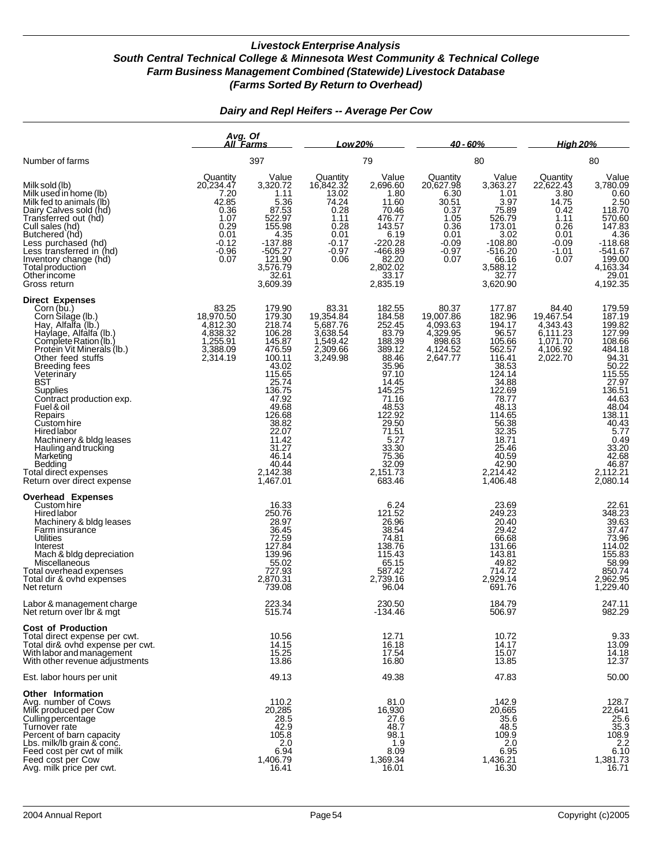|                                                                                                                                                                                                                                                                                                                                                                                                                                                                            | Avg. Of                                                                                              | All Farms                                                                                                                                                                                                 | Low 20%                                                                                                 |                                                                                                                                                                                                                                                     | $40 - 60%$                                                                                           |                                                                                                                                                                                                                   | <b>High 20%</b>                                                                                    |                                                                                                                                                                                                                        |
|----------------------------------------------------------------------------------------------------------------------------------------------------------------------------------------------------------------------------------------------------------------------------------------------------------------------------------------------------------------------------------------------------------------------------------------------------------------------------|------------------------------------------------------------------------------------------------------|-----------------------------------------------------------------------------------------------------------------------------------------------------------------------------------------------------------|---------------------------------------------------------------------------------------------------------|-----------------------------------------------------------------------------------------------------------------------------------------------------------------------------------------------------------------------------------------------------|------------------------------------------------------------------------------------------------------|-------------------------------------------------------------------------------------------------------------------------------------------------------------------------------------------------------------------|----------------------------------------------------------------------------------------------------|------------------------------------------------------------------------------------------------------------------------------------------------------------------------------------------------------------------------|
| Number of farms                                                                                                                                                                                                                                                                                                                                                                                                                                                            |                                                                                                      | 397                                                                                                                                                                                                       |                                                                                                         | 79                                                                                                                                                                                                                                                  |                                                                                                      | 80                                                                                                                                                                                                                |                                                                                                    | 80                                                                                                                                                                                                                     |
| Milk sold (lb)<br>Milk used in home (lb)<br>Milk fed to animals (lb)<br>Dairy Calves sold (hd)<br>Transferred out (hd)<br>Cull sales (hd)<br>Butchered (hd)<br>Less purchased (hd)<br>Less transferred in (hd)<br>Inventory change (hd)<br>Total production<br>Other income<br>Gross return                                                                                                                                                                                | Quantity<br>20,234.47<br>7.20<br>42.85<br>0.36<br>1.07<br>0.29<br>0.01<br>$-0.12$<br>$-0.96$<br>0.07 | Value<br>3,320.72<br>1.11<br>5.36<br>87.53<br>522.97<br>155.98<br>4.35<br>$-137.88$<br>$-505.27$<br>121.90<br>3,576.79<br>32.61<br>3,609.39                                                               | Quantity<br>16,842.32<br>13.02<br>74.24<br>0.28<br>1.11<br>0.28<br>0.01<br>$-0.17$<br>$-0.97$<br>$0.06$ | Value<br>2.696.60<br>1.80<br>11.60<br>70.46<br>476.77<br>143.57<br>6.19<br>$-220.28$<br>$-466.89$<br>$82.20$<br>2,802.02<br>$7.33.17$<br>2,835.19                                                                                                   | Quantity<br>20,627.98<br>6.30<br>30.51<br>0.37<br>1.05<br>0.36<br>0.01<br>$-0.09$<br>$-0.97$<br>0.07 | Value<br>3,363.27<br>1.01<br>3.97<br>75.89<br>526.79<br>173.01<br>3.02<br>$-108.80$<br>$-516.20$<br>66.16<br>3,588.12<br>32.77<br>3,620.90                                                                        | Quantity<br>22,622.43<br>3.80<br>14.75<br>0.42<br>1.11<br>0.26<br>0.01<br>-0.09<br>$-1.01$<br>0.07 | Value<br>3,780.09<br>$\begin{array}{r} \n 0.60 \\  2.50 \\  118.70 \\  570.60 \\  147.83 \\  4.36 \\  149.69\n \end{array}$<br>$-118.68$<br>$-541.67$<br>199.00<br>4,163.34<br>$7, 29.01$<br>4,192.35                  |
| <b>Direct Expenses</b><br>Corn (bu.)<br>Corn Silage (lb.)<br>Hay, Alfalfa (lb.)<br>Haylage, Alfalfa (lb.)<br>Complete Ration (lb.)<br>Protein Vit Minerals (Ib.)<br>Other feed stuffs<br><b>Breeding fees</b><br>Veterinary<br>BST<br>Supplies<br>Contract production exp.<br>Fuel & oil<br>Repairs<br>Custom hire<br><b>Hired</b> labor<br>Machinery & bldg leases<br>Hauling and trucking<br>Marketing<br>Bedding<br>Total direct expenses<br>Return over direct expense | 83.25<br>18,970.50<br>4,812.30<br>4,838.32<br>1,255.91<br>3,388.09<br>2,314.19                       | 179.90<br>179.30<br>218.74<br>106.28<br>145.87<br>476.59<br>100.11<br>43.02<br>115.65<br>25.74<br>136.75<br>47.92<br>49.68<br>126.68<br>38.82<br>11.42<br>31.27<br>46.14<br>40.44<br>2,142.38<br>1,467.01 | 83.31<br>19,354.84<br>5,687.76<br>3,638.54<br>1,549.42<br>2,309.66<br>3,249.98                          | 182.55<br>184.58<br>252.45<br>83.79<br>188.39<br>389.12<br>88.46<br>35.96<br>97.10<br>14.45<br>145.25<br>71.16<br>48.53<br>122.92<br>29.50<br>71.51<br>$\begin{array}{c} 7.16 \\ 5.27 \\ 33.30 \end{array}$<br>75.36<br>32.09<br>2,151.73<br>683.46 | 80.37<br>19,007.86<br>4,093.63<br>4,329.95<br>$898.63$<br>4,124.52<br>2,647.77                       | 177.87<br>182.96<br>194.17<br>96.57<br>105.66<br>562.57<br>116.41<br>38.53<br>124.14<br>34.88<br>122.69<br>78.77<br>48.13<br>114.65<br>56.38<br>32.35<br>18.71<br>25.46<br>40.59<br>42.90<br>2,214.42<br>1,406.48 | 84.40<br>19,467.54<br>4,343.43<br>6,111.23<br>1,071.70<br>4,106.92<br>2,022.70                     | 179.59<br>187.19<br>199.82<br>127.99<br>108.66<br>484.18<br>484.18<br>50.22<br>50.22<br>115.55<br>27.97<br>136.51<br>44.63<br>48.04<br>$738.11\n40.43\n5.77\n0.49\n33.20\n42.68\n46.87\n42.67$<br>2,112.21<br>2,080.14 |
| <b>Overhead Expenses</b><br>Custom hire<br>Hired labor<br>Machinery & bldg leases<br>Farm insurance<br>Utilities<br>Interest<br>Mach & bldg depreciation<br>Miscellaneous<br>Total overhead expenses<br>Total dir & ovhd expenses<br>Net return                                                                                                                                                                                                                            |                                                                                                      | 16.33<br>250.76<br>28.97<br>36.45<br>72.59<br>127.84<br>139.96<br>55.02<br>727.93<br>2,870.31<br>739.08                                                                                                   |                                                                                                         | 6.24<br>121.52<br>26.96<br>38.54<br>74.81<br>138.76<br>115.43<br>65.15<br>587.42<br>2,739.16<br>96.04                                                                                                                                               |                                                                                                      | 23.69<br>249.23<br>20.40<br>29.42<br>66.68<br>131.66<br>143.81<br>49.82<br>714.72<br>2,929.14<br>691.76                                                                                                           |                                                                                                    | 22.61<br>348.23<br>39.63<br>37.47<br>73.96<br>114.02<br>155.83<br>850.74<br>2,962.95<br>1,229.40                                                                                                                       |
| Labor & management charge<br>Net return over Ibr & mgt                                                                                                                                                                                                                                                                                                                                                                                                                     |                                                                                                      | 223.34<br>515.74                                                                                                                                                                                          |                                                                                                         | 230.50<br>-134.46                                                                                                                                                                                                                                   |                                                                                                      | 184.79<br>506.97                                                                                                                                                                                                  |                                                                                                    | 247.11<br>982.29                                                                                                                                                                                                       |
| <b>Cost of Production</b><br>Total direct expense per cwt.<br>Total dir& ovhd expense per cwt.<br>With labor and management<br>With other revenue adjustments                                                                                                                                                                                                                                                                                                              |                                                                                                      | 10.56<br>14.15<br>15.25<br>13.86                                                                                                                                                                          |                                                                                                         | 12.71<br>16.18<br>17.54<br>16.80                                                                                                                                                                                                                    |                                                                                                      | 10.72<br>14.17<br>15.07<br>13.85                                                                                                                                                                                  |                                                                                                    | $9.33$<br>13.09<br>14.18                                                                                                                                                                                               |
| Est. labor hours per unit                                                                                                                                                                                                                                                                                                                                                                                                                                                  |                                                                                                      | 49.13                                                                                                                                                                                                     |                                                                                                         | 49.38                                                                                                                                                                                                                                               |                                                                                                      | 47.83                                                                                                                                                                                                             |                                                                                                    | 50.00                                                                                                                                                                                                                  |
| Other Information<br>Avg. number of Cows<br>Milk produced per Cow<br>Culling percentage<br>Turnover rate<br>Percent of barn capacity<br>Lbs. milk/lb grain & conc.<br>Feed cost per cwt of milk<br>Feed cost per Cow<br>Avg. milk price per cwt.                                                                                                                                                                                                                           |                                                                                                      | 110.2<br>20,285<br>$28.5$<br>42.9<br>105.8<br>2.0<br>6.94<br>1,406.79<br>16.41                                                                                                                            |                                                                                                         | 81.0<br>16,930<br>27.6<br>48.7<br>98.1<br>1.9<br>8.09<br>1,369.34<br>16.01                                                                                                                                                                          |                                                                                                      | 142.9<br>20,665<br>35.6<br>48.5<br>109.9<br>2.0<br>6.95<br>1,436.21<br>16.30                                                                                                                                      |                                                                                                    | 128.7<br>22,641<br>$25.6$<br>35.3<br>108.9<br>2.2<br>6.10<br>1,381.73<br>16.71                                                                                                                                         |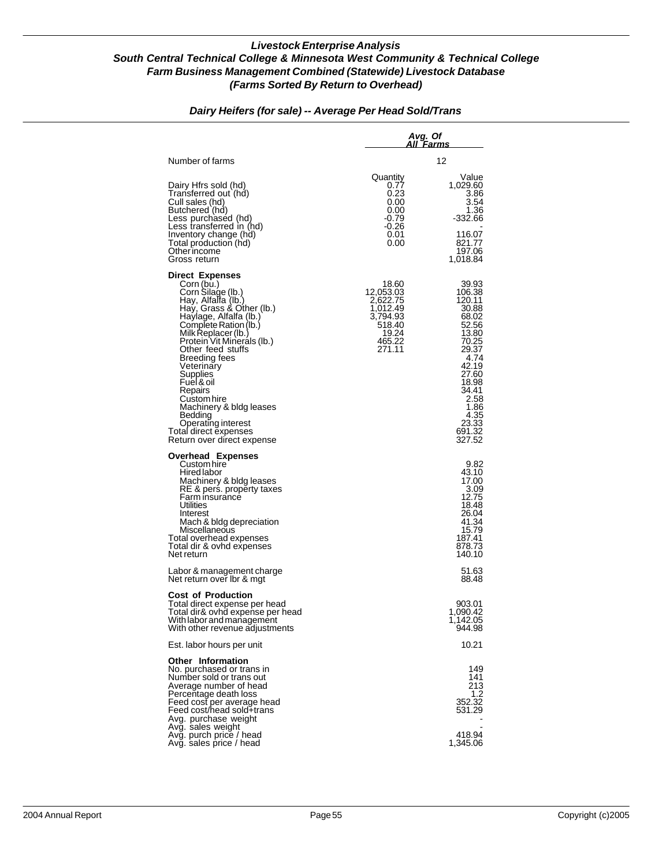|                                                                                                                                                                                                                                                                                                                                                                                                                                                |                                                                                               | Avg. Of<br>All Farms                                                                                                                                                             |
|------------------------------------------------------------------------------------------------------------------------------------------------------------------------------------------------------------------------------------------------------------------------------------------------------------------------------------------------------------------------------------------------------------------------------------------------|-----------------------------------------------------------------------------------------------|----------------------------------------------------------------------------------------------------------------------------------------------------------------------------------|
| Number of farms                                                                                                                                                                                                                                                                                                                                                                                                                                |                                                                                               | 12                                                                                                                                                                               |
| Dairy Hfrs sold (hd)<br>Transferred out (hd)<br>Cull sales (hd)<br>Butchered (hd)<br>Less purchased (hd)<br>Less transferred in (hd)<br>Inventory change (hd)<br>Total production (hd)<br>Other income<br>Gross return                                                                                                                                                                                                                         | Quantity<br>0.77<br>0.23<br>0.00<br>0.00<br>-0.79<br>-0.26<br>0.01<br>0.00                    | Value<br>1,029.60<br>3.86<br>3.54<br>1.36<br>-332.66<br>116.07<br>821.77<br>197.06<br>1,018.84                                                                                   |
| <b>Direct Expenses</b><br>Corn (bu.)<br>Corn Silage (lb.)<br>Hay, Alfalfa (lb.)<br>Hay, Grass & Other (lb.)<br>Haylage, Alfalfa (lb.)<br>Complete Ration (lb.)<br>Milk Replacer (lb.)<br>Protein Vit Minerals (lb.)<br>Other feed stuffs<br>Breeding fees<br>Veterinary<br>Supplies<br>Fuel & oil<br>Repairs<br>Custom hire<br>Machinery & bldg leases<br>Bedding<br>Operating interest<br>Total direct expenses<br>Return over direct expense | 18.60<br>12,053.03<br>2,622.75<br>1,012.49<br>3,794.93<br>518.40<br>19.24<br>465.22<br>271.11 | 39.93<br>106.38<br>120.11<br>30.88<br>68.02<br>52.56<br>13.80<br>70.25<br>29.37<br>4.74<br>42.19<br>27.60<br>18.98<br>34.41<br>2.58<br>1.86<br>4.35<br>23.33<br>691.32<br>327.52 |
| <b>Overhead Expenses</b><br>Custom hire<br>Hired labor<br>Machinery & bldg leases<br>RE & pers. property taxes<br>Farm insurance<br><b>Utilities</b><br>Interest<br>Mach & bldg depreciation<br>Miscellaneous<br>Total overhead expenses<br>Total dir & ovhd expenses<br>Net return                                                                                                                                                            |                                                                                               | 9.82<br>43.10<br>17.00<br>3.09<br>12.75<br>18.48<br>26.04<br>41.34<br>15.79<br>187.41<br>878.73<br>140.10                                                                        |
| Labor & management charge<br>Net return over Ibr & mgt                                                                                                                                                                                                                                                                                                                                                                                         |                                                                                               | 51.63<br>88.48                                                                                                                                                                   |
| <b>Cost of Production</b><br>Total direct expense per head<br>Total dir& ovhd expense per head<br>With labor and management<br>With other revenue adjustments                                                                                                                                                                                                                                                                                  |                                                                                               | 903.01<br>1,090.42<br>1,142.US<br>944.98                                                                                                                                         |
| Est. labor hours per unit                                                                                                                                                                                                                                                                                                                                                                                                                      |                                                                                               | 10.21                                                                                                                                                                            |
| <b>Other Information</b><br>No. purchased or trans in<br>Number sold or trans out<br>Average number of head<br>Percentage death loss<br>Feed cost per average head<br>Feed cost/head sold+trans<br>Avg. purchase weight                                                                                                                                                                                                                        |                                                                                               | 149<br>141<br>213<br>1.2<br>352.32<br>531.29                                                                                                                                     |
| Avg. sales weight<br>Avg. purch price / head<br>Avg. sales price / head                                                                                                                                                                                                                                                                                                                                                                        |                                                                                               | 418.94<br>1,345.06                                                                                                                                                               |

## *Dairy Heifers (for sale) -- Average Per Head Sold/Trans*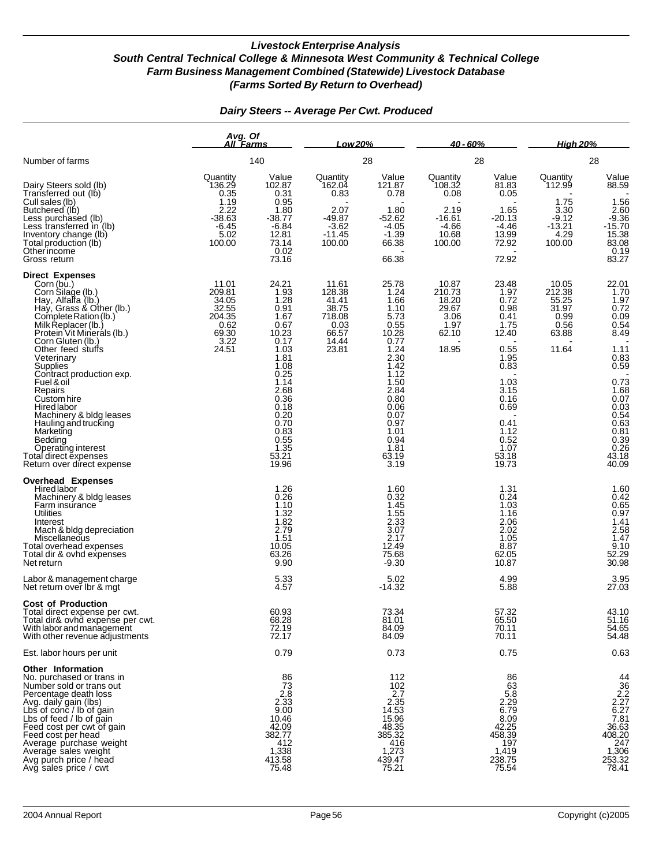|                                                                                                                                                                                                                                                                                                                                                                                                                                                                                 | Avg. Of<br>All Farms                                                                |                                                                                                                                                                                            | Low 20%                                                                        |                                                                                                                                                                                                 | 40 - 60%                                                                     |                                                                                                                                                                  | <b>High 20%</b>                                                             |                                                                                                                                                                                                          |
|---------------------------------------------------------------------------------------------------------------------------------------------------------------------------------------------------------------------------------------------------------------------------------------------------------------------------------------------------------------------------------------------------------------------------------------------------------------------------------|-------------------------------------------------------------------------------------|--------------------------------------------------------------------------------------------------------------------------------------------------------------------------------------------|--------------------------------------------------------------------------------|-------------------------------------------------------------------------------------------------------------------------------------------------------------------------------------------------|------------------------------------------------------------------------------|------------------------------------------------------------------------------------------------------------------------------------------------------------------|-----------------------------------------------------------------------------|----------------------------------------------------------------------------------------------------------------------------------------------------------------------------------------------------------|
| Number of farms                                                                                                                                                                                                                                                                                                                                                                                                                                                                 |                                                                                     | 140                                                                                                                                                                                        |                                                                                | 28                                                                                                                                                                                              |                                                                              | 28                                                                                                                                                               |                                                                             | 28                                                                                                                                                                                                       |
| Dairy Steers sold (lb)<br>Transferred out (lb)<br>Cull sales (lb)<br>Butchered (lb)<br>Less purchased (lb)<br>Less transferred in (lb)<br>Inventory change (lb)<br>Total production (lb)<br>Otherincome                                                                                                                                                                                                                                                                         | Quantity<br>136.29<br>0.35<br>1.19<br>2.22<br>$-38.63$<br>$-6.45$<br>5.02<br>100.00 | Value<br>102.87<br>0.31<br>0.95<br>1.80<br>$-38.77$<br>$-6.84$<br>12.81<br>73.14<br>0.02                                                                                                   | Quantity<br>162.04<br>0.83<br>2.07<br>$-49.87$<br>-3.62<br>$-11.45$<br>100.00  | Value<br>121.87<br>0.78<br>1.80<br>$-52.62$<br>$-4.05$<br>$-1.39$<br>66.38                                                                                                                      | Quantity<br>108.32<br>0.08<br>2.19<br>$-16.61$<br>$-4.66$<br>10.68<br>100.00 | Value<br>81.83<br>0.05<br>1.65<br>$-20.13$<br>$-4.46$<br>13.99<br>72.92                                                                                          | Quantity<br>112.99<br>1.75<br>3.30<br>$-9.12$<br>$-13.21$<br>4.29<br>100.00 | Value<br>88.59<br>$1.56$<br>$2.60$<br>$-9.36$<br>$-15.70$<br>$15.38$<br>$83.08$<br>0.19                                                                                                                  |
| Gross return<br><b>Direct Expenses</b><br>Corn (bu.)<br>Corn Silage (lb.)<br>Hay, Alfalfa (lb.)<br>Hay, Grass & Other (lb.)<br>Complete Ration (lb.)<br>Milk Replacer (lb.)<br>Protein Vit Minerals (lb.)<br>Corn Gluten (lb.)<br>Other feed stuffs<br>Veterinary<br>Supplies<br>Contract production exp.<br>Fuel & oil<br>Repairs<br>Custom hire<br><b>Hired labor</b><br>Machinery & bldg leases<br>Hauling and trucking<br>Marketing<br><b>Bedding</b><br>Operating interest | 11.01<br>209.81<br>34.05<br>32.55<br>204.35<br>0.62<br>$69.30$<br>$3.22$<br>24.51   | 73.16<br>24.21<br>1.93<br>1.28<br>0.91<br>1.67<br>0.67<br>10.23<br>0.17<br>1.03<br>1.81<br>1.08<br>0.25<br>1.14<br>2.68<br>0.36<br>0.18<br>0.20<br>0.70<br>0.83<br>$0.55$<br>1.35<br>53.21 | 11.61<br>128.38<br>41.41<br>38.75<br>718.08<br>0.03<br>66.57<br>14.44<br>23.81 | 66.38<br>25.78<br>1.24<br>1.66<br>1.10<br>$\frac{6.73}{0.55}$<br>10.28<br>0.77<br>1.24<br>2.30<br>1.42<br>1.12<br>1.50<br>2.84<br>0.80<br>0.06<br>0.07<br>0.97<br>1.01<br>0.94<br>1.81<br>63.19 | 10.87<br>210.73<br>18.20<br>29.67<br>3.06<br>1.97<br>62.10<br>18.95          | 72.92<br>23.48<br>1.97<br>0.72<br>0.98<br>0.41<br>1.75<br>12.40<br>0.55<br>1.95<br>0.83<br>1.03<br>3.15<br>0.16<br>0.69<br>0.41<br>1.12<br>0.52<br>1.07<br>53.18 | 10.05<br>212.38<br>55.25<br>31.97<br>0.99<br>0.56<br>63.88<br>11.64         | 83.27<br>$22.01$<br>$1.70$<br>$\frac{1.97}{0.72}$<br>$0.09$<br>0.54<br>8.49<br>1.11<br>$0.83$<br>$0.59$<br>$0.73$<br>$1.68$<br>$0.07$<br>$0.03$<br>0.03<br>0.54<br>0.63<br>0.81<br>0.39<br>0.26<br>43.18 |
| Total direct expenses<br>Return over direct expense<br><b>Overhead Expenses</b><br>Hired labor<br>Machinery & bldg leases<br>Farm insurance<br>Utilities<br>Interest<br>Mach & bldg depreciation<br>Miscellaneous<br>Total overhead expenses<br>Total dir & ovhd expenses<br>Net return                                                                                                                                                                                         |                                                                                     | 19.96<br>1.26<br>0.26<br>1.10<br>1.32<br>$\frac{1.82}{2.79}$<br>1.51<br>10.05<br>63.26<br>9.90                                                                                             |                                                                                | 3.19<br>1.60<br>0.32<br>1.45<br>$1.55$<br>$2.33$<br>3.07<br>2.17<br>12.49<br>75.68<br>$-9.30$                                                                                                   |                                                                              | 19.73<br>1.31<br>0.24<br>1.03<br>1.16<br>2.06<br>2.02<br>1.05<br>8.87<br>62.05<br>10.87                                                                          |                                                                             | 40.09<br>$1.60$<br>0.42<br>0.65<br>$0.97$<br>$1.41$<br>$2.58$<br>$1.47$<br>9.10<br>52.29<br>30.98                                                                                                        |
| Labor & management charge<br>Net return over Ibr & mgt<br><b>Cost of Production</b><br>Total direct expense per cwt.<br>Total dir& ovnd expense per cwt.<br>With labor and management<br>With other revenue adjustments                                                                                                                                                                                                                                                         |                                                                                     | 5.33<br>4.57<br>60.93<br>68.28<br>72.19<br>72.17                                                                                                                                           |                                                                                | 5.02<br>$-14.32$<br>73.34<br>81.01<br>84.09<br>84.09                                                                                                                                            |                                                                              | 4.99<br>5.88<br>57.32<br>65.50<br>70.11<br>70.11                                                                                                                 |                                                                             | 3.95<br>27.03<br>43.10<br>51.16<br>54.65<br>54.48                                                                                                                                                        |
| Est. labor hours per unit                                                                                                                                                                                                                                                                                                                                                                                                                                                       |                                                                                     | 0.79                                                                                                                                                                                       |                                                                                | 0.73                                                                                                                                                                                            |                                                                              | 0.75                                                                                                                                                             |                                                                             | 0.63                                                                                                                                                                                                     |
| Other Information<br>No. purchased or trans in<br>Number sold or trans out<br>Percentage death loss<br>Avg. daily gain (lbs)<br>Lbs of conc / lb of gain<br>Lbs of feed / lb of gain<br>Feed cost per cwt of gain<br>Feed cost per head<br>Average purchase weight<br>Average sales weight<br>Avg purch price / head<br>Avg sales price / cwt                                                                                                                                   |                                                                                     | 86<br>73<br>2.8<br>2.33<br>9.00<br>10.46<br>42.09<br>382.77<br>$\frac{412}{1,338}$<br>413.58<br>75.48                                                                                      |                                                                                | 112<br>102<br>2.7<br>2.35<br>$14.53$<br>$15.96$<br>48.35<br>385.32<br>$\frac{416}{1,273}$<br>439.47<br>75.21                                                                                    |                                                                              | 86<br>63<br>5.8<br>$2.29$<br>6.79<br>8.09<br>42.25<br>458.39<br>$\frac{197}{1,419}$<br>238.75<br>75.54                                                           |                                                                             | 44<br>36<br>2.2<br>2.27<br>6.27<br>6.27<br>36.63<br>36.92<br>408.20<br>$7247$<br>1,306<br>253.32<br>78.41                                                                                                |

### *Dairy Steers -- Average Per Cwt. Produced*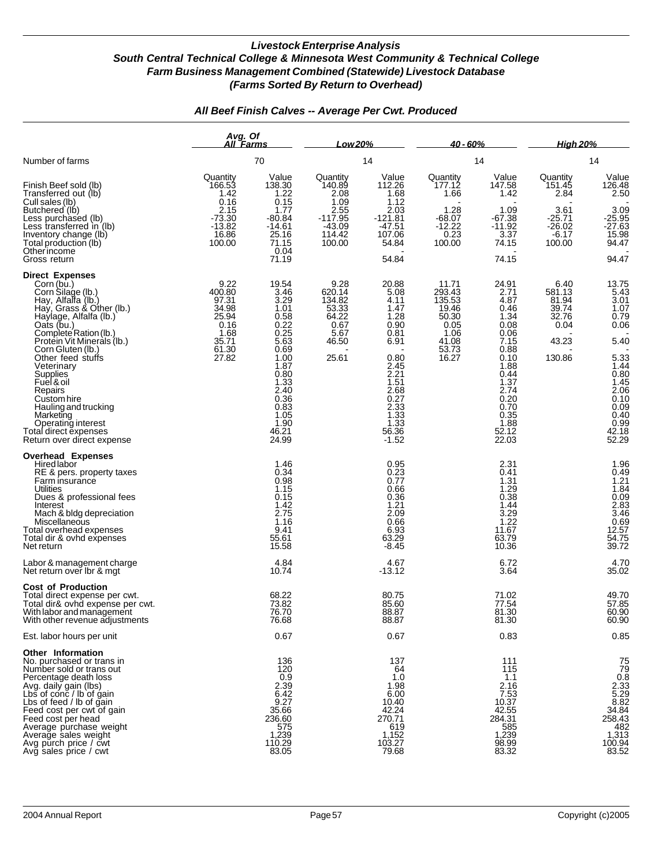|                                                                                                                                                                                                                                                                                                                                                                                                                                          | Avg. Of<br><u>All Farms</u>                                                           |                                                                                                                                                                                     | Low 20%                                                                                 |                                                                                                                                                                               | <u>40 - 60% </u>                                                                       |                                                                                                                                                                     | <u>High 20%</u>                                                                 |                                                                                                                                                       |
|------------------------------------------------------------------------------------------------------------------------------------------------------------------------------------------------------------------------------------------------------------------------------------------------------------------------------------------------------------------------------------------------------------------------------------------|---------------------------------------------------------------------------------------|-------------------------------------------------------------------------------------------------------------------------------------------------------------------------------------|-----------------------------------------------------------------------------------------|-------------------------------------------------------------------------------------------------------------------------------------------------------------------------------|----------------------------------------------------------------------------------------|---------------------------------------------------------------------------------------------------------------------------------------------------------------------|---------------------------------------------------------------------------------|-------------------------------------------------------------------------------------------------------------------------------------------------------|
| Number of farms                                                                                                                                                                                                                                                                                                                                                                                                                          |                                                                                       | 70                                                                                                                                                                                  |                                                                                         | 14                                                                                                                                                                            |                                                                                        | 14                                                                                                                                                                  |                                                                                 | 14                                                                                                                                                    |
| Finish Beef sold (lb)<br>Transferred out (lb)<br>Cull sales (lb)<br>Butchered (lb)<br>Less purchased (lb)<br>Less transferred $\ln$ (lb)<br>Inventory change (lb)<br>Total production (lb)<br>Otherincome<br>Gross return                                                                                                                                                                                                                | Quantity<br>166.53<br>1.42<br>0.16<br>2.15<br>$-73.30$<br>$-13.82$<br>16.86<br>100.00 | Value<br>138.30<br>1.22<br>0.15<br>1.77<br>-80.84<br>$-14.61$<br>25.16<br>71.15<br>0.04<br>71.19                                                                                    | Quantity<br>140.89<br>2.08<br>1.09<br>2.55<br>$-117.95$<br>$-43.09$<br>114.42<br>100.00 | Value<br>112.26<br>1.68<br>1.12<br>2.03<br>$-121.81$<br>$-47.51$<br>107.06<br>54.84<br>54.84                                                                                  | Quantity<br>177.12<br>1.66<br>1.28<br>$-68.07$<br>$-12.22$<br>0.23<br>100.00           | Value<br>147.58<br>1.42<br>1.09<br>-67.38<br>$-11.92$<br>3.37<br>74.15<br>74.15                                                                                     | Quantity<br>151.45<br>2.84<br>3.61<br>$-25.71$<br>$-26.02$<br>$-6.17$<br>100.00 | Value<br>126.48<br>2.50<br>3.09<br>-25.95<br>-27.63<br>15.98<br>94.47<br>94.47                                                                        |
| <b>Direct Expenses</b><br>Corn (bu.)<br>Corn Silage (lb.)<br>Hay, Alfalfa (lb.)<br>Hay, Grass & Other (lb.)<br>Haylage, Alfalfa (lb.)<br>Oats (bu.)<br>Complete Ration (lb.)<br>Protein Vit Minerals (lb.)<br>Corn Gluten (lb.)<br>Other feed stuffs<br>Veterinary<br>Supplies<br>Fuel & oil<br>Repairs<br>Custom hire<br>Hauling and trucking<br>Marketing<br>Operating interest<br>Total direct expenses<br>Return over direct expense | 9.22<br>400.80<br>97.31<br>34.98<br>25.94<br>0.16<br>1.68<br>35.71<br>61.30<br>27.82  | 19.54<br>3.46<br>3.29<br>1.01<br>$0.58$<br>$0.22$<br>0.25<br>$\frac{5.63}{0.69}$<br>1.00<br>1.87<br>0.80<br>$\frac{1.33}{2.40}$<br>0.36<br>$0.83$<br>1.05<br>1.90<br>46.21<br>24.99 | 9.28<br>620.14<br>134.82<br>53.33<br>64.22<br>0.67<br>5.67<br>46.50<br>25.61            | 20.88<br>5.08<br>4.11<br>1.47<br>1.28<br>0.90<br>0.81<br>6.91<br>0.80<br>2.45<br>2.21<br>1.51<br>2.68<br>0.27<br>$2.\overline{3}3$<br>$\frac{2.88}{1.33}$<br>56.36<br>$-1.52$ | 11.71<br>293.43<br>135.53<br>19.46<br>50.30<br>0.05<br>1.06<br>41.08<br>53.73<br>16.27 | $24.91$<br>$2.71$<br>4.87<br>0.46<br>1.34<br>0.08<br>0.06<br>7.15<br>0.88<br>0.10<br>1.88<br>0.44<br>1.37<br>2.74<br>0.20<br>0.70<br>0.35<br>1.88<br>52.12<br>22.03 | 6.40<br>581.13<br>81.94<br>39.74<br>32.76<br>0.04<br>43.23<br>130.86            | $13.75$<br>5.43<br>3.01<br>1.07<br>$0.79$<br>$0.06$<br>5.40<br>5.33<br>1.44<br>0.80<br>1.45<br>2.06<br>0.10<br>0.99<br>0.40<br>0.99<br>42.18<br>52.29 |
| <b>Overhead Expenses</b><br>Hired labor<br>RE & pers. property taxes<br>Farm insurance<br>Utilities<br>Dues & professional fees<br>Interest<br>Mach & bldg depreciation<br>Miscellaneous<br>Total overhead expenses<br>Total dir & ovhd expenses<br>Net return<br>Labor & management charge                                                                                                                                              |                                                                                       | 1.46<br>0.34<br>0.98<br>1.15<br>0.15<br>1.42<br>2.75<br>1.16<br>9.41<br>55.61<br>15.58<br>4.84                                                                                      |                                                                                         | 0.95<br>0.23<br>0.77<br>0.66<br>0.36<br>$1.21$<br>$2.09$<br>0.66<br>6.93<br>63.29<br>$-8.45$<br>4.67                                                                          |                                                                                        | 2.31<br>0.41<br>1.31<br>1.29<br>0.38<br>1.44<br>$3.29$<br>1.22<br>11.67<br>63.79<br>10.36<br>6.72                                                                   |                                                                                 | 1.96<br>0.49<br>1.21<br>1.84<br>0.03<br>3.83<br>3.46<br>0.69<br>12.57<br>54.75<br>39.72<br>4.70                                                       |
| Net return over Ibr & mgt<br><b>Cost of Production</b><br>Total direct expense per cwt.<br>Total dir& ovhd expense per cwt.<br>With labor and management                                                                                                                                                                                                                                                                                 |                                                                                       | 10.74<br>68.22<br>73.82<br>76.70                                                                                                                                                    |                                                                                         | $-13.12$<br>80.75<br>85.60<br>88.87                                                                                                                                           |                                                                                        | 3.64<br>71.02<br>77.54<br>81.30                                                                                                                                     |                                                                                 | 35.02<br>49.70<br>57.85<br>60.90                                                                                                                      |
| vin other revenue adjustments<br>Est. labor hours per unit                                                                                                                                                                                                                                                                                                                                                                               |                                                                                       | 76.68<br>0.67                                                                                                                                                                       |                                                                                         | 88.87<br>0.67                                                                                                                                                                 |                                                                                        | 81.30<br>0.83                                                                                                                                                       |                                                                                 | <b>PO'AO</b><br>0.85                                                                                                                                  |
| <b>Other Information</b><br>No. purchased or trans in<br>Number sold or trans out<br>Nercentage death loss<br>Avg. daily gain (lbs)<br>Lbs of conc / lb of gain<br>Lbs of feed / lb of gain<br>Feed cost per cwt of gain<br>Feed cost per cwt of gain<br>Average purchase weight<br>Average sales weight<br>Avg purch price / cwt<br>Avg sales price / cwt                                                                               |                                                                                       | 136<br>120<br>0.9<br>2.39<br>6.42<br>$9.27$<br>35.66<br>236.60<br>$\begin{array}{r} 575 \\ 1,239 \\ 110.29 \\ 83.05 \end{array}$                                                    |                                                                                         | 137<br>64<br>1.0<br>1.98<br>6.00<br>10.40<br>42.24<br>270.71<br>619<br>1,152<br>103.27<br>79.68                                                                               |                                                                                        | 111<br>115<br>1.1<br>2.16<br>7.53<br>$10.\overline{37}$<br>42.55<br>284.31<br>585<br>1,239<br>98.99<br>83.32                                                        |                                                                                 | 75<br>79<br>0.8<br>2.33<br>5.29<br>8.82<br>3.48<br>483<br>483<br>$482$<br>$1,313$<br>$100.94$<br>$83.52$                                              |

### *All Beef Finish Calves -- Average Per Cwt. Produced*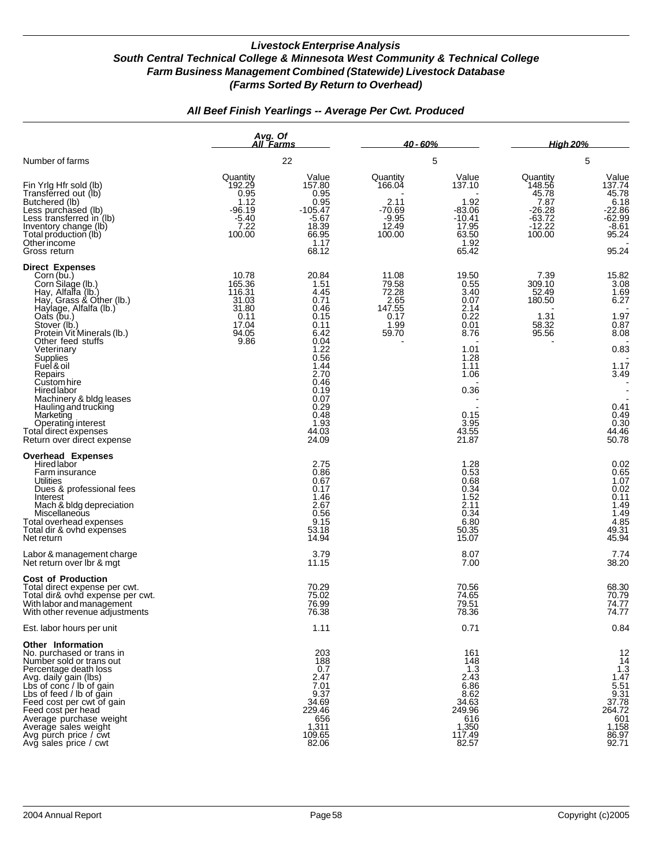## *All Beef Finish Yearlings -- Average Per Cwt. Produced*

|                                                                                                                                                                                                                                                                                                                                                                                                                                                      | Avg. Of<br>All Farms                                                          |                                                                                                                                                                         | <u>40 - 60% </u>                                                     |                                                                                                                                         | <b>High 20%</b>                                                                 |                                                                                                                                 |  |
|------------------------------------------------------------------------------------------------------------------------------------------------------------------------------------------------------------------------------------------------------------------------------------------------------------------------------------------------------------------------------------------------------------------------------------------------------|-------------------------------------------------------------------------------|-------------------------------------------------------------------------------------------------------------------------------------------------------------------------|----------------------------------------------------------------------|-----------------------------------------------------------------------------------------------------------------------------------------|---------------------------------------------------------------------------------|---------------------------------------------------------------------------------------------------------------------------------|--|
| Number of farms                                                                                                                                                                                                                                                                                                                                                                                                                                      |                                                                               | 22                                                                                                                                                                      |                                                                      | 5                                                                                                                                       |                                                                                 | 5                                                                                                                               |  |
| Fin Yrig Hfr sold (lb)<br>Transferred out (lb)<br>Butchered (lb)<br>Less purchased (lb)<br>Less transferred in (lb)<br>Inventory change (lb)<br>Total production (lb)<br>Otherincome<br>Gross return                                                                                                                                                                                                                                                 | Quantity<br>192.29<br>0.95<br>1.12<br>$-96.19$<br>$-5.40$<br>7.22<br>100.00   | Value<br>157.80<br>0.95<br>0.95<br>$-105.47$<br>$-5.67$<br>18.39<br>66.95<br>1.17<br>68.12                                                                              | Quantity<br>166.04<br>2.11<br>$-70.69$<br>$-9.95$<br>12.49<br>100.00 | Value<br>137.10<br>1.92<br>-83.06<br>$-10.41$<br>17.95<br>63.50<br>1.92<br>65.42                                                        | Quantity<br>148.56<br>45.78<br>7.87<br>$-26.28$<br>-63.72<br>$-12.22$<br>100.00 | Value<br>137.74<br>45.78<br>6.18<br>$-22.86$<br>$-62.99$<br>$-8.\overline{61}$<br>95.24<br>95.24                                |  |
| <b>Direct Expenses</b><br>Corn (bu.)<br>Corn Silage (lb.)<br>Hay, Alfalfa (lb.)<br>Hay, Grass & Other (lb.)<br>Haylage, Alfalfa (lb.)<br>Oats (bu.)<br>Stover (lb.)<br>Protein Vit Minerals (lb.)<br>Other feed stuffs<br>Veterinary<br>Supplies<br>Fuel & oil<br>Repairs<br>Custom hire<br>Hired labor<br>Machinery & bldg leases<br>Hauling and trucking<br>Marketing<br>Operating interest<br>Total direct expenses<br>Return over direct expense | 10.78<br>165.36<br>116.31<br>31.03<br>31.80<br>0.11<br>17.04<br>94.05<br>9.86 | 20.84<br>1.51<br>4.45<br>0.71<br>0.46<br>0.15<br>0.11<br>6.42<br>0.04<br>1.22<br>0.56<br>1.44<br>2.70<br>0.46<br>0.19<br>0.07<br>0.29<br>0.48<br>1.93<br>44.03<br>24.09 | 11.08<br>79.58<br>72.28<br>2.65<br>147.55<br>0.17<br>1.99<br>59.70   | 19.50<br>0.55<br>3.40<br>0.07<br>2.14<br>0.22<br>0.01<br>8.76<br>1.01<br>1.28<br>1.11<br>1.06<br>0.36<br>0.15<br>3.95<br>43.55<br>21.87 | 7.39<br>309.10<br>52.49<br>180.50<br>1.31<br>58.32<br>95.56                     | 15.82<br>3.08<br>1.69<br>6.27<br>1.97<br>0.87<br>8.08<br>0.83<br>1.17<br>3.49<br>0.41<br>0.49<br>0.30<br>44.46<br>50.78         |  |
| <b>Overhead Expenses</b><br>Hired labor<br>Farm insurance<br>Utilities<br>Dues & professional fees<br>Interest<br>Mach & bldg depreciation<br>Miscellaneous<br>Total overhead expenses<br>Total dir & ovhd expenses<br>Net return                                                                                                                                                                                                                    |                                                                               | 2.75<br>0.86<br>0.67<br>0.17<br>1.46<br>2.67<br>0.56<br>9.15<br>53.18<br>14.94                                                                                          |                                                                      | 1.28<br>0.53<br>0.68<br>0.34<br>1.52<br>2.11<br>0.34<br>6.80<br>50.35<br>15.07                                                          |                                                                                 | $0.02$<br>$0.65$<br>$1.07$<br>0.02<br>0.11<br>$\begin{array}{c} 1.49 \\ 1.49 \end{array}$<br>4.85<br>49.31<br>45.94             |  |
| Labor & management charge<br>Net return over Ibr & mat                                                                                                                                                                                                                                                                                                                                                                                               |                                                                               | 3.79<br>11.15                                                                                                                                                           |                                                                      | 8.07<br>7.00                                                                                                                            |                                                                                 | 7.74<br>38.20                                                                                                                   |  |
| <b>Cost of Production</b><br>Total direct expense per cwt.<br>Total dir& ovhd expense per cwt.<br>With labor and management<br>With other revenue adjustments                                                                                                                                                                                                                                                                                        |                                                                               | 70.29<br>75.02<br>76.99<br>76.38                                                                                                                                        |                                                                      | 70.56<br>74.65<br>79.51<br>78.36                                                                                                        |                                                                                 | 68.30<br>70.79<br>74.77<br>74.77                                                                                                |  |
| Est. labor hours per unit                                                                                                                                                                                                                                                                                                                                                                                                                            |                                                                               | 1.11                                                                                                                                                                    |                                                                      | 0.71                                                                                                                                    |                                                                                 | 0.84                                                                                                                            |  |
| Other Information<br>No. purchased or trans in<br>Number sold or trans out<br>Percentage death loss<br>Avg. daily gain (lbs)<br>Lbs of conc / lb of gain<br>Lbs of feed / lb of gain<br>Feed cost per cwt of gain<br>Feed cost per head<br>Average purchase weight<br>Average sales weight<br>Avg purch price / cwt<br>Avg sales price / cwt                                                                                                         |                                                                               | 203<br>188<br>0.7<br>2.47<br>7.01<br>9.37<br>34.69<br>229.46<br>656<br>1,311<br>109.65<br>82.06                                                                         |                                                                      | 161<br>148<br>1.3<br>2.43<br>6.86<br>8.62<br>34.63<br>249.96<br>616<br>1,350<br>117.49<br>82.57                                         |                                                                                 | $\frac{12}{14}$<br>$1.\overline{3}$<br>1.47<br>$\frac{5.51}{9.31}$<br>37.78<br>264.72<br>$601$<br>$1,158$<br>$86.97$<br>$92.71$ |  |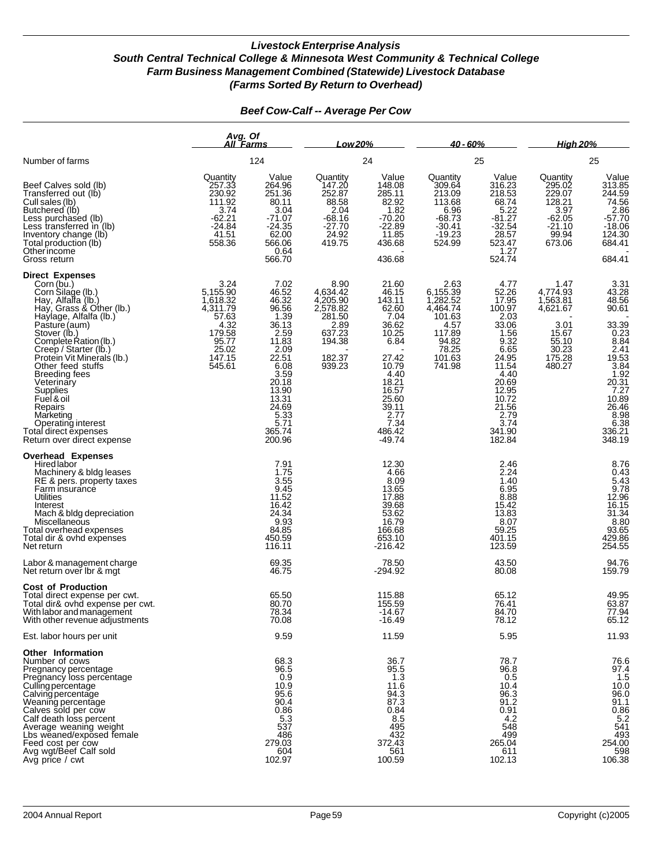|                                                                                                                                                                                                                                                                                                                                                                                                                                                  | Avg. Of<br>All Farms                                                                                      |                                                                                                                                                                            | Low 20%                                                                                                   |                                                                                                                                                                       | $40 - 60%$                                                                                                        |                                                                                                                                                                             | <b>High 20%</b><br>25                                                                           |                                                                                                                                                                 |  |
|--------------------------------------------------------------------------------------------------------------------------------------------------------------------------------------------------------------------------------------------------------------------------------------------------------------------------------------------------------------------------------------------------------------------------------------------------|-----------------------------------------------------------------------------------------------------------|----------------------------------------------------------------------------------------------------------------------------------------------------------------------------|-----------------------------------------------------------------------------------------------------------|-----------------------------------------------------------------------------------------------------------------------------------------------------------------------|-------------------------------------------------------------------------------------------------------------------|-----------------------------------------------------------------------------------------------------------------------------------------------------------------------------|-------------------------------------------------------------------------------------------------|-----------------------------------------------------------------------------------------------------------------------------------------------------------------|--|
| Number of farms<br>Beef Calves sold (lb)<br>Transferred out (lb)<br>Cull sales (lb)<br>Butchered (lb)<br>Less purchased (lb)<br>Less transferred in (lb)<br>Inventory change (lb)<br>Total production (lb)<br>Otherincome<br>Gross return                                                                                                                                                                                                        |                                                                                                           | 124                                                                                                                                                                        |                                                                                                           | 24                                                                                                                                                                    |                                                                                                                   | 25                                                                                                                                                                          |                                                                                                 |                                                                                                                                                                 |  |
|                                                                                                                                                                                                                                                                                                                                                                                                                                                  | Quantity<br>257.33<br>230.92<br>111.92<br>3.74<br>$-62.21$<br>$-24.84$<br>41.51<br>558.36                 | Value<br>264.96<br>251.36<br>80.11<br>3.04<br>$-71.07$<br>$-24.35$<br>62.00<br>566.06<br>0.64<br>566.70                                                                    | Quantity<br>147.20<br>252.87<br>88.58<br>2.04<br>$-68.16$<br>$-27.70$<br>24.92<br>419.75                  | Value<br>148.08<br>285.11<br>82.92<br>1.82<br>$-70.20$<br>$-22.89$<br>11.85<br>436.68<br>436.68                                                                       | Quantity<br>309.64<br>213.09<br>113.68<br>6.96<br>$-68.73$<br>$-30.41$<br>$-19.23$<br>524.99                      | Value<br>316.23<br>218.53<br>68.74<br>5.22<br>$-81.27$<br>$-32.54$<br>28.57<br>523.47<br>1.27<br>524.74                                                                     | Quantity<br>295.02<br>229.07<br>128.21<br>3.97<br>$-62.05$<br>$-21.10$<br>99.94<br>673.06       | Value<br>313.85<br>244.59<br>74.56<br>$2.86$<br>$-57.70$<br>$-18.06$<br>124.30<br>684.41<br>684.41                                                              |  |
| <b>Direct Expenses</b><br>Corn (bu.)<br>Corn Silage (lb.)<br>Hay, Alfalfa (lb.)<br>Hay, Grass & Other (lb.)<br>Haylage, Alfalfa (lb.)<br>Pasture (aum)<br>Stover (lb.)<br>Complete Ration (lb.)<br>Creep / Starter (lb.)<br>Protein Vit Minerals (lb.)<br>Other feed stuffs<br><b>Breeding fees</b><br>Veterinary<br>Supplies<br>Fuel & oil<br>Repairs<br>Marketing<br>Operating interest<br>Total direct expenses<br>Return over direct expense | 3.24<br>5,155.90<br>1,618.32<br>4,311.79<br>57.63<br>4.32<br>179.58<br>95.77<br>25.02<br>147.15<br>545.61 | 7.02<br>46.52<br>46.32<br>96.56<br>1.39<br>36.13<br>2.59<br>11.83<br>2.09<br>22.51<br>6.08<br>3.59<br>20.18<br>13.90<br>13.31<br>24.69<br>5.33<br>5.71<br>365.74<br>200.96 | 8.90<br>4,634.42<br>4,205.90<br>2,578.82<br>281.50<br>$\frac{2.89}{637.23}$<br>194.38<br>182.37<br>939.23 | 21.60<br>46.15<br>143.11<br>62.60<br>7.04<br>36.62<br>10.25<br>6.84<br>27.42<br>10.79<br>4.40<br>18.21<br>16.57<br>25.60<br>39.11<br>2.77<br>7.34<br>486.42<br>-49.74 | 2.63<br>6,155.39<br>1,282.52<br>4,464.74<br>101.63<br>4.57<br>117.89<br>$\frac{94.82}{78.25}$<br>101.63<br>741.98 | 4.77<br>52.26<br>17.95<br>100.97<br>2.03<br>33.06<br>1.56<br>9.32<br>6.65<br>24.95<br>11.54<br>4.40<br>20.69<br>12.95<br>10.72<br>21.56<br>2.79<br>3.74<br>341.90<br>182.84 | 1.47<br>4,774.93<br>1,563.81<br>4,621.67<br>3.01<br>15.67<br>55.10<br>30.23<br>175.28<br>480.27 | 3.31<br>43.28<br>48.56<br>90.61<br>33.39<br>0.23<br>8.84<br>2.41<br>2.53<br>3.84<br>1.92<br>20.31<br>7.27<br>40.89<br>26.46<br>8.98<br>6.38<br>336.21<br>348.19 |  |
| <b>Overhead Expenses</b><br>Hired labor<br>Machinery & bldg leases<br>RE & pers. property taxes<br>Farm insurance<br>Utilities<br>Interest<br>Mach & bldg depreciation<br>Miscellaneous<br>Total overhead expenses<br>Total dir & ovhd expenses<br>Net return                                                                                                                                                                                    |                                                                                                           | 7.91<br>1.75<br>3.55<br>$\frac{9.45}{11.52}$<br>16.42<br>24.34<br>9.93<br>84.85<br>450.59<br>116.11                                                                        |                                                                                                           | 12.30<br>4.66<br>8.09<br>13.65<br>17.88<br>39.68<br>53.62<br>16.79<br>166.68<br>653.10<br>-216.42                                                                     |                                                                                                                   | 2.46<br>2.24<br>1.40<br>6.95<br>8.88<br>15.42<br>13.83<br>8.07<br>59.25<br>401.15<br>123.59                                                                                 |                                                                                                 | 8.76<br>0.43<br>5.43<br>5.78<br>9.78<br>12.96<br>16.15<br>31.34<br>8.80<br>93.65<br>429.86<br>254.55                                                            |  |
| Labor & management charge<br>Net return over Ibr & mat                                                                                                                                                                                                                                                                                                                                                                                           |                                                                                                           | 69.35<br>46.75                                                                                                                                                             |                                                                                                           | 78.50<br>$-294.92$                                                                                                                                                    |                                                                                                                   | 43.50<br>80.08                                                                                                                                                              |                                                                                                 | 94.76<br>159.79                                                                                                                                                 |  |
| <b>Cost of Production</b><br>Total direct expense per cwt.<br>Total dir& ovhd expense per cwt.<br>With labor and management<br>With other revenue adjustments                                                                                                                                                                                                                                                                                    |                                                                                                           | 65.50<br>80.70<br>78.34<br>70.08                                                                                                                                           |                                                                                                           | 115.88<br>155.59<br>-14.67<br>$-16.49$                                                                                                                                |                                                                                                                   | 65.12<br>76.41<br>84.70<br>78.12                                                                                                                                            |                                                                                                 | 49.95<br>63.87<br>77.94<br>65.12                                                                                                                                |  |
| Est. labor hours per unit                                                                                                                                                                                                                                                                                                                                                                                                                        |                                                                                                           | 9.59                                                                                                                                                                       |                                                                                                           | 11.59                                                                                                                                                                 |                                                                                                                   | 5.95                                                                                                                                                                        |                                                                                                 | 11.93                                                                                                                                                           |  |
| Other Information<br>Number of cows<br>Pregnancy percentage<br>Pregnancy loss percentage<br>Culling percentage<br>Calving percentage<br>Weaning percentage<br>Calves sold per cow<br>Calf death loss percent<br>Average weaning weight<br>Lbs weaned/exposed female<br>Feed cost per cow<br>Avg wgt/Beef Calf sold<br>Avg price / cwt                                                                                                            |                                                                                                           | 68.3<br>96.5<br>0.9<br>10.9<br>95.6<br>90.4<br>0.86<br>5.3<br>537<br>486<br>279.03<br>604<br>102.97                                                                        |                                                                                                           | 36.7<br>95.5<br>1.3<br>11.6<br>$\frac{94.3}{87.3}$<br>0.84<br>$\frac{8.5}{495}$<br>432<br>372.43<br>561<br>100.59                                                     |                                                                                                                   | 78.7<br>96.8<br>0.5<br>10.4<br>96.3<br>91.2<br>0.91<br>4.2<br>548<br>499<br>265.04<br>611<br>102.13                                                                         |                                                                                                 | 76.6<br>97.4<br>1.5<br>$\begin{array}{c} 10.0 \\ 96.0 \\ 91.1 \end{array}$<br>$0.86$<br>5.2<br>541<br>493<br>254.00<br>598<br>106.38                            |  |

#### *Beef Cow-Calf -- Average Per Cow*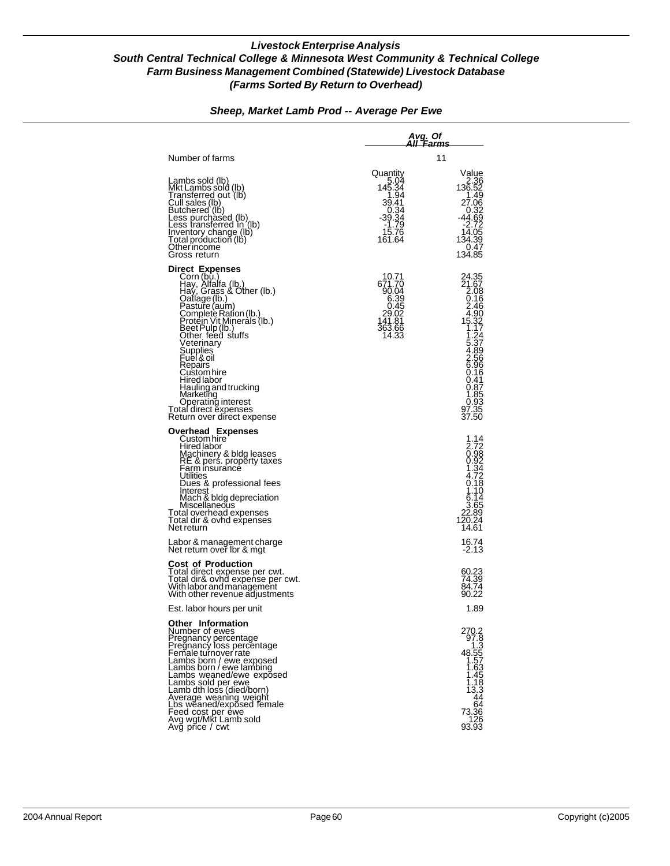|                                                                                                                                                                                                                                                                                                                                                                                                                            | Avg. Of<br>AII 'Farms                                                                                                    |                                                                                                                                                                                                                    |  |  |  |  |  |
|----------------------------------------------------------------------------------------------------------------------------------------------------------------------------------------------------------------------------------------------------------------------------------------------------------------------------------------------------------------------------------------------------------------------------|--------------------------------------------------------------------------------------------------------------------------|--------------------------------------------------------------------------------------------------------------------------------------------------------------------------------------------------------------------|--|--|--|--|--|
| Number of farms                                                                                                                                                                                                                                                                                                                                                                                                            |                                                                                                                          | 11                                                                                                                                                                                                                 |  |  |  |  |  |
| Lambs sold (lb)<br>Mkt Lambs sold (lb)<br>Transferred out (lb)<br>Cull sales <u>(Ib</u> )<br>Butchered`(lḃ)<br>Less purchased (lb)<br>Less transferred in (lb)<br>Inventory change (lb)<br>Total production (lb)<br>Other income<br>Gross return                                                                                                                                                                           | Quantity<br>$5.04$<br>145.34<br>1.94<br>39.41<br>$\begin{array}{r} 0.34 \\ 39.34 \\ 1.79 \end{array}$<br>15.76<br>161.64 | Value<br>2.36<br>136.52<br>1.49<br>27.06<br>$-0.32$<br>44.69<br>-2.72<br>14.05<br>134.39<br>0.47<br>134.85                                                                                                         |  |  |  |  |  |
| <b>Direct Expenses</b><br>Corn (bu.)<br>Hay, Alfalfa (lb.)<br>Hay, Grass & Other (lb.)<br>Catlage (lb.)<br>Pasture (aum)<br>Complete Ration (lb.)<br>Protein Vit Minerals (lb.)<br>Beet Pulp (lb.)<br>Other feed stuffs<br>Veterinary<br>Supplies<br>Euel & oil<br>Repairs<br>Custom hire<br>Hired labor<br>Hauling and trucking<br>Marketing<br>Operating interest<br>Total direct expenses<br>Return over dïrect expense | 10.71<br>671.70<br>90.04<br>6.39<br>0.45<br>29.02<br>141.81<br>363.66<br>14.33                                           | 24.35<br>21.67<br>2.08<br>0.16<br>$2.46$<br>$4.90$<br>$15.32$<br>$1.17$<br>$1.24$<br>5.37<br>4.89<br>2.56<br>6.96<br>0.16<br>0.41<br>0.87<br>$\begin{array}{c} 1.85 \\ 1.85 \\ 0.93 \\ 97.35 \\ 37.50 \end{array}$ |  |  |  |  |  |
| Overhead Expenses<br>Custom hire<br>Hired labor<br>Machinery & bldg leases<br>RE & pers. property taxes<br>Farm insurance<br>Utilities<br>Dues & professional fees<br>Interest<br>Mach & bldg depreciation<br>Miscellaneous<br>Total overhead expenses<br>Total dir & ovhd expenses<br>Net return<br>Labor & management charge<br>Net return over Ibr & mgt                                                                |                                                                                                                          | 1.14<br>2.72<br>0.98<br>0.92<br>1.34<br>$\frac{4.72}{9.18}$<br>1.10<br>6.14<br>3.65<br>22.89<br>120.24<br>14.61<br>16.74<br>$-2.13$                                                                                |  |  |  |  |  |
| Cost of Production<br>Total direct expense per cwt.<br>Total dir& ovhd expense per cwt.<br>With labor and management<br>With other revenue adjustments<br>Est. labor hours per unit                                                                                                                                                                                                                                        |                                                                                                                          | 60.23<br>74.39<br>84.74<br>90.22<br>1.89                                                                                                                                                                           |  |  |  |  |  |
| Other Information<br>Number of ewes<br>Pregnancy percentage<br>Pregnancy loss percentage<br>Female turnover rate<br>Lambs born / ewe exposed<br>Lambs born / ewe lambing<br>Lambs weaned/ewe exposed<br>Lambs sold per ewe<br>Lamb dth loss (died/born)<br>Average weaning weight<br>Lbs weaned/exposed female<br>Feed cost per ėwe<br>Avg wgt/Mķt Lamb sold<br>Avg price / cwt                                            |                                                                                                                          | 270.2<br>97.8<br>1.3<br>48.55<br>$\frac{1.57}{1.62}$<br>1.45<br>$\frac{1.18}{13.3}$<br>44<br>64<br>73.36<br>126<br>93.93                                                                                           |  |  |  |  |  |

### *Sheep, Market Lamb Prod -- Average Per Ewe*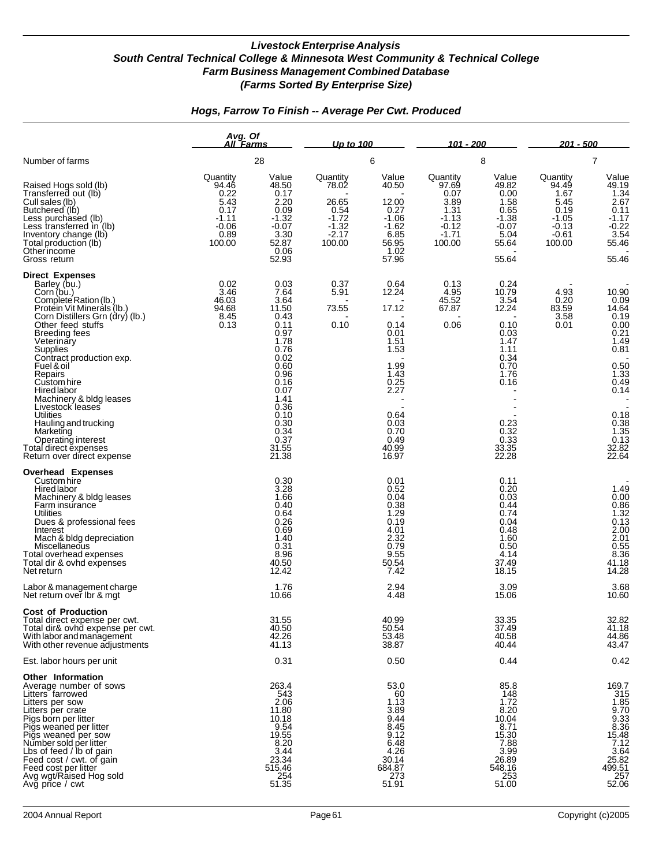|                                                                                                                                                                                                                                                                                                                                          | Avg. Of<br>All `Farms                                                           |                                                                                                                       | Up to 100                                                                     |                                                                                                       | 101 - 200                                                                            |                                                                                                                 | <u> 201 - 500</u>                                                                    |                                                                                                                           |  |
|------------------------------------------------------------------------------------------------------------------------------------------------------------------------------------------------------------------------------------------------------------------------------------------------------------------------------------------|---------------------------------------------------------------------------------|-----------------------------------------------------------------------------------------------------------------------|-------------------------------------------------------------------------------|-------------------------------------------------------------------------------------------------------|--------------------------------------------------------------------------------------|-----------------------------------------------------------------------------------------------------------------|--------------------------------------------------------------------------------------|---------------------------------------------------------------------------------------------------------------------------|--|
| Number of farms                                                                                                                                                                                                                                                                                                                          |                                                                                 | 28                                                                                                                    |                                                                               | 6                                                                                                     |                                                                                      | 8                                                                                                               | 7                                                                                    |                                                                                                                           |  |
| Raised Hogs sold (lb)<br>Transferred out (lb)<br>Cull sales (lb)<br>Butchered (lb)<br>Less purchased (lb)<br>Less transferred in (lb)<br>Inventory change (lb)<br>Total production (lb)<br>Other income<br>Gross return                                                                                                                  | Quantity<br>94.46<br>0.22<br>5.43<br>0.17<br>-1.11<br>$-0.06$<br>0.89<br>100.00 | Value<br>48.50<br>0.17<br>2.20<br>0.09<br>$-1.32$<br>$-0.07$<br>3.30<br>52.87<br>0.06<br>52.93                        | Quantity<br>78.02<br>26.65<br>0.54<br>$-1.72$<br>$-1.32$<br>$-2.17$<br>100.00 | Value<br>40.50<br>12.00<br>0.27<br>$-1.06$<br>$-1.62$<br>6.85<br>56.95<br>1.02<br>57.96               | Quantity<br>97.69<br>0.07<br>3.89<br>1.31<br>$-1.13$<br>$-0.12$<br>$-1.71$<br>100.00 | Value<br>49.82<br>0.00<br>1.58<br>0.65<br>$-1.38$<br>$-0.07$<br>5.04<br>55.64<br>55.64                          | Quantity<br>94.49<br>1.67<br>5.45<br>0.19<br>$-1.05$<br>$-0.13$<br>$-0.61$<br>100.00 | Value<br>49.19<br>1.34<br>2.67<br>0.11<br>$-1.17$<br>$-0.22$<br>$3.54$<br>55.46<br>55.46                                  |  |
| <b>Direct Expenses</b><br>Barley (bu.)<br>Corn (bu.)<br>Complete Ration (lb.)<br>Protein Vit Minerals (lb.)<br>Corn Distillers Grn (dry) (lb.)<br>Other feed stuffs<br>Breeding fees<br>Veterinary<br>Supplies<br>Contract production exp.<br>Fuel & oil<br>Repairs<br>Custom hire<br>Hired labor<br>Machinery & bldg leases             | 0.02<br>3.46<br>46.03<br>94.68<br>8.45<br>0.13                                  | 0.03<br>7.64<br>3.64<br>11.50<br>0.43<br>0.11<br>0.97<br>1.78<br>0.76<br>0.02<br>0.60<br>0.96<br>0.16<br>0.07<br>1.41 | 0.37<br>5.91<br>73.55<br>0.10                                                 | 0.64<br>12.24<br>17.12<br>0.14<br>0.01<br>1.51<br>1.53<br>1.99<br>1.43<br>0.25<br>2.27                | 0.13<br>4.95<br>45.52<br>67.87<br>0.06                                               | 0.24<br>10.79<br>3.54<br>12.24<br>0.10<br>0.03<br>1.47<br>1.11<br>0.34<br>0.70<br>1.76<br>0.16                  | 4.93<br>0.20<br>83.59<br>3.58<br>0.01                                                | 10.90<br>0.09<br>$14.64$<br>0.19<br>0.00<br>0.21<br>1.49<br>0.81<br>0.50<br>1.33<br>0.49<br>0.14                          |  |
| Livestock leases<br><b>Utilities</b><br>Hauling and trucking<br>Marketing<br>Operating interest<br>Total direct expenses<br>Return over direct expense                                                                                                                                                                                   |                                                                                 | 0.36<br>0.10<br>0.30<br>0.34<br>0.37<br>31.55<br>21.38                                                                |                                                                               | 0.64<br>0.03<br>0.70<br>0.49<br>40.99<br>16.97                                                        |                                                                                      | 0.23<br>$0.\overline{32}$<br>0.33<br>33.35<br>22.28                                                             |                                                                                      | 0.18<br>$0.38$<br>$1.35$<br>$0.13$<br>32.82<br>22.64                                                                      |  |
| <b>Overhead Expenses</b><br>Custom hire<br>Hired labor<br>Machinery & bldg leases<br>Farm insurance<br><b>Utilities</b><br>Dues & professional fees<br>Interest<br>Mach & bldg depreciation<br>Miscellaneous<br>Total overhead expenses<br>Total dir & ovhd expenses<br>Net return                                                       |                                                                                 | 0.30<br>3.28<br>1.66<br>0.40<br>0.64<br>0.26<br>0.69<br>1.40<br>0.31<br>8.96<br>40.50<br>12.42                        |                                                                               | 0.01<br>0.52<br>0.04<br>0.38<br>1.29<br>0.19<br>4.01<br>2.32<br>0.79<br>9.55<br>50.54<br>7.42         |                                                                                      | 0.11<br>0.20<br>0.03<br>0.44<br>0.74<br>0.04<br>0.48<br>1.60<br>0.50<br>4.14<br>37.49<br>18.15                  |                                                                                      | 1.49<br>0.00<br>$0.86$<br>$1.32$<br>$0.13$<br>2.00<br>2.01<br>0.55<br>8.36<br>41.18<br>14.28                              |  |
| Labor & management charge<br>Net return over Ibr & mgt                                                                                                                                                                                                                                                                                   |                                                                                 | 1.76<br>10.66                                                                                                         |                                                                               | 2.94<br>4.48                                                                                          |                                                                                      | 3.09<br>15.06                                                                                                   |                                                                                      | 3.68<br>10.60                                                                                                             |  |
| <b>Cost of Production</b><br>Total direct expense per cwt.<br>Total dir& ovhd expense per cwt.<br>With labor and management<br>With other revenue adjustments                                                                                                                                                                            |                                                                                 | 31.55<br>40.50<br>42.26<br>41.13                                                                                      |                                                                               | 40.99<br>50.54<br>53.48<br>38.87                                                                      |                                                                                      | 33.35<br>37.49<br>40.58<br>40.44                                                                                |                                                                                      | 32.82<br>41.18<br>44.86<br>43.47                                                                                          |  |
| Est. labor hours per unit                                                                                                                                                                                                                                                                                                                |                                                                                 | 0.31                                                                                                                  |                                                                               | 0.50                                                                                                  |                                                                                      | 0.44                                                                                                            |                                                                                      | 0.42                                                                                                                      |  |
| Other Information<br>Average number of sows<br>Litters farrowed<br>Litters per sow<br>Litters per crate<br>Pigs born per litter<br>Pigs weaned per litter<br>Pigs weaned per sow<br>Number sold per litter<br>Lbs of feed / lb of gain<br>Feed cost / cwt. of gain<br>Feed cost per litter<br>Avg wgt/Raised Hog sold<br>Avg price / cwt |                                                                                 | 263.4<br>543<br>2.06<br>11.80<br>10.18<br>9.54<br>19.55<br>$\frac{8.20}{3.44}$<br>23.34<br>515.46<br>$254$<br>51.35   |                                                                               | 53.0<br>60<br>1.13<br>3.89<br>9.44<br>8.45<br>9.12<br>6.48<br>4.26<br>30.14<br>684.87<br>273<br>51.91 |                                                                                      | 85.8<br>148<br>1.72<br>8.20<br>10.04<br>8.71<br>15.30<br>7.88<br>$\frac{3.99}{26.89}$<br>548.16<br>253<br>51.00 |                                                                                      | 169.7<br>$315$<br>$315$<br>$9.33$<br>$8.36$<br>$15.48$<br>$7.12$<br>$\frac{3.64}{25.82}$<br>499.51<br>$\frac{257}{52.06}$ |  |

## *Hogs, Farrow To Finish -- Average Per Cwt. Produced*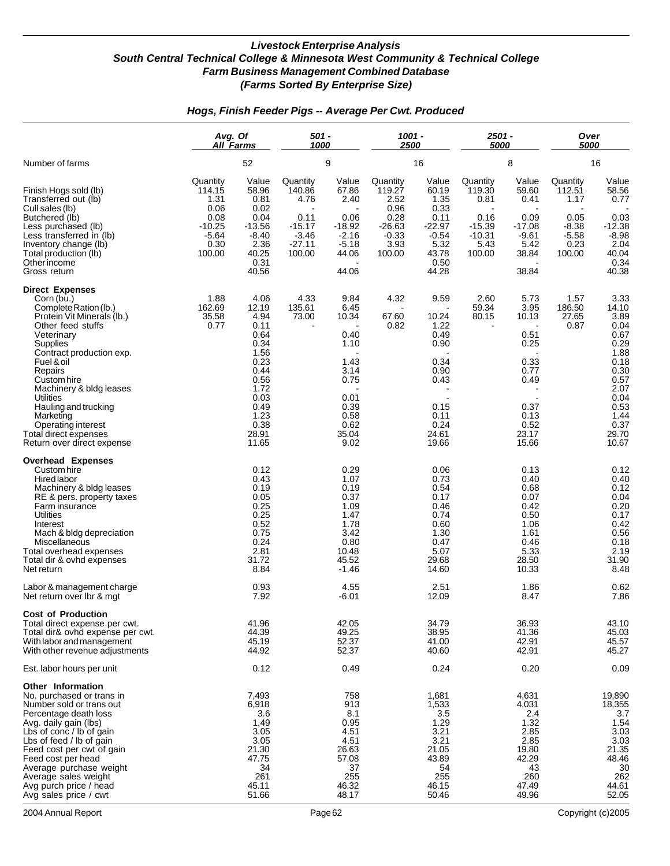### *Hogs, Finish Feeder Pigs -- Average Per Cwt. Produced*

|                                                                                                                                                                                                                                                                                                                                                                          | Avg. Of<br><b>All Farms</b><br>52                                                   |                                                                                                                                         | 501 -<br>1000                                                                   |                                                                                                                | 1001 -<br>2500                                                                      |                                                                                                         | 2501 -<br>5000                                                               |                                                                                                         | Over<br><i><b>5000</b></i>                                                 |                                                                                                                                         |
|--------------------------------------------------------------------------------------------------------------------------------------------------------------------------------------------------------------------------------------------------------------------------------------------------------------------------------------------------------------------------|-------------------------------------------------------------------------------------|-----------------------------------------------------------------------------------------------------------------------------------------|---------------------------------------------------------------------------------|----------------------------------------------------------------------------------------------------------------|-------------------------------------------------------------------------------------|---------------------------------------------------------------------------------------------------------|------------------------------------------------------------------------------|---------------------------------------------------------------------------------------------------------|----------------------------------------------------------------------------|-----------------------------------------------------------------------------------------------------------------------------------------|
| Number of farms                                                                                                                                                                                                                                                                                                                                                          |                                                                                     |                                                                                                                                         |                                                                                 | 9                                                                                                              |                                                                                     | 16                                                                                                      |                                                                              | 8                                                                                                       | 16                                                                         |                                                                                                                                         |
| Finish Hogs sold (lb)<br>Transferred out (lb)<br>Cull sales (lb)<br>Butchered (lb)<br>Less purchased (lb)<br>Less transferred in (lb)<br>Inventory change (lb)<br>Total production (lb)<br>Other income<br>Gross return                                                                                                                                                  | Quantity<br>114.15<br>1.31<br>0.06<br>0.08<br>$-10.25$<br>$-5.64$<br>0.30<br>100.00 | Value<br>58.96<br>0.81<br>0.02<br>0.04<br>$-13.56$<br>$-8.40$<br>2.36<br>40.25<br>0.31<br>40.56                                         | Quantity<br>140.86<br>4.76<br>0.11<br>$-15.17$<br>$-3.46$<br>$-27.11$<br>100.00 | Value<br>67.86<br>2.40<br>0.06<br>-18.92<br>$-2.16$<br>$-5.18$<br>44.06<br>44.06                               | Quantity<br>119.27<br>2.52<br>0.96<br>0.28<br>$-26.63$<br>$-0.33$<br>3.93<br>100.00 | Value<br>60.19<br>1.35<br>0.33<br>0.11<br>$-22.97$<br>$-0.54$<br>5.32<br>43.78<br>0.50<br>44.28         | Quantity<br>119.30<br>0.81<br>0.16<br>$-15.39$<br>$-10.31$<br>5.43<br>100.00 | Value<br>59.60<br>0.41<br>0.09<br>$-17.08$<br>$-9.61$<br>5.42<br>38.84<br>38.84                         | Quantity<br>112.51<br>1.17<br>0.05<br>$-8.38$<br>$-5.58$<br>0.23<br>100.00 | Value<br>58.56<br>0.77<br>0.03<br>$-12.38$<br>$-8.98$<br>2.04<br>40.04<br>0.34<br>40.38                                                 |
| <b>Direct Expenses</b><br>Corn (bu.)<br>Complete Ration (lb.)<br>Protein Vit Minerals (lb.)<br>Other feed stuffs<br>Veterinary<br>Supplies<br>Contract production exp.<br>Fuel & oil<br>Repairs<br>Custom hire<br>Machinery & bldg leases<br>Utilities<br>Hauling and trucking<br>Marketing<br>Operating interest<br>Total direct expenses<br>Return over direct expense | 1.88<br>162.69<br>35.58<br>0.77                                                     | 4.06<br>12.19<br>4.94<br>0.11<br>0.64<br>0.34<br>1.56<br>0.23<br>0.44<br>0.56<br>1.72<br>0.03<br>0.49<br>1.23<br>0.38<br>28.91<br>11.65 | 4.33<br>135.61<br>73.00                                                         | 9.84<br>6.45<br>10.34<br>0.40<br>1.10<br>1.43<br>3.14<br>0.75<br>0.01<br>0.39<br>0.58<br>0.62<br>35.04<br>9.02 | 4.32<br>67.60<br>0.82                                                               | 9.59<br>10.24<br>1.22<br>0.49<br>0.90<br>0.34<br>0.90<br>0.43<br>0.15<br>0.11<br>0.24<br>24.61<br>19.66 | 2.60<br>59.34<br>80.15                                                       | 5.73<br>3.95<br>10.13<br>0.51<br>0.25<br>0.33<br>0.77<br>0.49<br>0.37<br>0.13<br>0.52<br>23.17<br>15.66 | 1.57<br>186.50<br>27.65<br>0.87                                            | 3.33<br>14.10<br>3.89<br>0.04<br>0.67<br>0.29<br>1.88<br>0.18<br>0.30<br>0.57<br>2.07<br>0.04<br>0.53<br>1.44<br>0.37<br>29.70<br>10.67 |
| <b>Overhead Expenses</b><br>Custom hire<br><b>Hired labor</b><br>Machinery & bldg leases<br>RE & pers. property taxes<br>Farm insurance<br>Utilities<br>Interest<br>Mach & bldg depreciation<br>Miscellaneous<br>Total overhead expenses<br>Total dir & ovhd expenses<br>Net return                                                                                      |                                                                                     | 0.12<br>0.43<br>0.19<br>0.05<br>0.25<br>0.25<br>0.52<br>0.75<br>0.24<br>2.81<br>31.72<br>8.84<br>0.93                                   |                                                                                 | 0.29<br>1.07<br>0.19<br>0.37<br>1.09<br>1.47<br>1.78<br>3.42<br>0.80<br>10.48<br>45.52<br>$-1.46$<br>4.55      |                                                                                     | 0.06<br>0.73<br>0.54<br>0.17<br>0.46<br>0.74<br>0.60<br>1.30<br>0.47<br>5.07<br>29.68<br>14.60<br>2.51  |                                                                              | 0.13<br>0.40<br>0.68<br>0.07<br>0.42<br>0.50<br>1.06<br>1.61<br>0.46<br>5.33<br>28.50<br>10.33<br>1.86  |                                                                            | 0.12<br>0.40<br>0.12<br>0.04<br>0.20<br>0.17<br>0.42<br>0.56<br>0.18<br>2.19<br>31.90<br>8.48<br>0.62                                   |
| Labor & management charge<br>Net return over Ibr & mgt<br><b>Cost of Production</b>                                                                                                                                                                                                                                                                                      |                                                                                     | 7.92                                                                                                                                    |                                                                                 | -6.01                                                                                                          |                                                                                     | 12.09                                                                                                   |                                                                              | 8.47                                                                                                    |                                                                            | 7.86                                                                                                                                    |
| Total direct expense per cwt.<br>Total dir& ovhd expense per cwt.<br>With labor and management<br>With other revenue adjustments                                                                                                                                                                                                                                         |                                                                                     | 41.96<br>44.39<br>45.19<br>44.92                                                                                                        |                                                                                 | 42.05<br>49.25<br>52.37<br>52.37                                                                               |                                                                                     | 34.79<br>38.95<br>41.00<br>40.60                                                                        |                                                                              | 36.93<br>41.36<br>42.91<br>42.91                                                                        |                                                                            | 43.10<br>45.03<br>45.57<br>45.27                                                                                                        |
| Est. labor hours per unit                                                                                                                                                                                                                                                                                                                                                |                                                                                     | 0.12                                                                                                                                    |                                                                                 | 0.49                                                                                                           |                                                                                     | 0.24                                                                                                    |                                                                              | 0.20                                                                                                    |                                                                            | 0.09                                                                                                                                    |
| Other Information<br>No. purchased or trans in<br>Number sold or trans out<br>Percentage death loss<br>Avg. daily gain (lbs)<br>Lbs of conc / lb of gain<br>Lbs of feed / lb of gain<br>Feed cost per cwt of gain<br>Feed cost per head<br>Average purchase weight<br>Average sales weight<br>Avg purch price / head<br>Avg sales price / cwt                            |                                                                                     | 7,493<br>6,918<br>3.6<br>1.49<br>3.05<br>3.05<br>21.30<br>47.75<br>34<br>261<br>45.11<br>51.66                                          |                                                                                 | 758<br>913<br>8.1<br>0.95<br>4.51<br>4.51<br>26.63<br>57.08<br>37<br>255<br>46.32<br>48.17                     |                                                                                     | 1,681<br>1,533<br>3.5<br>1.29<br>3.21<br>3.21<br>21.05<br>43.89<br>54<br>255<br>46.15<br>50.46          |                                                                              | 4,631<br>4,031<br>2.4<br>1.32<br>2.85<br>2.85<br>19.80<br>42.29<br>43<br>260<br>47.49<br>49.96          |                                                                            | 19,890<br>18,355<br>3.7<br>1.54<br>3.03<br>3.03<br>21.35<br>48.46<br>30<br>262<br>44.61<br>52.05                                        |